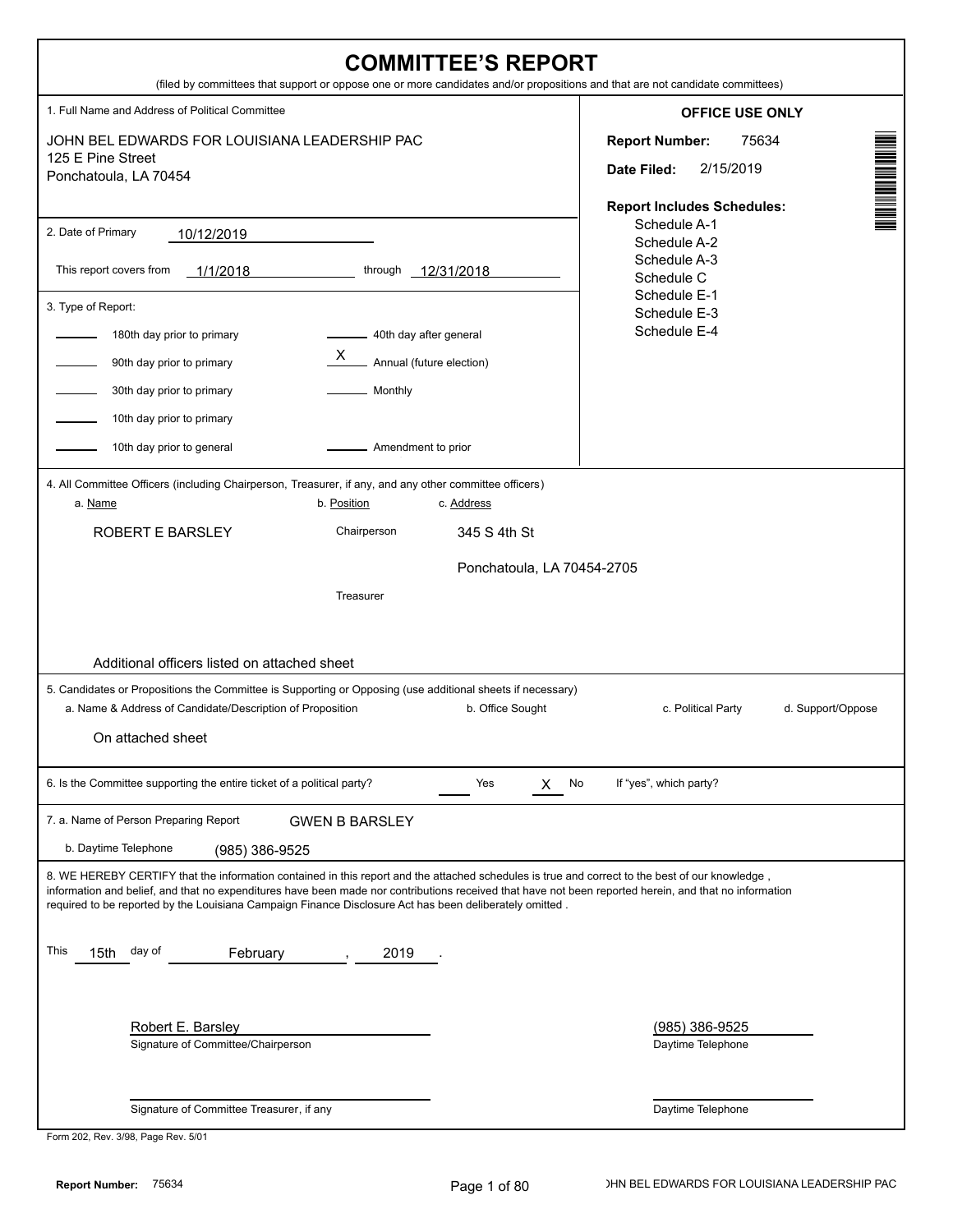| <b>COMMITTEE'S REPORT</b><br>(filed by committees that support or oppose one or more candidates and/or propositions and that are not candidate committees)                                                                                                                                                                                                                                                                                                                                                                                                                |                                                                                                                         |
|---------------------------------------------------------------------------------------------------------------------------------------------------------------------------------------------------------------------------------------------------------------------------------------------------------------------------------------------------------------------------------------------------------------------------------------------------------------------------------------------------------------------------------------------------------------------------|-------------------------------------------------------------------------------------------------------------------------|
| 1. Full Name and Address of Political Committee                                                                                                                                                                                                                                                                                                                                                                                                                                                                                                                           | <b>OFFICE USE ONLY</b>                                                                                                  |
| JOHN BEL EDWARDS FOR LOUISIANA LEADERSHIP PAC<br>125 E Pine Street<br>Ponchatoula, LA 70454                                                                                                                                                                                                                                                                                                                                                                                                                                                                               | N NA MARINA AN DIANA<br>75634<br><b>Report Number:</b><br>2/15/2019<br>Date Filed:<br><b>Report Includes Schedules:</b> |
| 2. Date of Primary<br>10/12/2019<br>This report covers from<br>through<br>1/1/2018<br>$-12/31/2018$<br>3. Type of Report:<br>180th day prior to primary<br>40th day after general<br>X<br>Annual (future election)<br>90th day prior to primary<br>30th day prior to primary<br>Monthly<br>10th day prior to primary<br>Amendment to prior<br>10th day prior to general                                                                                                                                                                                                   | Schedule A-1<br>Schedule A-2<br>Schedule A-3<br>Schedule C<br>Schedule E-1<br>Schedule E-3<br>Schedule E-4              |
| 4. All Committee Officers (including Chairperson, Treasurer, if any, and any other committee officers)<br>a. Name<br>b. Position<br>c. Address<br>Chairperson<br><b>ROBERT E BARSLEY</b><br>345 S 4th St<br>Ponchatoula, LA 70454-2705<br>Treasurer<br>Additional officers listed on attached sheet                                                                                                                                                                                                                                                                       |                                                                                                                         |
| 5. Candidates or Propositions the Committee is Supporting or Opposing (use additional sheets if necessary)<br>a. Name & Address of Candidate/Description of Proposition<br>b. Office Sought<br>On attached sheet                                                                                                                                                                                                                                                                                                                                                          | c. Political Party<br>d. Support/Oppose                                                                                 |
| 6. Is the Committee supporting the entire ticket of a political party?<br>Yes<br>No<br>X.                                                                                                                                                                                                                                                                                                                                                                                                                                                                                 | If "yes", which party?                                                                                                  |
| 7. a. Name of Person Preparing Report<br><b>GWEN B BARSLEY</b><br>b. Daytime Telephone<br>(985) 386-9525                                                                                                                                                                                                                                                                                                                                                                                                                                                                  |                                                                                                                         |
| 8. WE HEREBY CERTIFY that the information contained in this report and the attached schedules is true and correct to the best of our knowledge,<br>information and belief, and that no expenditures have been made nor contributions received that have not been reported herein, and that no information<br>required to be reported by the Louisiana Campaign Finance Disclosure Act has been deliberately omitted.<br>This<br>15th<br>day of<br>February<br>2019<br>Robert E. Barsley<br>Signature of Committee/Chairperson<br>Signature of Committee Treasurer, if any | <u>(985) 386-9525</u><br>Daytime Telephone<br>Daytime Telephone                                                         |

| Form 202, Rev. 3/98, Page Rev. 5/01 |  |
|-------------------------------------|--|
|-------------------------------------|--|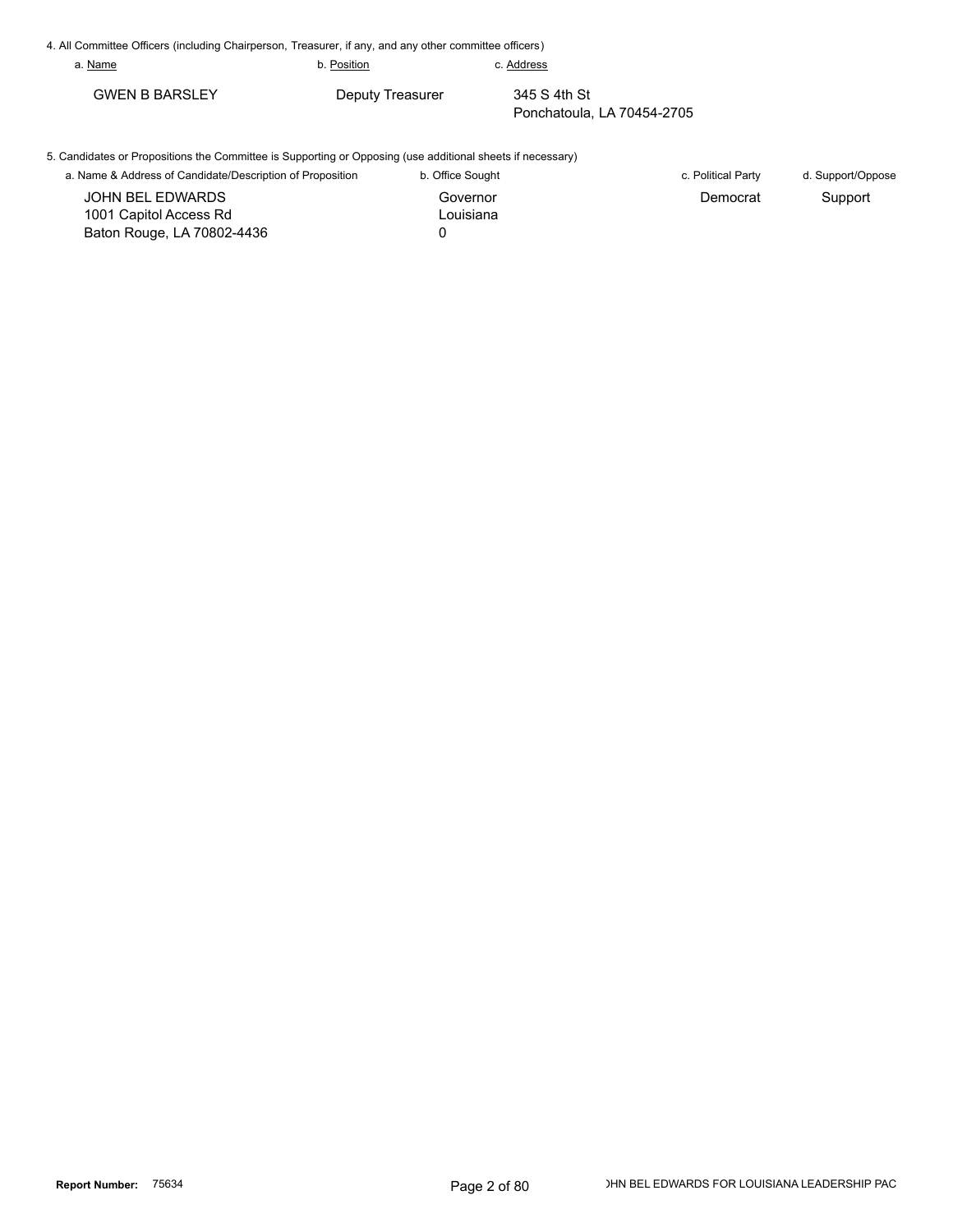| 4. All Committee Officers (including Chairperson, Treasurer, if any, and any other committee officers)     |                  |                  |                            |                   |
|------------------------------------------------------------------------------------------------------------|------------------|------------------|----------------------------|-------------------|
| a. Name                                                                                                    | b. Position      | c. Address       |                            |                   |
| <b>GWEN B BARSLEY</b>                                                                                      | Deputy Treasurer | 345 S 4th St     | Ponchatoula, LA 70454-2705 |                   |
| 5. Candidates or Propositions the Committee is Supporting or Opposing (use additional sheets if necessary) |                  |                  |                            |                   |
| a. Name & Address of Candidate/Description of Proposition                                                  |                  | b. Office Sought | c. Political Party         | d. Support/Oppose |
| JOHN BEL EDWARDS                                                                                           |                  | Governor         | Democrat                   | Support           |
| 1001 Capitol Access Rd                                                                                     |                  | Louisiana        |                            |                   |

0

Baton Rouge, LA 70802-4436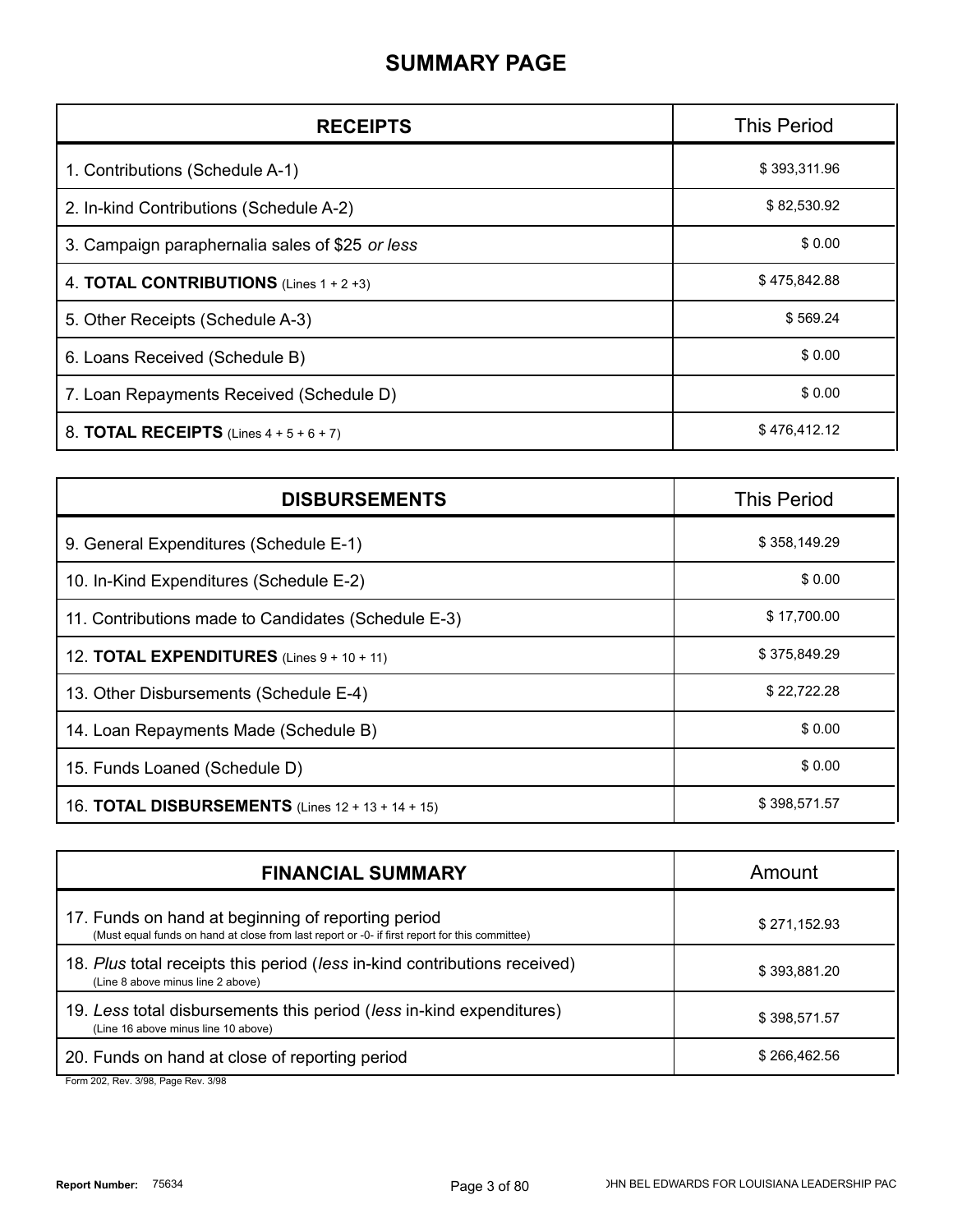### **SUMMARY PAGE**

| <b>RECEIPTS</b>                                    | <b>This Period</b> |
|----------------------------------------------------|--------------------|
| 1. Contributions (Schedule A-1)                    | \$393,311.96       |
| 2. In-kind Contributions (Schedule A-2)            | \$82,530.92        |
| 3. Campaign paraphernalia sales of \$25 or less    | \$0.00             |
| 4. <b>TOTAL CONTRIBUTIONS</b> (Lines $1 + 2 + 3$ ) | \$475,842.88       |
| 5. Other Receipts (Schedule A-3)                   | \$569.24           |
| 6. Loans Received (Schedule B)                     | \$0.00             |
| 7. Loan Repayments Received (Schedule D)           | \$0.00             |
| 8. TOTAL RECEIPTS (Lines $4 + 5 + 6 + 7$ )         | \$476,412.12       |

| <b>DISBURSEMENTS</b>                                     | <b>This Period</b> |
|----------------------------------------------------------|--------------------|
| 9. General Expenditures (Schedule E-1)                   | \$358,149.29       |
| 10. In-Kind Expenditures (Schedule E-2)                  | \$0.00             |
| 11. Contributions made to Candidates (Schedule E-3)      | \$17,700.00        |
| 12. <b>TOTAL EXPENDITURES</b> (Lines $9 + 10 + 11$ )     | \$375,849.29       |
| 13. Other Disbursements (Schedule E-4)                   | \$22,722.28        |
| 14. Loan Repayments Made (Schedule B)                    | \$0.00             |
| 15. Funds Loaned (Schedule D)                            | \$0.00             |
| 16. <b>TOTAL DISBURSEMENTS</b> (Lines 12 + 13 + 14 + 15) | \$398,571.57       |

| <b>FINANCIAL SUMMARY</b>                                                                                                                                                                                                                                                                                                                                                                                                                                                                                                                     | Amount       |
|----------------------------------------------------------------------------------------------------------------------------------------------------------------------------------------------------------------------------------------------------------------------------------------------------------------------------------------------------------------------------------------------------------------------------------------------------------------------------------------------------------------------------------------------|--------------|
| 17. Funds on hand at beginning of reporting period<br>(Must equal funds on hand at close from last report or -0- if first report for this committee)                                                                                                                                                                                                                                                                                                                                                                                         | \$271,152.93 |
| 18. Plus total receipts this period (less in-kind contributions received)<br>(Line 8 above minus line 2 above)                                                                                                                                                                                                                                                                                                                                                                                                                               | \$393,881.20 |
| 19. Less total disbursements this period (less in-kind expenditures)<br>(Line 16 above minus line 10 above)                                                                                                                                                                                                                                                                                                                                                                                                                                  | \$398,571.57 |
| 20. Funds on hand at close of reporting period<br>$\blacksquare$ $\blacksquare$ $\blacksquare$ $\blacksquare$ $\blacksquare$ $\blacksquare$ $\blacksquare$ $\blacksquare$ $\blacksquare$ $\blacksquare$ $\blacksquare$ $\blacksquare$ $\blacksquare$ $\blacksquare$ $\blacksquare$ $\blacksquare$ $\blacksquare$ $\blacksquare$ $\blacksquare$ $\blacksquare$ $\blacksquare$ $\blacksquare$ $\blacksquare$ $\blacksquare$ $\blacksquare$ $\blacksquare$ $\blacksquare$ $\blacksquare$ $\blacksquare$ $\blacksquare$ $\blacksquare$ $\blacks$ | \$266,462.56 |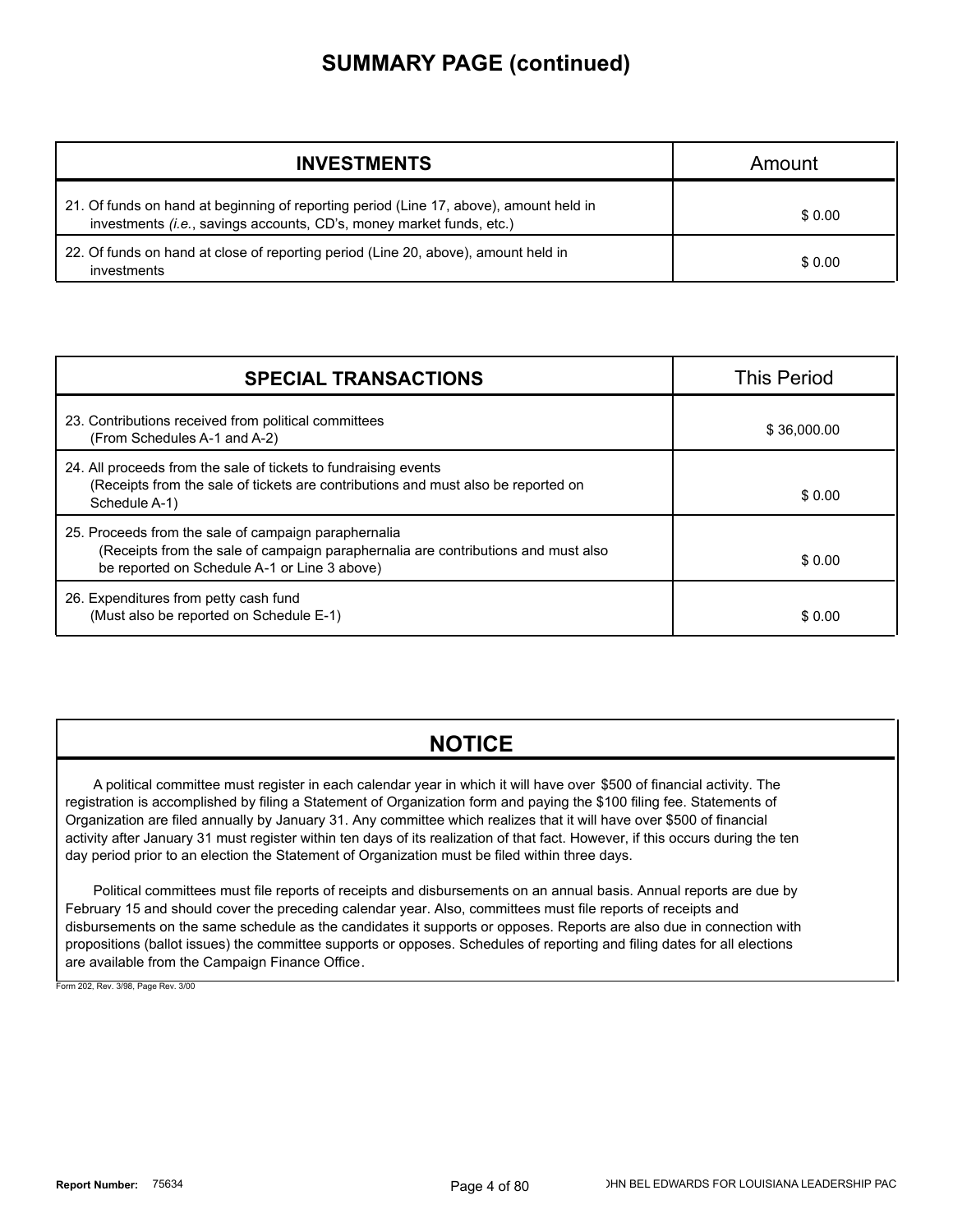### **SUMMARY PAGE (continued)**

| <b>INVESTMENTS</b>                                                                                                                                             | Amount |
|----------------------------------------------------------------------------------------------------------------------------------------------------------------|--------|
| 21. Of funds on hand at beginning of reporting period (Line 17, above), amount held in<br>investments (i.e., savings accounts, CD's, money market funds, etc.) | \$0.00 |
| 22. Of funds on hand at close of reporting period (Line 20, above), amount held in<br>investments                                                              | \$0.00 |

| <b>SPECIAL TRANSACTIONS</b>                                                                                                                                                               | <b>This Period</b> |
|-------------------------------------------------------------------------------------------------------------------------------------------------------------------------------------------|--------------------|
| 23. Contributions received from political committees<br>(From Schedules A-1 and A-2)                                                                                                      | \$36,000.00        |
| 24. All proceeds from the sale of tickets to fundraising events<br>(Receipts from the sale of tickets are contributions and must also be reported on<br>Schedule A-1)                     | \$0.00             |
| 25. Proceeds from the sale of campaign paraphernalia<br>(Receipts from the sale of campaign paraphernalia are contributions and must also<br>be reported on Schedule A-1 or Line 3 above) | \$0.00             |
| 26. Expenditures from petty cash fund<br>(Must also be reported on Schedule E-1)                                                                                                          | \$0.00             |

### **NOTICE**

A political committee must register in each calendar year in which it will have over \$500 of financial activity. The registration is accomplished by filing a Statement of Organization form and paying the \$100 filing fee. Statements of Organization are filed annually by January 31. Any committee which realizes that it will have over \$500 of financial activity after January 31 must register within ten days of its realization of that fact. However, if this occurs during the ten day period prior to an election the Statement of Organization must be filed within three days.

Political committees must file reports of receipts and disbursements on an annual basis. Annual reports are due by February 15 and should cover the preceding calendar year. Also, committees must file reports of receipts and disbursements on the same schedule as the candidates it supports or opposes. Reports are also due in connection with propositions (ballot issues) the committee supports or opposes. Schedules of reporting and filing dates for all elections are available from the Campaign Finance Office.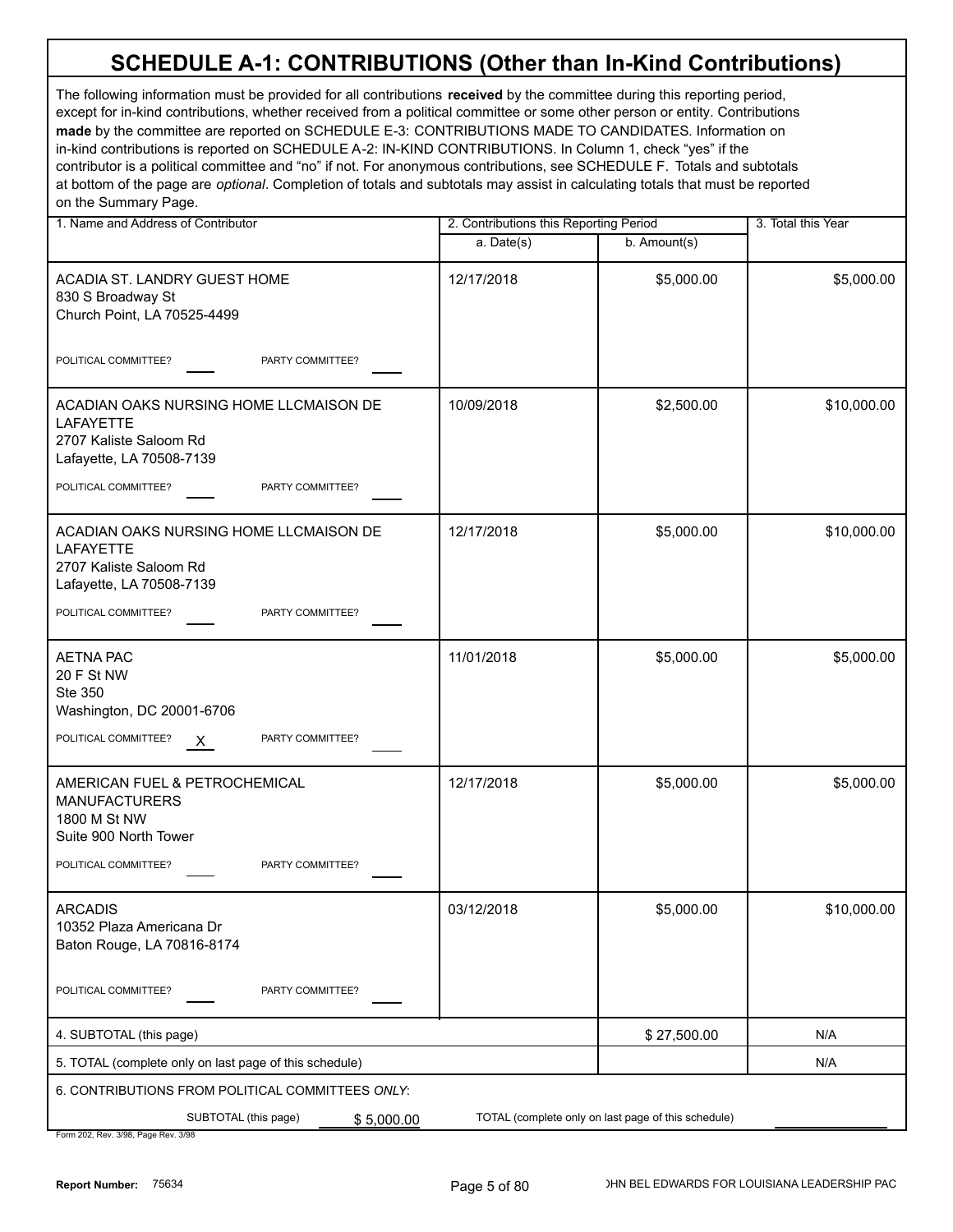| 1. Name and Address of Contributor                                                                               | 2. Contributions this Reporting Period |                                                     | 3. Total this Year |
|------------------------------------------------------------------------------------------------------------------|----------------------------------------|-----------------------------------------------------|--------------------|
|                                                                                                                  | a. Date(s)                             | b. Amount(s)                                        |                    |
| ACADIA ST. LANDRY GUEST HOME<br>830 S Broadway St<br>Church Point, LA 70525-4499                                 | 12/17/2018                             | \$5,000.00                                          | \$5,000.00         |
| POLITICAL COMMITTEE?<br>PARTY COMMITTEE?                                                                         |                                        |                                                     |                    |
| ACADIAN OAKS NURSING HOME LLCMAISON DE<br><b>LAFAYETTE</b><br>2707 Kaliste Saloom Rd<br>Lafayette, LA 70508-7139 | 10/09/2018                             | \$2,500.00                                          | \$10,000.00        |
| POLITICAL COMMITTEE?<br>PARTY COMMITTEE?                                                                         |                                        |                                                     |                    |
| ACADIAN OAKS NURSING HOME LLCMAISON DE<br><b>LAFAYETTE</b><br>2707 Kaliste Saloom Rd<br>Lafayette, LA 70508-7139 | 12/17/2018                             | \$5,000.00                                          | \$10,000.00        |
| POLITICAL COMMITTEE?<br>PARTY COMMITTEE?                                                                         |                                        |                                                     |                    |
| <b>AETNA PAC</b><br>20 F St NW<br>Ste 350<br>Washington, DC 20001-6706                                           | 11/01/2018                             | \$5,000.00                                          | \$5,000.00         |
| PARTY COMMITTEE?<br>POLITICAL COMMITTEE?<br>$\mathsf{X}$                                                         |                                        |                                                     |                    |
| AMERICAN FUEL & PETROCHEMICAL<br><b>MANUFACTURERS</b><br>1800 M St NW<br>Suite 900 North Tower                   | 12/17/2018                             | \$5,000.00                                          | \$5,000.00         |
| POLITICAL COMMITTEE?<br>PARTY COMMITTEE?                                                                         |                                        |                                                     |                    |
| <b>ARCADIS</b><br>10352 Plaza Americana Dr<br>Baton Rouge, LA 70816-8174                                         | 03/12/2018                             | \$5,000.00                                          | \$10,000.00        |
| POLITICAL COMMITTEE?<br>PARTY COMMITTEE?                                                                         |                                        |                                                     |                    |
| 4. SUBTOTAL (this page)                                                                                          |                                        | \$27,500.00                                         | N/A                |
| 5. TOTAL (complete only on last page of this schedule)                                                           |                                        |                                                     | N/A                |
| 6. CONTRIBUTIONS FROM POLITICAL COMMITTEES ONLY:                                                                 |                                        |                                                     |                    |
| SUBTOTAL (this page)<br>\$5,000.00<br>Form 202, Rev. 3/98, Page Rev. 3/98                                        |                                        | TOTAL (complete only on last page of this schedule) |                    |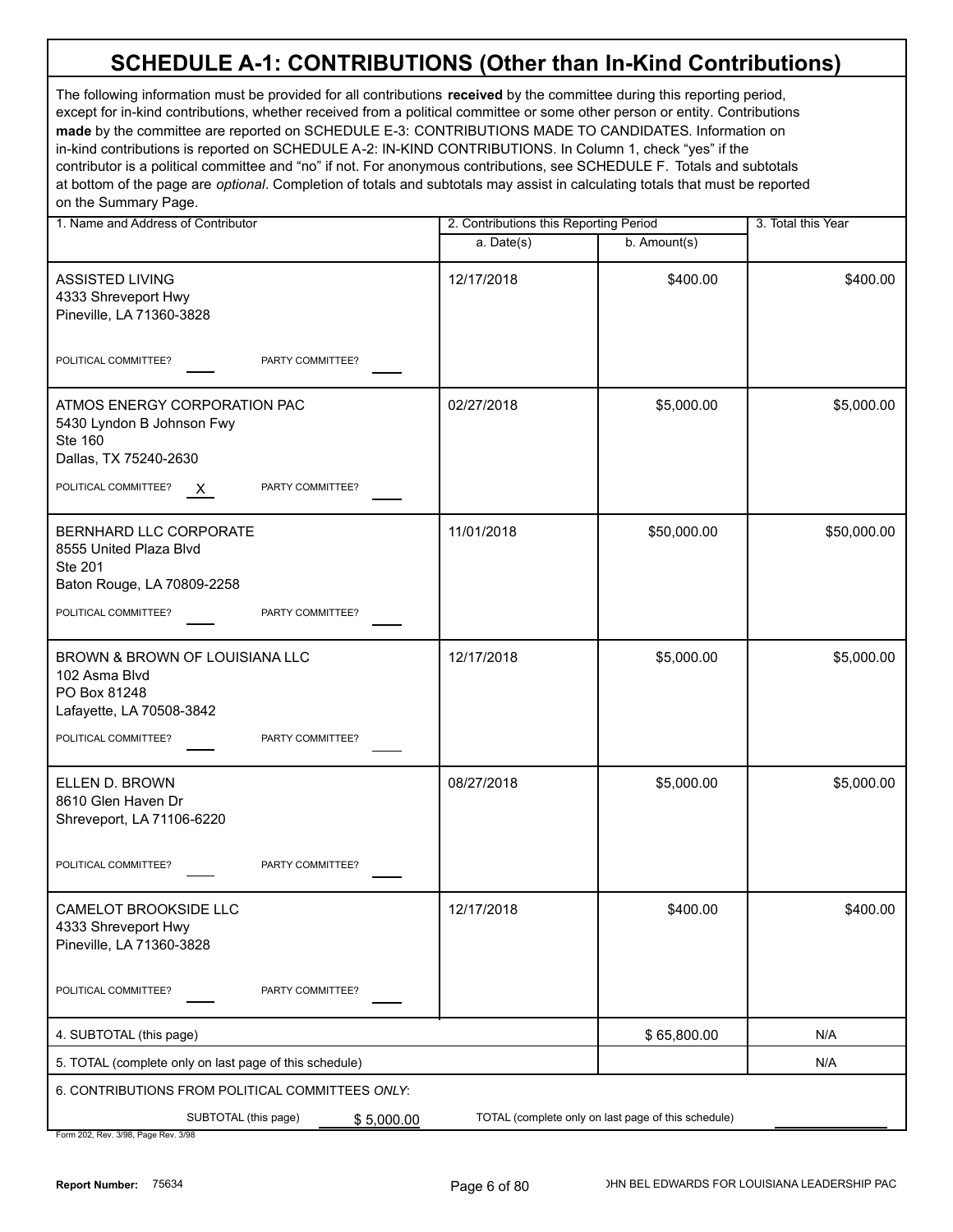The following information must be provided for all contributions **received** by the committee during this reporting period, except for in-kind contributions, whether received from a political committee or some other person or entity. Contributions **made** by the committee are reported on SCHEDULE E-3: CONTRIBUTIONS MADE TO CANDIDATES. Information on in-kind contributions is reported on SCHEDULE A-2: IN-KIND CONTRIBUTIONS. In Column 1, check "yes" if the contributor is a political committee and "no" if not. For anonymous contributions, see SCHEDULE F. Totals and subtotals at bottom of the page are *optional*. Completion of totals and subtotals may assist in calculating totals that must be reported on the Summary Page.

| 1. Name and Address of Contributor                                                                   |            | 2. Contributions this Reporting Period |             |  |
|------------------------------------------------------------------------------------------------------|------------|----------------------------------------|-------------|--|
|                                                                                                      | a. Date(s) | b. Amount(s)                           |             |  |
| <b>ASSISTED LIVING</b><br>4333 Shreveport Hwy<br>Pineville, LA 71360-3828                            | 12/17/2018 | \$400.00                               | \$400.00    |  |
| PARTY COMMITTEE?<br>POLITICAL COMMITTEE?                                                             |            |                                        |             |  |
| ATMOS ENERGY CORPORATION PAC<br>5430 Lyndon B Johnson Fwy<br><b>Ste 160</b><br>Dallas, TX 75240-2630 | 02/27/2018 | \$5,000.00                             | \$5,000.00  |  |
| POLITICAL COMMITTEE?<br>PARTY COMMITTEE?<br>$\mathsf{X}$                                             |            |                                        |             |  |
| BERNHARD LLC CORPORATE<br>8555 United Plaza Blvd<br>Ste 201<br>Baton Rouge, LA 70809-2258            | 11/01/2018 | \$50,000.00                            | \$50,000.00 |  |
| POLITICAL COMMITTEE?<br>PARTY COMMITTEE?                                                             |            |                                        |             |  |
| BROWN & BROWN OF LOUISIANA LLC<br>102 Asma Blvd<br>PO Box 81248<br>Lafayette, LA 70508-3842          | 12/17/2018 | \$5,000.00                             | \$5,000.00  |  |
| POLITICAL COMMITTEE?<br>PARTY COMMITTEE?                                                             |            |                                        |             |  |
| ELLEN D. BROWN<br>8610 Glen Haven Dr<br>Shreveport, LA 71106-6220                                    | 08/27/2018 | \$5,000.00                             | \$5,000.00  |  |
| POLITICAL COMMITTEE?<br>PARTY COMMITTEE?                                                             |            |                                        |             |  |
| CAMELOT BROOKSIDE I I C<br>4333 Shreveport Hwy<br>Pineville, LA 71360-3828                           | 12/17/2018 | \$400.00                               | \$400.00    |  |
| PARTY COMMITTEE?<br>POLITICAL COMMITTEE?                                                             |            |                                        |             |  |
| 4. SUBTOTAL (this page)                                                                              |            | \$65,800.00                            | N/A         |  |
| 5. TOTAL (complete only on last page of this schedule)                                               |            |                                        | N/A         |  |
| 6. CONTRIBUTIONS FROM POLITICAL COMMITTEES ONLY:                                                     |            |                                        |             |  |
| TOTAL (complete only on last page of this schedule)<br>SUBTOTAL (this page)<br>\$5,000.00            |            |                                        |             |  |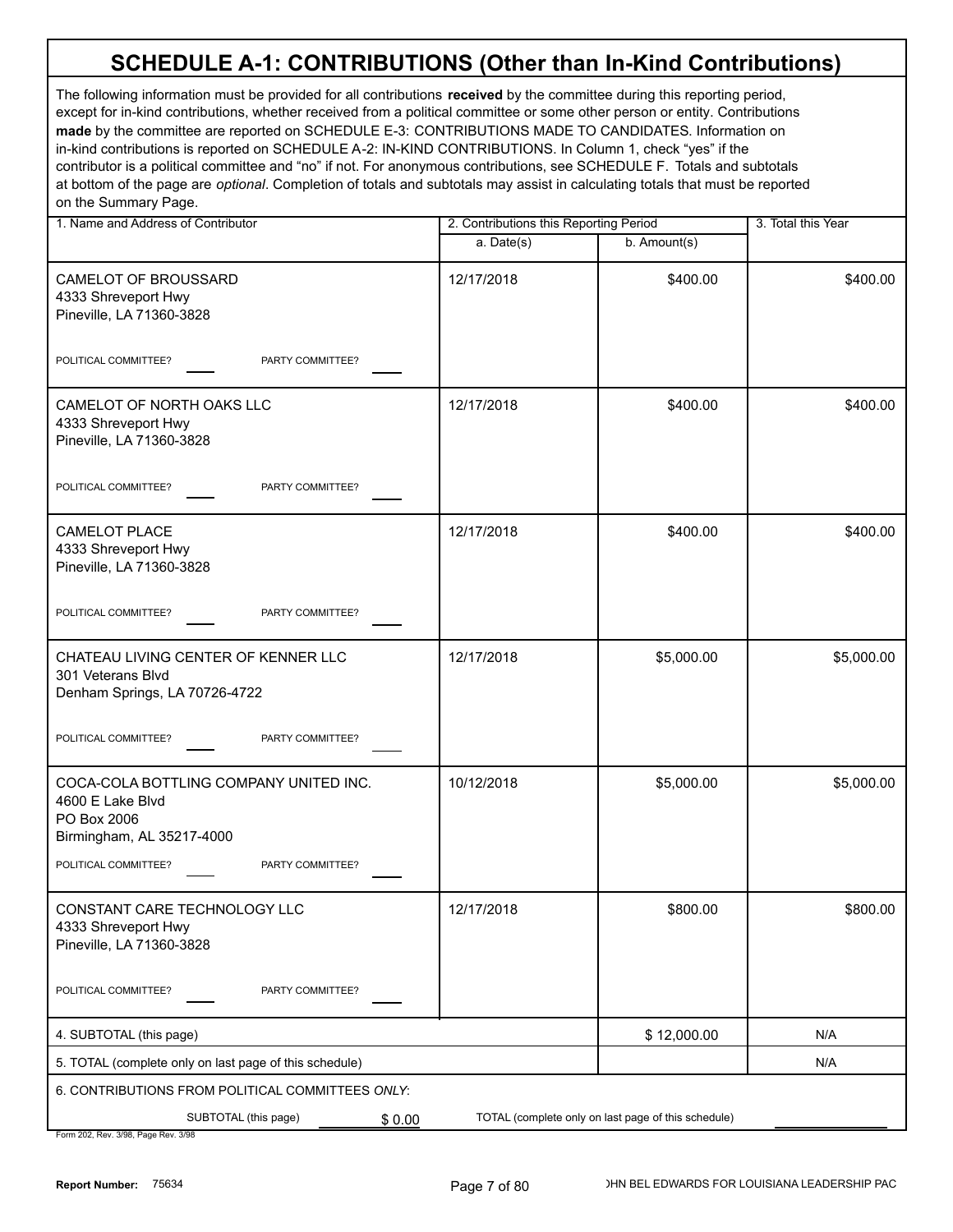The following information must be provided for all contributions **received** by the committee during this reporting period, except for in-kind contributions, whether received from a political committee or some other person or entity. Contributions **made** by the committee are reported on SCHEDULE E-3: CONTRIBUTIONS MADE TO CANDIDATES. Information on in-kind contributions is reported on SCHEDULE A-2: IN-KIND CONTRIBUTIONS. In Column 1, check "yes" if the contributor is a political committee and "no" if not. For anonymous contributions, see SCHEDULE F. Totals and subtotals at bottom of the page are *optional*. Completion of totals and subtotals may assist in calculating totals that must be reported on the Summary Page.

| 1. Name and Address of Contributor                                                                                             | 2. Contributions this Reporting Period |                                                     | 3. Total this Year |  |
|--------------------------------------------------------------------------------------------------------------------------------|----------------------------------------|-----------------------------------------------------|--------------------|--|
|                                                                                                                                | a. Date(s)                             | b. Amount(s)                                        |                    |  |
| CAMELOT OF BROUSSARD<br>4333 Shreveport Hwy<br>Pineville, LA 71360-3828                                                        | 12/17/2018                             | \$400.00                                            | \$400.00           |  |
| PARTY COMMITTEE?<br>POLITICAL COMMITTEE?                                                                                       |                                        |                                                     |                    |  |
| CAMELOT OF NORTH OAKS LLC<br>4333 Shreveport Hwy<br>Pineville, LA 71360-3828                                                   | 12/17/2018                             | \$400.00                                            | \$400.00           |  |
| POLITICAL COMMITTEE?<br>PARTY COMMITTEE?                                                                                       |                                        |                                                     |                    |  |
| <b>CAMELOT PLACE</b><br>4333 Shreveport Hwy<br>Pineville, LA 71360-3828                                                        | 12/17/2018                             | \$400.00                                            | \$400.00           |  |
| PARTY COMMITTEE?<br>POLITICAL COMMITTEE?                                                                                       |                                        |                                                     |                    |  |
| CHATEAU LIVING CENTER OF KENNER LLC<br>301 Veterans Blvd<br>Denham Springs, LA 70726-4722                                      | 12/17/2018                             | \$5,000.00                                          | \$5,000.00         |  |
| POLITICAL COMMITTEE?<br>PARTY COMMITTEE?                                                                                       |                                        |                                                     |                    |  |
| COCA-COLA BOTTLING COMPANY UNITED INC.<br>4600 E Lake Blvd<br>PO Box 2006<br>Birmingham, AL 35217-4000<br>POLITICAL COMMITTEE? | 10/12/2018                             | \$5,000.00                                          | \$5,000.00         |  |
| PARTY COMMITTEE?                                                                                                               |                                        |                                                     |                    |  |
| CONSTANT CARE TECHNOLOGY LLC<br>4333 Shreveport Hwy<br>Pineville, LA 71360-3828                                                | 12/17/2018                             | \$800.00                                            | \$800.00           |  |
| POLITICAL COMMITTEE?<br>PARTY COMMITTEE?                                                                                       |                                        |                                                     |                    |  |
| 4. SUBTOTAL (this page)                                                                                                        |                                        | \$12,000.00                                         | N/A                |  |
| 5. TOTAL (complete only on last page of this schedule)                                                                         |                                        |                                                     | N/A                |  |
| 6. CONTRIBUTIONS FROM POLITICAL COMMITTEES ONLY:                                                                               |                                        |                                                     |                    |  |
| SUBTOTAL (this page)<br>\$0.00                                                                                                 |                                        | TOTAL (complete only on last page of this schedule) |                    |  |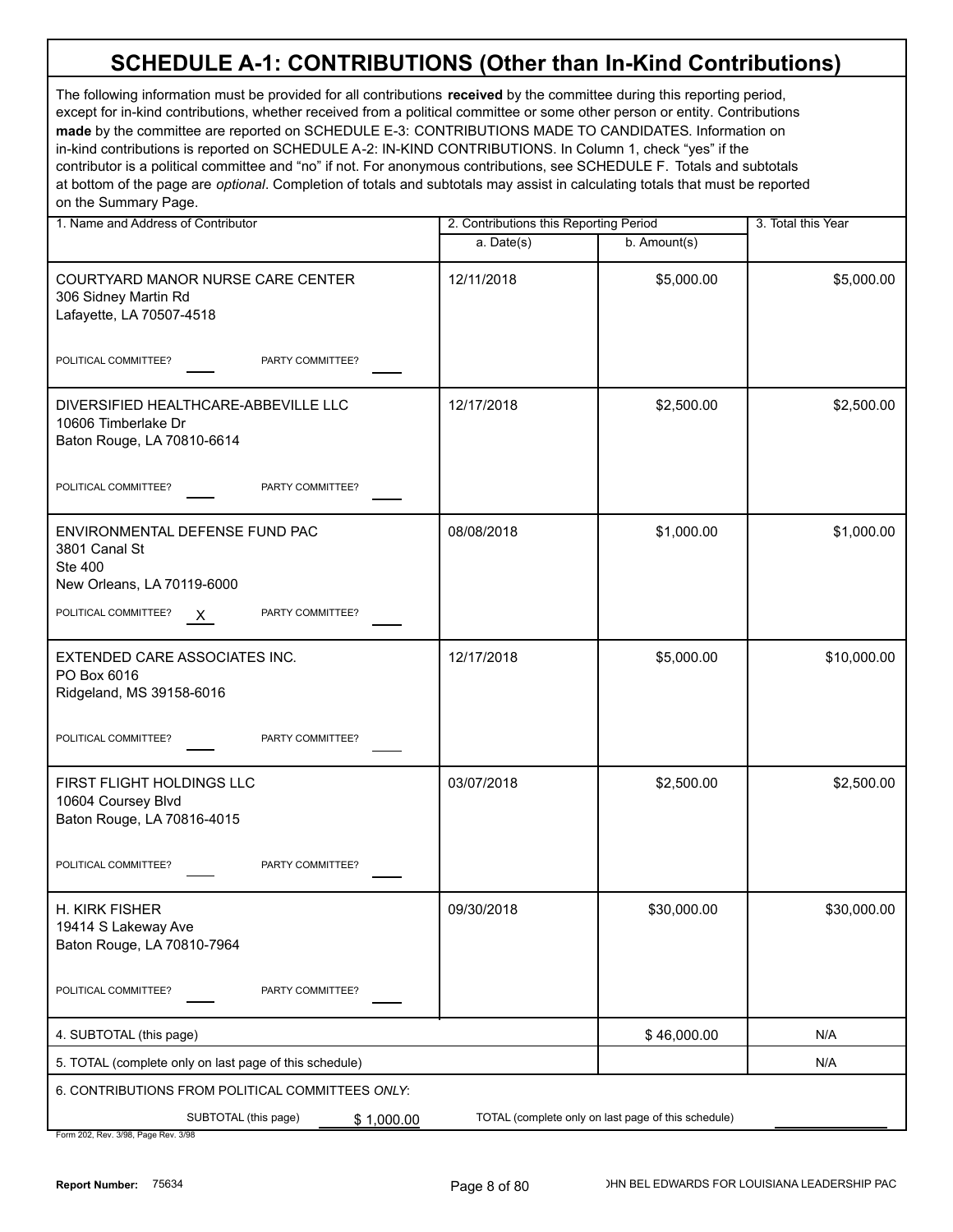| 1. Name and Address of Contributor                                                              | 2. Contributions this Reporting Period |                                                     | 3. Total this Year |
|-------------------------------------------------------------------------------------------------|----------------------------------------|-----------------------------------------------------|--------------------|
|                                                                                                 | a. Date(s)                             | b. Amount(s)                                        |                    |
| COURTYARD MANOR NURSE CARE CENTER<br>306 Sidney Martin Rd<br>Lafayette, LA 70507-4518           | 12/11/2018                             | \$5,000.00                                          | \$5,000.00         |
| POLITICAL COMMITTEE?<br>PARTY COMMITTEE?                                                        |                                        |                                                     |                    |
| DIVERSIFIED HEALTHCARE-ABBEVILLE LLC<br>10606 Timberlake Dr<br>Baton Rouge, LA 70810-6614       | 12/17/2018                             | \$2,500.00                                          | \$2,500.00         |
| POLITICAL COMMITTEE?<br>PARTY COMMITTEE?                                                        |                                        |                                                     |                    |
| ENVIRONMENTAL DEFENSE FUND PAC<br>3801 Canal St<br><b>Ste 400</b><br>New Orleans, LA 70119-6000 | 08/08/2018                             | \$1,000.00                                          | \$1,000.00         |
| POLITICAL COMMITTEE?<br>PARTY COMMITTEE?<br>$\mathsf{X}$                                        |                                        |                                                     |                    |
| EXTENDED CARE ASSOCIATES INC.<br>PO Box 6016<br>Ridgeland, MS 39158-6016                        | 12/17/2018                             | \$5,000.00                                          | \$10,000.00        |
| POLITICAL COMMITTEE?<br>PARTY COMMITTEE?                                                        |                                        |                                                     |                    |
| FIRST FLIGHT HOLDINGS LLC<br>10604 Coursey Blvd<br>Baton Rouge, LA 70816-4015                   | 03/07/2018                             | \$2,500.00                                          | \$2,500.00         |
| POLITICAL COMMITTEE?<br>PARTY COMMITTEE?                                                        |                                        |                                                     |                    |
| H. KIRK FISHER<br>19414 S Lakeway Ave<br>Baton Rouge, LA 70810-7964                             | 09/30/2018                             | \$30,000.00                                         | \$30,000.00        |
| POLITICAL COMMITTEE?<br>PARTY COMMITTEE?                                                        |                                        |                                                     |                    |
| 4. SUBTOTAL (this page)                                                                         |                                        | \$46,000.00                                         | N/A                |
| 5. TOTAL (complete only on last page of this schedule)                                          |                                        |                                                     | N/A                |
| 6. CONTRIBUTIONS FROM POLITICAL COMMITTEES ONLY:                                                |                                        |                                                     |                    |
| SUBTOTAL (this page)<br>\$1,000.00<br>Form 202 Rev 3/08 Rage Rev 3/08                           |                                        | TOTAL (complete only on last page of this schedule) |                    |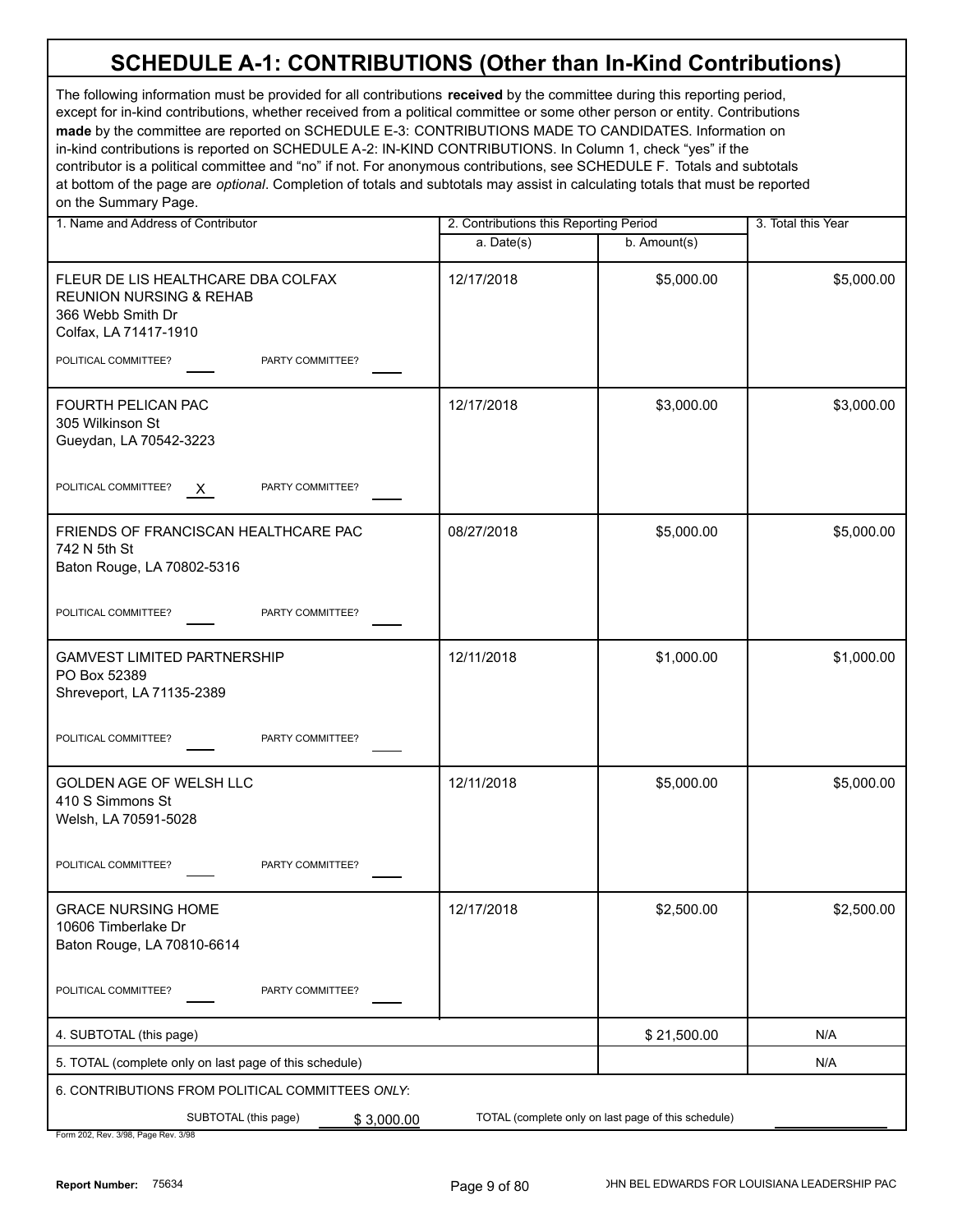| 1. Name and Address of Contributor                                                                                     | 2. Contributions this Reporting Period |                                                     | 3. Total this Year |
|------------------------------------------------------------------------------------------------------------------------|----------------------------------------|-----------------------------------------------------|--------------------|
|                                                                                                                        | a. Date(s)                             | b. Amount(s)                                        |                    |
| FLEUR DE LIS HEALTHCARE DBA COLFAX<br><b>REUNION NURSING &amp; REHAB</b><br>366 Webb Smith Dr<br>Colfax, LA 71417-1910 | 12/17/2018                             | \$5,000.00                                          | \$5,000.00         |
| POLITICAL COMMITTEE?<br>PARTY COMMITTEE?                                                                               |                                        |                                                     |                    |
| FOURTH PELICAN PAC<br>305 Wilkinson St<br>Gueydan, LA 70542-3223                                                       | 12/17/2018                             | \$3,000.00                                          | \$3,000.00         |
| POLITICAL COMMITTEE?<br>PARTY COMMITTEE?<br>X.                                                                         |                                        |                                                     |                    |
| FRIENDS OF FRANCISCAN HEALTHCARE PAC<br>742 N 5th St<br>Baton Rouge, LA 70802-5316                                     | 08/27/2018                             | \$5,000.00                                          | \$5,000.00         |
| POLITICAL COMMITTEE?<br>PARTY COMMITTEE?                                                                               |                                        |                                                     |                    |
| <b>GAMVEST LIMITED PARTNERSHIP</b><br>PO Box 52389<br>Shreveport, LA 71135-2389                                        | 12/11/2018                             | \$1,000.00                                          | \$1,000.00         |
| POLITICAL COMMITTEE?<br>PARTY COMMITTEE?                                                                               |                                        |                                                     |                    |
| GOLDEN AGE OF WELSH LLC<br>410 S Simmons St<br>Welsh, LA 70591-5028                                                    | 12/11/2018                             | \$5,000.00                                          | \$5,000.00         |
| POLITICAL COMMITTEE?<br>PARTY COMMITTEE?                                                                               |                                        |                                                     |                    |
| <b>GRACE NURSING HOME</b><br>10606 Timberlake Dr<br>Baton Rouge, LA 70810-6614                                         | 12/17/2018                             | \$2,500.00                                          | \$2,500.00         |
| POLITICAL COMMITTEE?<br>PARTY COMMITTEE?                                                                               |                                        |                                                     |                    |
| 4. SUBTOTAL (this page)                                                                                                |                                        | \$21,500.00                                         | N/A                |
| 5. TOTAL (complete only on last page of this schedule)                                                                 |                                        |                                                     | N/A                |
| 6. CONTRIBUTIONS FROM POLITICAL COMMITTEES ONLY:                                                                       |                                        |                                                     |                    |
| SUBTOTAL (this page)<br>\$3,000.00<br>Form 202, Rev. 3/98, Page Rev. 3/98                                              |                                        | TOTAL (complete only on last page of this schedule) |                    |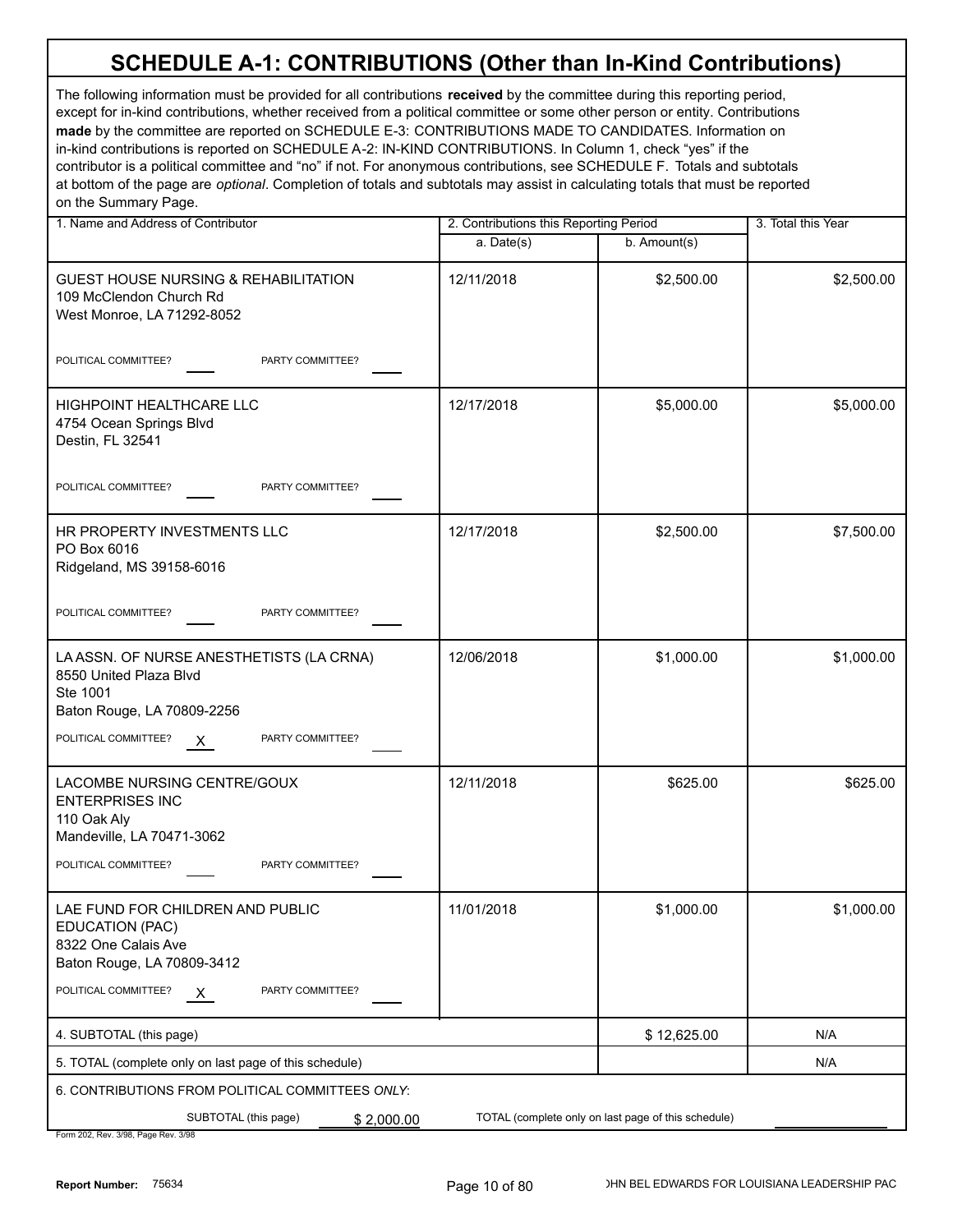| 1. Name and Address of Contributor                                                                                           | 2. Contributions this Reporting Period |              | 3. Total this Year |
|------------------------------------------------------------------------------------------------------------------------------|----------------------------------------|--------------|--------------------|
|                                                                                                                              | a. Date(s)                             | b. Amount(s) |                    |
| <b>GUEST HOUSE NURSING &amp; REHABILITATION</b><br>109 McClendon Church Rd<br>West Monroe, LA 71292-8052                     | 12/11/2018                             | \$2,500.00   | \$2,500.00         |
| POLITICAL COMMITTEE?<br>PARTY COMMITTEE?                                                                                     |                                        |              |                    |
| HIGHPOINT HEALTHCARE LLC<br>4754 Ocean Springs Blvd<br>Destin, FL 32541                                                      | 12/17/2018                             | \$5,000.00   | \$5,000.00         |
| PARTY COMMITTEE?<br>POLITICAL COMMITTEE?                                                                                     |                                        |              |                    |
| HR PROPERTY INVESTMENTS LLC<br>PO Box 6016<br>Ridgeland, MS 39158-6016                                                       | 12/17/2018                             | \$2,500.00   | \$7,500.00         |
| PARTY COMMITTEE?<br>POLITICAL COMMITTEE?                                                                                     |                                        |              |                    |
| LA ASSN. OF NURSE ANESTHETISTS (LA CRNA)<br>8550 United Plaza Blvd<br>Ste 1001<br>Baton Rouge, LA 70809-2256                 | 12/06/2018                             | \$1,000.00   | \$1,000.00         |
| POLITICAL COMMITTEE?<br>PARTY COMMITTEE?<br>$\mathsf{X}$                                                                     |                                        |              |                    |
| LACOMBE NURSING CENTRE/GOUX<br><b>ENTERPRISES INC</b><br>110 Oak Aly<br>Mandeville, LA 70471-3062                            | 12/11/2018                             | \$625.00     | \$625.00           |
| POLITICAL COMMITTEE?<br>PARTY COMMITTEE?                                                                                     |                                        |              |                    |
| LAE FUND FOR CHILDREN AND PUBLIC<br>EDUCATION (PAC)<br>8322 One Calais Ave<br>Baton Rouge, LA 70809-3412                     | 11/01/2018                             | \$1,000.00   | \$1,000.00         |
| POLITICAL COMMITTEE?<br>PARTY COMMITTEE?<br><u>X</u>                                                                         |                                        |              |                    |
| 4. SUBTOTAL (this page)                                                                                                      |                                        | \$12,625.00  | N/A                |
| 5. TOTAL (complete only on last page of this schedule)                                                                       |                                        |              | N/A                |
| 6. CONTRIBUTIONS FROM POLITICAL COMMITTEES ONLY:                                                                             |                                        |              |                    |
| SUBTOTAL (this page)<br>TOTAL (complete only on last page of this schedule)<br>\$2,000.00<br>Form 202 Rev 3/08 Page Rev 3/08 |                                        |              |                    |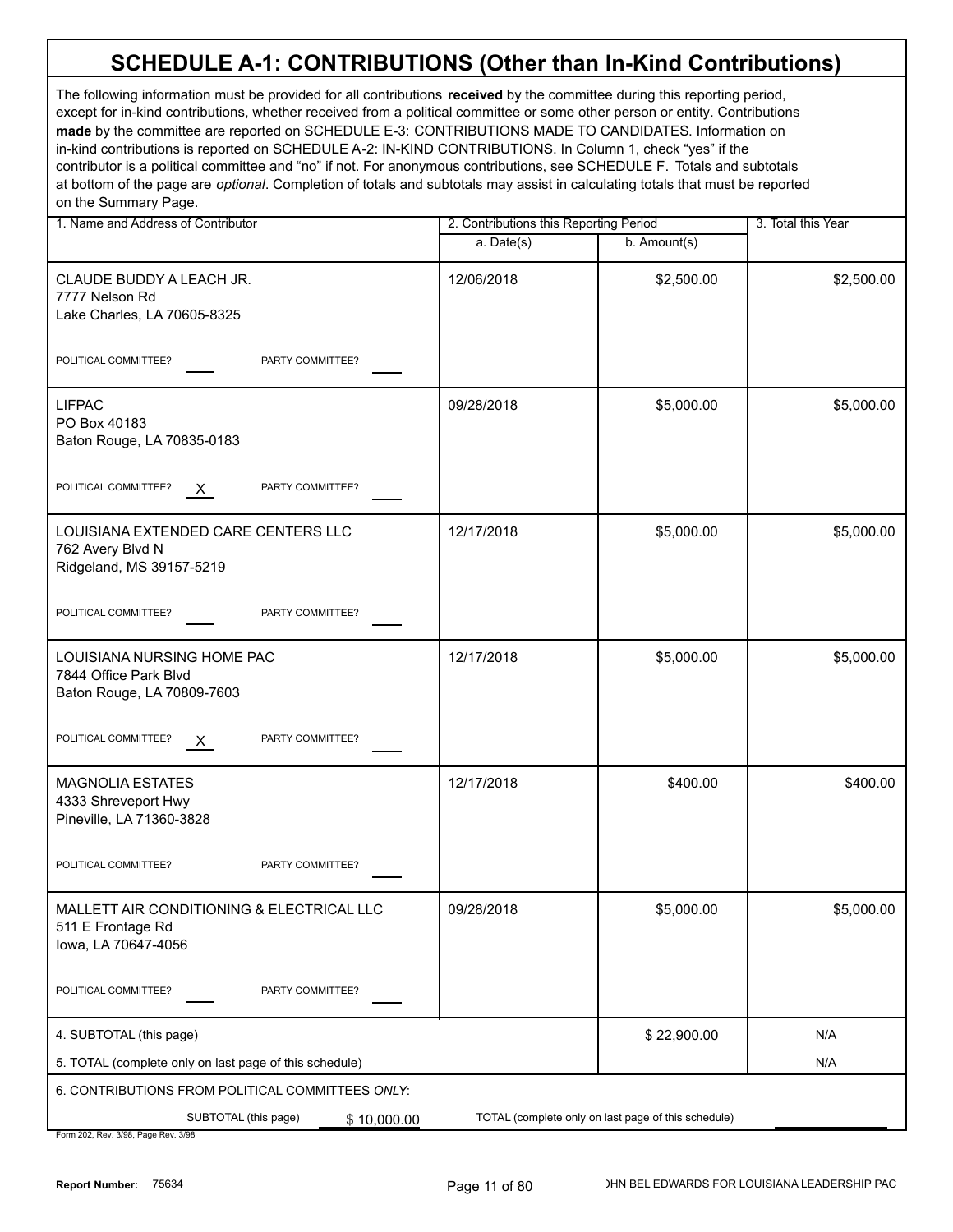| 1. Name and Address of Contributor                                                    | 2. Contributions this Reporting Period |                                                     | 3. Total this Year |
|---------------------------------------------------------------------------------------|----------------------------------------|-----------------------------------------------------|--------------------|
|                                                                                       | a. Date(s)                             | b. Amount(s)                                        |                    |
| CLAUDE BUDDY A LEACH JR.<br>7777 Nelson Rd<br>Lake Charles, LA 70605-8325             | 12/06/2018                             | \$2,500.00                                          | \$2,500.00         |
| POLITICAL COMMITTEE?<br>PARTY COMMITTEE?                                              |                                        |                                                     |                    |
| <b>LIFPAC</b><br>PO Box 40183<br>Baton Rouge, LA 70835-0183                           | 09/28/2018                             | \$5,000.00                                          | \$5,000.00         |
| POLITICAL COMMITTEE?<br>PARTY COMMITTEE?<br>X.                                        |                                        |                                                     |                    |
| LOUISIANA EXTENDED CARE CENTERS LLC<br>762 Avery Blvd N<br>Ridgeland, MS 39157-5219   | 12/17/2018                             | \$5,000.00                                          | \$5,000.00         |
| POLITICAL COMMITTEE?<br>PARTY COMMITTEE?                                              |                                        |                                                     |                    |
| LOUISIANA NURSING HOME PAC<br>7844 Office Park Blvd<br>Baton Rouge, LA 70809-7603     | 12/17/2018                             | \$5,000.00                                          | \$5,000.00         |
| POLITICAL COMMITTEE?<br>PARTY COMMITTEE?<br>$\mathsf{X}$                              |                                        |                                                     |                    |
| <b>MAGNOLIA ESTATES</b><br>4333 Shreveport Hwy<br>Pineville, LA 71360-3828            | 12/17/2018                             | \$400.00                                            | \$400.00           |
| POLITICAL COMMITTEE?<br>PARTY COMMITTEE?                                              |                                        |                                                     |                    |
| MALLETT AIR CONDITIONING & ELECTRICAL LLC<br>511 E Frontage Rd<br>lowa, LA 70647-4056 | 09/28/2018                             | \$5,000.00                                          | \$5,000.00         |
| POLITICAL COMMITTEE?<br>PARTY COMMITTEE?                                              |                                        |                                                     |                    |
| 4. SUBTOTAL (this page)                                                               |                                        | \$22,900.00                                         | N/A                |
| 5. TOTAL (complete only on last page of this schedule)                                |                                        |                                                     | N/A                |
| 6. CONTRIBUTIONS FROM POLITICAL COMMITTEES ONLY:                                      |                                        |                                                     |                    |
| SUBTOTAL (this page)<br>\$10,000.00<br>Form 202, Rev. 3/98, Page Rev. 3/98            |                                        | TOTAL (complete only on last page of this schedule) |                    |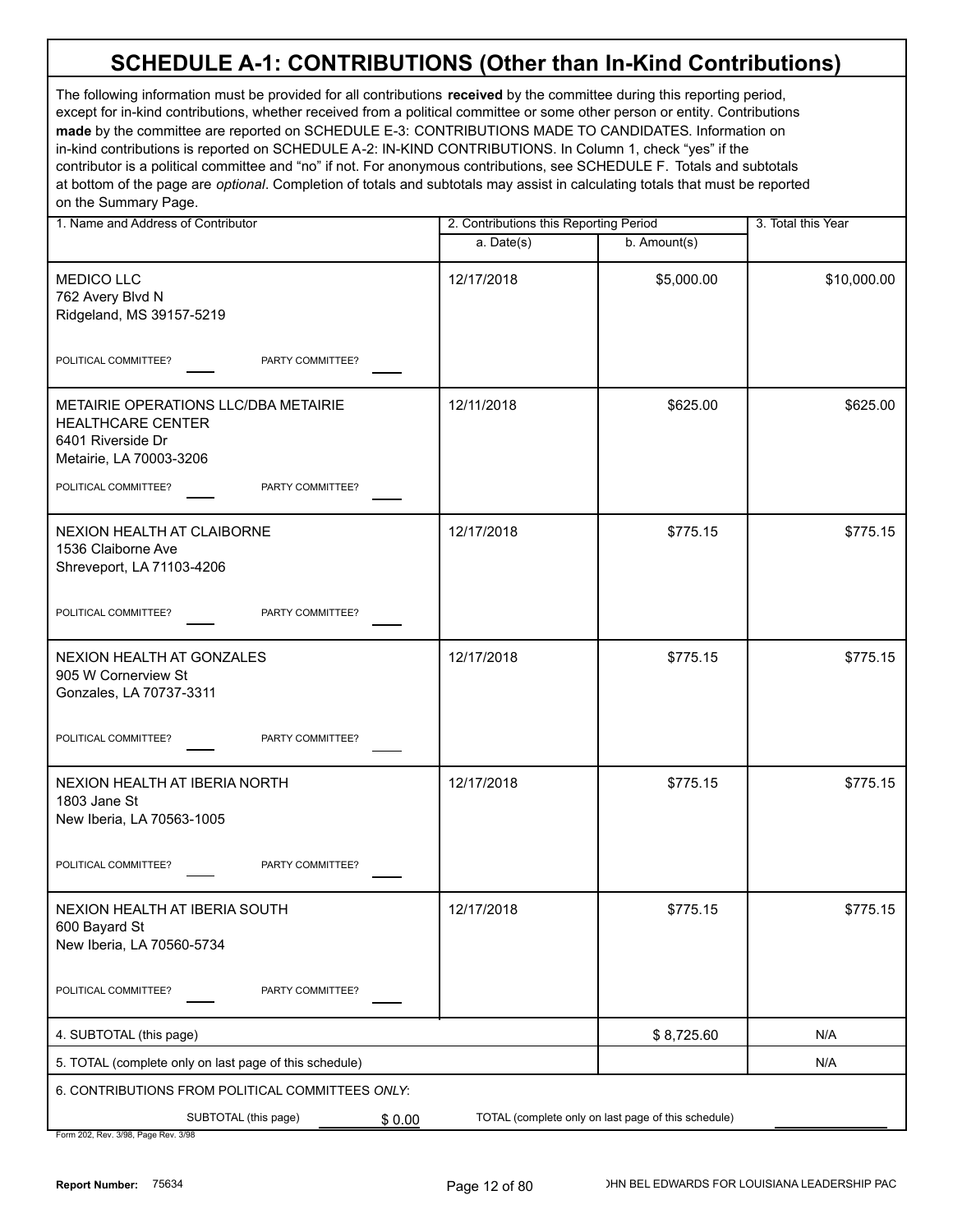The following information must be provided for all contributions **received** by the committee during this reporting period, except for in-kind contributions, whether received from a political committee or some other person or entity. Contributions **made** by the committee are reported on SCHEDULE E-3: CONTRIBUTIONS MADE TO CANDIDATES. Information on in-kind contributions is reported on SCHEDULE A-2: IN-KIND CONTRIBUTIONS. In Column 1, check "yes" if the contributor is a political committee and "no" if not. For anonymous contributions, see SCHEDULE F. Totals and subtotals at bottom of the page are *optional*. Completion of totals and subtotals may assist in calculating totals that must be reported on the Summary Page.

| 1. Name and Address of Contributor                                                                               |            | 2. Contributions this Reporting Period              |             |
|------------------------------------------------------------------------------------------------------------------|------------|-----------------------------------------------------|-------------|
|                                                                                                                  | a. Date(s) | b. Amount(s)                                        |             |
| <b>MEDICO LLC</b><br>762 Avery Blvd N<br>Ridgeland, MS 39157-5219                                                | 12/17/2018 | \$5,000.00                                          | \$10,000.00 |
| POLITICAL COMMITTEE?<br>PARTY COMMITTEE?                                                                         |            |                                                     |             |
| METAIRIE OPERATIONS LLC/DBA METAIRIE<br><b>HEALTHCARE CENTER</b><br>6401 Riverside Dr<br>Metairie, LA 70003-3206 | 12/11/2018 | \$625.00                                            | \$625.00    |
| POLITICAL COMMITTEE?<br>PARTY COMMITTEE?                                                                         |            |                                                     |             |
| NEXION HEALTH AT CLAIBORNE<br>1536 Claiborne Ave<br>Shreveport, LA 71103-4206                                    | 12/17/2018 | \$775.15                                            | \$775.15    |
| POLITICAL COMMITTEE?<br>PARTY COMMITTEE?                                                                         |            |                                                     |             |
| NEXION HEALTH AT GONZALES<br>905 W Cornerview St<br>Gonzales, LA 70737-3311                                      | 12/17/2018 | \$775.15                                            | \$775.15    |
| POLITICAL COMMITTEE?<br>PARTY COMMITTEE?                                                                         |            |                                                     |             |
| NEXION HEALTH AT IBERIA NORTH<br>1803 Jane St<br>New Iberia, LA 70563-1005                                       | 12/17/2018 | \$775.15                                            | \$775.15    |
| POLITICAL COMMITTEE?<br>PARTY COMMITTEE?                                                                         |            |                                                     |             |
| NEXION HEALTH AT IBERIA SOUTH<br>600 Bayard St<br>New Iberia, LA 70560-5734                                      | 12/17/2018 | \$775.15                                            | \$775.15    |
| POLITICAL COMMITTEE?<br>PARTY COMMITTEE?                                                                         |            |                                                     |             |
| 4. SUBTOTAL (this page)                                                                                          |            | \$8,725.60                                          | N/A         |
| 5. TOTAL (complete only on last page of this schedule)                                                           |            |                                                     | N/A         |
| 6. CONTRIBUTIONS FROM POLITICAL COMMITTEES ONLY:                                                                 |            |                                                     |             |
| SUBTOTAL (this page)<br>\$0.00                                                                                   |            | TOTAL (complete only on last page of this schedule) |             |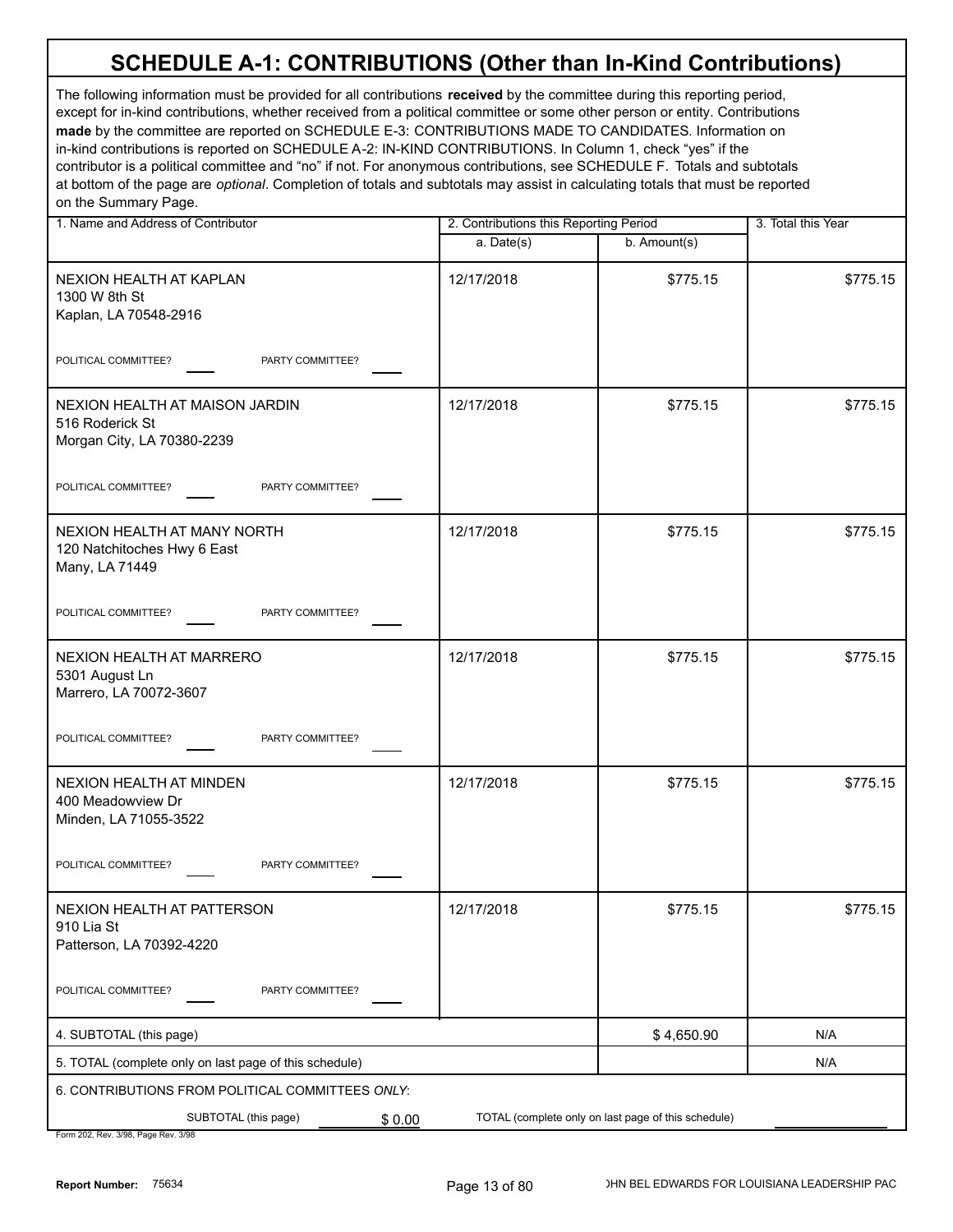The following information must be provided for all contributions **received** by the committee during this reporting period, except for in-kind contributions, whether received from a political committee or some other person or entity. Contributions **made** by the committee are reported on SCHEDULE E-3: CONTRIBUTIONS MADE TO CANDIDATES. Information on in-kind contributions is reported on SCHEDULE A-2: IN-KIND CONTRIBUTIONS. In Column 1, check "yes" if the contributor is a political committee and "no" if not. For anonymous contributions, see SCHEDULE F. Totals and subtotals at bottom of the page are *optional*. Completion of totals and subtotals may assist in calculating totals that must be reported on the Summary Page.

| 1. Name and Address of Contributor                                              | 2. Contributions this Reporting Period |                                                     | 3. Total this Year |
|---------------------------------------------------------------------------------|----------------------------------------|-----------------------------------------------------|--------------------|
|                                                                                 | a. Date(s)                             | b. Amount(s)                                        |                    |
| NEXION HEALTH AT KAPLAN<br>1300 W 8th St<br>Kaplan, LA 70548-2916               | 12/17/2018                             | \$775.15                                            | \$775.15           |
| POLITICAL COMMITTEE?<br>PARTY COMMITTEE?                                        |                                        |                                                     |                    |
| NEXION HEALTH AT MAISON JARDIN<br>516 Roderick St<br>Morgan City, LA 70380-2239 | 12/17/2018                             | \$775.15                                            | \$775.15           |
| POLITICAL COMMITTEE?<br>PARTY COMMITTEE?                                        |                                        |                                                     |                    |
| NEXION HEALTH AT MANY NORTH<br>120 Natchitoches Hwy 6 East<br>Many, LA 71449    | 12/17/2018                             | \$775.15                                            | \$775.15           |
| POLITICAL COMMITTEE?<br>PARTY COMMITTEE?                                        |                                        |                                                     |                    |
| NEXION HEALTH AT MARRERO<br>5301 August Ln<br>Marrero, LA 70072-3607            | 12/17/2018                             | \$775.15                                            | \$775.15           |
| POLITICAL COMMITTEE?<br>PARTY COMMITTEE?                                        |                                        |                                                     |                    |
| NEXION HEALTH AT MINDEN<br>400 Meadowview Dr<br>Minden, LA 71055-3522           | 12/17/2018                             | \$775.15                                            | \$775.15           |
| POLITICAL COMMITTEE?<br>PARTY COMMITTEE?                                        |                                        |                                                     |                    |
| NEXION HEALTH AT PATTERSON<br>910 Lia St<br>Patterson, LA 70392-4220            | 12/17/2018                             | \$775.15                                            | \$775.15           |
| POLITICAL COMMITTEE?<br>PARTY COMMITTEE?                                        |                                        |                                                     |                    |
| 4. SUBTOTAL (this page)                                                         |                                        | \$4,650.90                                          | N/A                |
| 5. TOTAL (complete only on last page of this schedule)                          |                                        |                                                     | N/A                |
| 6. CONTRIBUTIONS FROM POLITICAL COMMITTEES ONLY:                                |                                        |                                                     |                    |
| SUBTOTAL (this page)<br>\$0.00                                                  |                                        | TOTAL (complete only on last page of this schedule) |                    |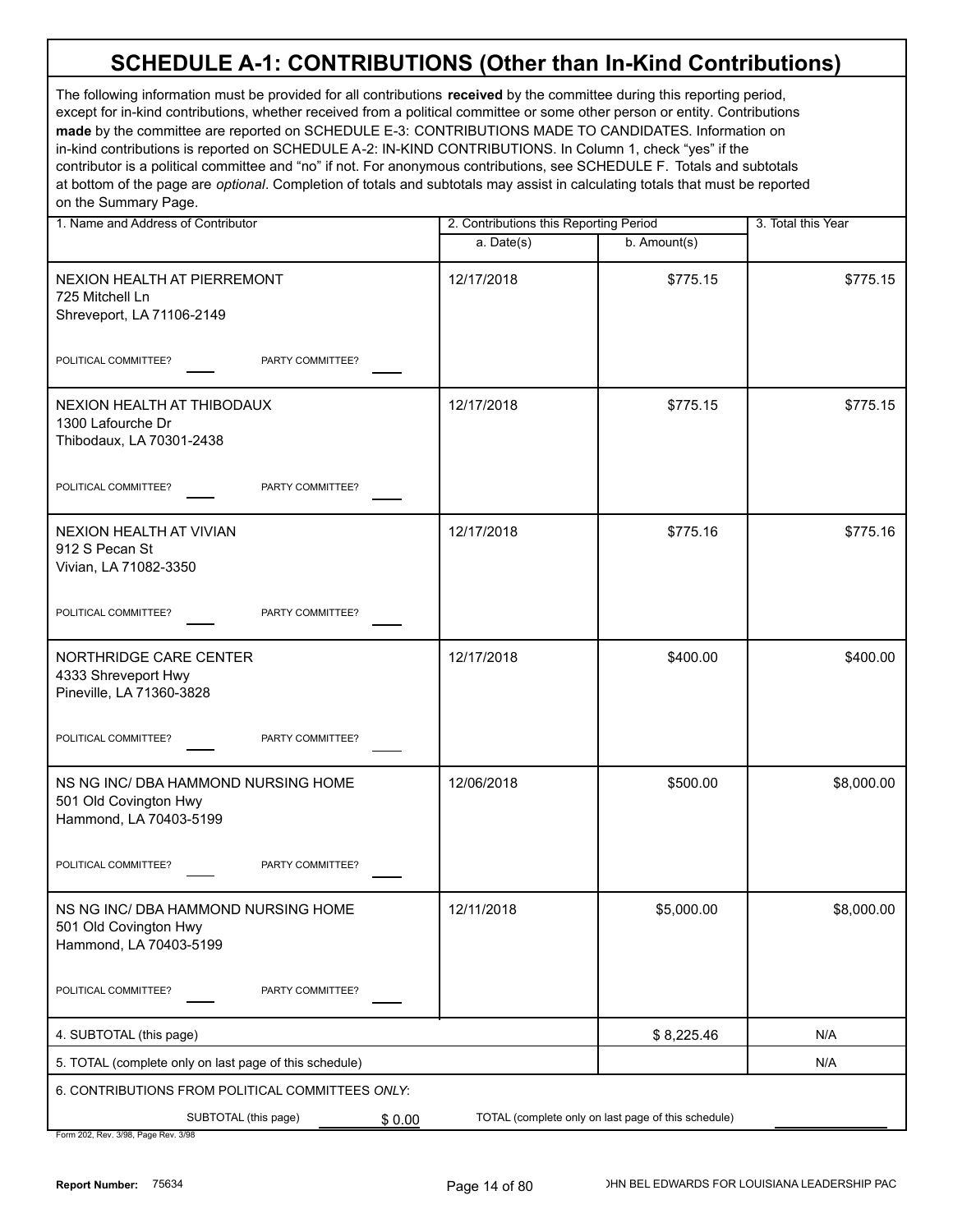| 1. Name and Address of Contributor                                                     | 2. Contributions this Reporting Period |                                                     | 3. Total this Year |
|----------------------------------------------------------------------------------------|----------------------------------------|-----------------------------------------------------|--------------------|
|                                                                                        | a. Date(s)                             | b. Amount(s)                                        |                    |
| NEXION HEALTH AT PIERREMONT<br>725 Mitchell Ln<br>Shreveport, LA 71106-2149            | 12/17/2018                             | \$775.15                                            | \$775.15           |
| POLITICAL COMMITTEE?<br>PARTY COMMITTEE?                                               |                                        |                                                     |                    |
| NEXION HEALTH AT THIBODAUX<br>1300 Lafourche Dr<br>Thibodaux, LA 70301-2438            | 12/17/2018                             | \$775.15                                            | \$775.15           |
| POLITICAL COMMITTEE?<br>PARTY COMMITTEE?                                               |                                        |                                                     |                    |
| NEXION HEALTH AT VIVIAN<br>912 S Pecan St<br>Vivian, LA 71082-3350                     | 12/17/2018                             | \$775.16                                            | \$775.16           |
| PARTY COMMITTEE?<br>POLITICAL COMMITTEE?                                               |                                        |                                                     |                    |
| NORTHRIDGE CARE CENTER<br>4333 Shreveport Hwy<br>Pineville, LA 71360-3828              | 12/17/2018                             | \$400.00                                            | \$400.00           |
| PARTY COMMITTEE?<br>POLITICAL COMMITTEE?                                               |                                        |                                                     |                    |
| NS NG INC/ DBA HAMMOND NURSING HOME<br>501 Old Covington Hwy<br>Hammond, LA 70403-5199 | 12/06/2018                             | \$500.00                                            | \$8,000.00         |
| POLITICAL COMMITTEE?<br>PARTY COMMITTEE?                                               |                                        |                                                     |                    |
| NS NG INC/ DBA HAMMOND NURSING HOME<br>501 Old Covington Hwy<br>Hammond, LA 70403-5199 | 12/11/2018                             | \$5,000.00                                          | \$8,000.00         |
| POLITICAL COMMITTEE?<br>PARTY COMMITTEE?                                               |                                        |                                                     |                    |
| 4. SUBTOTAL (this page)                                                                |                                        | \$8,225.46                                          | N/A                |
| 5. TOTAL (complete only on last page of this schedule)                                 |                                        |                                                     | N/A                |
| 6. CONTRIBUTIONS FROM POLITICAL COMMITTEES ONLY:                                       |                                        |                                                     |                    |
| SUBTOTAL (this page)<br>\$0.00<br>Earm 202 Roy 2/08 Bogs Roy 2/                        |                                        | TOTAL (complete only on last page of this schedule) |                    |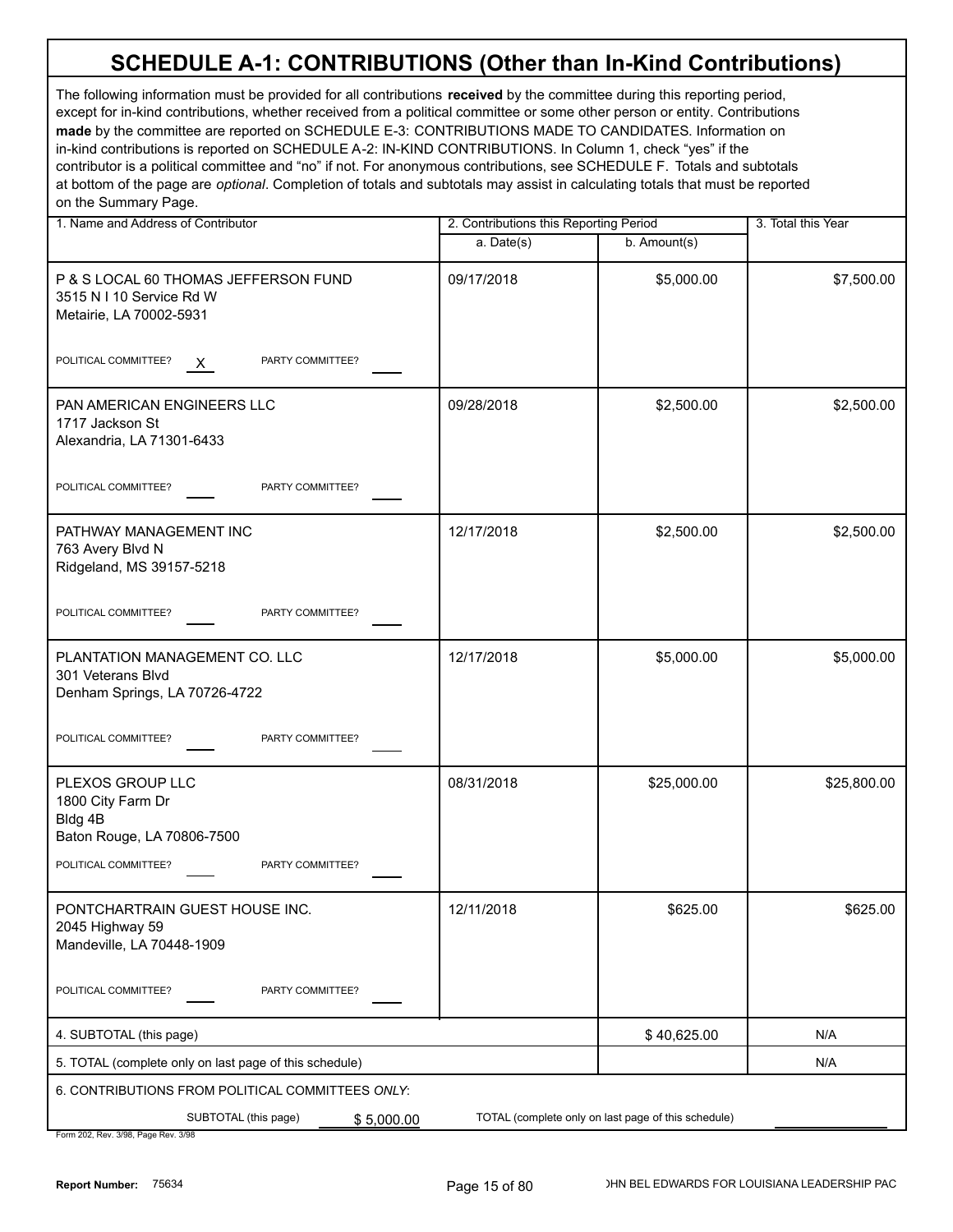| 1. Name and Address of Contributor                                                                                           | 2. Contributions this Reporting Period |              | 3. Total this Year |
|------------------------------------------------------------------------------------------------------------------------------|----------------------------------------|--------------|--------------------|
|                                                                                                                              | a. Date(s)                             | b. Amount(s) |                    |
| P & S LOCAL 60 THOMAS JEFFERSON FUND<br>3515 N I 10 Service Rd W<br>Metairie, LA 70002-5931                                  | 09/17/2018                             | \$5,000.00   | \$7,500.00         |
| POLITICAL COMMITTEE?<br>PARTY COMMITTEE?<br>$\mathsf{X}$                                                                     |                                        |              |                    |
| PAN AMERICAN ENGINEERS LLC<br>1717 Jackson St<br>Alexandria, LA 71301-6433                                                   | 09/28/2018                             | \$2,500.00   | \$2,500.00         |
| POLITICAL COMMITTEE?<br>PARTY COMMITTEE?                                                                                     |                                        |              |                    |
| PATHWAY MANAGEMENT INC<br>763 Avery Blvd N<br>Ridgeland, MS 39157-5218                                                       | 12/17/2018                             | \$2,500.00   | \$2,500.00         |
| POLITICAL COMMITTEE?<br>PARTY COMMITTEE?                                                                                     |                                        |              |                    |
| PLANTATION MANAGEMENT CO. LLC<br>301 Veterans Blvd<br>Denham Springs, LA 70726-4722                                          | 12/17/2018                             | \$5,000.00   | \$5,000.00         |
| POLITICAL COMMITTEE?<br>PARTY COMMITTEE?                                                                                     |                                        |              |                    |
| PLEXOS GROUP LLC<br>1800 City Farm Dr<br>Bldg 4B<br>Baton Rouge, LA 70806-7500<br>POLITICAL COMMITTEE?<br>PARTY COMMITTEE?   | 08/31/2018                             | \$25,000.00  | \$25,800.00        |
|                                                                                                                              |                                        |              |                    |
| PONTCHARTRAIN GUEST HOUSE INC.<br>2045 Highway 59<br>Mandeville, LA 70448-1909                                               | 12/11/2018                             | \$625.00     | \$625.00           |
| POLITICAL COMMITTEE?<br>PARTY COMMITTEE?                                                                                     |                                        |              |                    |
| 4. SUBTOTAL (this page)                                                                                                      |                                        | \$40,625.00  | N/A                |
| 5. TOTAL (complete only on last page of this schedule)                                                                       |                                        |              | N/A                |
| 6. CONTRIBUTIONS FROM POLITICAL COMMITTEES ONLY:                                                                             |                                        |              |                    |
| SUBTOTAL (this page)<br>TOTAL (complete only on last page of this schedule)<br>\$5,000.00<br>Form 202 Rev 3/08 Rage Rev 3/08 |                                        |              |                    |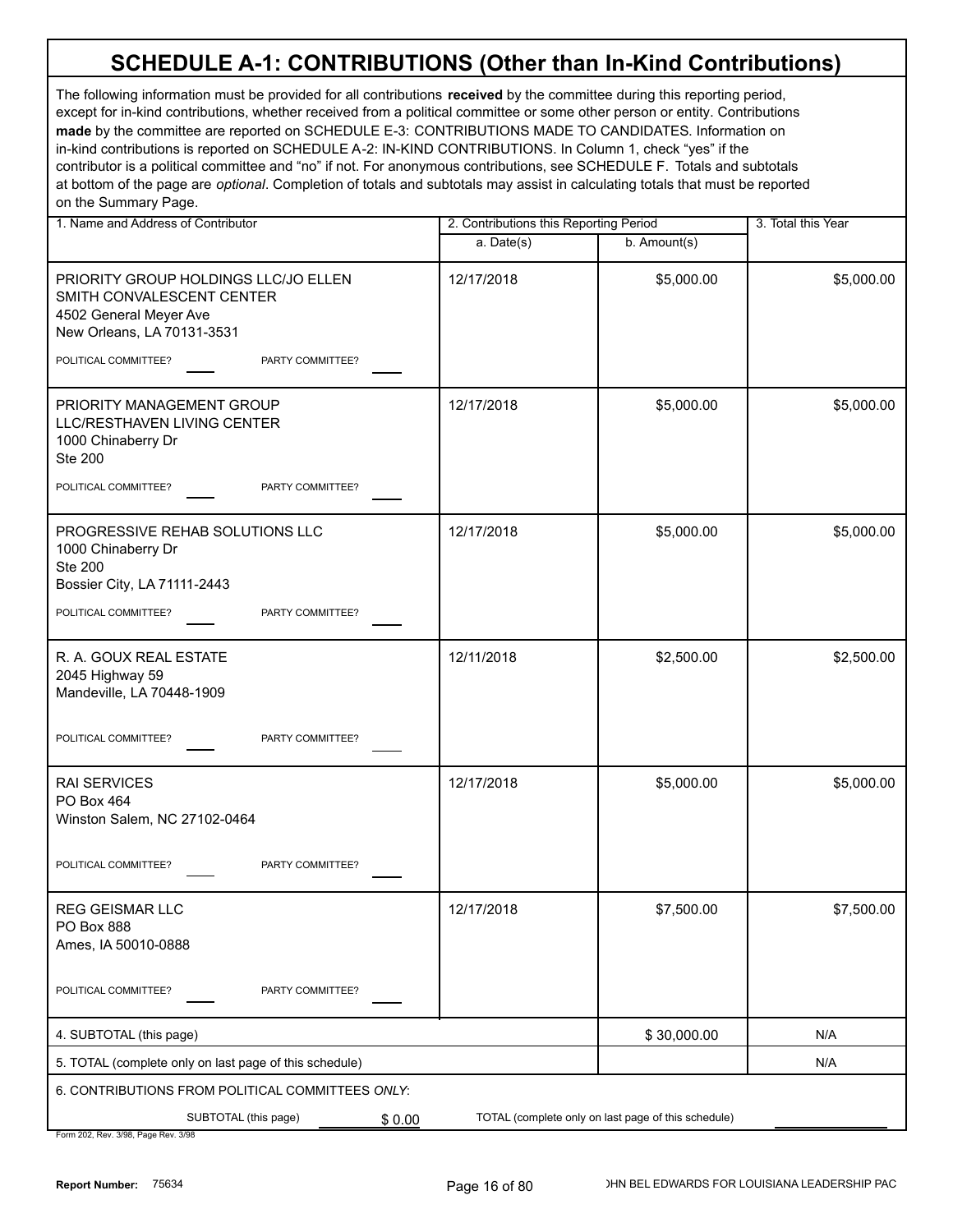The following information must be provided for all contributions **received** by the committee during this reporting period, except for in-kind contributions, whether received from a political committee or some other person or entity. Contributions **made** by the committee are reported on SCHEDULE E-3: CONTRIBUTIONS MADE TO CANDIDATES. Information on in-kind contributions is reported on SCHEDULE A-2: IN-KIND CONTRIBUTIONS. In Column 1, check "yes" if the contributor is a political committee and "no" if not. For anonymous contributions, see SCHEDULE F. Totals and subtotals at bottom of the page are *optional*. Completion of totals and subtotals may assist in calculating totals that must be reported on the Summary Page.

| 1. Name and Address of Contributor                                                                                        |            | 2. Contributions this Reporting Period              |            |
|---------------------------------------------------------------------------------------------------------------------------|------------|-----------------------------------------------------|------------|
|                                                                                                                           | a. Date(s) | b. Amount(s)                                        |            |
| PRIORITY GROUP HOLDINGS LLC/JO ELLEN<br>SMITH CONVALESCENT CENTER<br>4502 General Meyer Ave<br>New Orleans, LA 70131-3531 | 12/17/2018 | \$5,000.00                                          | \$5,000.00 |
| POLITICAL COMMITTEE?<br>PARTY COMMITTEE?                                                                                  |            |                                                     |            |
| PRIORITY MANAGEMENT GROUP<br>LLC/RESTHAVEN LIVING CENTER<br>1000 Chinaberry Dr<br><b>Ste 200</b>                          | 12/17/2018 | \$5,000.00                                          | \$5,000.00 |
| POLITICAL COMMITTEE?<br>PARTY COMMITTEE?                                                                                  |            |                                                     |            |
| PROGRESSIVE REHAB SOLUTIONS LLC<br>1000 Chinaberry Dr<br><b>Ste 200</b><br>Bossier City, LA 71111-2443                    | 12/17/2018 | \$5,000.00                                          | \$5,000.00 |
| POLITICAL COMMITTEE?<br>PARTY COMMITTEE?                                                                                  |            |                                                     |            |
| R. A. GOUX REAL ESTATE<br>2045 Highway 59<br>Mandeville, LA 70448-1909                                                    | 12/11/2018 | \$2,500.00                                          | \$2,500.00 |
| POLITICAL COMMITTEE?<br>PARTY COMMITTEE?                                                                                  |            |                                                     |            |
| <b>RAI SERVICES</b><br>PO Box 464<br>Winston Salem, NC 27102-0464                                                         | 12/17/2018 | \$5,000.00                                          | \$5,000.00 |
| POLITICAL COMMITTEE?<br>PARTY COMMITTEE?                                                                                  |            |                                                     |            |
| REG GEISMAR LLC<br>PO Box 888<br>Ames, IA 50010-0888                                                                      | 12/17/2018 | \$7,500.00                                          | \$7,500.00 |
| POLITICAL COMMITTEE?<br>PARTY COMMITTEE?                                                                                  |            |                                                     |            |
| 4. SUBTOTAL (this page)                                                                                                   |            | \$30,000.00                                         | N/A        |
| 5. TOTAL (complete only on last page of this schedule)                                                                    |            |                                                     | N/A        |
| 6. CONTRIBUTIONS FROM POLITICAL COMMITTEES ONLY:                                                                          |            |                                                     |            |
| SUBTOTAL (this page)<br>\$0.00<br>Form 202 Rev 3/08 Rage Rev 3/08                                                         |            | TOTAL (complete only on last page of this schedule) |            |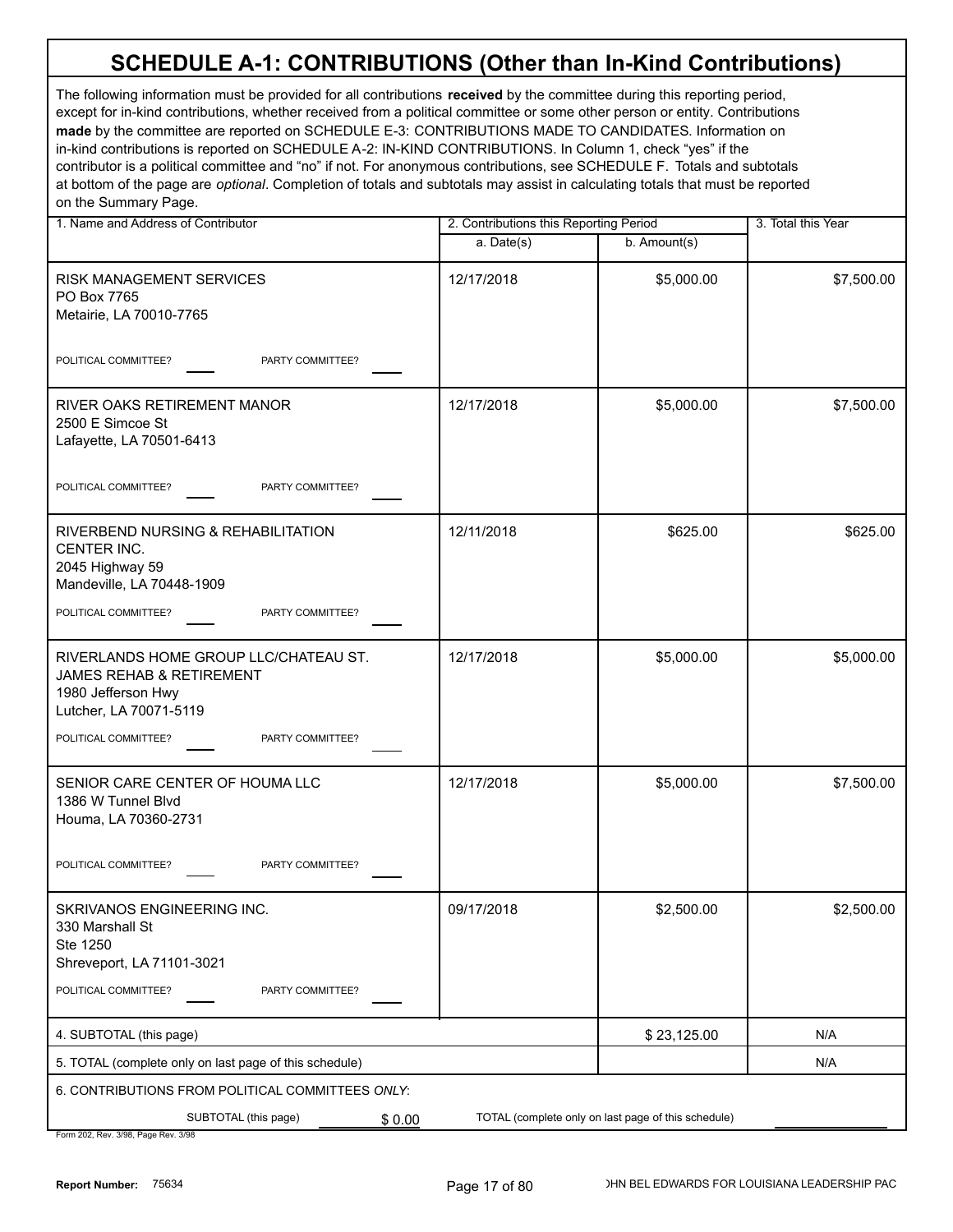| 1. Name and Address of Contributor                                                                                | 2. Contributions this Reporting Period |                                                     | 3. Total this Year |  |
|-------------------------------------------------------------------------------------------------------------------|----------------------------------------|-----------------------------------------------------|--------------------|--|
|                                                                                                                   | a. Date(s)                             | b. Amount(s)                                        |                    |  |
| RISK MANAGEMENT SERVICES<br>PO Box 7765<br>Metairie, LA 70010-7765                                                | 12/17/2018                             | \$5,000.00                                          | \$7,500.00         |  |
| POLITICAL COMMITTEE?<br>PARTY COMMITTEE?                                                                          |                                        |                                                     |                    |  |
| RIVER OAKS RETIREMENT MANOR<br>2500 E Simcoe St<br>Lafayette, LA 70501-6413                                       | 12/17/2018                             | \$5,000.00                                          | \$7,500.00         |  |
| POLITICAL COMMITTEE?<br>PARTY COMMITTEE?                                                                          |                                        |                                                     |                    |  |
| RIVERBEND NURSING & REHABILITATION<br>CENTER INC.<br>2045 Highway 59<br>Mandeville, LA 70448-1909                 | 12/11/2018                             | \$625.00                                            | \$625.00           |  |
| POLITICAL COMMITTEE?<br>PARTY COMMITTEE?                                                                          |                                        |                                                     |                    |  |
| RIVERLANDS HOME GROUP LLC/CHATEAU ST.<br>JAMES REHAB & RETIREMENT<br>1980 Jefferson Hwy<br>Lutcher, LA 70071-5119 | 12/17/2018                             | \$5,000.00                                          | \$5,000.00         |  |
| POLITICAL COMMITTEE?<br>PARTY COMMITTEE?                                                                          |                                        |                                                     |                    |  |
| SENIOR CARE CENTER OF HOUMA LLC<br>1386 W Tunnel Blvd<br>Houma, LA 70360-2731                                     | 12/17/2018                             | \$5,000.00                                          | \$7,500.00         |  |
| PARTY COMMITTEE?<br>POLITICAL COMMITTEE?                                                                          |                                        |                                                     |                    |  |
| SKRIVANOS ENGINEERING INC.<br>330 Marshall St<br>Ste 1250<br>Shreveport, LA 71101-3021                            | 09/17/2018                             | \$2,500.00                                          | \$2,500.00         |  |
| POLITICAL COMMITTEE?<br>PARTY COMMITTEE?                                                                          |                                        |                                                     |                    |  |
| 4. SUBTOTAL (this page)                                                                                           |                                        | \$23,125.00                                         | N/A                |  |
| 5. TOTAL (complete only on last page of this schedule)                                                            |                                        |                                                     | N/A                |  |
| 6. CONTRIBUTIONS FROM POLITICAL COMMITTEES ONLY:                                                                  |                                        |                                                     |                    |  |
| SUBTOTAL (this page)<br>\$0.00<br>Form 202, Rev. 3/98, Page Rev. 3/98                                             |                                        | TOTAL (complete only on last page of this schedule) |                    |  |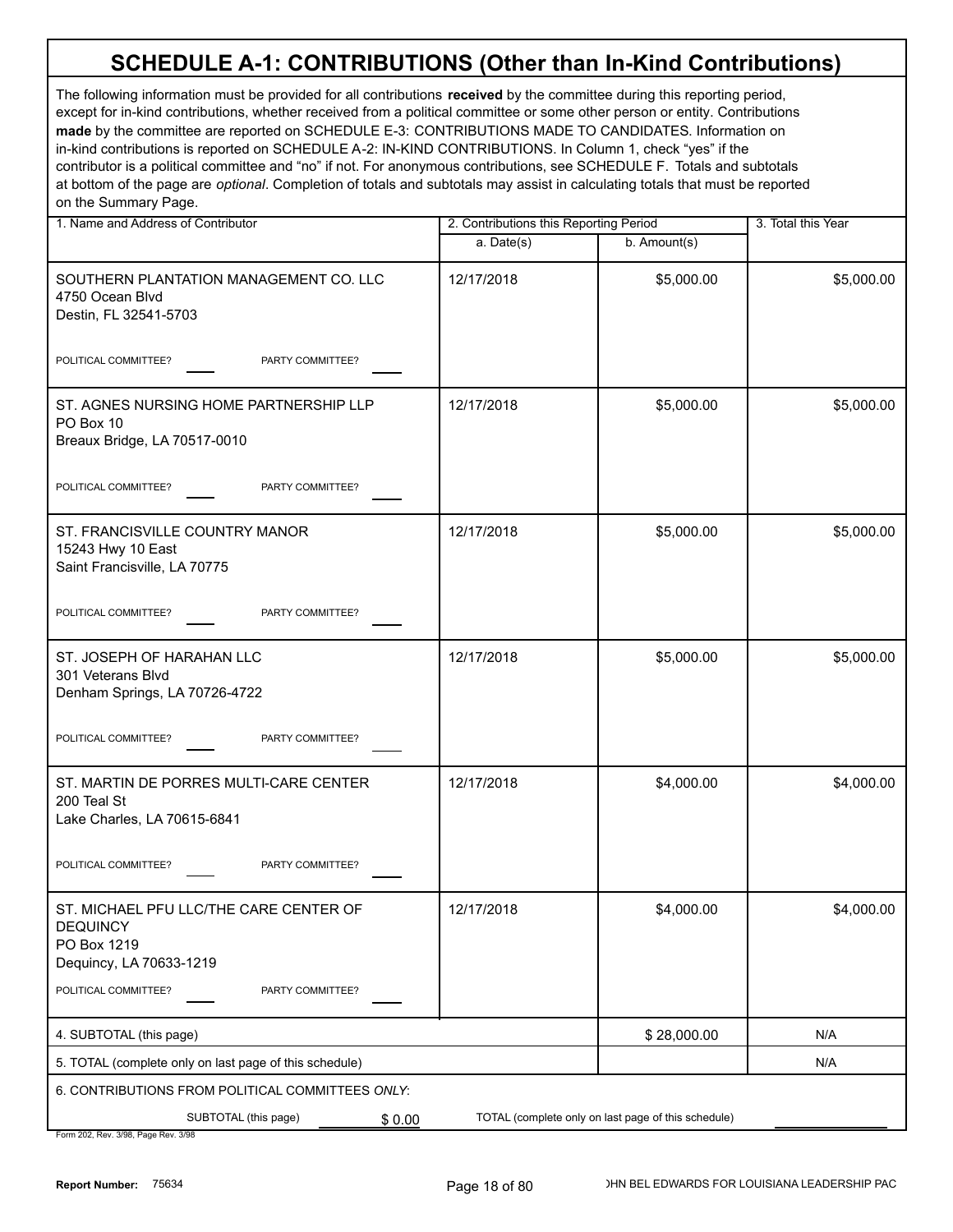| 1. Name and Address of Contributor                                                                  |            | 2. Contributions this Reporting Period              |            |  |
|-----------------------------------------------------------------------------------------------------|------------|-----------------------------------------------------|------------|--|
|                                                                                                     | a. Date(s) | b. Amount(s)                                        |            |  |
| SOUTHERN PLANTATION MANAGEMENT CO. LLC<br>4750 Ocean Blvd<br>Destin, FL 32541-5703                  | 12/17/2018 | \$5,000.00                                          | \$5,000.00 |  |
| POLITICAL COMMITTEE?<br>PARTY COMMITTEE?                                                            |            |                                                     |            |  |
| ST. AGNES NURSING HOME PARTNERSHIP LLP<br>PO Box 10<br>Breaux Bridge, LA 70517-0010                 | 12/17/2018 | \$5,000.00                                          | \$5,000.00 |  |
| PARTY COMMITTEE?<br>POLITICAL COMMITTEE?                                                            |            |                                                     |            |  |
| ST. FRANCISVILLE COUNTRY MANOR<br>15243 Hwy 10 East<br>Saint Francisville, LA 70775                 | 12/17/2018 | \$5,000.00                                          | \$5,000.00 |  |
| POLITICAL COMMITTEE?<br>PARTY COMMITTEE?                                                            |            |                                                     |            |  |
| ST. JOSEPH OF HARAHAN LLC<br>301 Veterans Blvd<br>Denham Springs, LA 70726-4722                     | 12/17/2018 | \$5,000.00                                          | \$5,000.00 |  |
| POLITICAL COMMITTEE?<br>PARTY COMMITTEE?                                                            |            |                                                     |            |  |
| ST. MARTIN DE PORRES MULTI-CARE CENTER<br>200 Teal St<br>Lake Charles, LA 70615-6841                | 12/17/2018 | \$4,000.00                                          | \$4,000.00 |  |
| POLITICAL COMMITTEE?<br>PARTY COMMITTEE?                                                            |            |                                                     |            |  |
| ST. MICHAEL PFU LLC/THE CARE CENTER OF<br><b>DEQUINCY</b><br>PO Box 1219<br>Dequincy, LA 70633-1219 | 12/17/2018 | \$4,000.00                                          | \$4,000.00 |  |
| POLITICAL COMMITTEE?<br>PARTY COMMITTEE?                                                            |            |                                                     |            |  |
| 4. SUBTOTAL (this page)                                                                             |            | \$28,000.00                                         | N/A        |  |
| 5. TOTAL (complete only on last page of this schedule)                                              |            |                                                     | N/A        |  |
| 6. CONTRIBUTIONS FROM POLITICAL COMMITTEES ONLY:                                                    |            |                                                     |            |  |
| SUBTOTAL (this page)<br>\$0.00<br>Form 202 Rev 3/08 Page Rev 3/08                                   |            | TOTAL (complete only on last page of this schedule) |            |  |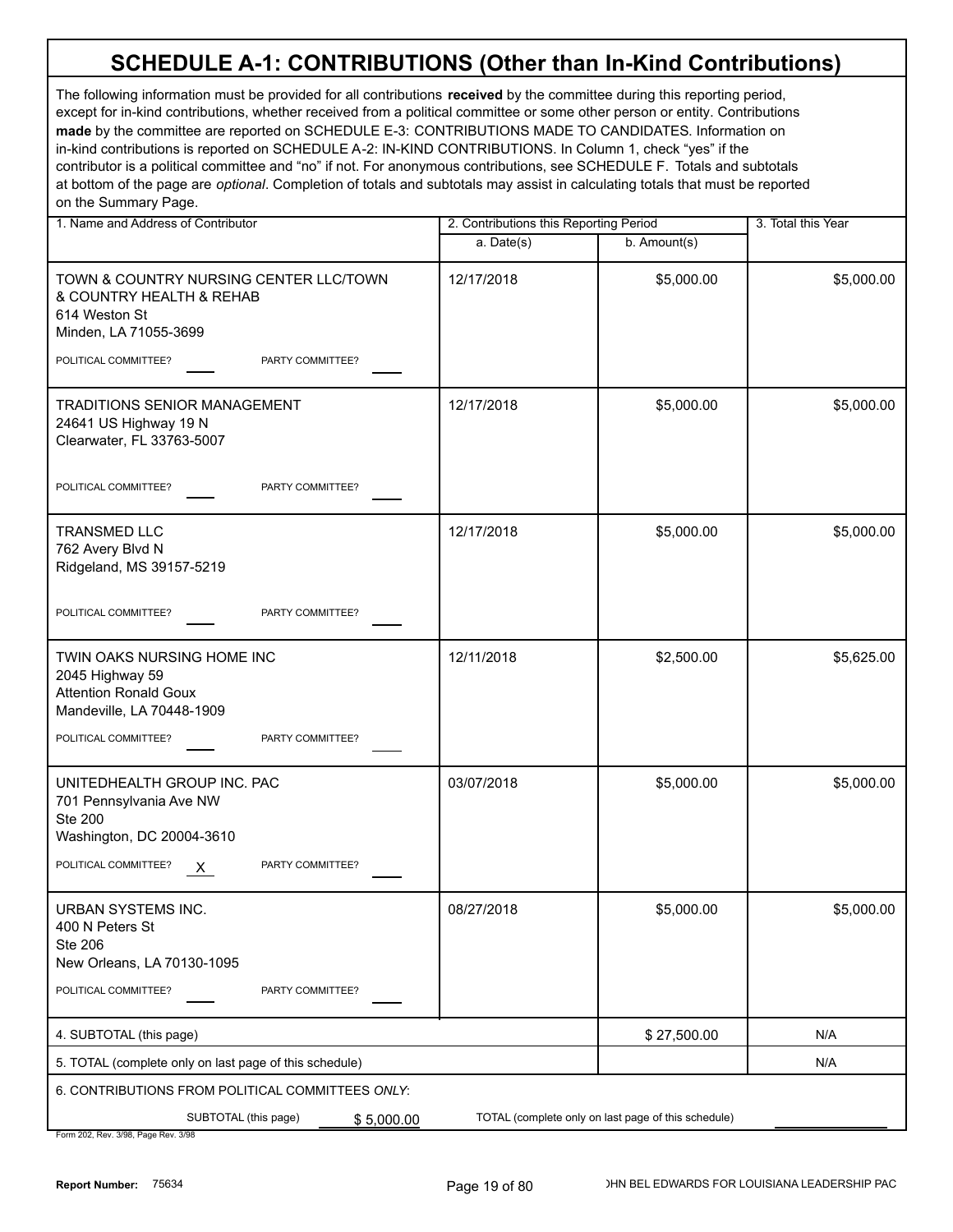| 1. Name and Address of Contributor                                                                           | 2. Contributions this Reporting Period |                                                     | 3. Total this Year |
|--------------------------------------------------------------------------------------------------------------|----------------------------------------|-----------------------------------------------------|--------------------|
|                                                                                                              | a. Date(s)                             | b. Amount(s)                                        |                    |
| TOWN & COUNTRY NURSING CENTER LLC/TOWN<br>& COUNTRY HEALTH & REHAB<br>614 Weston St<br>Minden, LA 71055-3699 | 12/17/2018                             | \$5,000.00                                          | \$5,000.00         |
| POLITICAL COMMITTEE?<br>PARTY COMMITTEE?                                                                     |                                        |                                                     |                    |
| <b>TRADITIONS SENIOR MANAGEMENT</b><br>24641 US Highway 19 N<br>Clearwater, FL 33763-5007                    | 12/17/2018                             | \$5,000.00                                          | \$5,000.00         |
| POLITICAL COMMITTEE?<br>PARTY COMMITTEE?                                                                     |                                        |                                                     |                    |
| <b>TRANSMED LLC</b><br>762 Avery Blvd N<br>Ridgeland, MS 39157-5219                                          | 12/17/2018                             | \$5,000.00                                          | \$5,000.00         |
| POLITICAL COMMITTEE?<br>PARTY COMMITTEE?                                                                     |                                        |                                                     |                    |
| TWIN OAKS NURSING HOME INC<br>2045 Highway 59<br><b>Attention Ronald Goux</b><br>Mandeville, LA 70448-1909   | 12/11/2018                             | \$2,500.00                                          | \$5,625.00         |
| POLITICAL COMMITTEE?<br>PARTY COMMITTEE?                                                                     |                                        |                                                     |                    |
| UNITEDHEALTH GROUP INC. PAC<br>701 Pennsylvania Ave NW<br><b>Ste 200</b><br>Washington, DC 20004-3610        | 03/07/2018                             | \$5,000.00                                          | \$5,000.00         |
| POLITICAL COMMITTEE?<br>PARTY COMMITTEE?<br>X                                                                |                                        |                                                     |                    |
| <b>URBAN SYSTEMS INC.</b><br>400 N Peters St<br><b>Ste 206</b><br>New Orleans, LA 70130-1095                 | 08/27/2018                             | \$5,000.00                                          | \$5,000.00         |
| POLITICAL COMMITTEE?<br>PARTY COMMITTEE?                                                                     |                                        |                                                     |                    |
| 4. SUBTOTAL (this page)                                                                                      |                                        | \$27,500.00                                         | N/A                |
| 5. TOTAL (complete only on last page of this schedule)                                                       |                                        |                                                     | N/A                |
| 6. CONTRIBUTIONS FROM POLITICAL COMMITTEES ONLY:                                                             |                                        |                                                     |                    |
| SUBTOTAL (this page)<br>\$5,000.00<br>Form 202, Rev. 3/98, Page Rev. 3/98                                    |                                        | TOTAL (complete only on last page of this schedule) |                    |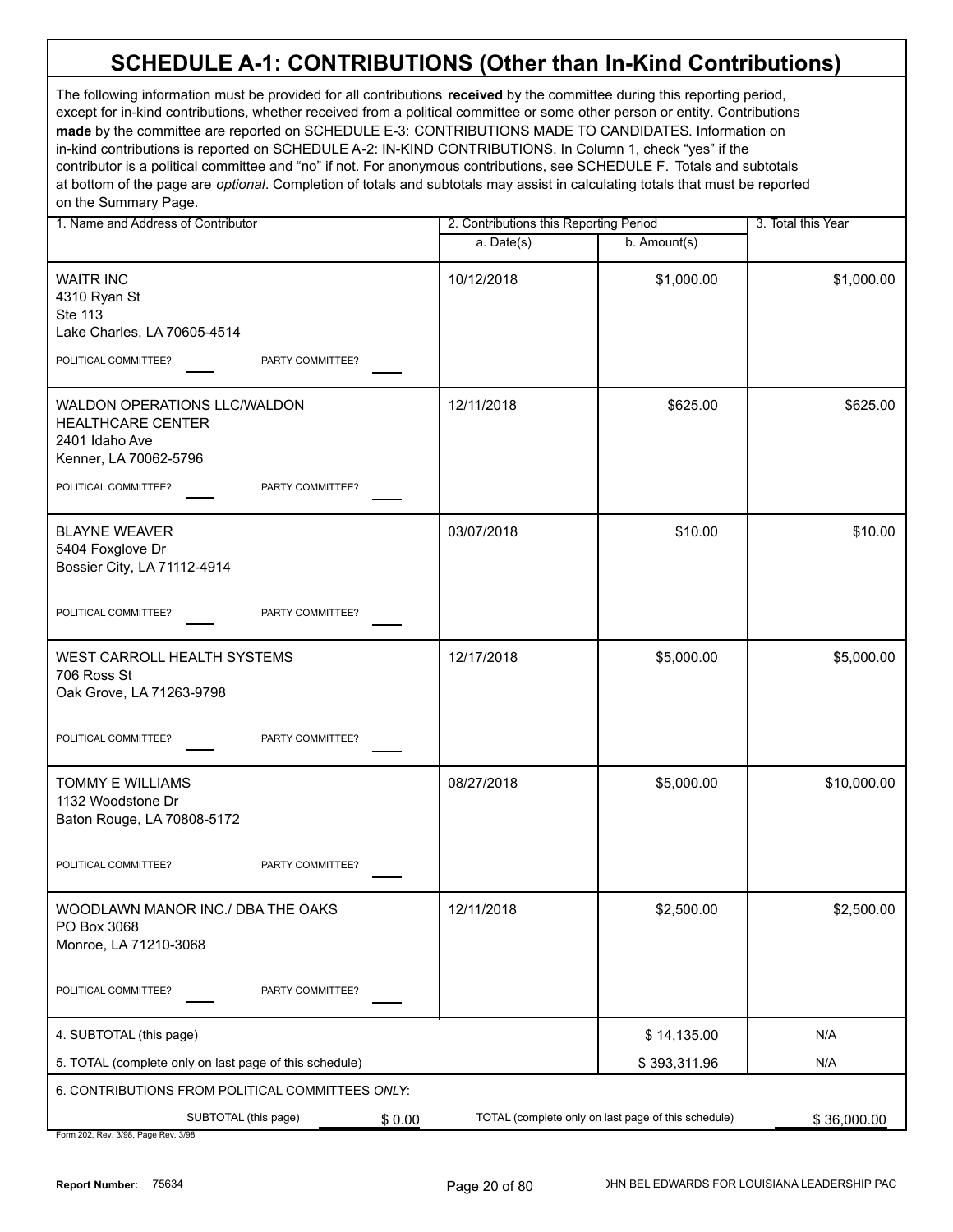The following information must be provided for all contributions **received** by the committee during this reporting period, except for in-kind contributions, whether received from a political committee or some other person or entity. Contributions **made** by the committee are reported on SCHEDULE E-3: CONTRIBUTIONS MADE TO CANDIDATES. Information on in-kind contributions is reported on SCHEDULE A-2: IN-KIND CONTRIBUTIONS. In Column 1, check "yes" if the contributor is a political committee and "no" if not. For anonymous contributions, see SCHEDULE F. Totals and subtotals at bottom of the page are *optional*. Completion of totals and subtotals may assist in calculating totals that must be reported on the Summary Page.

| 1. Name and Address of Contributor                                                                  |              | 2. Contributions this Reporting Period              |             |
|-----------------------------------------------------------------------------------------------------|--------------|-----------------------------------------------------|-------------|
|                                                                                                     | $a.$ Date(s) | b. Amount(s)                                        |             |
| <b>WAITR INC</b><br>4310 Ryan St<br><b>Ste 113</b><br>Lake Charles, LA 70605-4514                   | 10/12/2018   | \$1,000.00                                          | \$1,000.00  |
| POLITICAL COMMITTEE?<br>PARTY COMMITTEE?                                                            |              |                                                     |             |
| WALDON OPERATIONS LLC/WALDON<br><b>HEALTHCARE CENTER</b><br>2401 Idaho Ave<br>Kenner, LA 70062-5796 | 12/11/2018   | \$625.00                                            | \$625.00    |
| POLITICAL COMMITTEE?<br>PARTY COMMITTEE?                                                            |              |                                                     |             |
| <b>BLAYNE WEAVER</b><br>5404 Foxglove Dr<br>Bossier City, LA 71112-4914                             | 03/07/2018   | \$10.00                                             | \$10.00     |
| POLITICAL COMMITTEE?<br>PARTY COMMITTEE?                                                            |              |                                                     |             |
| WEST CARROLL HEALTH SYSTEMS<br>706 Ross St<br>Oak Grove, LA 71263-9798                              | 12/17/2018   | \$5,000.00                                          | \$5,000.00  |
| POLITICAL COMMITTEE?<br>PARTY COMMITTEE?                                                            |              |                                                     |             |
| TOMMY E WILLIAMS<br>1132 Woodstone Dr<br>Baton Rouge, LA 70808-5172                                 | 08/27/2018   | \$5,000.00                                          | \$10,000.00 |
| POLITICAL COMMITTEE?<br>PARTY COMMITTEE?                                                            |              |                                                     |             |
| WOODLAWN MANOR INC./ DBA THE OAKS<br>PO Box 3068<br>Monroe, LA 71210-3068                           | 12/11/2018   | \$2,500.00                                          | \$2,500.00  |
| POLITICAL COMMITTEE?<br>PARTY COMMITTEE?                                                            |              |                                                     |             |
| 4. SUBTOTAL (this page)                                                                             |              | \$14,135.00                                         | N/A         |
| 5. TOTAL (complete only on last page of this schedule)                                              |              | \$393,311.96                                        | N/A         |
| 6. CONTRIBUTIONS FROM POLITICAL COMMITTEES ONLY:                                                    |              |                                                     |             |
| SUBTOTAL (this page)<br>\$0.00                                                                      |              | TOTAL (complete only on last page of this schedule) | \$36,000.00 |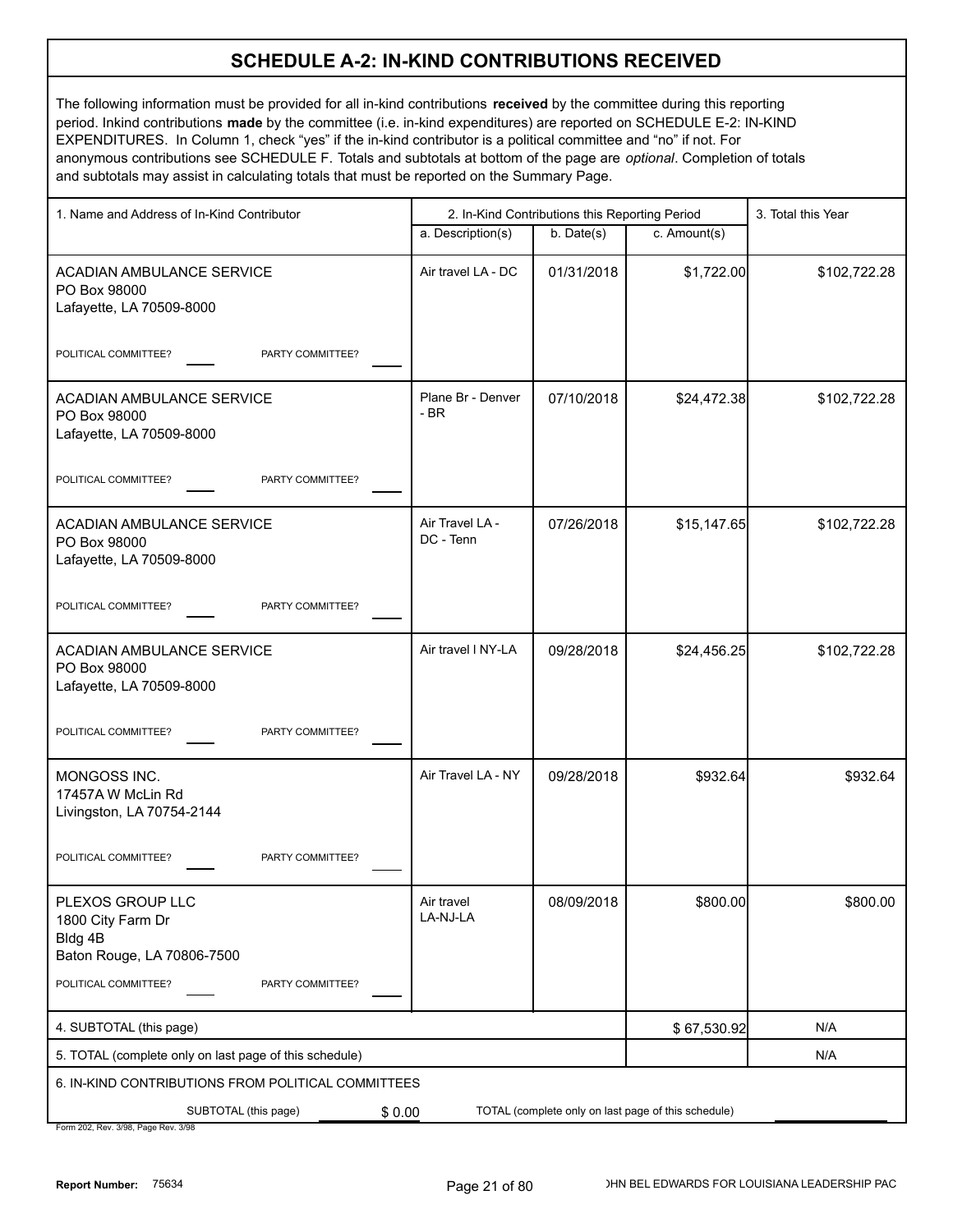### **SCHEDULE A-2: IN-KIND CONTRIBUTIONS RECEIVED**

The following information must be provided for all in-kind contributions **received** by the committee during this reporting period. Inkind contributions **made** by the committee (i.e. in-kind expenditures) are reported on SCHEDULE E-2: IN-KIND EXPENDITURES. In Column 1, check "yes" if the in-kind contributor is a political committee and "no" if not. For anonymous contributions see SCHEDULE F. Totals and subtotals at bottom of the page are *optional*. Completion of totals and subtotals may assist in calculating totals that must be reported on the Summary Page.

| 1. Name and Address of In-Kind Contributor                                     |                              | 2. In-Kind Contributions this Reporting Period |                                                     |              |  |
|--------------------------------------------------------------------------------|------------------------------|------------------------------------------------|-----------------------------------------------------|--------------|--|
|                                                                                | a. Description(s)            | b. Date(s)                                     | c. Amount(s)                                        |              |  |
| <b>ACADIAN AMBULANCE SERVICE</b><br>PO Box 98000<br>Lafayette, LA 70509-8000   | Air travel LA - DC           | 01/31/2018                                     | \$1,722.00                                          | \$102,722.28 |  |
| PARTY COMMITTEE?<br>POLITICAL COMMITTEE?                                       |                              |                                                |                                                     |              |  |
| ACADIAN AMBULANCE SERVICE<br>PO Box 98000<br>Lafayette, LA 70509-8000          | Plane Br - Denver<br>$-BR$   | 07/10/2018                                     | \$24,472.38                                         | \$102,722.28 |  |
| POLITICAL COMMITTEE?<br>PARTY COMMITTEE?                                       |                              |                                                |                                                     |              |  |
| ACADIAN AMBULANCE SERVICE<br>PO Box 98000<br>Lafayette, LA 70509-8000          | Air Travel LA -<br>DC - Tenn | 07/26/2018                                     | \$15, 147.65                                        | \$102,722.28 |  |
| PARTY COMMITTEE?<br>POLITICAL COMMITTEE?                                       |                              |                                                |                                                     |              |  |
| ACADIAN AMBULANCE SERVICE<br>PO Box 98000<br>Lafayette, LA 70509-8000          | Air travel I NY-LA           | 09/28/2018                                     | \$24,456.25                                         | \$102,722.28 |  |
| PARTY COMMITTEE?<br>POLITICAL COMMITTEE?                                       |                              |                                                |                                                     |              |  |
| MONGOSS INC.<br>17457A W McLin Rd<br>Livingston, LA 70754-2144                 | Air Travel LA - NY           | 09/28/2018                                     | \$932.64                                            | \$932.64     |  |
| PARTY COMMITTEE?<br>POLITICAL COMMITTEE?                                       |                              |                                                |                                                     |              |  |
| PLEXOS GROUP LLC<br>1800 City Farm Dr<br>Bldg 4B<br>Baton Rouge, LA 70806-7500 | Air travel<br>LA-NJ-LA       | 08/09/2018                                     | \$800.00                                            | \$800.00     |  |
| POLITICAL COMMITTEE?<br>PARTY COMMITTEE?                                       |                              |                                                |                                                     |              |  |
| 4. SUBTOTAL (this page)                                                        |                              |                                                | \$67,530.92                                         | N/A          |  |
| 5. TOTAL (complete only on last page of this schedule)                         |                              |                                                |                                                     | N/A          |  |
| 6. IN-KIND CONTRIBUTIONS FROM POLITICAL COMMITTEES                             |                              |                                                |                                                     |              |  |
| SUBTOTAL (this page)<br>\$0.00<br>Form 202 Rev 3/98 Page Rev 3/98              |                              |                                                | TOTAL (complete only on last page of this schedule) |              |  |

/98, Pag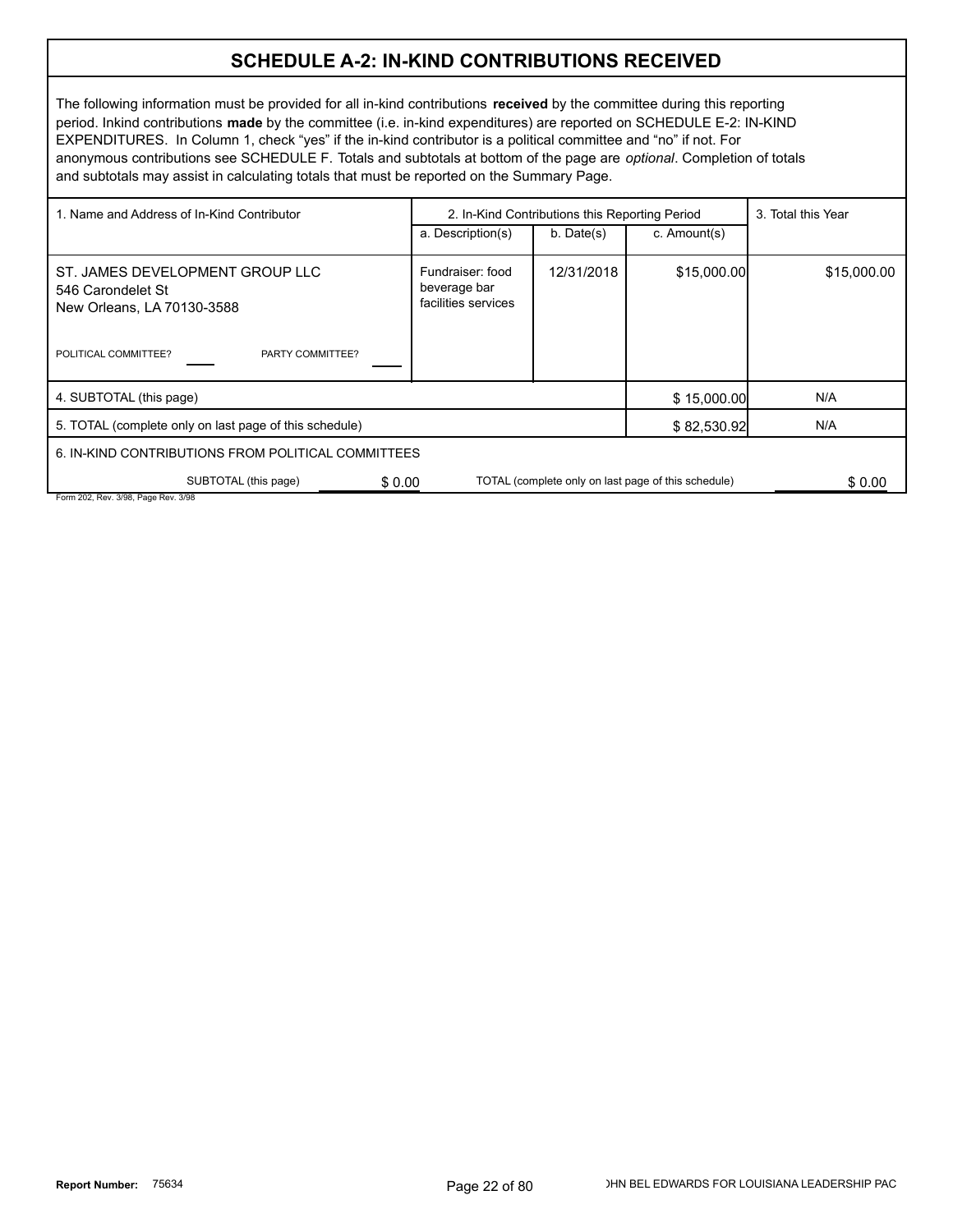#### **SCHEDULE A-2: IN-KIND CONTRIBUTIONS RECEIVED**

The following information must be provided for all in-kind contributions **received** by the committee during this reporting period. Inkind contributions **made** by the committee (i.e. in-kind expenditures) are reported on SCHEDULE E-2: IN-KIND EXPENDITURES. In Column 1, check "yes" if the in-kind contributor is a political committee and "no" if not. For anonymous contributions see SCHEDULE F. Totals and subtotals at bottom of the page are *optional*. Completion of totals and subtotals may assist in calculating totals that must be reported on the Summary Page.

| 1. Name and Address of In-Kind Contributor                                                                                     |                                                         | 2. In-Kind Contributions this Reporting Period |                                                     |             |  |
|--------------------------------------------------------------------------------------------------------------------------------|---------------------------------------------------------|------------------------------------------------|-----------------------------------------------------|-------------|--|
|                                                                                                                                | a. Description(s)                                       | $b.$ Date $(s)$                                | c. Amount(s)                                        |             |  |
| ST. JAMES DEVELOPMENT GROUP LLC<br>546 Carondelet St<br>New Orleans, LA 70130-3588<br>POLITICAL COMMITTEE?<br>PARTY COMMITTEE? | Fundraiser: food<br>beverage bar<br>facilities services | 12/31/2018                                     | \$15,000.00                                         | \$15,000.00 |  |
| 4. SUBTOTAL (this page)                                                                                                        |                                                         |                                                | \$15,000.00                                         | N/A         |  |
| 5. TOTAL (complete only on last page of this schedule)                                                                         |                                                         |                                                | \$82,530.92                                         | N/A         |  |
| 6. IN-KIND CONTRIBUTIONS FROM POLITICAL COMMITTEES                                                                             |                                                         |                                                |                                                     |             |  |
| SUBTOTAL (this page)<br>\$0.00                                                                                                 |                                                         |                                                | TOTAL (complete only on last page of this schedule) | \$0.00      |  |
| Form 202, Rev. 3/98, Page Rev. 3/98                                                                                            |                                                         |                                                |                                                     |             |  |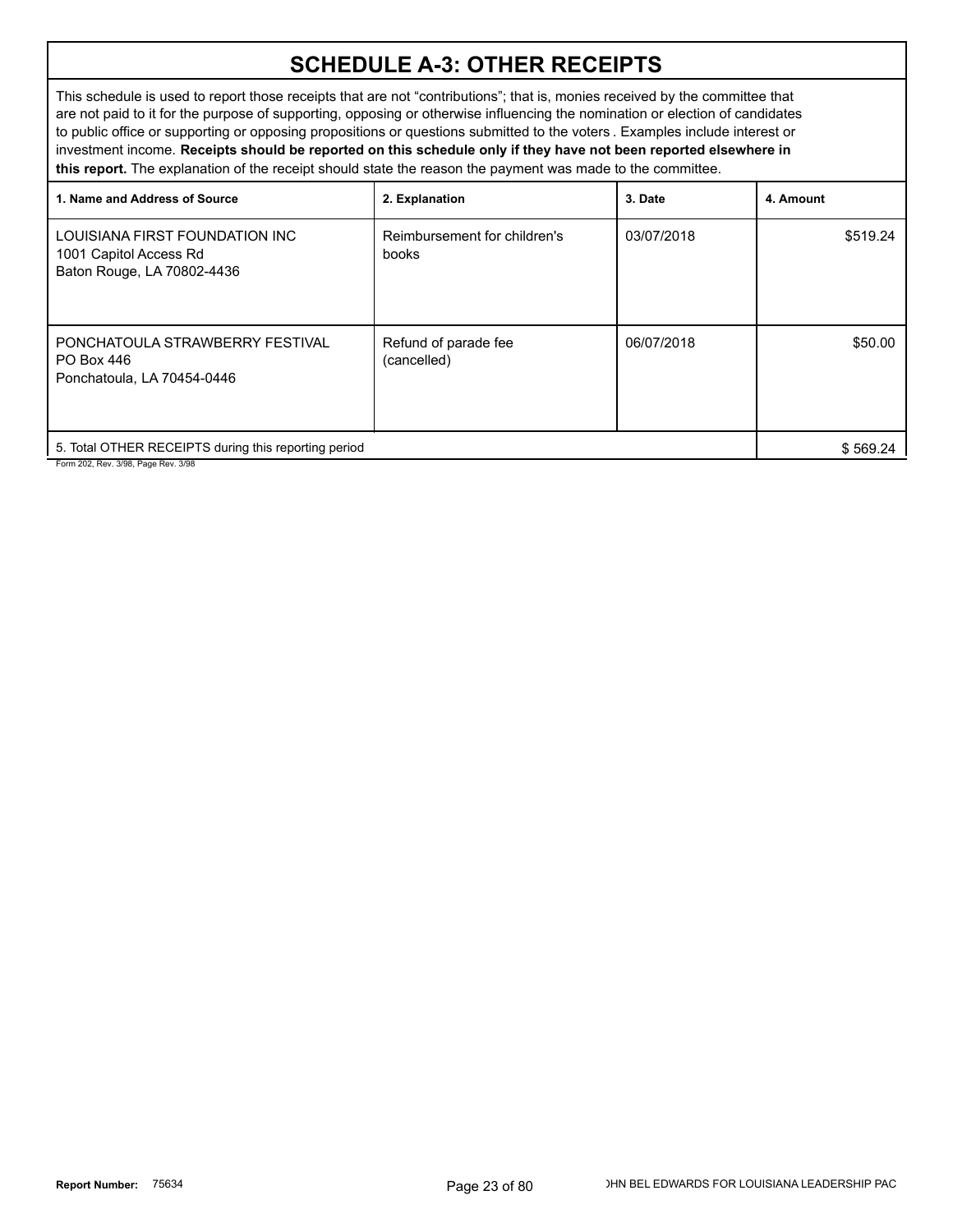### **SCHEDULE A-3: OTHER RECEIPTS**

This schedule is used to report those receipts that are not "contributions"; that is, monies received by the committee that are not paid to it for the purpose of supporting, opposing or otherwise influencing the nomination or election of candidates to public office or supporting or opposing propositions or questions submitted to the voters . Examples include interest or investment income. **Receipts should be reported on this schedule only if they have not been reported elsewhere in this report.** The explanation of the receipt should state the reason the payment was made to the committee.

| 1. Name and Address of Source                                                          | 2. Explanation                        | 3. Date    | 4. Amount |
|----------------------------------------------------------------------------------------|---------------------------------------|------------|-----------|
| LOUISIANA FIRST FOUNDATION INC<br>1001 Capitol Access Rd<br>Baton Rouge, LA 70802-4436 | Reimbursement for children's<br>books | 03/07/2018 | \$519.24  |
| PONCHATOULA STRAWBERRY FESTIVAL<br>PO Box 446<br>Ponchatoula, LA 70454-0446            | Refund of parade fee<br>(cancelled)   | 06/07/2018 | \$50.00   |
| 5. Total OTHER RECEIPTS during this reporting period                                   |                                       |            | \$569.24  |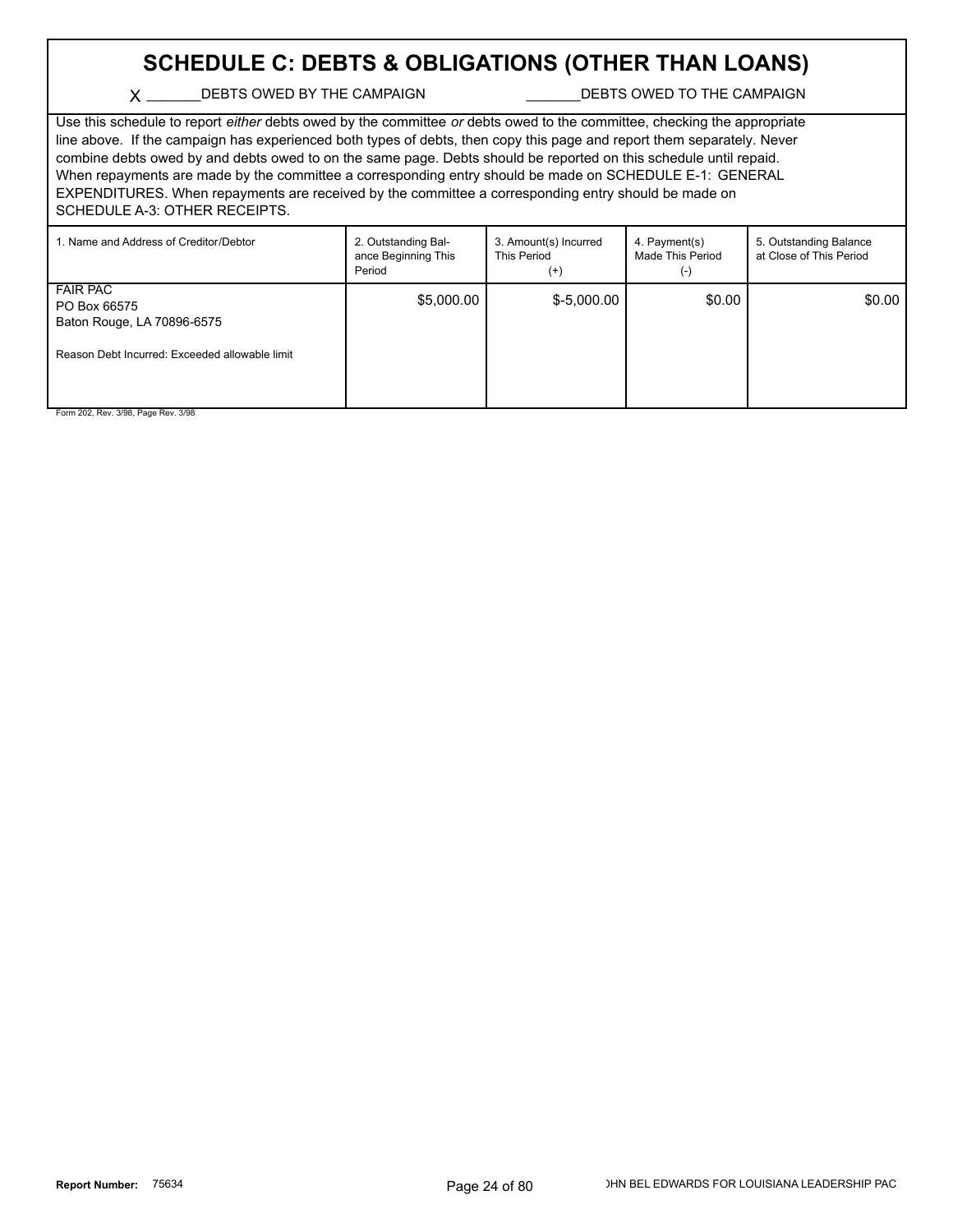### **SCHEDULE C: DEBTS & OBLIGATIONS (OTHER THAN LOANS)**

#### X \_\_\_\_\_\_\_DEBTS OWED BY THE CAMPAIGN \_\_\_\_\_\_\_\_\_\_\_\_\_\_DEBTS OWED TO THE CAMPAIGN

Use this schedule to report *either* debts owed by the committee *or* debts owed to the committee, checking the appropriate line above. If the campaign has experienced both types of debts, then copy this page and report them separately. Never combine debts owed by and debts owed to on the same page. Debts should be reported on this schedule until repaid. When repayments are made by the committee a corresponding entry should be made on SCHEDULE E-1: GENERAL EXPENDITURES. When repayments are received by the committee a corresponding entry should be made on SCHEDULE A-3: OTHER RECEIPTS.

| 1. Name and Address of Creditor/Debtor                                                                          | 2. Outstanding Bal-<br>ance Beginning This<br>Period | 3. Amount(s) Incurred<br>This Period<br>$^{(+)}$ | 4. Payment(s)<br>Made This Period<br>$(-)$ | 5. Outstanding Balance<br>at Close of This Period |
|-----------------------------------------------------------------------------------------------------------------|------------------------------------------------------|--------------------------------------------------|--------------------------------------------|---------------------------------------------------|
| <b>FAIR PAC</b><br>PO Box 66575<br>Baton Rouge, LA 70896-6575<br>Reason Debt Incurred: Exceeded allowable limit | \$5,000.00                                           | $$-5,000.00$                                     | \$0.00                                     | \$0.00                                            |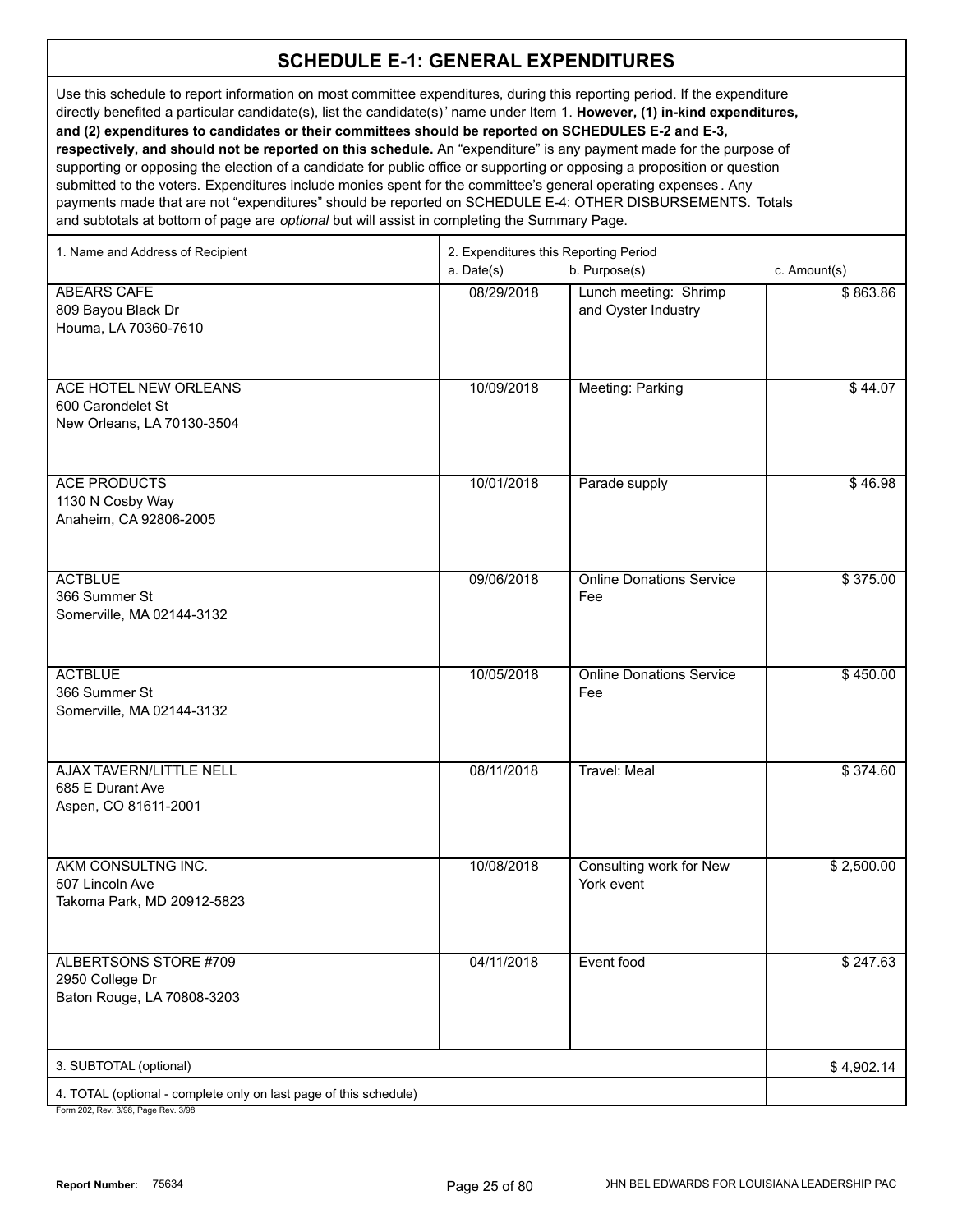Use this schedule to report information on most committee expenditures, during this reporting period. If the expenditure directly benefited a particular candidate(s), list the candidate(s)' name under Item 1. **However, (1) in-kind expenditures, and (2) expenditures to candidates or their committees should be reported on SCHEDULES E-2 and E-3, respectively, and should not be reported on this schedule.** An "expenditure" is any payment made for the purpose of supporting or opposing the election of a candidate for public office or supporting or opposing a proposition or question submitted to the voters. Expenditures include monies spent for the committee's general operating expenses . Any payments made that are not "expenditures" should be reported on SCHEDULE E-4: OTHER DISBURSEMENTS. Totals and subtotals at bottom of page are *optional* but will assist in completing the Summary Page.

| 1. Name and Address of Recipient                                                                     | 2. Expenditures this Reporting Period<br>a. Date(s)<br>b. Purpose(s)<br>c. Amount(s) |                                              |            |  |
|------------------------------------------------------------------------------------------------------|--------------------------------------------------------------------------------------|----------------------------------------------|------------|--|
| <b>ABEARS CAFE</b><br>809 Bayou Black Dr<br>Houma, LA 70360-7610                                     | 08/29/2018                                                                           | Lunch meeting: Shrimp<br>and Oyster Industry | \$863.86   |  |
| ACE HOTEL NEW ORLEANS<br>600 Carondelet St<br>New Orleans, LA 70130-3504                             | 10/09/2018                                                                           | Meeting: Parking                             | \$44.07    |  |
| <b>ACE PRODUCTS</b><br>1130 N Cosby Way<br>Anaheim, CA 92806-2005                                    | 10/01/2018                                                                           | Parade supply                                | \$46.98    |  |
| <b>ACTBLUE</b><br>366 Summer St<br>Somerville, MA 02144-3132                                         | 09/06/2018                                                                           | <b>Online Donations Service</b><br>Fee       | \$375.00   |  |
| <b>ACTBLUE</b><br>366 Summer St<br>Somerville, MA 02144-3132                                         | 10/05/2018                                                                           | <b>Online Donations Service</b><br>Fee       | \$450.00   |  |
| <b>AJAX TAVERN/LITTLE NELL</b><br>685 E Durant Ave<br>Aspen, CO 81611-2001                           | 08/11/2018                                                                           | <b>Travel: Meal</b>                          | \$374.60   |  |
| AKM CONSULTNG INC.<br>507 Lincoln Ave<br>Takoma Park, MD 20912-5823                                  | 10/08/2018                                                                           | Consulting work for New<br>York event        | \$2,500.00 |  |
| ALBERTSONS STORE #709<br>2950 College Dr<br>Baton Rouge, LA 70808-3203                               | 04/11/2018                                                                           | Event food                                   | \$247.63   |  |
| 3. SUBTOTAL (optional)                                                                               |                                                                                      |                                              | \$4,902.14 |  |
| 4. TOTAL (optional - complete only on last page of this schedule)<br>Form 202 Rev 3/98 Page Rev 3/98 |                                                                                      |                                              |            |  |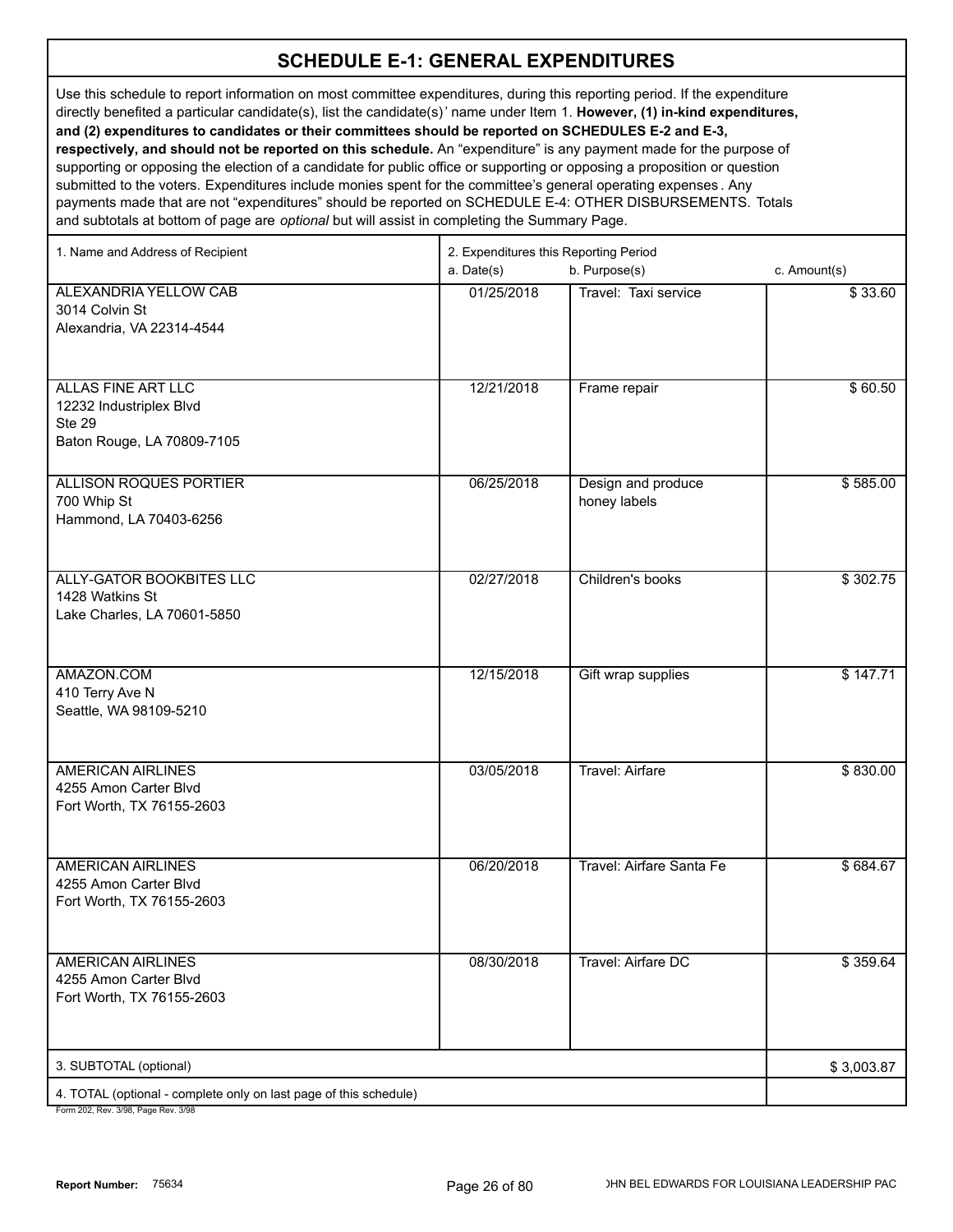Use this schedule to report information on most committee expenditures, during this reporting period. If the expenditure directly benefited a particular candidate(s), list the candidate(s)' name under Item 1. **However, (1) in-kind expenditures, and (2) expenditures to candidates or their committees should be reported on SCHEDULES E-2 and E-3, respectively, and should not be reported on this schedule.** An "expenditure" is any payment made for the purpose of supporting or opposing the election of a candidate for public office or supporting or opposing a proposition or question

submitted to the voters. Expenditures include monies spent for the committee's general operating expenses . Any payments made that are not "expenditures" should be reported on SCHEDULE E-4: OTHER DISBURSEMENTS. Totals and subtotals at bottom of page are *optional* but will assist in completing the Summary Page.

| 1. Name and Address of Recipient                                  | 2. Expenditures this Reporting Period |                           |              |  |
|-------------------------------------------------------------------|---------------------------------------|---------------------------|--------------|--|
|                                                                   | a. Date(s)                            | b. Purpose(s)             | c. Amount(s) |  |
| ALEXANDRIA YELLOW CAB                                             | 01/25/2018                            | Travel: Taxi service      | \$33.60      |  |
| 3014 Colvin St                                                    |                                       |                           |              |  |
| Alexandria, VA 22314-4544                                         |                                       |                           |              |  |
|                                                                   |                                       |                           |              |  |
|                                                                   |                                       |                           |              |  |
| <b>ALLAS FINE ART LLC</b>                                         | 12/21/2018                            | Frame repair              | \$60.50      |  |
| 12232 Industriplex Blvd<br><b>Ste 29</b>                          |                                       |                           |              |  |
| Baton Rouge, LA 70809-7105                                        |                                       |                           |              |  |
|                                                                   |                                       |                           |              |  |
| <b>ALLISON ROQUES PORTIER</b>                                     | 06/25/2018                            | Design and produce        | \$585.00     |  |
| 700 Whip St                                                       |                                       | honey labels              |              |  |
| Hammond, LA 70403-6256                                            |                                       |                           |              |  |
|                                                                   |                                       |                           |              |  |
|                                                                   |                                       |                           |              |  |
| ALLY-GATOR BOOKBITES LLC                                          | 02/27/2018                            | Children's books          | \$302.75     |  |
| 1428 Watkins St<br>Lake Charles, LA 70601-5850                    |                                       |                           |              |  |
|                                                                   |                                       |                           |              |  |
|                                                                   |                                       |                           |              |  |
| AMAZON.COM                                                        | 12/15/2018                            | Gift wrap supplies        | \$147.71     |  |
| 410 Terry Ave N                                                   |                                       |                           |              |  |
| Seattle, WA 98109-5210                                            |                                       |                           |              |  |
|                                                                   |                                       |                           |              |  |
|                                                                   |                                       |                           |              |  |
| <b>AMERICAN AIRLINES</b><br>4255 Amon Carter Blvd                 | 03/05/2018                            | <b>Travel: Airfare</b>    | \$830.00     |  |
| Fort Worth, TX 76155-2603                                         |                                       |                           |              |  |
|                                                                   |                                       |                           |              |  |
|                                                                   |                                       |                           |              |  |
| <b>AMERICAN AIRLINES</b>                                          | 06/20/2018                            | Travel: Airfare Santa Fe  | \$684.67     |  |
| 4255 Amon Carter Blvd                                             |                                       |                           |              |  |
| Fort Worth, TX 76155-2603                                         |                                       |                           |              |  |
|                                                                   |                                       |                           |              |  |
| <b>AMERICAN AIRLINES</b>                                          | 08/30/2018                            | <b>Travel: Airfare DC</b> | \$359.64     |  |
| 4255 Amon Carter Blvd                                             |                                       |                           |              |  |
| Fort Worth, TX 76155-2603                                         |                                       |                           |              |  |
|                                                                   |                                       |                           |              |  |
|                                                                   |                                       |                           |              |  |
| 3. SUBTOTAL (optional)                                            |                                       |                           | \$3,003.87   |  |
| 4. TOTAL (optional - complete only on last page of this schedule) |                                       |                           |              |  |
|                                                                   |                                       |                           |              |  |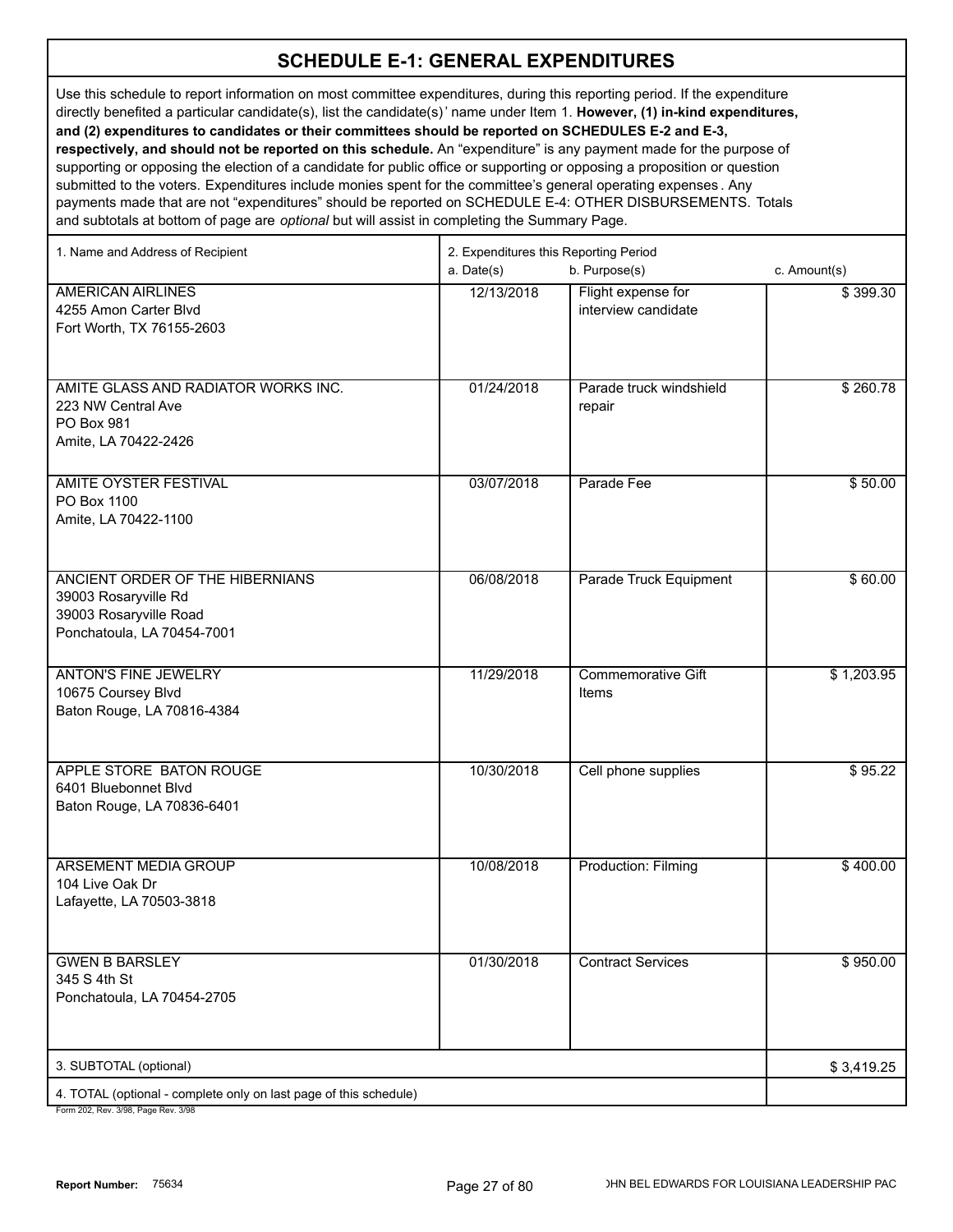Use this schedule to report information on most committee expenditures, during this reporting period. If the expenditure directly benefited a particular candidate(s), list the candidate(s)' name under Item 1. **However, (1) in-kind expenditures, and (2) expenditures to candidates or their committees should be reported on SCHEDULES E-2 and E-3, respectively, and should not be reported on this schedule.** An "expenditure" is any payment made for the purpose of supporting or opposing the election of a candidate for public office or supporting or opposing a proposition or question

submitted to the voters. Expenditures include monies spent for the committee's general operating expenses . Any payments made that are not "expenditures" should be reported on SCHEDULE E-4: OTHER DISBURSEMENTS. Totals and subtotals at bottom of page are *optional* but will assist in completing the Summary Page.

| 1. Name and Address of Recipient                                                                                | 2. Expenditures this Reporting Period |                                           |              |  |
|-----------------------------------------------------------------------------------------------------------------|---------------------------------------|-------------------------------------------|--------------|--|
|                                                                                                                 | a. Date(s)                            | b. Purpose(s)                             | c. Amount(s) |  |
| <b>AMERICAN AIRLINES</b><br>4255 Amon Carter Blvd<br>Fort Worth, TX 76155-2603                                  | 12/13/2018                            | Flight expense for<br>interview candidate | \$399.30     |  |
| AMITE GLASS AND RADIATOR WORKS INC.<br>223 NW Central Ave<br>PO Box 981<br>Amite, LA 70422-2426                 | 01/24/2018                            | Parade truck windshield<br>repair         | \$260.78     |  |
| AMITE OYSTER FESTIVAL<br>PO Box 1100<br>Amite, LA 70422-1100                                                    | 03/07/2018                            | Parade Fee                                | \$50.00      |  |
| ANCIENT ORDER OF THE HIBERNIANS<br>39003 Rosaryville Rd<br>39003 Rosaryville Road<br>Ponchatoula, LA 70454-7001 | 06/08/2018                            | Parade Truck Equipment                    | \$60.00      |  |
| <b>ANTON'S FINE JEWELRY</b><br>10675 Coursey Blvd<br>Baton Rouge, LA 70816-4384                                 | 11/29/2018                            | <b>Commemorative Gift</b><br>Items        | \$1,203.95   |  |
| APPLE STORE BATON ROUGE<br>6401 Bluebonnet Blvd<br>Baton Rouge, LA 70836-6401                                   | 10/30/2018                            | Cell phone supplies                       | \$95.22      |  |
| <b>ARSEMENT MEDIA GROUP</b><br>104 Live Oak Dr<br>Lafayette, LA 70503-3818                                      | 10/08/2018                            | <b>Production: Filming</b>                | \$400.00     |  |
| <b>GWEN B BARSLEY</b><br>345 S 4th St<br>Ponchatoula, LA 70454-2705                                             | 01/30/2018                            | <b>Contract Services</b>                  | \$950.00     |  |
| 3. SUBTOTAL (optional)                                                                                          |                                       |                                           | \$3,419.25   |  |
| 4. TOTAL (optional - complete only on last page of this schedule)<br>Form 202 Rev 3/98 Page Rev 3/98            |                                       |                                           |              |  |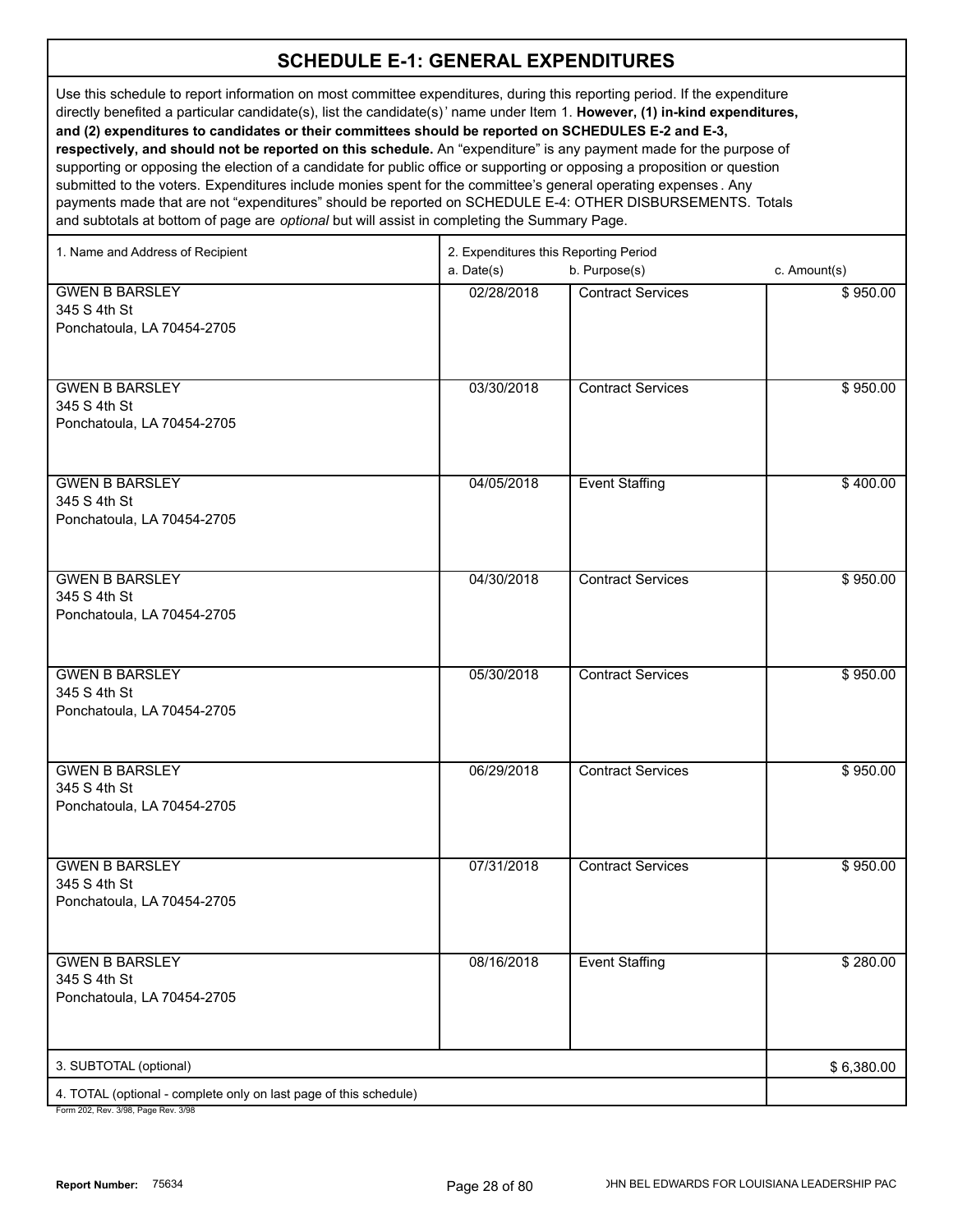Use this schedule to report information on most committee expenditures, during this reporting period. If the expenditure directly benefited a particular candidate(s), list the candidate(s)' name under Item 1. **However, (1) in-kind expenditures, and (2) expenditures to candidates or their committees should be reported on SCHEDULES E-2 and E-3, respectively, and should not be reported on this schedule.** An "expenditure" is any payment made for the purpose of supporting or opposing the election of a candidate for public office or supporting or opposing a proposition or question submitted to the voters. Expenditures include monies spent for the committee's general operating expenses . Any payments made that are not "expenditures" should be reported on SCHEDULE E-4: OTHER DISBURSEMENTS. Totals

and subtotals at bottom of page are *optional* but will assist in completing the Summary Page.

| 1. Name and Address of Recipient                                                           | 2. Expenditures this Reporting Period |                          |              |  |
|--------------------------------------------------------------------------------------------|---------------------------------------|--------------------------|--------------|--|
|                                                                                            | a. Date(s)                            | b. Purpose(s)            | c. Amount(s) |  |
| <b>GWEN B BARSLEY</b>                                                                      | 02/28/2018                            | <b>Contract Services</b> | \$950.00     |  |
| 345 S 4th St                                                                               |                                       |                          |              |  |
| Ponchatoula, LA 70454-2705                                                                 |                                       |                          |              |  |
|                                                                                            |                                       |                          |              |  |
|                                                                                            |                                       |                          |              |  |
| <b>GWEN B BARSLEY</b>                                                                      | 03/30/2018                            | <b>Contract Services</b> | \$950.00     |  |
| 345 S 4th St                                                                               |                                       |                          |              |  |
| Ponchatoula, LA 70454-2705                                                                 |                                       |                          |              |  |
|                                                                                            |                                       |                          |              |  |
|                                                                                            |                                       |                          |              |  |
| <b>GWEN B BARSLEY</b>                                                                      | 04/05/2018                            | <b>Event Staffing</b>    | \$400.00     |  |
| 345 S 4th St                                                                               |                                       |                          |              |  |
|                                                                                            |                                       |                          |              |  |
| Ponchatoula, LA 70454-2705                                                                 |                                       |                          |              |  |
|                                                                                            |                                       |                          |              |  |
|                                                                                            |                                       |                          |              |  |
| <b>GWEN B BARSLEY</b>                                                                      | 04/30/2018                            | <b>Contract Services</b> | \$950.00     |  |
| 345 S 4th St                                                                               |                                       |                          |              |  |
| Ponchatoula, LA 70454-2705                                                                 |                                       |                          |              |  |
|                                                                                            |                                       |                          |              |  |
|                                                                                            |                                       |                          |              |  |
| <b>GWEN B BARSLEY</b>                                                                      | 05/30/2018                            | <b>Contract Services</b> | \$950.00     |  |
| 345 S 4th St                                                                               |                                       |                          |              |  |
| Ponchatoula, LA 70454-2705                                                                 |                                       |                          |              |  |
|                                                                                            |                                       |                          |              |  |
|                                                                                            |                                       |                          |              |  |
| <b>GWEN B BARSLEY</b>                                                                      | 06/29/2018                            | <b>Contract Services</b> | \$950.00     |  |
| 345 S 4th St                                                                               |                                       |                          |              |  |
| Ponchatoula, LA 70454-2705                                                                 |                                       |                          |              |  |
|                                                                                            |                                       |                          |              |  |
|                                                                                            |                                       |                          |              |  |
| <b>GWEN B BARSLEY</b>                                                                      | 07/31/2018                            | <b>Contract Services</b> | \$950.00     |  |
| 345 S 4th St                                                                               |                                       |                          |              |  |
| Ponchatoula, LA 70454-2705                                                                 |                                       |                          |              |  |
|                                                                                            |                                       |                          |              |  |
|                                                                                            |                                       |                          |              |  |
| <b>GWEN B BARSLEY</b>                                                                      | 08/16/2018                            | <b>Event Staffing</b>    | \$280.00     |  |
| 345 S 4th St                                                                               |                                       |                          |              |  |
| Ponchatoula, LA 70454-2705                                                                 |                                       |                          |              |  |
|                                                                                            |                                       |                          |              |  |
|                                                                                            |                                       |                          |              |  |
| 3. SUBTOTAL (optional)                                                                     |                                       |                          | \$6,380.00   |  |
|                                                                                            |                                       |                          |              |  |
| 4. TOTAL (optional - complete only on last page of this schedule)<br>$2/00$ Dege Dev $2/0$ |                                       |                          |              |  |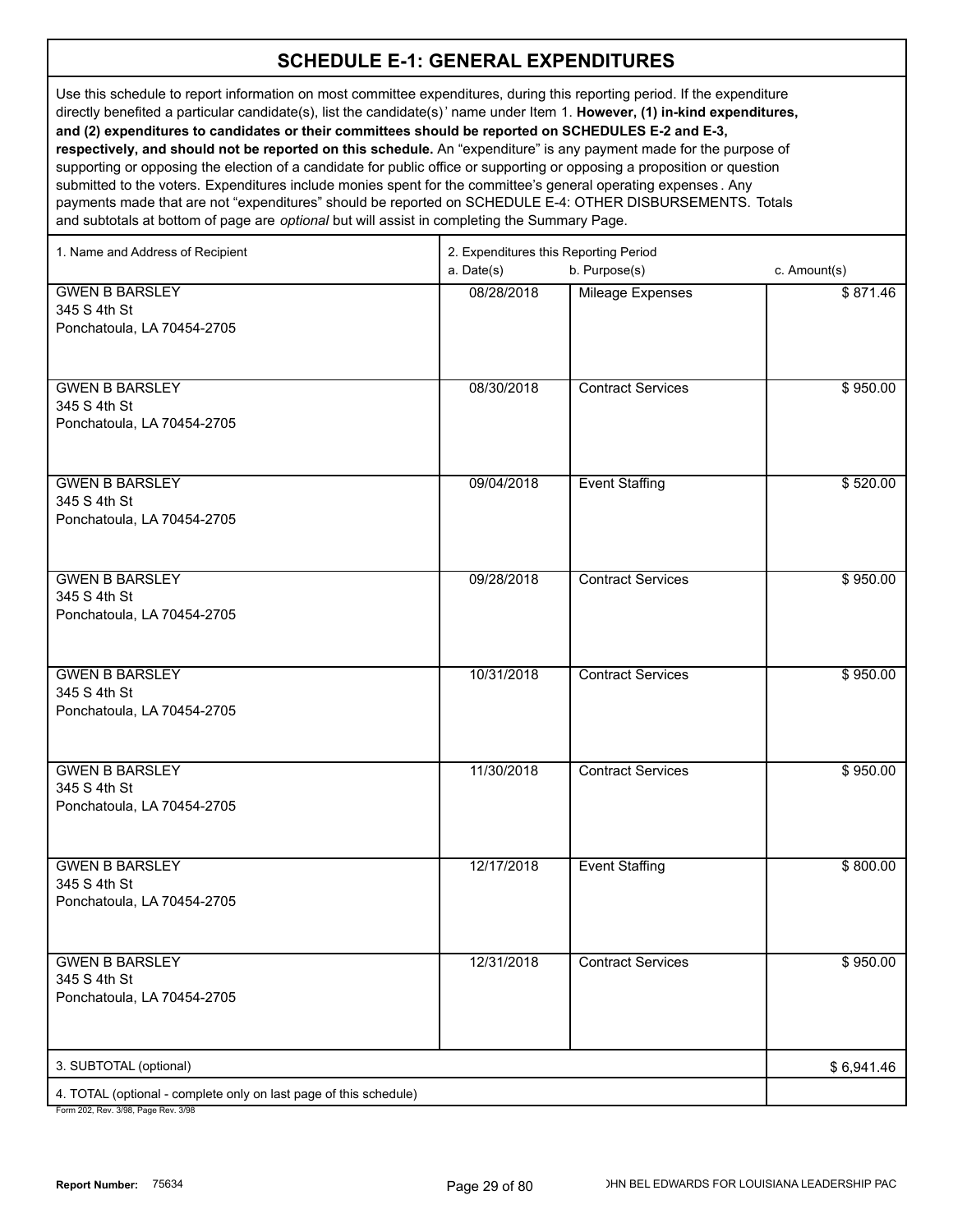Use this schedule to report information on most committee expenditures, during this reporting period. If the expenditure directly benefited a particular candidate(s), list the candidate(s)' name under Item 1. **However, (1) in-kind expenditures, and (2) expenditures to candidates or their committees should be reported on SCHEDULES E-2 and E-3, respectively, and should not be reported on this schedule.** An "expenditure" is any payment made for the purpose of supporting or opposing the election of a candidate for public office or supporting or opposing a proposition or question submitted to the voters. Expenditures include monies spent for the committee's general operating expenses . Any

payments made that are not "expenditures" should be reported on SCHEDULE E-4: OTHER DISBURSEMENTS. Totals and subtotals at bottom of page are *optional* but will assist in completing the Summary Page.

| 1. Name and Address of Recipient                                  | 2. Expenditures this Reporting Period |                          |              |  |
|-------------------------------------------------------------------|---------------------------------------|--------------------------|--------------|--|
|                                                                   | a. Date(s)                            | b. Purpose(s)            | c. Amount(s) |  |
| <b>GWEN B BARSLEY</b>                                             | 08/28/2018                            | Mileage Expenses         | \$871.46     |  |
| 345 S 4th St                                                      |                                       |                          |              |  |
| Ponchatoula, LA 70454-2705                                        |                                       |                          |              |  |
|                                                                   |                                       |                          |              |  |
|                                                                   |                                       |                          |              |  |
| <b>GWEN B BARSLEY</b>                                             | 08/30/2018                            | <b>Contract Services</b> | \$950.00     |  |
| 345 S 4th St                                                      |                                       |                          |              |  |
| Ponchatoula, LA 70454-2705                                        |                                       |                          |              |  |
|                                                                   |                                       |                          |              |  |
|                                                                   |                                       |                          |              |  |
| <b>GWEN B BARSLEY</b><br>345 S 4th St                             | 09/04/2018                            | <b>Event Staffing</b>    | \$520.00     |  |
| Ponchatoula, LA 70454-2705                                        |                                       |                          |              |  |
|                                                                   |                                       |                          |              |  |
|                                                                   |                                       |                          |              |  |
| <b>GWEN B BARSLEY</b>                                             | 09/28/2018                            | <b>Contract Services</b> | \$950.00     |  |
| 345 S 4th St                                                      |                                       |                          |              |  |
| Ponchatoula, LA 70454-2705                                        |                                       |                          |              |  |
|                                                                   |                                       |                          |              |  |
|                                                                   |                                       |                          |              |  |
| <b>GWEN B BARSLEY</b>                                             | 10/31/2018                            | <b>Contract Services</b> | \$950.00     |  |
| 345 S 4th St                                                      |                                       |                          |              |  |
| Ponchatoula, LA 70454-2705                                        |                                       |                          |              |  |
|                                                                   |                                       |                          |              |  |
| <b>GWEN B BARSLEY</b>                                             | 11/30/2018                            | Contract Services        | \$950.00     |  |
| 345 S 4th St                                                      |                                       |                          |              |  |
| Ponchatoula, LA 70454-2705                                        |                                       |                          |              |  |
|                                                                   |                                       |                          |              |  |
|                                                                   |                                       |                          |              |  |
| <b>GWEN B BARSLEY</b>                                             | 12/17/2018                            | <b>Event Staffing</b>    | \$800.00     |  |
| 345 S 4th St                                                      |                                       |                          |              |  |
| Ponchatoula, LA 70454-2705                                        |                                       |                          |              |  |
|                                                                   |                                       |                          |              |  |
|                                                                   |                                       |                          |              |  |
| <b>GWEN B BARSLEY</b>                                             | 12/31/2018                            | <b>Contract Services</b> | \$950.00     |  |
| 345 S 4th St<br>Ponchatoula, LA 70454-2705                        |                                       |                          |              |  |
|                                                                   |                                       |                          |              |  |
|                                                                   |                                       |                          |              |  |
| 3. SUBTOTAL (optional)                                            |                                       |                          | \$6,941.46   |  |
| 4. TOTAL (optional - complete only on last page of this schedule) |                                       |                          |              |  |
|                                                                   |                                       |                          |              |  |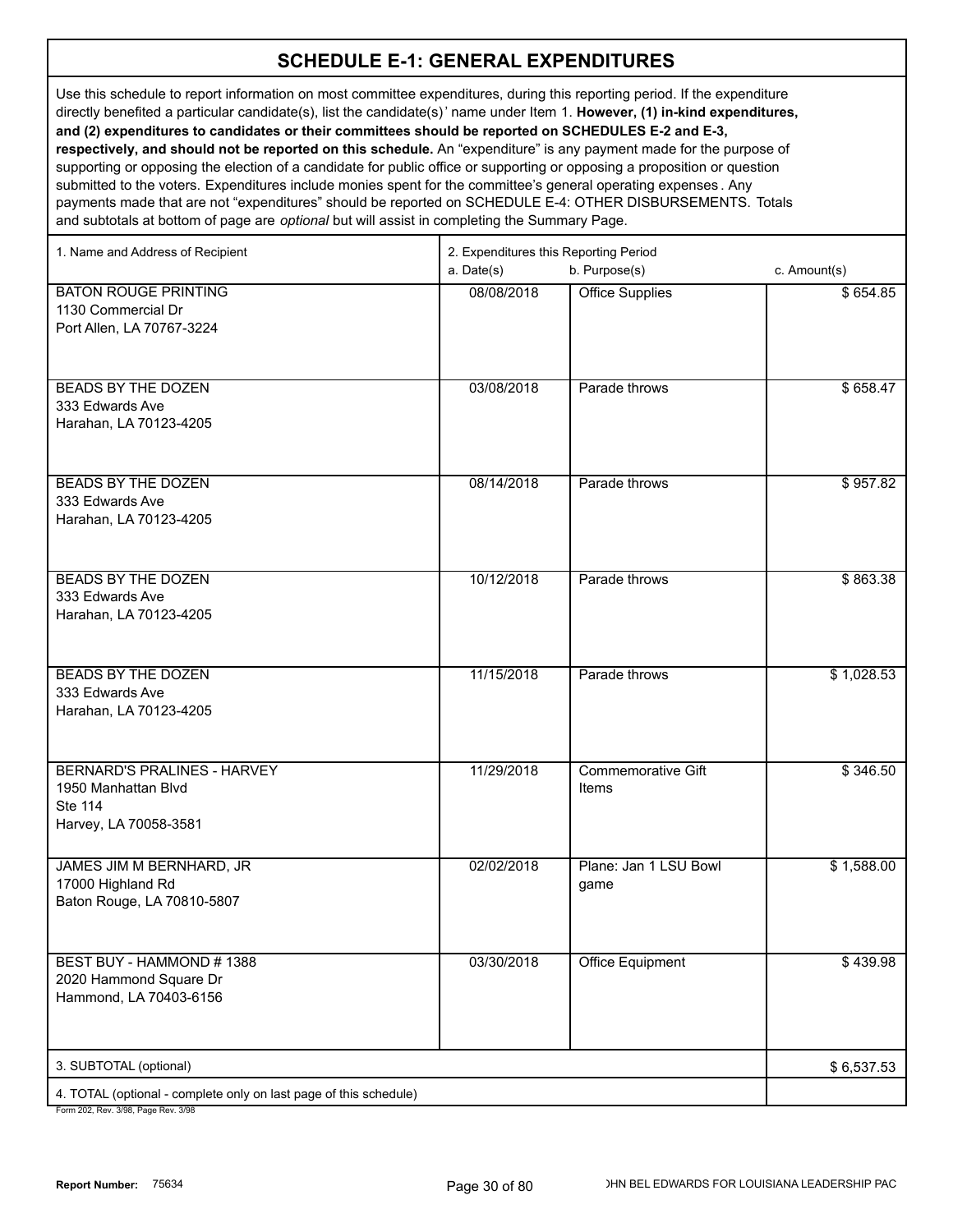Use this schedule to report information on most committee expenditures, during this reporting period. If the expenditure directly benefited a particular candidate(s), list the candidate(s)' name under Item 1. **However, (1) in-kind expenditures, and (2) expenditures to candidates or their committees should be reported on SCHEDULES E-2 and E-3, respectively, and should not be reported on this schedule.** An "expenditure" is any payment made for the purpose of supporting or opposing the election of a candidate for public office or supporting or opposing a proposition or question submitted to the voters. Expenditures include monies spent for the committee's general operating expenses . Any payments made that are not "expenditures" should be reported on SCHEDULE E-4: OTHER DISBURSEMENTS. Totals

and subtotals at bottom of page are *optional* but will assist in completing the Summary Page.

| 1. Name and Address of Recipient                                                              | 2. Expenditures this Reporting Period<br>b. Purpose(s)<br>a. Date(s)<br>c. Amount(s) |                                    |            |  |
|-----------------------------------------------------------------------------------------------|--------------------------------------------------------------------------------------|------------------------------------|------------|--|
| <b>BATON ROUGE PRINTING</b><br>1130 Commercial Dr<br>Port Allen, LA 70767-3224                | 08/08/2018                                                                           | <b>Office Supplies</b>             | \$654.85   |  |
| BEADS BY THE DOZEN<br>333 Edwards Ave<br>Harahan, LA 70123-4205                               | 03/08/2018                                                                           | Parade throws                      | \$658.47   |  |
| <b>BEADS BY THE DOZEN</b><br>333 Edwards Ave<br>Harahan, LA 70123-4205                        | 08/14/2018                                                                           | Parade throws                      | \$957.82   |  |
| <b>BEADS BY THE DOZEN</b><br>333 Edwards Ave<br>Harahan, LA 70123-4205                        | 10/12/2018                                                                           | Parade throws                      | \$863.38   |  |
| <b>BEADS BY THE DOZEN</b><br>333 Edwards Ave<br>Harahan, LA 70123-4205                        | 11/15/2018                                                                           | Parade throws                      | \$1,028.53 |  |
| <b>BERNARD'S PRALINES - HARVEY</b><br>1950 Manhattan Blvd<br>Ste 114<br>Harvey, LA 70058-3581 | 11/29/2018                                                                           | <b>Commemorative Gift</b><br>Items | \$346.50   |  |
| JAMES JIM M BERNHARD, JR<br>17000 Highland Rd<br>Baton Rouge, LA 70810-5807                   | 02/02/2018                                                                           | Plane: Jan 1 LSU Bowl<br>game      | \$1,588.00 |  |
| BEST BUY - HAMMOND #1388<br>2020 Hammond Square Dr<br>Hammond, LA 70403-6156                  | 03/30/2018                                                                           | <b>Office Equipment</b>            | \$439.98   |  |
| 3. SUBTOTAL (optional)                                                                        |                                                                                      |                                    | \$6,537.53 |  |
| 4. TOTAL (optional - complete only on last page of this schedule)                             |                                                                                      |                                    |            |  |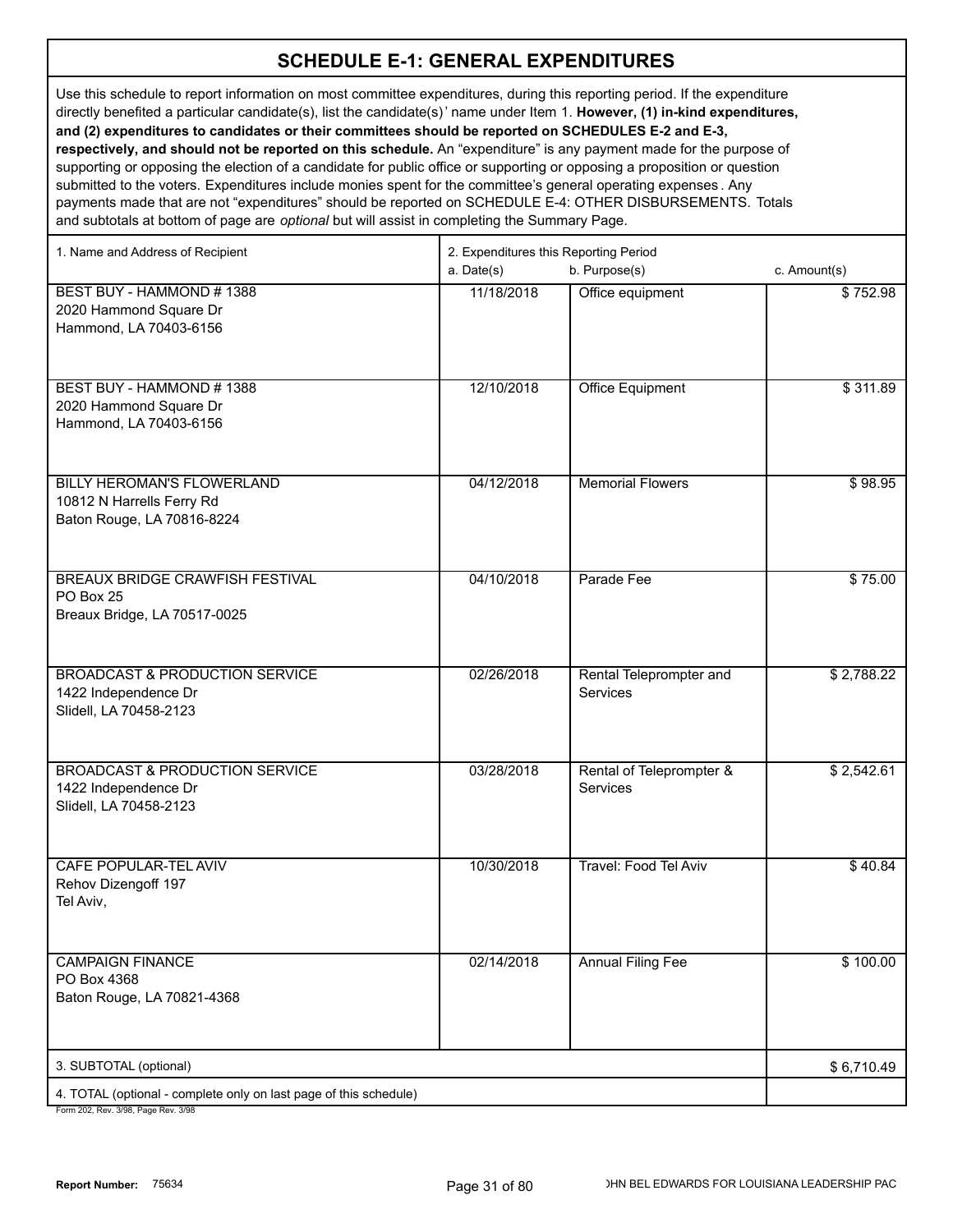Use this schedule to report information on most committee expenditures, during this reporting period. If the expenditure directly benefited a particular candidate(s), list the candidate(s)' name under Item 1. **However, (1) in-kind expenditures, and (2) expenditures to candidates or their committees should be reported on SCHEDULES E-2 and E-3,** 

**respectively, and should not be reported on this schedule.** An "expenditure" is any payment made for the purpose of supporting or opposing the election of a candidate for public office or supporting or opposing a proposition or question submitted to the voters. Expenditures include monies spent for the committee's general operating expenses . Any payments made that are not "expenditures" should be reported on SCHEDULE E-4: OTHER DISBURSEMENTS. Totals and subtotals at bottom of page are *optional* but will assist in completing the Summary Page.

| 1. Name and Address of Recipient                                                            | 2. Expenditures this Reporting Period |                                            |              |  |  |
|---------------------------------------------------------------------------------------------|---------------------------------------|--------------------------------------------|--------------|--|--|
|                                                                                             | a. Date(s)                            | b. Purpose(s)                              | c. Amount(s) |  |  |
| BEST BUY - HAMMOND # 1388<br>2020 Hammond Square Dr<br>Hammond, LA 70403-6156               | 11/18/2018                            | Office equipment                           | \$752.98     |  |  |
| BEST BUY - HAMMOND #1388<br>2020 Hammond Square Dr<br>Hammond, LA 70403-6156                | 12/10/2018                            | <b>Office Equipment</b>                    | \$311.89     |  |  |
| BILLY HEROMAN'S FLOWERLAND<br>10812 N Harrells Ferry Rd<br>Baton Rouge, LA 70816-8224       | 04/12/2018                            | <b>Memorial Flowers</b>                    | \$98.95      |  |  |
| <b>BREAUX BRIDGE CRAWFISH FESTIVAL</b><br>PO Box 25<br>Breaux Bridge, LA 70517-0025         | 04/10/2018                            | Parade Fee                                 | \$75.00      |  |  |
| <b>BROADCAST &amp; PRODUCTION SERVICE</b><br>1422 Independence Dr<br>Slidell, LA 70458-2123 | 02/26/2018                            | Rental Teleprompter and<br><b>Services</b> | \$2,788.22   |  |  |
| <b>BROADCAST &amp; PRODUCTION SERVICE</b><br>1422 Independence Dr<br>Slidell, LA 70458-2123 | 03/28/2018                            | Rental of Teleprompter &<br>Services       | \$2,542.61   |  |  |
| CAFE POPULAR-TEL AVIV<br>Rehov Dizengoff 197<br>Tel Aviv,                                   | 10/30/2018                            | Travel: Food Tel Aviv                      | \$40.84      |  |  |
| <b>CAMPAIGN FINANCE</b><br>PO Box 4368<br>Baton Rouge, LA 70821-4368                        | 02/14/2018                            | <b>Annual Filing Fee</b>                   | \$100.00     |  |  |
| 3. SUBTOTAL (optional)                                                                      |                                       |                                            | \$6,710.49   |  |  |
| 4. TOTAL (optional - complete only on last page of this schedule)                           |                                       |                                            |              |  |  |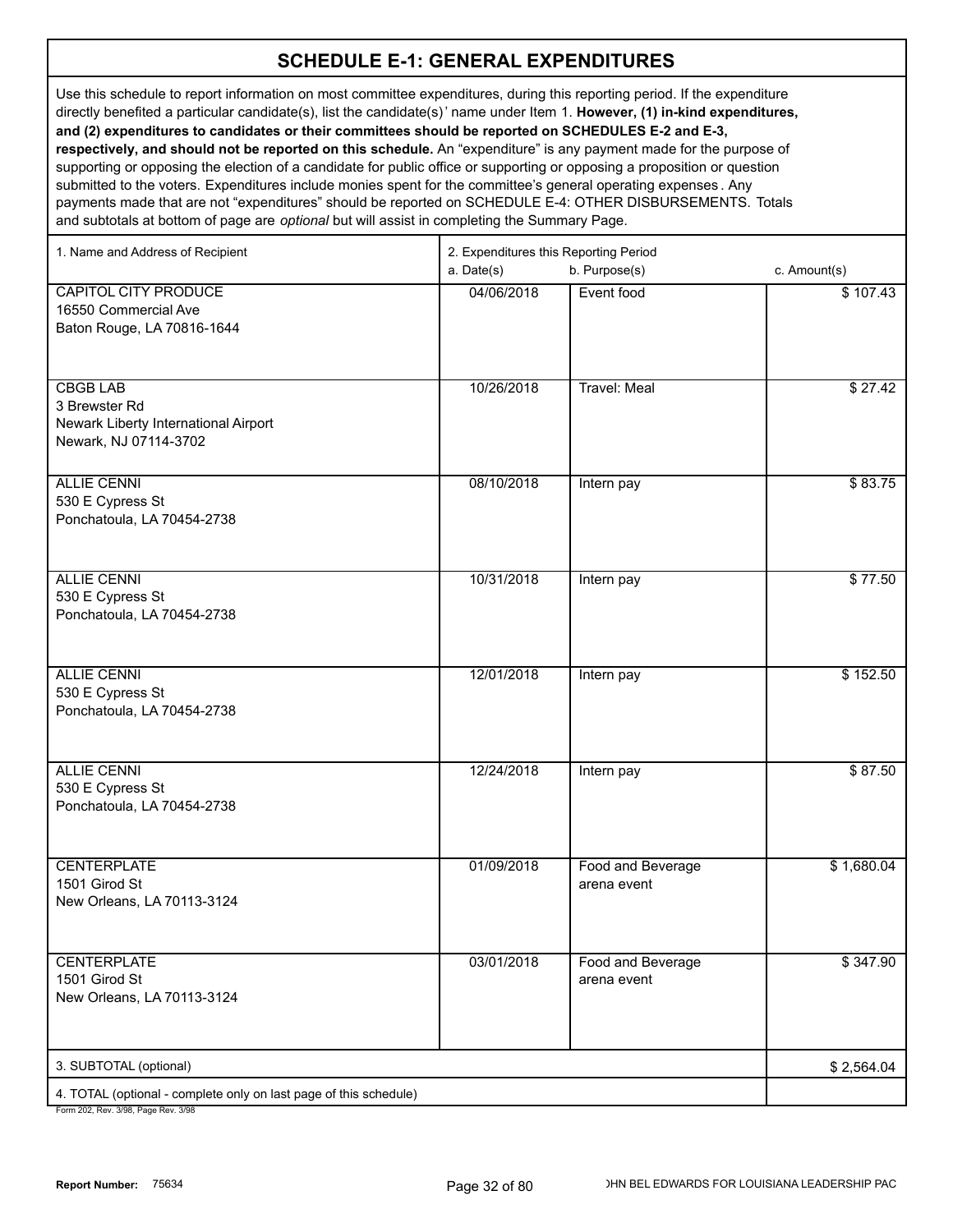Use this schedule to report information on most committee expenditures, during this reporting period. If the expenditure directly benefited a particular candidate(s), list the candidate(s)' name under Item 1. **However, (1) in-kind expenditures, and (2) expenditures to candidates or their committees should be reported on SCHEDULES E-2 and E-3, respectively, and should not be reported on this schedule.** An "expenditure" is any payment made for the purpose of supporting or opposing the election of a candidate for public office or supporting or opposing a proposition or question

submitted to the voters. Expenditures include monies spent for the committee's general operating expenses . Any payments made that are not "expenditures" should be reported on SCHEDULE E-4: OTHER DISBURSEMENTS. Totals and subtotals at bottom of page are *optional* but will assist in completing the Summary Page.

| 1. Name and Address of Recipient                                  | 2. Expenditures this Reporting Period |                     |              |  |
|-------------------------------------------------------------------|---------------------------------------|---------------------|--------------|--|
|                                                                   | a. Date(s)                            | b. Purpose(s)       | c. Amount(s) |  |
| <b>CAPITOL CITY PRODUCE</b>                                       | 04/06/2018                            | Event food          | \$107.43     |  |
| 16550 Commercial Ave                                              |                                       |                     |              |  |
| Baton Rouge, LA 70816-1644                                        |                                       |                     |              |  |
|                                                                   |                                       |                     |              |  |
|                                                                   |                                       |                     |              |  |
| <b>CBGB LAB</b>                                                   | 10/26/2018                            | <b>Travel: Meal</b> | \$27.42      |  |
| 3 Brewster Rd                                                     |                                       |                     |              |  |
| Newark Liberty International Airport<br>Newark, NJ 07114-3702     |                                       |                     |              |  |
|                                                                   |                                       |                     |              |  |
| <b>ALLIE CENNI</b>                                                | 08/10/2018                            | Intern pay          | \$83.75      |  |
| 530 E Cypress St                                                  |                                       |                     |              |  |
| Ponchatoula, LA 70454-2738                                        |                                       |                     |              |  |
|                                                                   |                                       |                     |              |  |
|                                                                   |                                       |                     |              |  |
| <b>ALLIE CENNI</b>                                                | 10/31/2018                            | Intern pay          | \$77.50      |  |
| 530 E Cypress St                                                  |                                       |                     |              |  |
| Ponchatoula, LA 70454-2738                                        |                                       |                     |              |  |
|                                                                   |                                       |                     |              |  |
| <b>ALLIE CENNI</b>                                                | 12/01/2018                            | Intern pay          | \$152.50     |  |
| 530 E Cypress St                                                  |                                       |                     |              |  |
| Ponchatoula, LA 70454-2738                                        |                                       |                     |              |  |
|                                                                   |                                       |                     |              |  |
|                                                                   |                                       |                     |              |  |
| <b>ALLIE CENNI</b>                                                | 12/24/2018                            | Intern pay          | \$87.50      |  |
| 530 E Cypress St                                                  |                                       |                     |              |  |
| Ponchatoula, LA 70454-2738                                        |                                       |                     |              |  |
|                                                                   |                                       |                     |              |  |
| <b>CENTERPLATE</b>                                                | 01/09/2018                            | Food and Beverage   | \$1,680.04   |  |
| 1501 Girod St                                                     |                                       | arena event         |              |  |
| New Orleans, LA 70113-3124                                        |                                       |                     |              |  |
|                                                                   |                                       |                     |              |  |
|                                                                   |                                       |                     |              |  |
| <b>CENTERPLATE</b><br>1501 Girod St                               | 03/01/2018                            | Food and Beverage   | \$347.90     |  |
| New Orleans, LA 70113-3124                                        |                                       | arena event         |              |  |
|                                                                   |                                       |                     |              |  |
|                                                                   |                                       |                     |              |  |
| 3. SUBTOTAL (optional)                                            |                                       |                     | \$2,564.04   |  |
| 4. TOTAL (optional - complete only on last page of this schedule) |                                       |                     |              |  |
| 202 Bay 2/08 Bags Bay 2/08                                        |                                       |                     |              |  |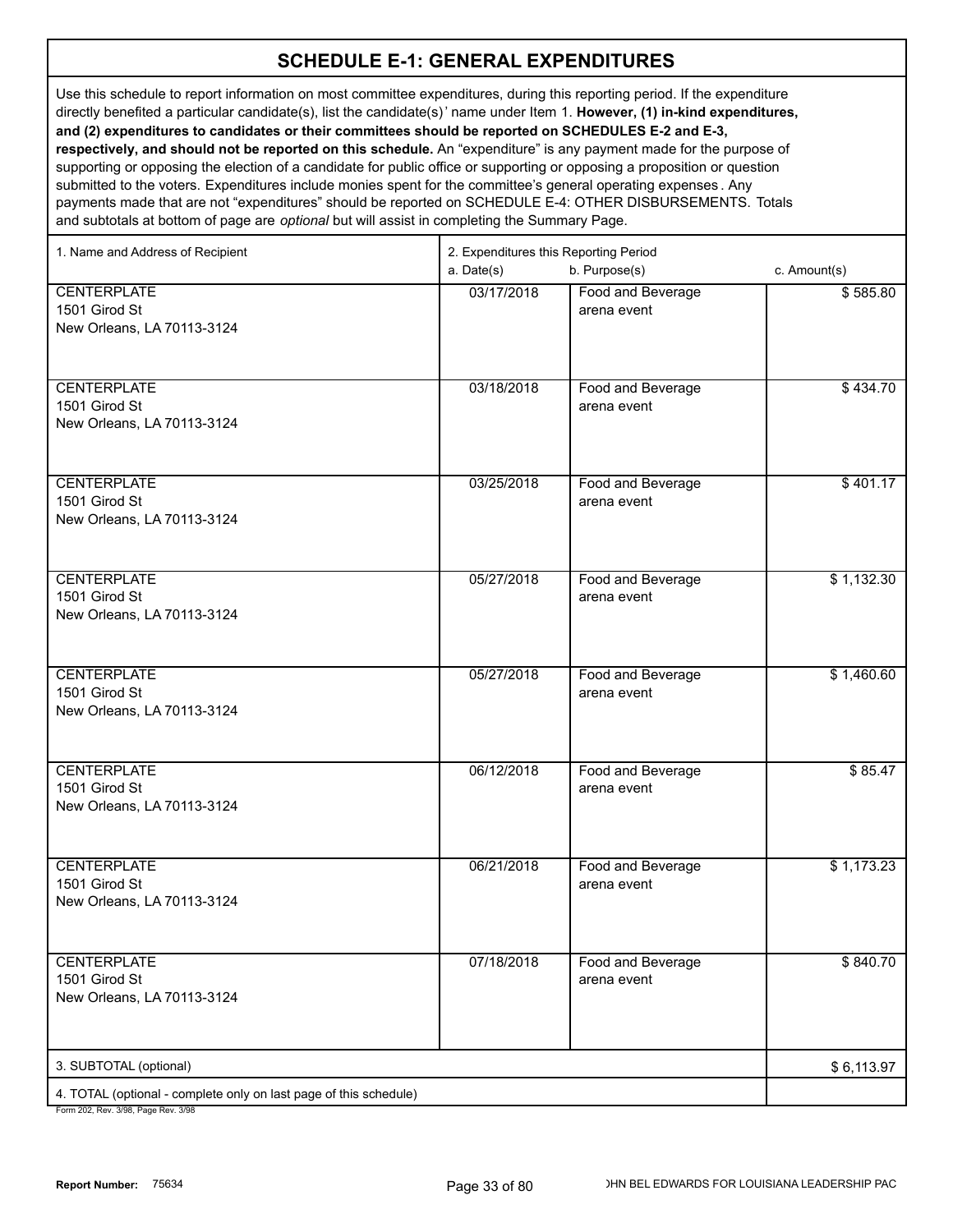Use this schedule to report information on most committee expenditures, during this reporting period. If the expenditure directly benefited a particular candidate(s), list the candidate(s)' name under Item 1. **However, (1) in-kind expenditures, and (2) expenditures to candidates or their committees should be reported on SCHEDULES E-2 and E-3, respectively, and should not be reported on this schedule.** An "expenditure" is any payment made for the purpose of supporting or opposing the election of a candidate for public office or supporting or opposing a proposition or question submitted to the voters. Expenditures include monies spent for the committee's general operating expenses . Any payments made that are not "expenditures" should be reported on SCHEDULE E-4: OTHER DISBURSEMENTS. Totals and subtotals at bottom of page are *optional* but will assist in completing the Summary Page.

| 1. Name and Address of Recipient                                                                         | 2. Expenditures this Reporting Period<br>a. Date(s) | c. Amount(s)                                      |            |
|----------------------------------------------------------------------------------------------------------|-----------------------------------------------------|---------------------------------------------------|------------|
| <b>CENTERPLATE</b><br>1501 Girod St<br>New Orleans, LA 70113-3124                                        | 03/17/2018                                          | b. Purpose(s)<br>Food and Beverage<br>arena event | \$585.80   |
| <b>CENTERPLATE</b><br>1501 Girod St<br>New Orleans, LA 70113-3124                                        | 03/18/2018                                          | Food and Beverage<br>arena event                  | \$434.70   |
| <b>CENTERPLATE</b><br>1501 Girod St<br>New Orleans, LA 70113-3124                                        | 03/25/2018                                          | Food and Beverage<br>arena event                  | \$401.17   |
| <b>CENTERPLATE</b><br>1501 Girod St<br>New Orleans, LA 70113-3124                                        | 05/27/2018                                          | Food and Beverage<br>arena event                  | \$1,132.30 |
| <b>CENTERPLATE</b><br>1501 Girod St<br>New Orleans, LA 70113-3124                                        | 05/27/2018                                          | Food and Beverage<br>arena event                  | \$1,460.60 |
| <b>CENTERPLATE</b><br>1501 Girod St<br>New Orleans, LA 70113-3124                                        | 06/12/2018                                          | Food and Beverage<br>arena event                  | \$85.47    |
| <b>CENTERPLATE</b><br>1501 Girod St<br>New Orleans, LA 70113-3124                                        | 06/21/2018                                          | Food and Beverage<br>arena event                  | \$1,173.23 |
| <b>CENTERPLATE</b><br>1501 Girod St<br>New Orleans, LA 70113-3124                                        | 07/18/2018                                          | Food and Beverage<br>arena event                  | \$840.70   |
| 3. SUBTOTAL (optional)                                                                                   |                                                     |                                                   | \$6,113.97 |
| 4. TOTAL (optional - complete only on last page of this schedule)<br>Form 202, Rev. 3/98. Page Rev. 3/98 |                                                     |                                                   |            |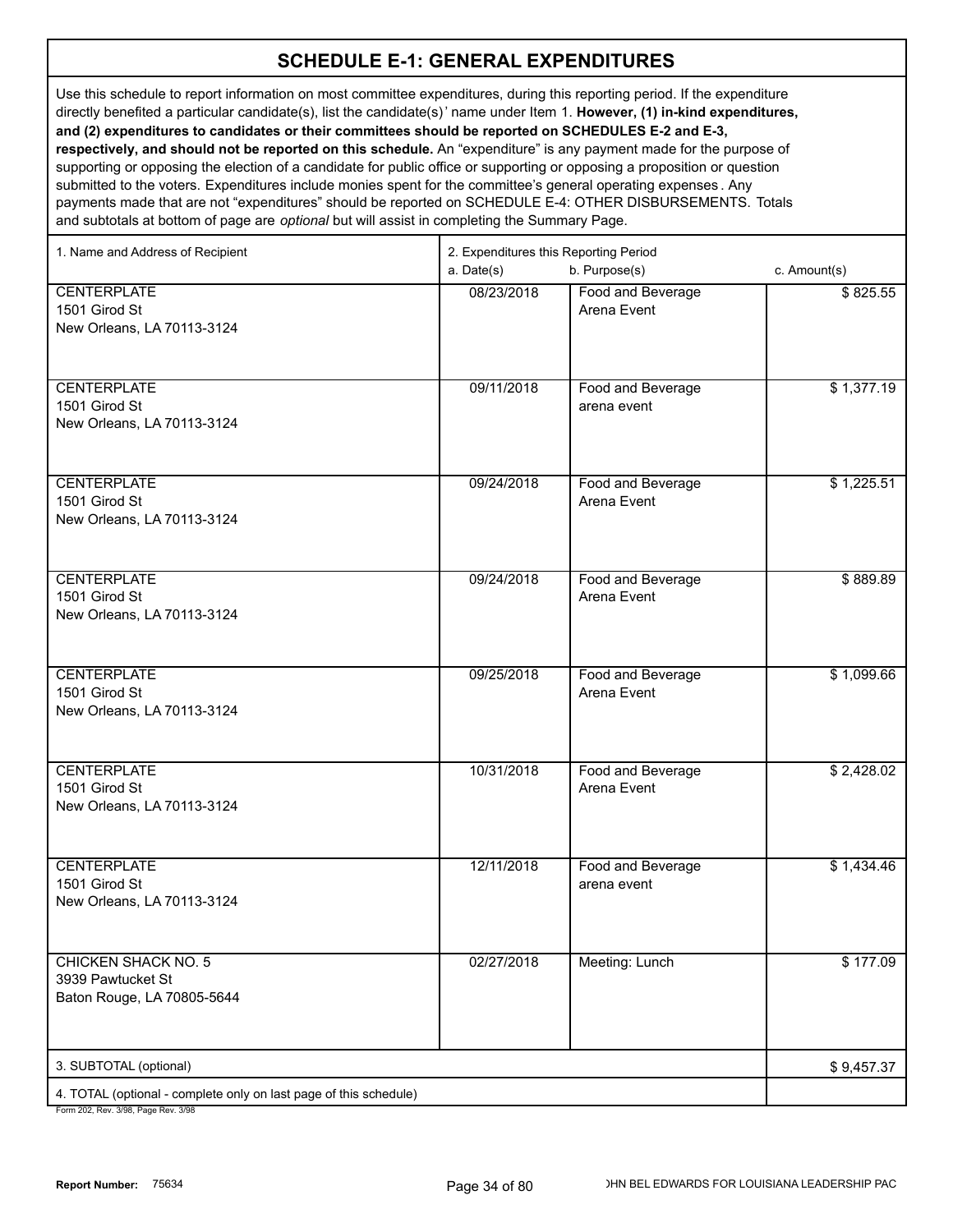Use this schedule to report information on most committee expenditures, during this reporting period. If the expenditure directly benefited a particular candidate(s), list the candidate(s)' name under Item 1. **However, (1) in-kind expenditures, and (2) expenditures to candidates or their committees should be reported on SCHEDULES E-2 and E-3, respectively, and should not be reported on this schedule.** An "expenditure" is any payment made for the purpose of supporting or opposing the election of a candidate for public office or supporting or opposing a proposition or question submitted to the voters. Expenditures include monies spent for the committee's general operating expenses . Any payments made that are not "expenditures" should be reported on SCHEDULE E-4: OTHER DISBURSEMENTS. Totals and subtotals at bottom of page are *optional* but will assist in completing the Summary Page.

| 1. Name and Address of Recipient                                                                     | 2. Expenditures this Reporting Period<br>a. Date(s)<br>b. Purpose(s)<br>c. Amount(s) |                                  |            |
|------------------------------------------------------------------------------------------------------|--------------------------------------------------------------------------------------|----------------------------------|------------|
| <b>CENTERPLATE</b><br>1501 Girod St<br>New Orleans, LA 70113-3124                                    | 08/23/2018                                                                           | Food and Beverage<br>Arena Event | \$825.55   |
| <b>CENTERPLATE</b><br>1501 Girod St<br>New Orleans, LA 70113-3124                                    | 09/11/2018                                                                           | Food and Beverage<br>arena event | \$1,377.19 |
| <b>CENTERPLATE</b><br>1501 Girod St<br>New Orleans, LA 70113-3124                                    | 09/24/2018                                                                           | Food and Beverage<br>Arena Event | \$1,225.51 |
| <b>CENTERPLATE</b><br>1501 Girod St<br>New Orleans, LA 70113-3124                                    | 09/24/2018                                                                           | Food and Beverage<br>Arena Event | \$889.89   |
| <b>CENTERPLATE</b><br>1501 Girod St<br>New Orleans, LA 70113-3124                                    | 09/25/2018                                                                           | Food and Beverage<br>Arena Event | \$1,099.66 |
| <b>CENTERPLATE</b><br>1501 Girod St<br>New Orleans, LA 70113-3124                                    | 10/31/2018                                                                           | Food and Beverage<br>Arena Event | \$2,428.02 |
| <b>CENTERPLATE</b><br>1501 Girod St<br>New Orleans, LA 70113-3124                                    | 12/11/2018                                                                           | Food and Beverage<br>arena event | \$1,434.46 |
| <b>CHICKEN SHACK NO. 5</b><br>3939 Pawtucket St<br>Baton Rouge, LA 70805-5644                        | 02/27/2018                                                                           | Meeting: Lunch                   | \$177.09   |
| 3. SUBTOTAL (optional)                                                                               |                                                                                      |                                  | \$9,457.37 |
| 4. TOTAL (optional - complete only on last page of this schedule)<br>Form 202 Rev 3/98 Page Rev 3/98 |                                                                                      |                                  |            |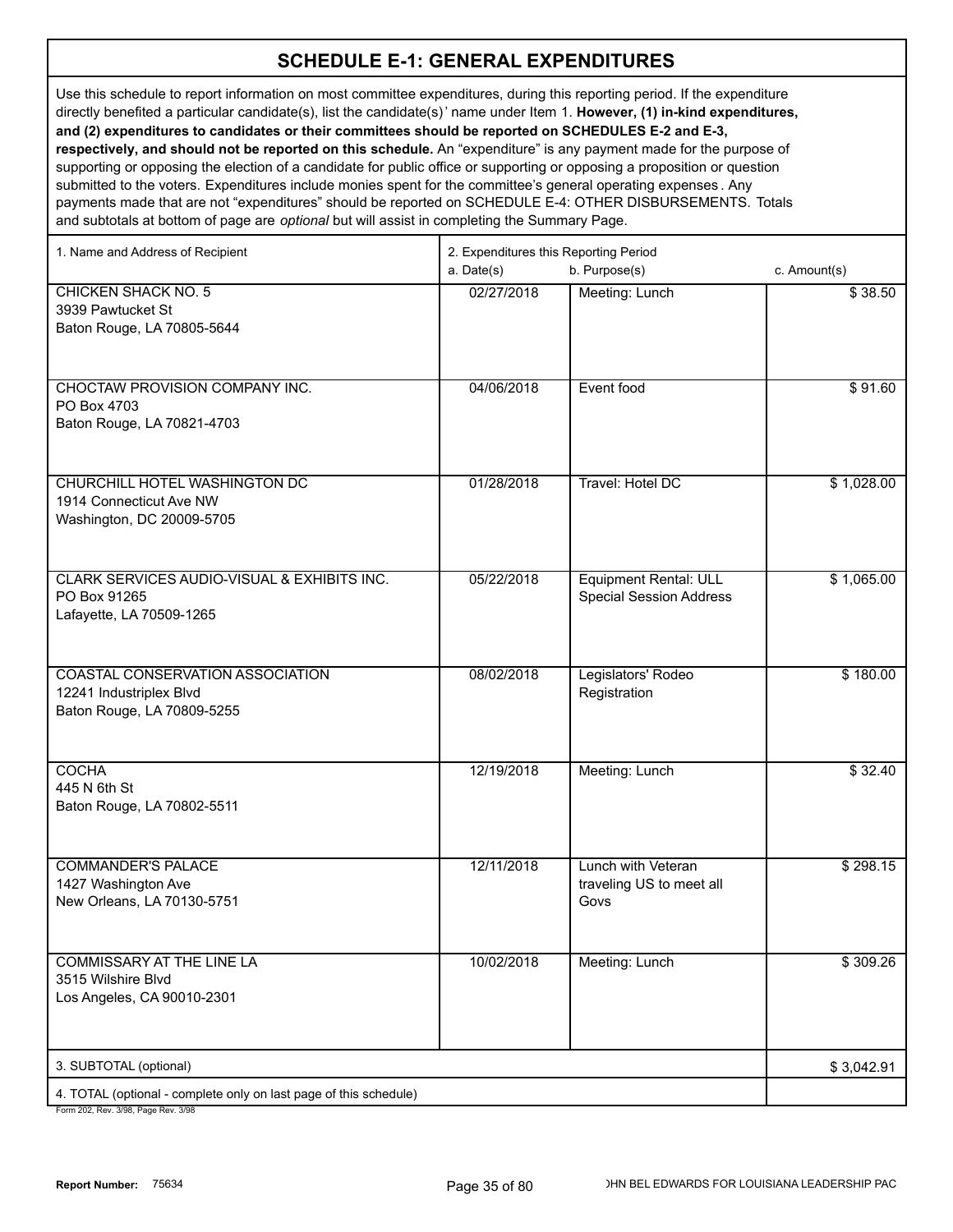Use this schedule to report information on most committee expenditures, during this reporting period. If the expenditure directly benefited a particular candidate(s), list the candidate(s)' name under Item 1. **However, (1) in-kind expenditures, and (2) expenditures to candidates or their committees should be reported on SCHEDULES E-2 and E-3, respectively, and should not be reported on this schedule.** An "expenditure" is any payment made for the purpose of supporting or opposing the election of a candidate for public office or supporting or opposing a proposition or question

submitted to the voters. Expenditures include monies spent for the committee's general operating expenses . Any payments made that are not "expenditures" should be reported on SCHEDULE E-4: OTHER DISBURSEMENTS. Totals and subtotals at bottom of page are *optional* but will assist in completing the Summary Page.

| 1. Name and Address of Recipient                                  | 2. Expenditures this Reporting Period |                                |              |  |
|-------------------------------------------------------------------|---------------------------------------|--------------------------------|--------------|--|
|                                                                   | a. Date(s)                            | b. Purpose(s)                  | c. Amount(s) |  |
| <b>CHICKEN SHACK NO. 5</b>                                        | 02/27/2018                            | Meeting: Lunch                 | \$38.50      |  |
| 3939 Pawtucket St                                                 |                                       |                                |              |  |
| Baton Rouge, LA 70805-5644                                        |                                       |                                |              |  |
|                                                                   |                                       |                                |              |  |
|                                                                   |                                       |                                |              |  |
| CHOCTAW PROVISION COMPANY INC.<br>PO Box 4703                     | 04/06/2018                            | Event food                     | \$91.60      |  |
| Baton Rouge, LA 70821-4703                                        |                                       |                                |              |  |
|                                                                   |                                       |                                |              |  |
|                                                                   |                                       |                                |              |  |
| CHURCHILL HOTEL WASHINGTON DC                                     | 01/28/2018                            | Travel: Hotel DC               | \$1,028.00   |  |
| 1914 Connecticut Ave NW                                           |                                       |                                |              |  |
| Washington, DC 20009-5705                                         |                                       |                                |              |  |
|                                                                   |                                       |                                |              |  |
|                                                                   |                                       |                                |              |  |
| CLARK SERVICES AUDIO-VISUAL & EXHIBITS INC.                       | 05/22/2018                            | <b>Equipment Rental: ULL</b>   | \$1,065.00   |  |
| PO Box 91265<br>Lafayette, LA 70509-1265                          |                                       | <b>Special Session Address</b> |              |  |
|                                                                   |                                       |                                |              |  |
|                                                                   |                                       |                                |              |  |
| COASTAL CONSERVATION ASSOCIATION                                  | 08/02/2018                            | Legislators' Rodeo             | \$180.00     |  |
| 12241 Industriplex Blvd                                           |                                       | Registration                   |              |  |
| Baton Rouge, LA 70809-5255                                        |                                       |                                |              |  |
|                                                                   |                                       |                                |              |  |
|                                                                   |                                       |                                |              |  |
| <b>COCHA</b>                                                      | 12/19/2018                            | Meeting: Lunch                 | \$32.40      |  |
| 445 N 6th St<br>Baton Rouge, LA 70802-5511                        |                                       |                                |              |  |
|                                                                   |                                       |                                |              |  |
|                                                                   |                                       |                                |              |  |
| <b>COMMANDER'S PALACE</b>                                         | 12/11/2018                            | Lunch with Veteran             | \$298.15     |  |
| 1427 Washington Ave                                               |                                       | traveling US to meet all       |              |  |
| New Orleans, LA 70130-5751                                        |                                       | Govs                           |              |  |
|                                                                   |                                       |                                |              |  |
|                                                                   |                                       |                                | \$309.26     |  |
| <b>COMMISSARY AT THE LINE LA</b><br>3515 Wilshire Blvd            | 10/02/2018                            | Meeting: Lunch                 |              |  |
| Los Angeles, CA 90010-2301                                        |                                       |                                |              |  |
|                                                                   |                                       |                                |              |  |
|                                                                   |                                       |                                |              |  |
| 3. SUBTOTAL (optional)                                            |                                       |                                | \$3,042.91   |  |
| 4. TOTAL (optional - complete only on last page of this schedule) |                                       |                                |              |  |
|                                                                   |                                       |                                |              |  |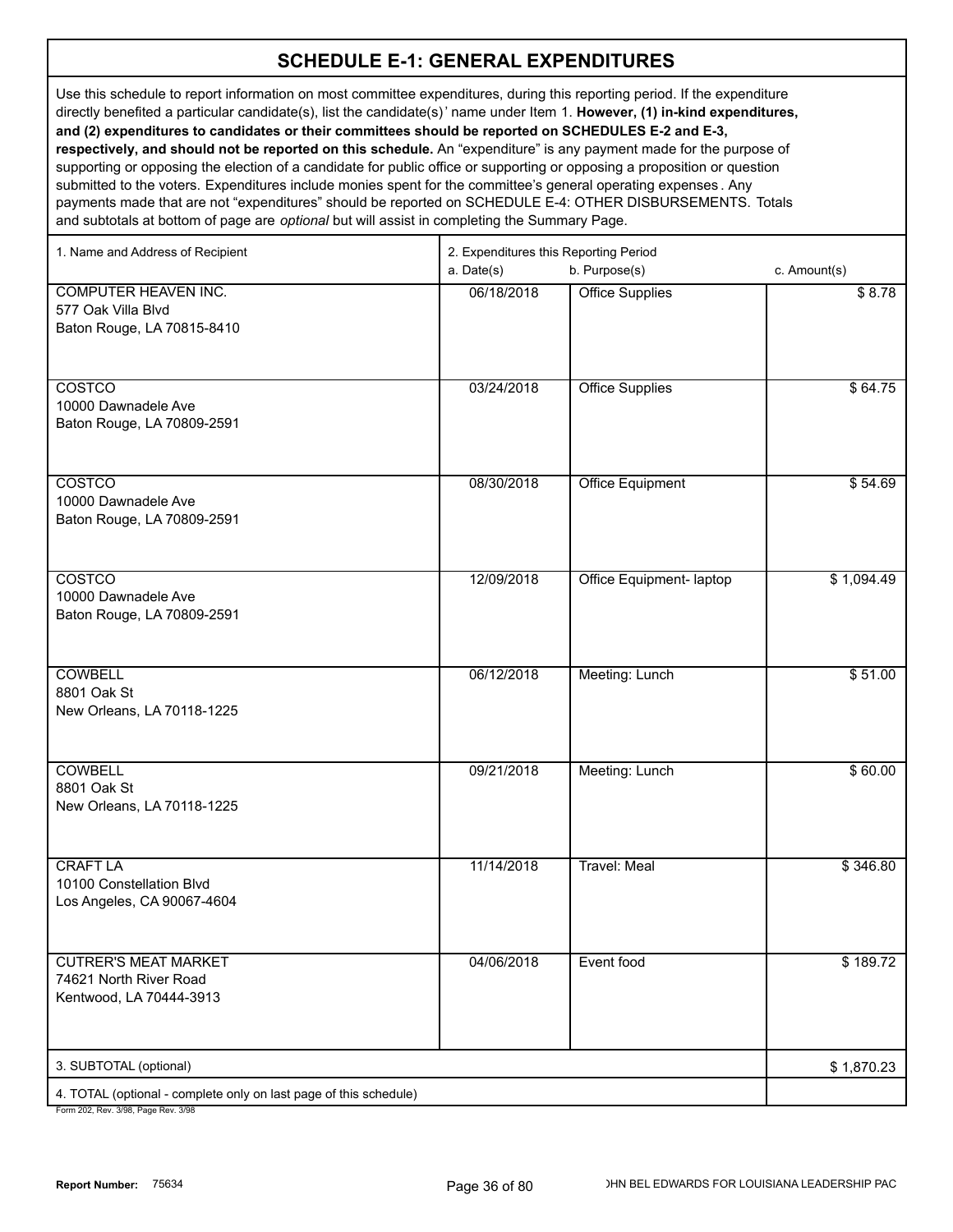Use this schedule to report information on most committee expenditures, during this reporting period. If the expenditure directly benefited a particular candidate(s), list the candidate(s)' name under Item 1. **However, (1) in-kind expenditures, and (2) expenditures to candidates or their committees should be reported on SCHEDULES E-2 and E-3, respectively, and should not be reported on this schedule.** An "expenditure" is any payment made for the purpose of supporting or opposing the election of a candidate for public office or supporting or opposing a proposition or question submitted to the voters. Expenditures include monies spent for the committee's general operating expenses . Any

payments made that are not "expenditures" should be reported on SCHEDULE E-4: OTHER DISBURSEMENTS. Totals and subtotals at bottom of page are *optional* but will assist in completing the Summary Page.

| 1. Name and Address of Recipient                                  | 2. Expenditures this Reporting Period |                          |                  |  |
|-------------------------------------------------------------------|---------------------------------------|--------------------------|------------------|--|
|                                                                   | a. Date(s)                            | b. Purpose(s)            | c. Amount(s)     |  |
| <b>COMPUTER HEAVEN INC.</b>                                       | 06/18/2018                            | <b>Office Supplies</b>   | \$8.78           |  |
| 577 Oak Villa Blvd                                                |                                       |                          |                  |  |
| Baton Rouge, LA 70815-8410                                        |                                       |                          |                  |  |
|                                                                   |                                       |                          |                  |  |
|                                                                   |                                       |                          |                  |  |
| COSTCO                                                            | 03/24/2018                            | <b>Office Supplies</b>   | \$64.75          |  |
| 10000 Dawnadele Ave<br>Baton Rouge, LA 70809-2591                 |                                       |                          |                  |  |
|                                                                   |                                       |                          |                  |  |
|                                                                   |                                       |                          |                  |  |
| COSTCO                                                            | 08/30/2018                            | <b>Office Equipment</b>  | \$54.69          |  |
| 10000 Dawnadele Ave                                               |                                       |                          |                  |  |
| Baton Rouge, LA 70809-2591                                        |                                       |                          |                  |  |
|                                                                   |                                       |                          |                  |  |
|                                                                   |                                       |                          |                  |  |
| COSTCO                                                            | 12/09/2018                            | Office Equipment- laptop | \$1,094.49       |  |
| 10000 Dawnadele Ave<br>Baton Rouge, LA 70809-2591                 |                                       |                          |                  |  |
|                                                                   |                                       |                          |                  |  |
|                                                                   |                                       |                          |                  |  |
| <b>COWBELL</b>                                                    | 06/12/2018                            | Meeting: Lunch           | \$51.00          |  |
| 8801 Oak St                                                       |                                       |                          |                  |  |
| New Orleans, LA 70118-1225                                        |                                       |                          |                  |  |
|                                                                   |                                       |                          |                  |  |
|                                                                   |                                       |                          |                  |  |
| <b>COWBELL</b><br>8801 Oak St                                     | 09/21/2018                            | Meeting: Lunch           | \$60.00          |  |
| New Orleans, LA 70118-1225                                        |                                       |                          |                  |  |
|                                                                   |                                       |                          |                  |  |
|                                                                   |                                       |                          |                  |  |
| <b>CRAFT LA</b>                                                   | 11/14/2018                            | <b>Travel: Meal</b>      | \$346.80         |  |
| 10100 Constellation Blvd                                          |                                       |                          |                  |  |
| Los Angeles, CA 90067-4604                                        |                                       |                          |                  |  |
|                                                                   |                                       |                          |                  |  |
|                                                                   |                                       |                          |                  |  |
| <b>CUTRER'S MEAT MARKET</b><br>74621 North River Road             | 04/06/2018                            | Event food               | $\sqrt{$189.72}$ |  |
| Kentwood, LA 70444-3913                                           |                                       |                          |                  |  |
|                                                                   |                                       |                          |                  |  |
|                                                                   |                                       |                          |                  |  |
| 3. SUBTOTAL (optional)                                            |                                       |                          | \$1,870.23       |  |
| 4. TOTAL (optional - complete only on last page of this schedule) |                                       |                          |                  |  |
| Form 202 Rev. 3/08 Rane Rev. 3/08                                 |                                       |                          |                  |  |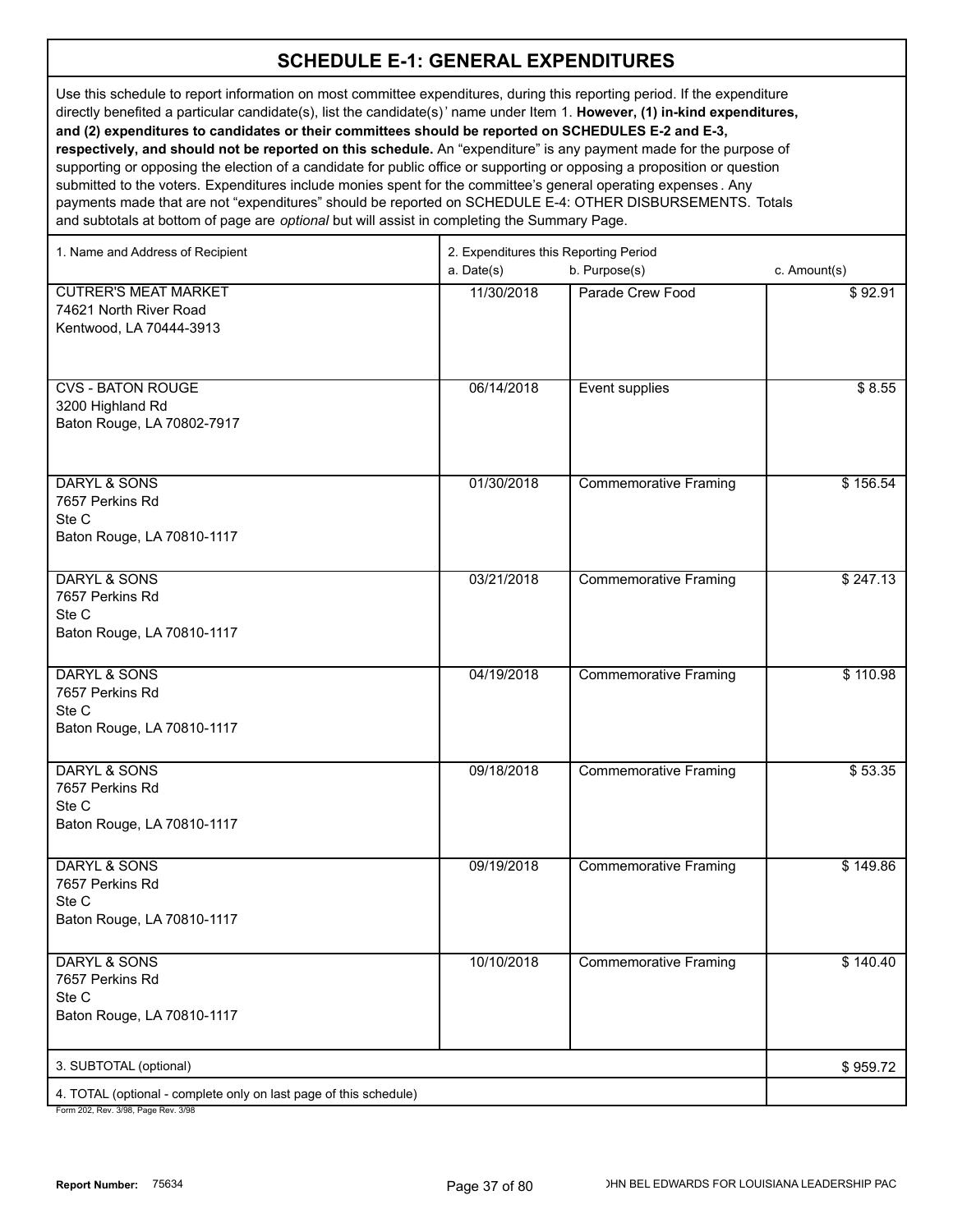Use this schedule to report information on most committee expenditures, during this reporting period. If the expenditure directly benefited a particular candidate(s), list the candidate(s)' name under Item 1. **However, (1) in-kind expenditures, and (2) expenditures to candidates or their committees should be reported on SCHEDULES E-2 and E-3, respectively, and should not be reported on this schedule.** An "expenditure" is any payment made for the purpose of supporting or opposing the election of a candidate for public office or supporting or opposing a proposition or question

submitted to the voters. Expenditures include monies spent for the committee's general operating expenses . Any payments made that are not "expenditures" should be reported on SCHEDULE E-4: OTHER DISBURSEMENTS. Totals and subtotals at bottom of page are *optional* but will assist in completing the Summary Page.

| 1. Name and Address of Recipient                                                  | 2. Expenditures this Reporting Period |                              |              |
|-----------------------------------------------------------------------------------|---------------------------------------|------------------------------|--------------|
|                                                                                   | a. Date(s)                            | b. Purpose(s)                | c. Amount(s) |
| <b>CUTRER'S MEAT MARKET</b><br>74621 North River Road<br>Kentwood, LA 70444-3913  | 11/30/2018                            | Parade Crew Food             | \$92.91      |
| <b>CVS - BATON ROUGE</b><br>3200 Highland Rd<br>Baton Rouge, LA 70802-7917        | 06/14/2018                            | Event supplies               | \$8.55       |
| <b>DARYL &amp; SONS</b><br>7657 Perkins Rd<br>Ste C<br>Baton Rouge, LA 70810-1117 | 01/30/2018                            | <b>Commemorative Framing</b> | \$156.54     |
| <b>DARYL &amp; SONS</b><br>7657 Perkins Rd<br>Ste C<br>Baton Rouge, LA 70810-1117 | 03/21/2018                            | <b>Commemorative Framing</b> | \$247.13     |
| <b>DARYL &amp; SONS</b><br>7657 Perkins Rd<br>Ste C<br>Baton Rouge, LA 70810-1117 | 04/19/2018                            | <b>Commemorative Framing</b> | \$110.98     |
| <b>DARYL &amp; SONS</b><br>7657 Perkins Rd<br>Ste C<br>Baton Rouge, LA 70810-1117 | 09/18/2018                            | <b>Commemorative Framing</b> | \$53.35      |
| <b>DARYL &amp; SONS</b><br>7657 Perkins Rd<br>Ste C<br>Baton Rouge, LA 70810-1117 | 09/19/2018                            | <b>Commemorative Framing</b> | \$149.86     |
| <b>DARYL &amp; SONS</b><br>7657 Perkins Rd<br>Ste C<br>Baton Rouge, LA 70810-1117 | 10/10/2018                            | <b>Commemorative Framing</b> | \$140.40     |
| 3. SUBTOTAL (optional)                                                            |                                       |                              | \$959.72     |
| 4. TOTAL (optional - complete only on last page of this schedule)                 |                                       |                              |              |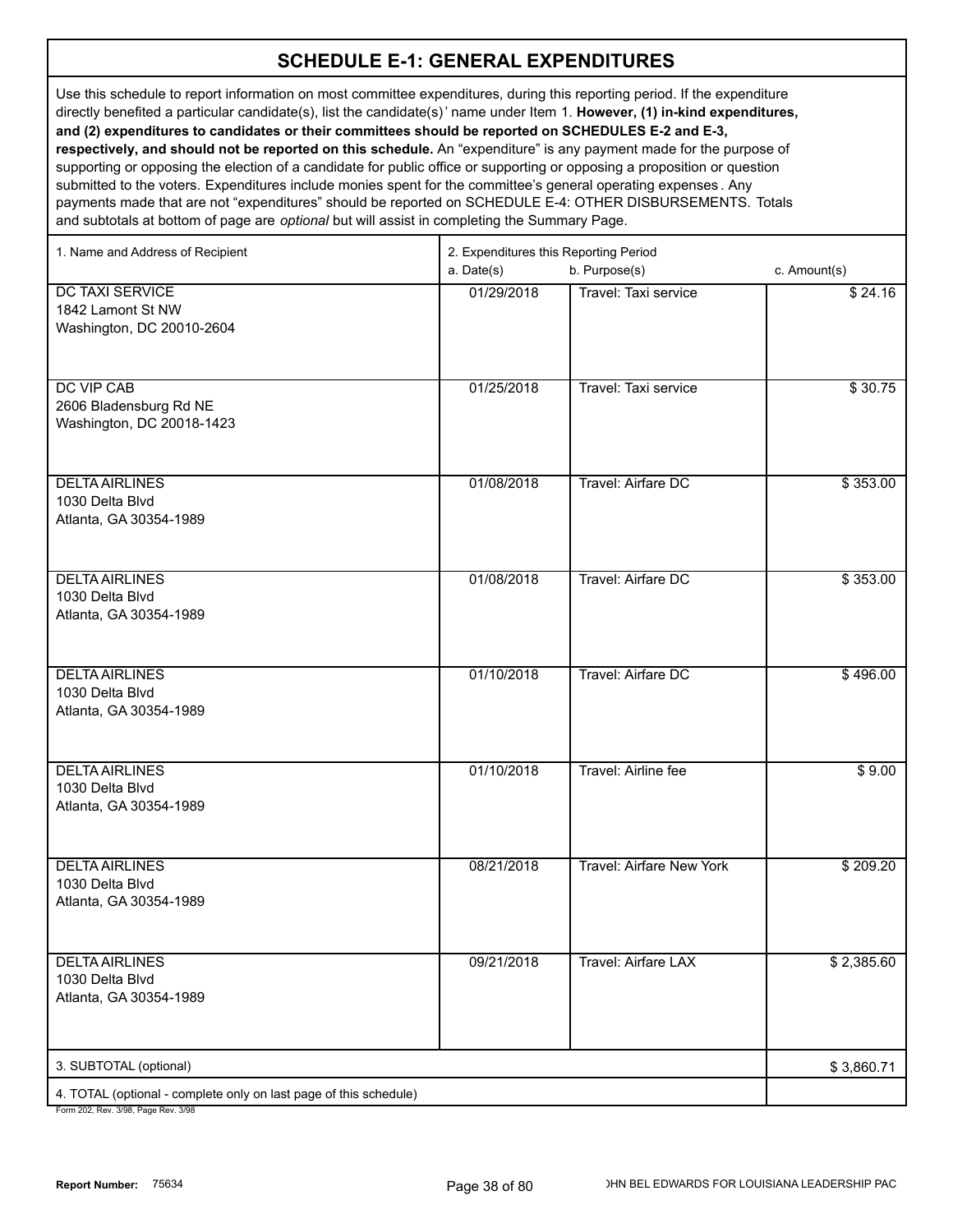Use this schedule to report information on most committee expenditures, during this reporting period. If the expenditure directly benefited a particular candidate(s), list the candidate(s)' name under Item 1. **However, (1) in-kind expenditures, and (2) expenditures to candidates or their committees should be reported on SCHEDULES E-2 and E-3, respectively, and should not be reported on this schedule.** An "expenditure" is any payment made for the purpose of supporting or opposing the election of a candidate for public office or supporting or opposing a proposition or question submitted to the voters. Expenditures include monies spent for the committee's general operating expenses . Any payments made that are not "expenditures" should be reported on SCHEDULE E-4: OTHER DISBURSEMENTS. Totals

and subtotals at bottom of page are *optional* but will assist in completing the Summary Page.

| 1. Name and Address of Recipient                                         | 2. Expenditures this Reporting Period |                            |              |
|--------------------------------------------------------------------------|---------------------------------------|----------------------------|--------------|
|                                                                          | a. Date(s)                            | b. Purpose(s)              | c. Amount(s) |
| <b>DC TAXI SERVICE</b><br>1842 Lamont St NW<br>Washington, DC 20010-2604 | 01/29/2018                            | Travel: Taxi service       | \$24.16      |
| <b>DC VIP CAB</b><br>2606 Bladensburg Rd NE<br>Washington, DC 20018-1423 | 01/25/2018                            | Travel: Taxi service       | \$30.75      |
| <b>DELTA AIRLINES</b><br>1030 Delta Blvd<br>Atlanta, GA 30354-1989       | 01/08/2018                            | Travel: Airfare DC         | \$353.00     |
| <b>DELTA AIRLINES</b><br>1030 Delta Blvd<br>Atlanta, GA 30354-1989       | 01/08/2018                            | Travel: Airfare DC         | \$353.00     |
| <b>DELTA AIRLINES</b><br>1030 Delta Blvd<br>Atlanta, GA 30354-1989       | 01/10/2018                            | Travel: Airfare DC         | \$496.00     |
| <b>DELTA AIRLINES</b><br>1030 Delta Blvd<br>Atlanta, GA 30354-1989       | 01/10/2018                            | Travel: Airline fee        | \$9.00       |
| <b>DELTA AIRLINES</b><br>1030 Delta Blvd<br>Atlanta, GA 30354-1989       | 08/21/2018                            | Travel: Airfare New York   | \$209.20     |
| <b>DELTA AIRLINES</b><br>1030 Delta Blvd<br>Atlanta, GA 30354-1989       | 09/21/2018                            | <b>Travel: Airfare LAX</b> | \$2,385.60   |
| 3. SUBTOTAL (optional)                                                   |                                       |                            | \$3,860.71   |
| 4. TOTAL (optional - complete only on last page of this schedule)        |                                       |                            |              |
| Form 202 Rev 3/98 Page Rev 3/98                                          |                                       |                            |              |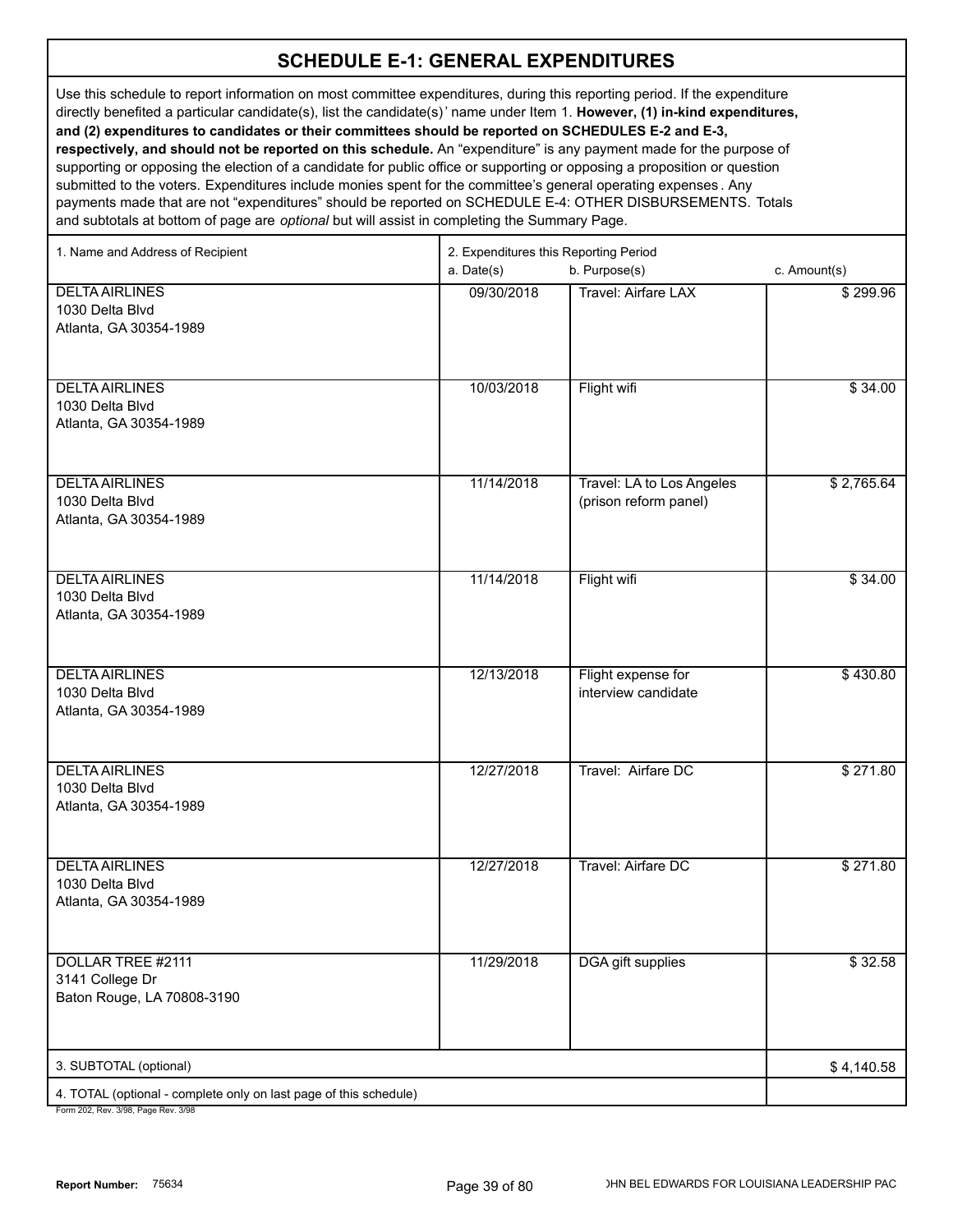Use this schedule to report information on most committee expenditures, during this reporting period. If the expenditure directly benefited a particular candidate(s), list the candidate(s)' name under Item 1. **However, (1) in-kind expenditures, and (2) expenditures to candidates or their committees should be reported on SCHEDULES E-2 and E-3, respectively, and should not be reported on this schedule.** An "expenditure" is any payment made for the purpose of supporting or opposing the election of a candidate for public office or supporting or opposing a proposition or question submitted to the voters. Expenditures include monies spent for the committee's general operating expenses . Any payments made that are not "expenditures" should be reported on SCHEDULE E-4: OTHER DISBURSEMENTS. Totals

and subtotals at bottom of page are *optional* but will assist in completing the Summary Page.

| 1. Name and Address of Recipient                                                                       | 2. Expenditures this Reporting Period |                            |              |
|--------------------------------------------------------------------------------------------------------|---------------------------------------|----------------------------|--------------|
|                                                                                                        | a. Date(s)                            | b. Purpose(s)              | c. Amount(s) |
| <b>DELTA AIRLINES</b>                                                                                  | 09/30/2018                            | <b>Travel: Airfare LAX</b> | \$299.96     |
| 1030 Delta Blvd                                                                                        |                                       |                            |              |
| Atlanta, GA 30354-1989                                                                                 |                                       |                            |              |
|                                                                                                        |                                       |                            |              |
| <b>DELTA AIRLINES</b>                                                                                  | 10/03/2018                            | Flight wifi                | \$34.00      |
| 1030 Delta Blvd                                                                                        |                                       |                            |              |
| Atlanta, GA 30354-1989                                                                                 |                                       |                            |              |
|                                                                                                        |                                       |                            |              |
| <b>DELTA AIRLINES</b>                                                                                  | 11/14/2018                            | Travel: LA to Los Angeles  | \$2,765.64   |
| 1030 Delta Blvd                                                                                        |                                       | (prison reform panel)      |              |
| Atlanta, GA 30354-1989                                                                                 |                                       |                            |              |
|                                                                                                        |                                       |                            |              |
|                                                                                                        |                                       |                            |              |
| <b>DELTA AIRLINES</b>                                                                                  | 11/14/2018                            | Flight wifi                | \$34.00      |
| 1030 Delta Blvd<br>Atlanta, GA 30354-1989                                                              |                                       |                            |              |
|                                                                                                        |                                       |                            |              |
|                                                                                                        |                                       |                            |              |
| <b>DELTA AIRLINES</b>                                                                                  | 12/13/2018                            | Flight expense for         | \$430.80     |
| 1030 Delta Blvd                                                                                        |                                       | interview candidate        |              |
| Atlanta, GA 30354-1989                                                                                 |                                       |                            |              |
|                                                                                                        |                                       |                            |              |
| <b>DELTA AIRLINES</b>                                                                                  | 12/27/2018                            | Travel: Airfare DC         | \$271.80     |
| 1030 Delta Blvd                                                                                        |                                       |                            |              |
| Atlanta, GA 30354-1989                                                                                 |                                       |                            |              |
|                                                                                                        |                                       |                            |              |
| <b>DELTA AIRLINES</b>                                                                                  | 12/27/2018                            | Travel: Airfare DC         | \$271.80     |
| 1030 Delta Blvd                                                                                        |                                       |                            |              |
| Atlanta, GA 30354-1989                                                                                 |                                       |                            |              |
|                                                                                                        |                                       |                            |              |
| <b>DOLLAR TREE #2111</b>                                                                               | 11/29/2018                            | <b>DGA</b> gift supplies   | \$32.58      |
| 3141 College Dr                                                                                        |                                       |                            |              |
| Baton Rouge, LA 70808-3190                                                                             |                                       |                            |              |
|                                                                                                        |                                       |                            |              |
|                                                                                                        |                                       |                            |              |
| 3. SUBTOTAL (optional)                                                                                 |                                       |                            | \$4,140.58   |
| 4. TOTAL (optional - complete only on last page of this schedule)<br>Form 202 Rev. 3/08 Page Rev. 3/08 |                                       |                            |              |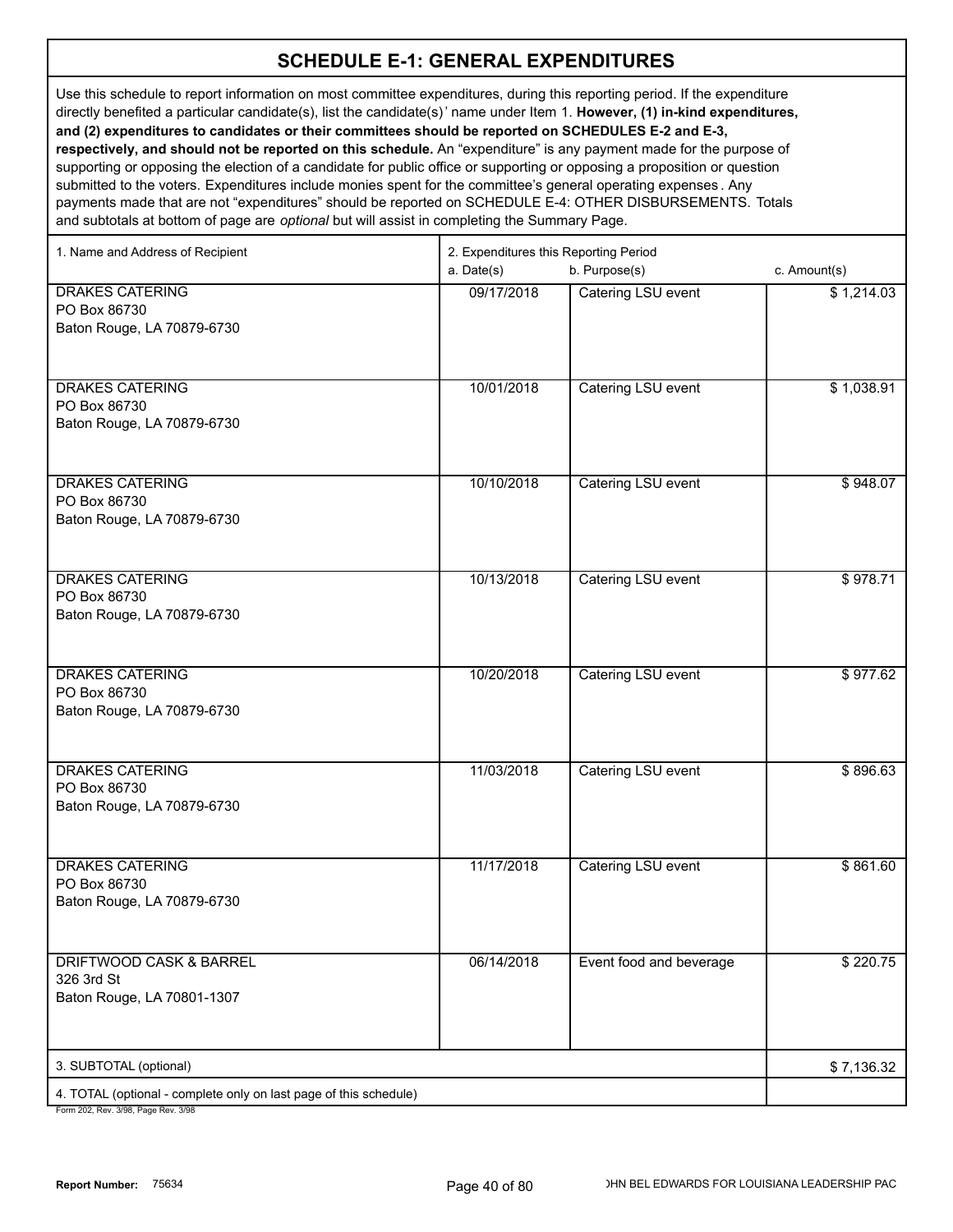Use this schedule to report information on most committee expenditures, during this reporting period. If the expenditure directly benefited a particular candidate(s), list the candidate(s)' name under Item 1. **However, (1) in-kind expenditures, and (2) expenditures to candidates or their committees should be reported on SCHEDULES E-2 and E-3, respectively, and should not be reported on this schedule.** An "expenditure" is any payment made for the purpose of supporting or opposing the election of a candidate for public office or supporting or opposing a proposition or question submitted to the voters. Expenditures include monies spent for the committee's general operating expenses . Any

payments made that are not "expenditures" should be reported on SCHEDULE E-4: OTHER DISBURSEMENTS. Totals and subtotals at bottom of page are *optional* but will assist in completing the Summary Page.

| 1. Name and Address of Recipient                                  | 2. Expenditures this Reporting Period |                         |              |
|-------------------------------------------------------------------|---------------------------------------|-------------------------|--------------|
|                                                                   | a. Date(s)                            | b. Purpose(s)           | c. Amount(s) |
| <b>DRAKES CATERING</b>                                            | 09/17/2018                            | Catering LSU event      | \$1,214.03   |
| PO Box 86730                                                      |                                       |                         |              |
| Baton Rouge, LA 70879-6730                                        |                                       |                         |              |
|                                                                   |                                       |                         |              |
|                                                                   |                                       |                         |              |
| <b>DRAKES CATERING</b>                                            | 10/01/2018                            | Catering LSU event      | \$1,038.91   |
| PO Box 86730                                                      |                                       |                         |              |
| Baton Rouge, LA 70879-6730                                        |                                       |                         |              |
|                                                                   |                                       |                         |              |
|                                                                   |                                       |                         |              |
| <b>DRAKES CATERING</b>                                            | 10/10/2018                            | Catering LSU event      | \$948.07     |
| PO Box 86730                                                      |                                       |                         |              |
| Baton Rouge, LA 70879-6730                                        |                                       |                         |              |
|                                                                   |                                       |                         |              |
|                                                                   |                                       |                         |              |
| <b>DRAKES CATERING</b>                                            | 10/13/2018                            | Catering LSU event      | \$978.71     |
| PO Box 86730                                                      |                                       |                         |              |
| Baton Rouge, LA 70879-6730                                        |                                       |                         |              |
|                                                                   |                                       |                         |              |
|                                                                   |                                       |                         |              |
| <b>DRAKES CATERING</b><br>PO Box 86730                            | 10/20/2018                            | Catering LSU event      | \$977.62     |
| Baton Rouge, LA 70879-6730                                        |                                       |                         |              |
|                                                                   |                                       |                         |              |
|                                                                   |                                       |                         |              |
| <b>DRAKES CATERING</b>                                            | 11/03/2018                            | Catering LSU event      | \$896.63     |
| PO Box 86730                                                      |                                       |                         |              |
| Baton Rouge, LA 70879-6730                                        |                                       |                         |              |
|                                                                   |                                       |                         |              |
|                                                                   |                                       |                         |              |
| <b>DRAKES CATERING</b>                                            | 11/17/2018                            | Catering LSU event      | \$861.60     |
| PO Box 86730                                                      |                                       |                         |              |
| Baton Rouge, LA 70879-6730                                        |                                       |                         |              |
|                                                                   |                                       |                         |              |
|                                                                   |                                       |                         |              |
| <b>DRIFTWOOD CASK &amp; BARREL</b>                                | 06/14/2018                            | Event food and beverage | \$220.75     |
| 326 3rd St                                                        |                                       |                         |              |
| Baton Rouge, LA 70801-1307                                        |                                       |                         |              |
|                                                                   |                                       |                         |              |
|                                                                   |                                       |                         |              |
| 3. SUBTOTAL (optional)                                            |                                       |                         | \$7,136.32   |
| 4. TOTAL (optional - complete only on last page of this schedule) |                                       |                         |              |
|                                                                   |                                       |                         |              |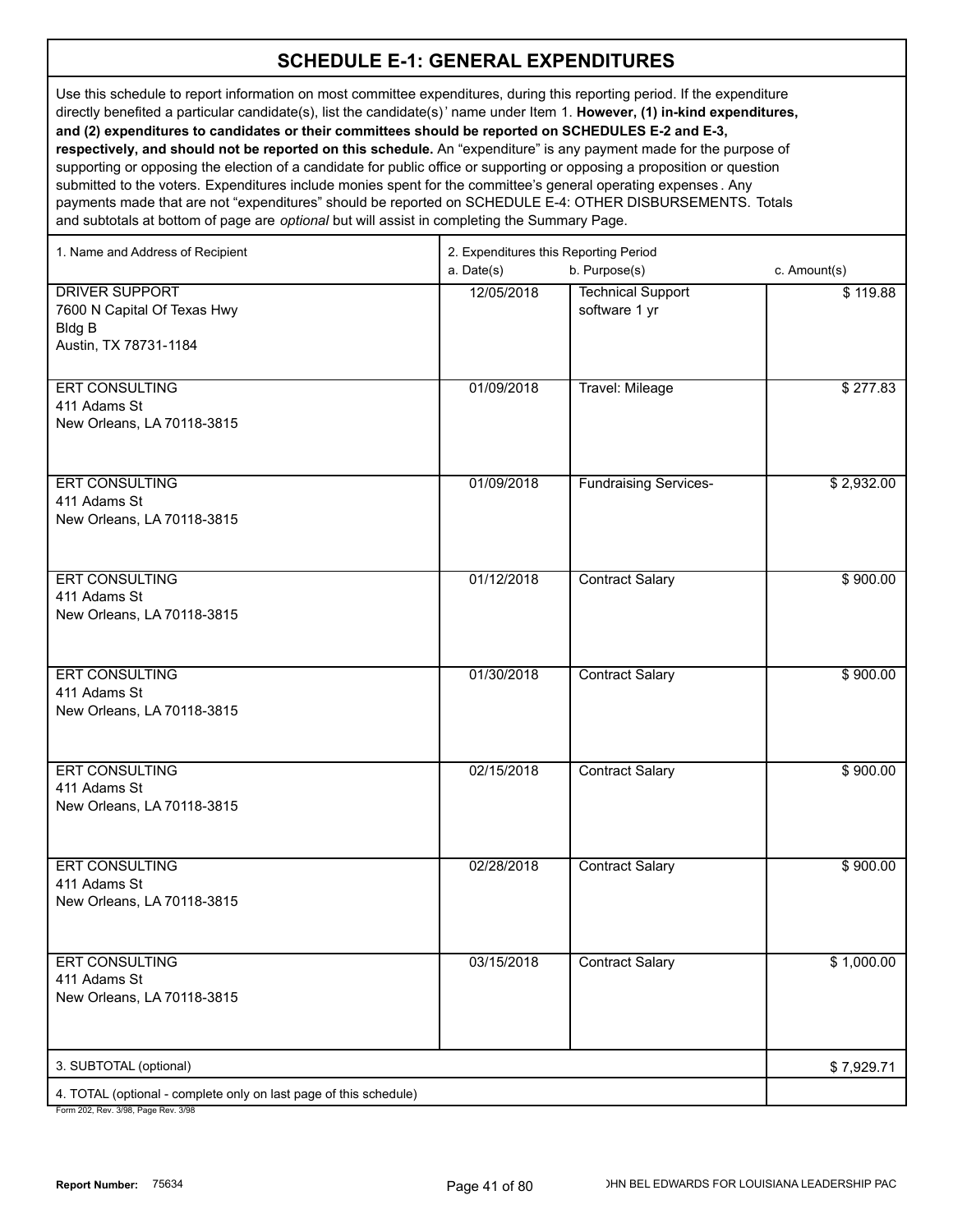Use this schedule to report information on most committee expenditures, during this reporting period. If the expenditure directly benefited a particular candidate(s), list the candidate(s)' name under Item 1. **However, (1) in-kind expenditures, and (2) expenditures to candidates or their committees should be reported on SCHEDULES E-2 and E-3, respectively, and should not be reported on this schedule.** An "expenditure" is any payment made for the purpose of supporting or opposing the election of a candidate for public office or supporting or opposing a proposition or question submitted to the voters. Expenditures include monies spent for the committee's general operating expenses . Any payments made that are not "expenditures" should be reported on SCHEDULE E-4: OTHER DISBURSEMENTS. Totals and subtotals at bottom of page are *optional* but will assist in completing the Summary Page.

| 1. Name and Address of Recipient                                                                     | 2. Expenditures this Reporting Period<br>a. Date(s) | c. Amount(s)                              |            |
|------------------------------------------------------------------------------------------------------|-----------------------------------------------------|-------------------------------------------|------------|
| <b>DRIVER SUPPORT</b><br>7600 N Capital Of Texas Hwy<br><b>Bldg B</b><br>Austin, TX 78731-1184       | 12/05/2018                                          | <b>Technical Support</b><br>software 1 yr | \$119.88   |
| <b>ERT CONSULTING</b><br>411 Adams St<br>New Orleans, LA 70118-3815                                  | 01/09/2018                                          | <b>Travel: Mileage</b>                    | \$277.83   |
| ERT CONSULTING<br>411 Adams St<br>New Orleans, LA 70118-3815                                         | 01/09/2018                                          | <b>Fundraising Services-</b>              | \$2,932.00 |
| <b>ERT CONSULTING</b><br>411 Adams St<br>New Orleans, LA 70118-3815                                  | 01/12/2018                                          | <b>Contract Salary</b>                    | \$900.00   |
| <b>ERT CONSULTING</b><br>411 Adams St<br>New Orleans, LA 70118-3815                                  | 01/30/2018                                          | <b>Contract Salary</b>                    | \$900.00   |
| <b>ERT CONSULTING</b><br>411 Adams St<br>New Orleans, LA 70118-3815                                  | 02/15/2018                                          | <b>Contract Salary</b>                    | \$900.00   |
| <b>ERT CONSULTING</b><br>411 Adams St<br>New Orleans, LA 70118-3815                                  | 02/28/2018                                          | <b>Contract Salary</b>                    | \$900.00   |
| <b>ERT CONSULTING</b><br>411 Adams St<br>New Orleans, LA 70118-3815                                  | 03/15/2018                                          | <b>Contract Salary</b>                    | \$1,000.00 |
| 3. SUBTOTAL (optional)                                                                               |                                                     |                                           | \$7,929.71 |
| 4. TOTAL (optional - complete only on last page of this schedule)<br>Form 202 Rev 3/98 Page Rev 3/98 |                                                     |                                           |            |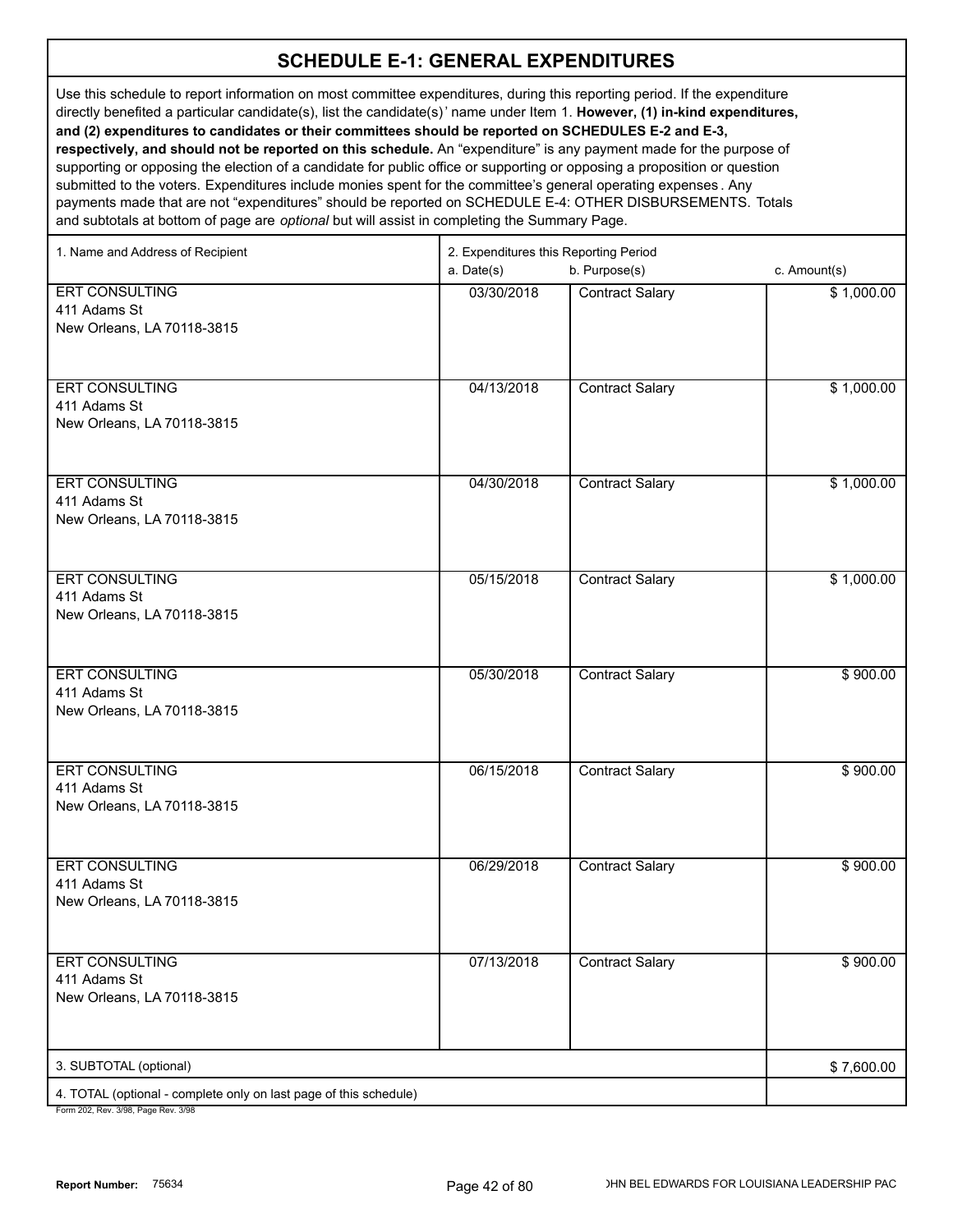Use this schedule to report information on most committee expenditures, during this reporting period. If the expenditure directly benefited a particular candidate(s), list the candidate(s)' name under Item 1. **However, (1) in-kind expenditures, and (2) expenditures to candidates or their committees should be reported on SCHEDULES E-2 and E-3, respectively, and should not be reported on this schedule.** An "expenditure" is any payment made for the purpose of supporting or opposing the election of a candidate for public office or supporting or opposing a proposition or question submitted to the voters. Expenditures include monies spent for the committee's general operating expenses . Any payments made that are not "expenditures" should be reported on SCHEDULE E-4: OTHER DISBURSEMENTS. Totals

and subtotals at bottom of page are *optional* but will assist in completing the Summary Page.

| b. Purpose(s)<br>c. Amount(s)<br>a. Date(s)<br><b>ERT CONSULTING</b><br>03/30/2018<br><b>Contract Salary</b><br>\$1,000.00<br>411 Adams St<br>New Orleans, LA 70118-3815<br><b>ERT CONSULTING</b><br>04/13/2018<br><b>Contract Salary</b><br>\$1,000.00<br>411 Adams St |
|-------------------------------------------------------------------------------------------------------------------------------------------------------------------------------------------------------------------------------------------------------------------------|
|                                                                                                                                                                                                                                                                         |
|                                                                                                                                                                                                                                                                         |
|                                                                                                                                                                                                                                                                         |
|                                                                                                                                                                                                                                                                         |
|                                                                                                                                                                                                                                                                         |
|                                                                                                                                                                                                                                                                         |
|                                                                                                                                                                                                                                                                         |
| New Orleans, LA 70118-3815                                                                                                                                                                                                                                              |
|                                                                                                                                                                                                                                                                         |
|                                                                                                                                                                                                                                                                         |
| <b>ERT CONSULTING</b><br>04/30/2018<br><b>Contract Salary</b><br>\$1,000.00                                                                                                                                                                                             |
| 411 Adams St                                                                                                                                                                                                                                                            |
| New Orleans, LA 70118-3815                                                                                                                                                                                                                                              |
|                                                                                                                                                                                                                                                                         |
|                                                                                                                                                                                                                                                                         |
| <b>ERT CONSULTING</b><br>05/15/2018<br><b>Contract Salary</b><br>\$1,000.00                                                                                                                                                                                             |
| 411 Adams St                                                                                                                                                                                                                                                            |
| New Orleans, LA 70118-3815                                                                                                                                                                                                                                              |
|                                                                                                                                                                                                                                                                         |
| <b>ERT CONSULTING</b><br>05/30/2018<br><b>Contract Salary</b><br>\$900.00                                                                                                                                                                                               |
| 411 Adams St                                                                                                                                                                                                                                                            |
| New Orleans, LA 70118-3815                                                                                                                                                                                                                                              |
|                                                                                                                                                                                                                                                                         |
|                                                                                                                                                                                                                                                                         |
| <b>ERT CONSULTING</b><br>06/15/2018<br><b>Contract Salary</b><br>\$900.00                                                                                                                                                                                               |
| 411 Adams St                                                                                                                                                                                                                                                            |
| New Orleans, LA 70118-3815                                                                                                                                                                                                                                              |
|                                                                                                                                                                                                                                                                         |
| <b>ERT CONSULTING</b><br>06/29/2018<br><b>Contract Salary</b><br>\$900.00                                                                                                                                                                                               |
| 411 Adams St                                                                                                                                                                                                                                                            |
| New Orleans, LA 70118-3815                                                                                                                                                                                                                                              |
|                                                                                                                                                                                                                                                                         |
|                                                                                                                                                                                                                                                                         |
| <b>ERT CONSULTING</b><br>07/13/2018<br><b>Contract Salary</b><br>\$900.00                                                                                                                                                                                               |
| 411 Adams St                                                                                                                                                                                                                                                            |
| New Orleans, LA 70118-3815                                                                                                                                                                                                                                              |
|                                                                                                                                                                                                                                                                         |
|                                                                                                                                                                                                                                                                         |
| 3. SUBTOTAL (optional)<br>\$7,600.00                                                                                                                                                                                                                                    |
| 4. TOTAL (optional - complete only on last page of this schedule)<br>Form 202 Roy 2/08 Bogo Roy 2/08                                                                                                                                                                    |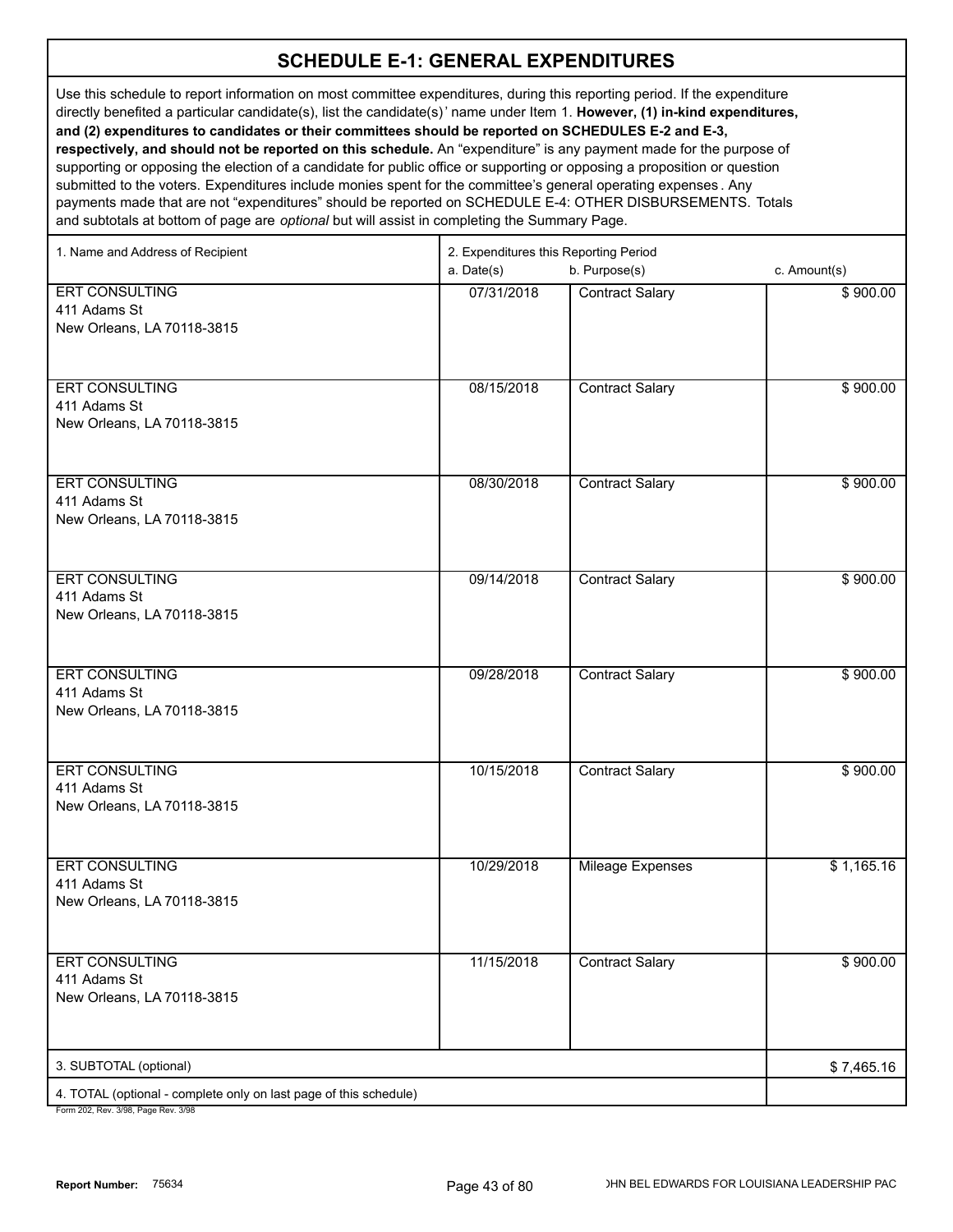Use this schedule to report information on most committee expenditures, during this reporting period. If the expenditure directly benefited a particular candidate(s), list the candidate(s)' name under Item 1. **However, (1) in-kind expenditures, and (2) expenditures to candidates or their committees should be reported on SCHEDULES E-2 and E-3, respectively, and should not be reported on this schedule.** An "expenditure" is any payment made for the purpose of supporting or opposing the election of a candidate for public office or supporting or opposing a proposition or question submitted to the voters. Expenditures include monies spent for the committee's general operating expenses . Any payments made that are not "expenditures" should be reported on SCHEDULE E-4: OTHER DISBURSEMENTS. Totals and subtotals at bottom of page are *optional* but will assist in completing the Summary Page.

| 1. Name and Address of Recipient                                                                         | 2. Expenditures this Reporting Period<br>a. Date(s)<br>b. Purpose(s)<br>c. Amount(s) |                         |            |
|----------------------------------------------------------------------------------------------------------|--------------------------------------------------------------------------------------|-------------------------|------------|
| <b>ERT CONSULTING</b><br>411 Adams St<br>New Orleans, LA 70118-3815                                      | 07/31/2018                                                                           | <b>Contract Salary</b>  | \$900.00   |
| ERT CONSULTING<br>411 Adams St<br>New Orleans, LA 70118-3815                                             | 08/15/2018                                                                           | <b>Contract Salary</b>  | \$900.00   |
| <b>ERT CONSULTING</b><br>411 Adams St<br>New Orleans, LA 70118-3815                                      | 08/30/2018                                                                           | <b>Contract Salary</b>  | \$900.00   |
| <b>ERT CONSULTING</b><br>411 Adams St<br>New Orleans, LA 70118-3815                                      | 09/14/2018                                                                           | <b>Contract Salary</b>  | \$900.00   |
| <b>ERT CONSULTING</b><br>411 Adams St<br>New Orleans, LA 70118-3815                                      | 09/28/2018                                                                           | <b>Contract Salary</b>  | \$900.00   |
| <b>ERT CONSULTING</b><br>411 Adams St<br>New Orleans, LA 70118-3815                                      | 10/15/2018                                                                           | <b>Contract Salary</b>  | \$900.00   |
| <b>ERT CONSULTING</b><br>411 Adams St<br>New Orleans, LA 70118-3815                                      | 10/29/2018                                                                           | <b>Mileage Expenses</b> | \$1,165.16 |
| <b>ERT CONSULTING</b><br>411 Adams St<br>New Orleans, LA 70118-3815                                      | 11/15/2018                                                                           | <b>Contract Salary</b>  | \$900.00   |
| 3. SUBTOTAL (optional)                                                                                   |                                                                                      |                         | \$7,465.16 |
| 4. TOTAL (optional - complete only on last page of this schedule)<br>Form 202, Rev. 3/98, Page Rev. 3/98 |                                                                                      |                         |            |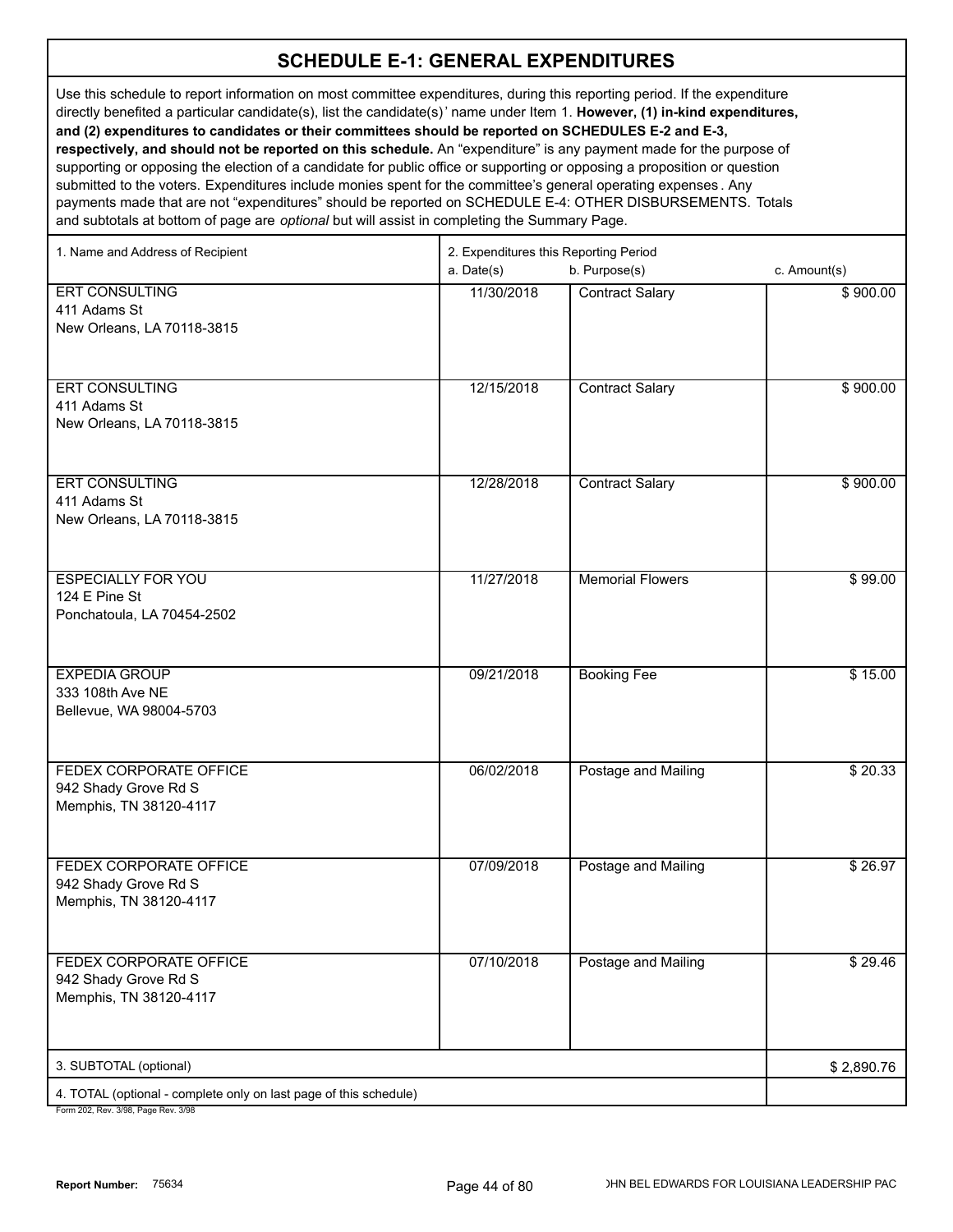Use this schedule to report information on most committee expenditures, during this reporting period. If the expenditure directly benefited a particular candidate(s), list the candidate(s)' name under Item 1. **However, (1) in-kind expenditures, and (2) expenditures to candidates or their committees should be reported on SCHEDULES E-2 and E-3, respectively, and should not be reported on this schedule.** An "expenditure" is any payment made for the purpose of supporting or opposing the election of a candidate for public office or supporting or opposing a proposition or question submitted to the voters. Expenditures include monies spent for the committee's general operating expenses . Any payments made that are not "expenditures" should be reported on SCHEDULE E-4: OTHER DISBURSEMENTS. Totals

and subtotals at bottom of page are *optional* but will assist in completing the Summary Page.

| a. Date(s)<br>b. Purpose(s)<br>c. Amount(s)<br><b>ERT CONSULTING</b><br>11/30/2018<br><b>Contract Salary</b><br>\$900.00<br>411 Adams St<br>New Orleans, LA 70118-3815<br><b>ERT CONSULTING</b><br>12/15/2018<br><b>Contract Salary</b><br>\$900.00<br>411 Adams St<br>New Orleans, LA 70118-3815<br><b>ERT CONSULTING</b><br>12/28/2018<br><b>Contract Salary</b><br>\$900.00<br>411 Adams St<br>New Orleans, LA 70118-3815<br><b>ESPECIALLY FOR YOU</b><br>11/27/2018<br><b>Memorial Flowers</b><br>\$99.00<br>124 E Pine St<br>Ponchatoula, LA 70454-2502<br><b>EXPEDIA GROUP</b><br><b>Booking Fee</b><br>\$15.00<br>09/21/2018<br>333 108th Ave NE<br>Bellevue, WA 98004-5703<br>06/02/2018<br>FEDEX CORPORATE OFFICE<br>Postage and Mailing<br>\$20.33<br>942 Shady Grove Rd S<br>Memphis, TN 38120-4117<br>FEDEX CORPORATE OFFICE<br>07/09/2018<br>Postage and Mailing<br>942 Shady Grove Rd S<br>Memphis, TN 38120-4117<br>07/10/2018<br><b>FEDEX CORPORATE OFFICE</b><br>Postage and Mailing<br>\$29.46<br>942 Shady Grove Rd S<br>Memphis, TN 38120-4117<br>3. SUBTOTAL (optional)<br>\$2,890.76<br>4. TOTAL (optional - complete only on last page of this schedule) | 1. Name and Address of Recipient | 2. Expenditures this Reporting Period |  |  |
|---------------------------------------------------------------------------------------------------------------------------------------------------------------------------------------------------------------------------------------------------------------------------------------------------------------------------------------------------------------------------------------------------------------------------------------------------------------------------------------------------------------------------------------------------------------------------------------------------------------------------------------------------------------------------------------------------------------------------------------------------------------------------------------------------------------------------------------------------------------------------------------------------------------------------------------------------------------------------------------------------------------------------------------------------------------------------------------------------------------------------------------------------------------------------------|----------------------------------|---------------------------------------|--|--|
|                                                                                                                                                                                                                                                                                                                                                                                                                                                                                                                                                                                                                                                                                                                                                                                                                                                                                                                                                                                                                                                                                                                                                                                 |                                  |                                       |  |  |
| \$26.97                                                                                                                                                                                                                                                                                                                                                                                                                                                                                                                                                                                                                                                                                                                                                                                                                                                                                                                                                                                                                                                                                                                                                                         |                                  |                                       |  |  |
|                                                                                                                                                                                                                                                                                                                                                                                                                                                                                                                                                                                                                                                                                                                                                                                                                                                                                                                                                                                                                                                                                                                                                                                 |                                  |                                       |  |  |
|                                                                                                                                                                                                                                                                                                                                                                                                                                                                                                                                                                                                                                                                                                                                                                                                                                                                                                                                                                                                                                                                                                                                                                                 |                                  |                                       |  |  |
|                                                                                                                                                                                                                                                                                                                                                                                                                                                                                                                                                                                                                                                                                                                                                                                                                                                                                                                                                                                                                                                                                                                                                                                 |                                  |                                       |  |  |
|                                                                                                                                                                                                                                                                                                                                                                                                                                                                                                                                                                                                                                                                                                                                                                                                                                                                                                                                                                                                                                                                                                                                                                                 |                                  |                                       |  |  |
|                                                                                                                                                                                                                                                                                                                                                                                                                                                                                                                                                                                                                                                                                                                                                                                                                                                                                                                                                                                                                                                                                                                                                                                 |                                  |                                       |  |  |
|                                                                                                                                                                                                                                                                                                                                                                                                                                                                                                                                                                                                                                                                                                                                                                                                                                                                                                                                                                                                                                                                                                                                                                                 |                                  |                                       |  |  |
|                                                                                                                                                                                                                                                                                                                                                                                                                                                                                                                                                                                                                                                                                                                                                                                                                                                                                                                                                                                                                                                                                                                                                                                 |                                  |                                       |  |  |
|                                                                                                                                                                                                                                                                                                                                                                                                                                                                                                                                                                                                                                                                                                                                                                                                                                                                                                                                                                                                                                                                                                                                                                                 |                                  |                                       |  |  |
|                                                                                                                                                                                                                                                                                                                                                                                                                                                                                                                                                                                                                                                                                                                                                                                                                                                                                                                                                                                                                                                                                                                                                                                 |                                  |                                       |  |  |
|                                                                                                                                                                                                                                                                                                                                                                                                                                                                                                                                                                                                                                                                                                                                                                                                                                                                                                                                                                                                                                                                                                                                                                                 |                                  |                                       |  |  |
|                                                                                                                                                                                                                                                                                                                                                                                                                                                                                                                                                                                                                                                                                                                                                                                                                                                                                                                                                                                                                                                                                                                                                                                 |                                  |                                       |  |  |
|                                                                                                                                                                                                                                                                                                                                                                                                                                                                                                                                                                                                                                                                                                                                                                                                                                                                                                                                                                                                                                                                                                                                                                                 |                                  |                                       |  |  |
|                                                                                                                                                                                                                                                                                                                                                                                                                                                                                                                                                                                                                                                                                                                                                                                                                                                                                                                                                                                                                                                                                                                                                                                 |                                  |                                       |  |  |
|                                                                                                                                                                                                                                                                                                                                                                                                                                                                                                                                                                                                                                                                                                                                                                                                                                                                                                                                                                                                                                                                                                                                                                                 |                                  |                                       |  |  |
|                                                                                                                                                                                                                                                                                                                                                                                                                                                                                                                                                                                                                                                                                                                                                                                                                                                                                                                                                                                                                                                                                                                                                                                 |                                  |                                       |  |  |
|                                                                                                                                                                                                                                                                                                                                                                                                                                                                                                                                                                                                                                                                                                                                                                                                                                                                                                                                                                                                                                                                                                                                                                                 |                                  |                                       |  |  |
|                                                                                                                                                                                                                                                                                                                                                                                                                                                                                                                                                                                                                                                                                                                                                                                                                                                                                                                                                                                                                                                                                                                                                                                 |                                  |                                       |  |  |
|                                                                                                                                                                                                                                                                                                                                                                                                                                                                                                                                                                                                                                                                                                                                                                                                                                                                                                                                                                                                                                                                                                                                                                                 |                                  |                                       |  |  |
|                                                                                                                                                                                                                                                                                                                                                                                                                                                                                                                                                                                                                                                                                                                                                                                                                                                                                                                                                                                                                                                                                                                                                                                 |                                  |                                       |  |  |
|                                                                                                                                                                                                                                                                                                                                                                                                                                                                                                                                                                                                                                                                                                                                                                                                                                                                                                                                                                                                                                                                                                                                                                                 |                                  |                                       |  |  |
|                                                                                                                                                                                                                                                                                                                                                                                                                                                                                                                                                                                                                                                                                                                                                                                                                                                                                                                                                                                                                                                                                                                                                                                 |                                  |                                       |  |  |
|                                                                                                                                                                                                                                                                                                                                                                                                                                                                                                                                                                                                                                                                                                                                                                                                                                                                                                                                                                                                                                                                                                                                                                                 |                                  |                                       |  |  |
|                                                                                                                                                                                                                                                                                                                                                                                                                                                                                                                                                                                                                                                                                                                                                                                                                                                                                                                                                                                                                                                                                                                                                                                 |                                  |                                       |  |  |
|                                                                                                                                                                                                                                                                                                                                                                                                                                                                                                                                                                                                                                                                                                                                                                                                                                                                                                                                                                                                                                                                                                                                                                                 |                                  |                                       |  |  |
|                                                                                                                                                                                                                                                                                                                                                                                                                                                                                                                                                                                                                                                                                                                                                                                                                                                                                                                                                                                                                                                                                                                                                                                 |                                  |                                       |  |  |
|                                                                                                                                                                                                                                                                                                                                                                                                                                                                                                                                                                                                                                                                                                                                                                                                                                                                                                                                                                                                                                                                                                                                                                                 |                                  |                                       |  |  |
|                                                                                                                                                                                                                                                                                                                                                                                                                                                                                                                                                                                                                                                                                                                                                                                                                                                                                                                                                                                                                                                                                                                                                                                 |                                  |                                       |  |  |
|                                                                                                                                                                                                                                                                                                                                                                                                                                                                                                                                                                                                                                                                                                                                                                                                                                                                                                                                                                                                                                                                                                                                                                                 |                                  |                                       |  |  |
|                                                                                                                                                                                                                                                                                                                                                                                                                                                                                                                                                                                                                                                                                                                                                                                                                                                                                                                                                                                                                                                                                                                                                                                 |                                  |                                       |  |  |
|                                                                                                                                                                                                                                                                                                                                                                                                                                                                                                                                                                                                                                                                                                                                                                                                                                                                                                                                                                                                                                                                                                                                                                                 |                                  |                                       |  |  |
|                                                                                                                                                                                                                                                                                                                                                                                                                                                                                                                                                                                                                                                                                                                                                                                                                                                                                                                                                                                                                                                                                                                                                                                 |                                  |                                       |  |  |
|                                                                                                                                                                                                                                                                                                                                                                                                                                                                                                                                                                                                                                                                                                                                                                                                                                                                                                                                                                                                                                                                                                                                                                                 |                                  |                                       |  |  |
|                                                                                                                                                                                                                                                                                                                                                                                                                                                                                                                                                                                                                                                                                                                                                                                                                                                                                                                                                                                                                                                                                                                                                                                 |                                  |                                       |  |  |
|                                                                                                                                                                                                                                                                                                                                                                                                                                                                                                                                                                                                                                                                                                                                                                                                                                                                                                                                                                                                                                                                                                                                                                                 |                                  |                                       |  |  |
|                                                                                                                                                                                                                                                                                                                                                                                                                                                                                                                                                                                                                                                                                                                                                                                                                                                                                                                                                                                                                                                                                                                                                                                 |                                  |                                       |  |  |
|                                                                                                                                                                                                                                                                                                                                                                                                                                                                                                                                                                                                                                                                                                                                                                                                                                                                                                                                                                                                                                                                                                                                                                                 |                                  |                                       |  |  |
|                                                                                                                                                                                                                                                                                                                                                                                                                                                                                                                                                                                                                                                                                                                                                                                                                                                                                                                                                                                                                                                                                                                                                                                 |                                  |                                       |  |  |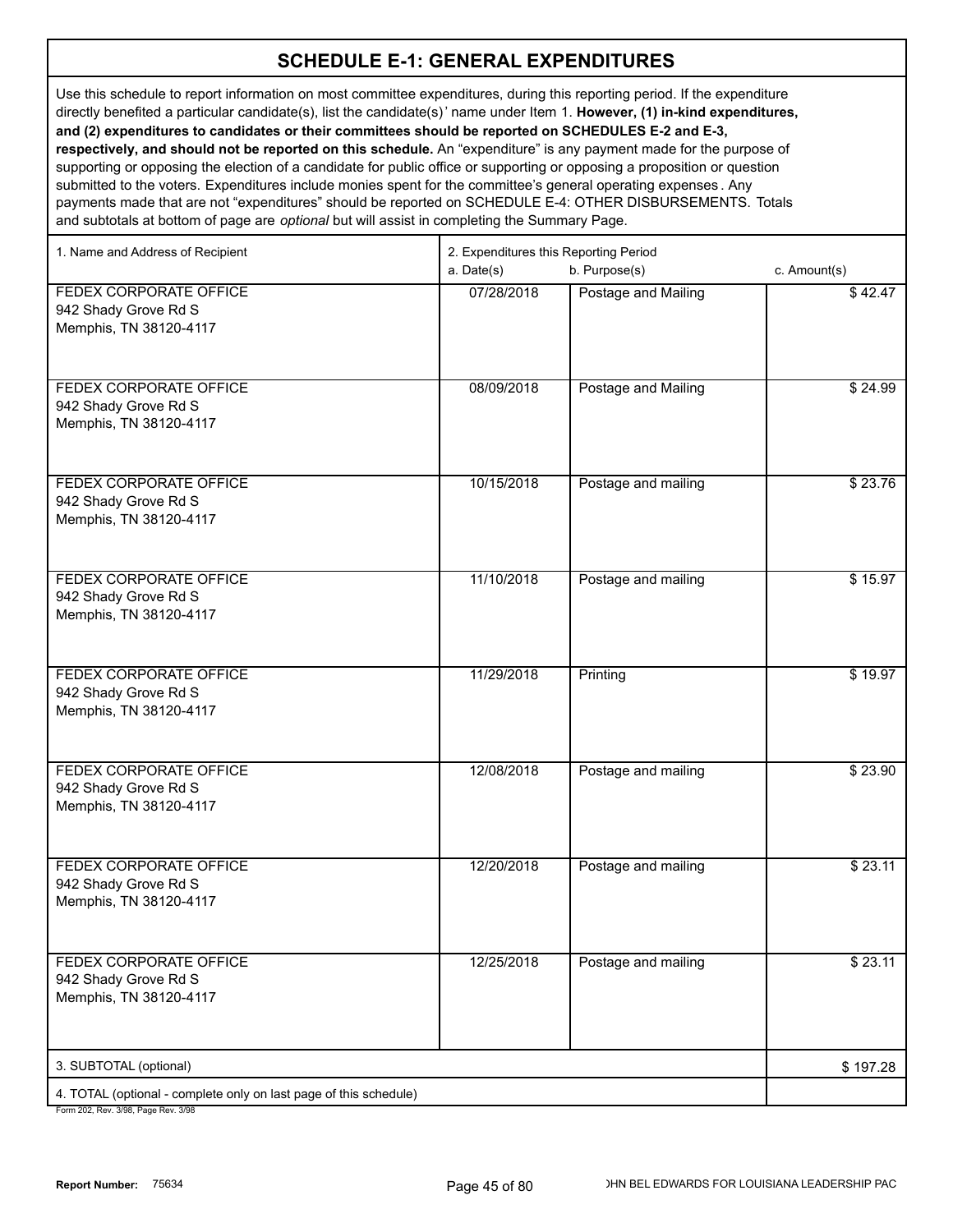Use this schedule to report information on most committee expenditures, during this reporting period. If the expenditure directly benefited a particular candidate(s), list the candidate(s)' name under Item 1. **However, (1) in-kind expenditures, and (2) expenditures to candidates or their committees should be reported on SCHEDULES E-2 and E-3, respectively, and should not be reported on this schedule.** An "expenditure" is any payment made for the purpose of

supporting or opposing the election of a candidate for public office or supporting or opposing a proposition or question submitted to the voters. Expenditures include monies spent for the committee's general operating expenses . Any payments made that are not "expenditures" should be reported on SCHEDULE E-4: OTHER DISBURSEMENTS. Totals and subtotals at bottom of page are *optional* but will assist in completing the Summary Page.

| 1. Name and Address of Recipient                                                | 2. Expenditures this Reporting Period |                     |              |
|---------------------------------------------------------------------------------|---------------------------------------|---------------------|--------------|
|                                                                                 | a. Date(s)                            | b. Purpose(s)       | c. Amount(s) |
| FEDEX CORPORATE OFFICE<br>942 Shady Grove Rd S<br>Memphis, TN 38120-4117        | 07/28/2018                            | Postage and Mailing | \$42.47      |
| FEDEX CORPORATE OFFICE<br>942 Shady Grove Rd S<br>Memphis, TN 38120-4117        | 08/09/2018                            | Postage and Mailing | \$24.99      |
| FEDEX CORPORATE OFFICE<br>942 Shady Grove Rd S<br>Memphis, TN 38120-4117        | 10/15/2018                            | Postage and mailing | \$23.76      |
| FEDEX CORPORATE OFFICE<br>942 Shady Grove Rd S<br>Memphis, TN 38120-4117        | 11/10/2018                            | Postage and mailing | \$15.97      |
| FEDEX CORPORATE OFFICE<br>942 Shady Grove Rd S<br>Memphis, TN 38120-4117        | 11/29/2018                            | Printing            | \$19.97      |
| FEDEX CORPORATE OFFICE<br>942 Shady Grove Rd S<br>Memphis, TN 38120-4117        | 12/08/2018                            | Postage and mailing | \$23.90      |
| FEDEX CORPORATE OFFICE<br>942 Shady Grove Rd S<br>Memphis, TN 38120-4117        | 12/20/2018                            | Postage and mailing | \$23.11      |
| <b>FEDEX CORPORATE OFFICE</b><br>942 Shady Grove Rd S<br>Memphis, TN 38120-4117 | 12/25/2018                            | Postage and mailing | \$23.11      |
| 3. SUBTOTAL (optional)                                                          |                                       |                     | \$197.28     |
| 4. TOTAL (optional - complete only on last page of this schedule)               |                                       |                     |              |
|                                                                                 |                                       |                     |              |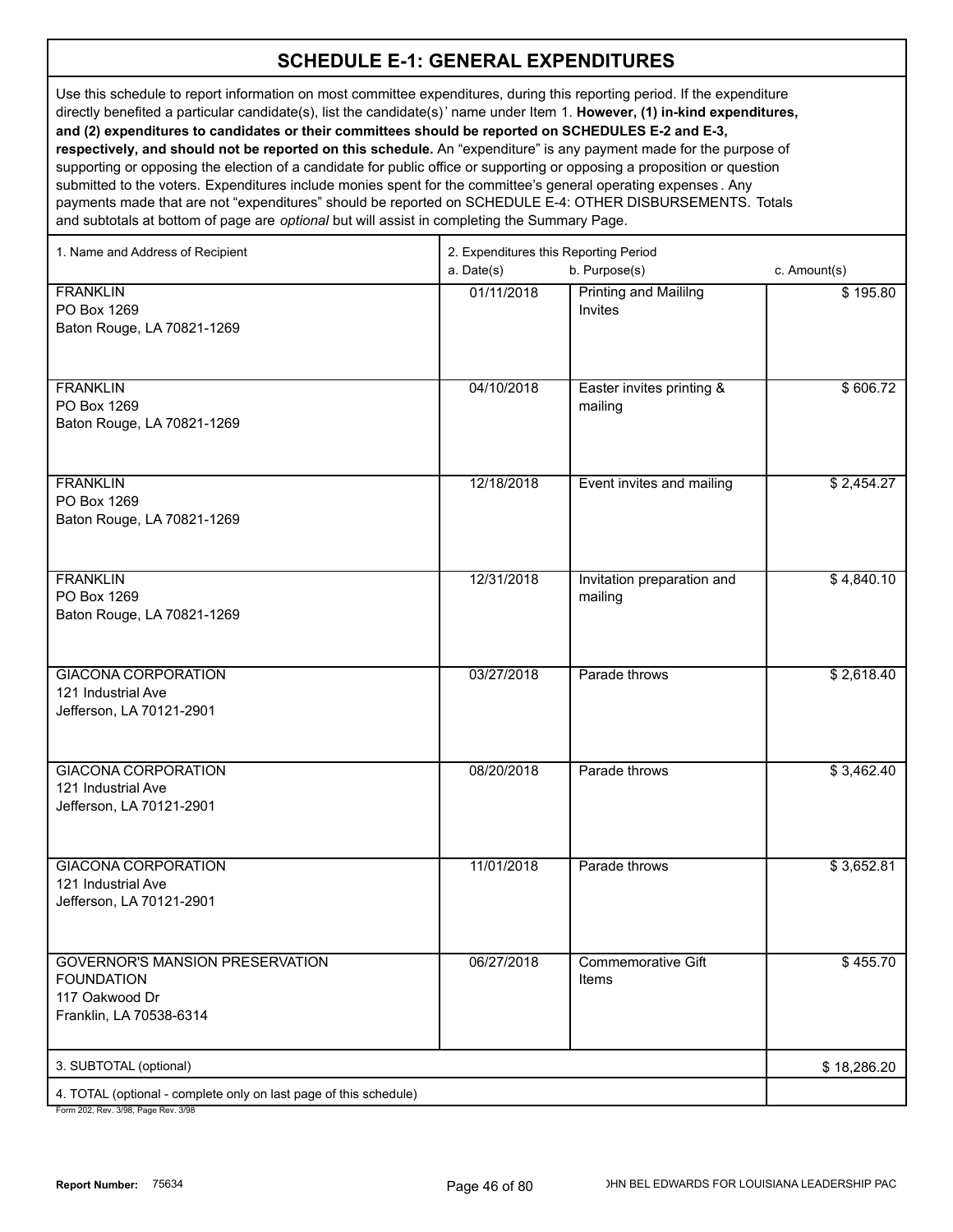Use this schedule to report information on most committee expenditures, during this reporting period. If the expenditure directly benefited a particular candidate(s), list the candidate(s)' name under Item 1. **However, (1) in-kind expenditures, and (2) expenditures to candidates or their committees should be reported on SCHEDULES E-2 and E-3, respectively, and should not be reported on this schedule.** An "expenditure" is any payment made for the purpose of supporting or opposing the election of a candidate for public office or supporting or opposing a proposition or question submitted to the voters. Expenditures include monies spent for the committee's general operating expenses . Any payments made that are not "expenditures" should be reported on SCHEDULE E-4: OTHER DISBURSEMENTS. Totals and subtotals at bottom of page are *optional* but will assist in completing the Summary Page.

| 1. Name and Address of Recipient                                                                         | 2. Expenditures this Reporting Period<br>a. Date(s) | b. Purpose(s)                                  | c. Amount(s) |
|----------------------------------------------------------------------------------------------------------|-----------------------------------------------------|------------------------------------------------|--------------|
| <b>FRANKLIN</b><br>PO Box 1269<br>Baton Rouge, LA 70821-1269                                             | 01/11/2018                                          | <b>Printing and Maililng</b><br><b>Invites</b> | \$195.80     |
| <b>FRANKLIN</b><br>PO Box 1269<br>Baton Rouge, LA 70821-1269                                             | 04/10/2018                                          | Easter invites printing &<br>mailing           | \$606.72     |
| <b>FRANKLIN</b><br>PO Box 1269<br>Baton Rouge, LA 70821-1269                                             | 12/18/2018                                          | Event invites and mailing                      | \$2,454.27   |
| <b>FRANKLIN</b><br>PO Box 1269<br>Baton Rouge, LA 70821-1269                                             | 12/31/2018                                          | Invitation preparation and<br>mailing          | \$4,840.10   |
| <b>GIACONA CORPORATION</b><br>121 Industrial Ave<br>Jefferson, LA 70121-2901                             | 03/27/2018                                          | Parade throws                                  | \$2,618.40   |
| <b>GIACONA CORPORATION</b><br>121 Industrial Ave<br>Jefferson, LA 70121-2901                             | 08/20/2018                                          | Parade throws                                  | \$3,462.40   |
| <b>GIACONA CORPORATION</b><br>121 Industrial Ave<br>Jefferson, LA 70121-2901                             | 11/01/2018                                          | Parade throws                                  | \$3,652.81   |
| <b>GOVERNOR'S MANSION PRESERVATION</b><br><b>FOUNDATION</b><br>117 Oakwood Dr<br>Franklin, LA 70538-6314 | 06/27/2018                                          | Commemorative Gift<br>Items                    | \$455.70     |
| 3. SUBTOTAL (optional)                                                                                   |                                                     |                                                | \$18,286.20  |
| 4. TOTAL (optional - complete only on last page of this schedule)                                        |                                                     |                                                |              |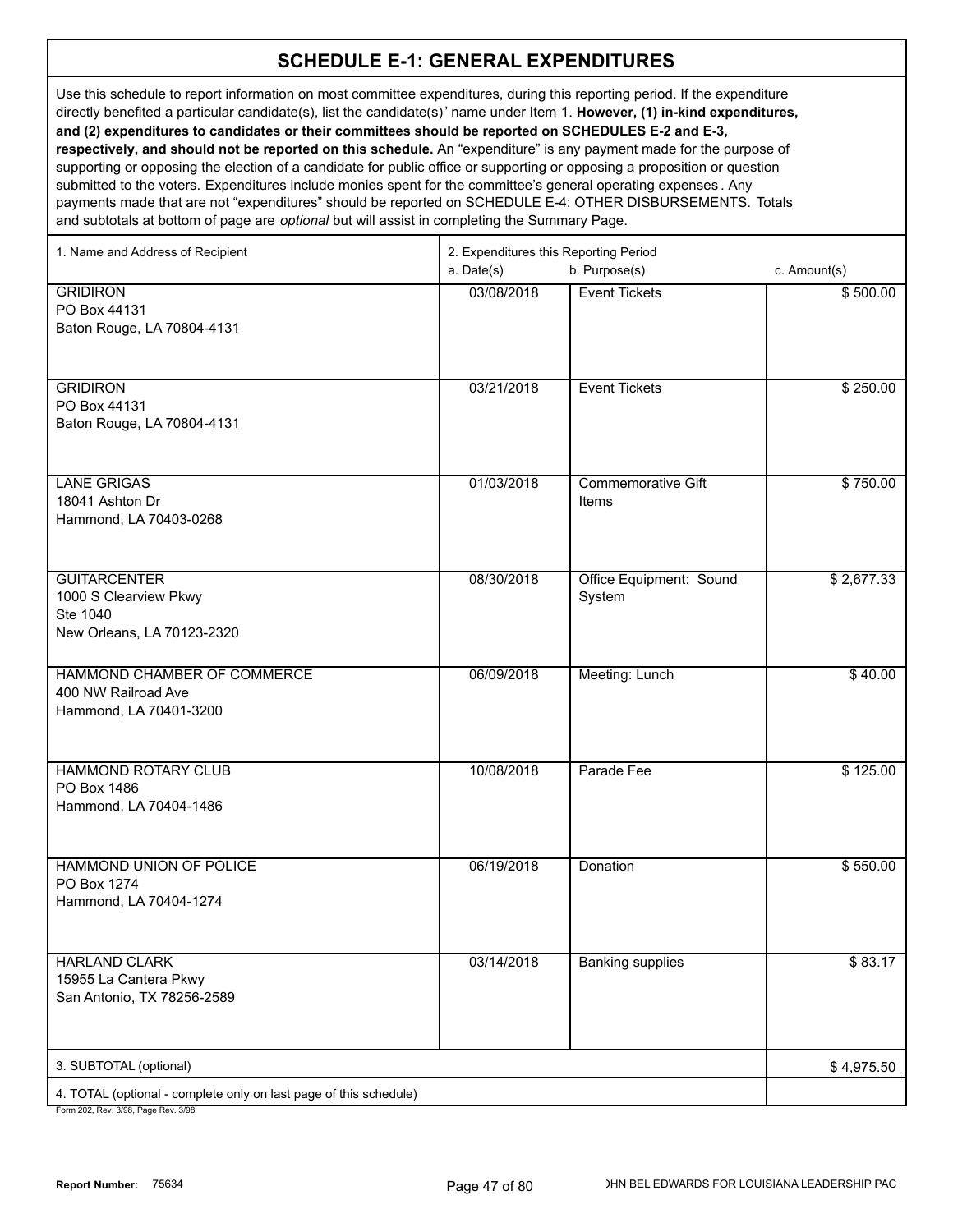Use this schedule to report information on most committee expenditures, during this reporting period. If the expenditure directly benefited a particular candidate(s), list the candidate(s)' name under Item 1. **However, (1) in-kind expenditures, and (2) expenditures to candidates or their committees should be reported on SCHEDULES E-2 and E-3, respectively, and should not be reported on this schedule.** An "expenditure" is any payment made for the purpose of supporting or opposing the election of a candidate for public office or supporting or opposing a proposition or question submitted to the voters. Expenditures include monies spent for the committee's general operating expenses . Any payments made that are not "expenditures" should be reported on SCHEDULE E-4: OTHER DISBURSEMENTS. Totals and subtotals at bottom of page are *optional* but will assist in completing the Summary Page.

| 1. Name and Address of Recipient                                                                     | 2. Expenditures this Reporting Period<br>a. Date(s)<br>b. Purpose(s)<br>c. Amount(s) |                                    |            |
|------------------------------------------------------------------------------------------------------|--------------------------------------------------------------------------------------|------------------------------------|------------|
| <b>GRIDIRON</b><br>PO Box 44131<br>Baton Rouge, LA 70804-4131                                        | 03/08/2018                                                                           | <b>Event Tickets</b>               | \$500.00   |
| <b>GRIDIRON</b><br>PO Box 44131<br>Baton Rouge, LA 70804-4131                                        | 03/21/2018                                                                           | <b>Event Tickets</b>               | \$250.00   |
| <b>LANE GRIGAS</b><br>18041 Ashton Dr<br>Hammond, LA 70403-0268                                      | 01/03/2018                                                                           | <b>Commemorative Gift</b><br>Items | \$750.00   |
| <b>GUITARCENTER</b><br>1000 S Clearview Pkwy<br>Ste 1040<br>New Orleans, LA 70123-2320               | 08/30/2018                                                                           | Office Equipment: Sound<br>System  | \$2,677.33 |
| HAMMOND CHAMBER OF COMMERCE<br>400 NW Railroad Ave<br>Hammond, LA 70401-3200                         | 06/09/2018                                                                           | Meeting: Lunch                     | \$40.00    |
| <b>HAMMOND ROTARY CLUB</b><br>PO Box 1486<br>Hammond, LA 70404-1486                                  | 10/08/2018                                                                           | Parade Fee                         | \$125.00   |
| HAMMOND UNION OF POLICE<br>PO Box 1274<br>Hammond, LA 70404-1274                                     | 06/19/2018                                                                           | Donation                           | \$550.00   |
| <b>HARLAND CLARK</b><br>15955 La Cantera Pkwy<br>San Antonio, TX 78256-2589                          | 03/14/2018                                                                           | <b>Banking supplies</b>            | \$83.17    |
| 3. SUBTOTAL (optional)                                                                               |                                                                                      |                                    | \$4,975.50 |
| 4. TOTAL (optional - complete only on last page of this schedule)<br>Form 202 Rev 3/98 Page Rev 3/98 |                                                                                      |                                    |            |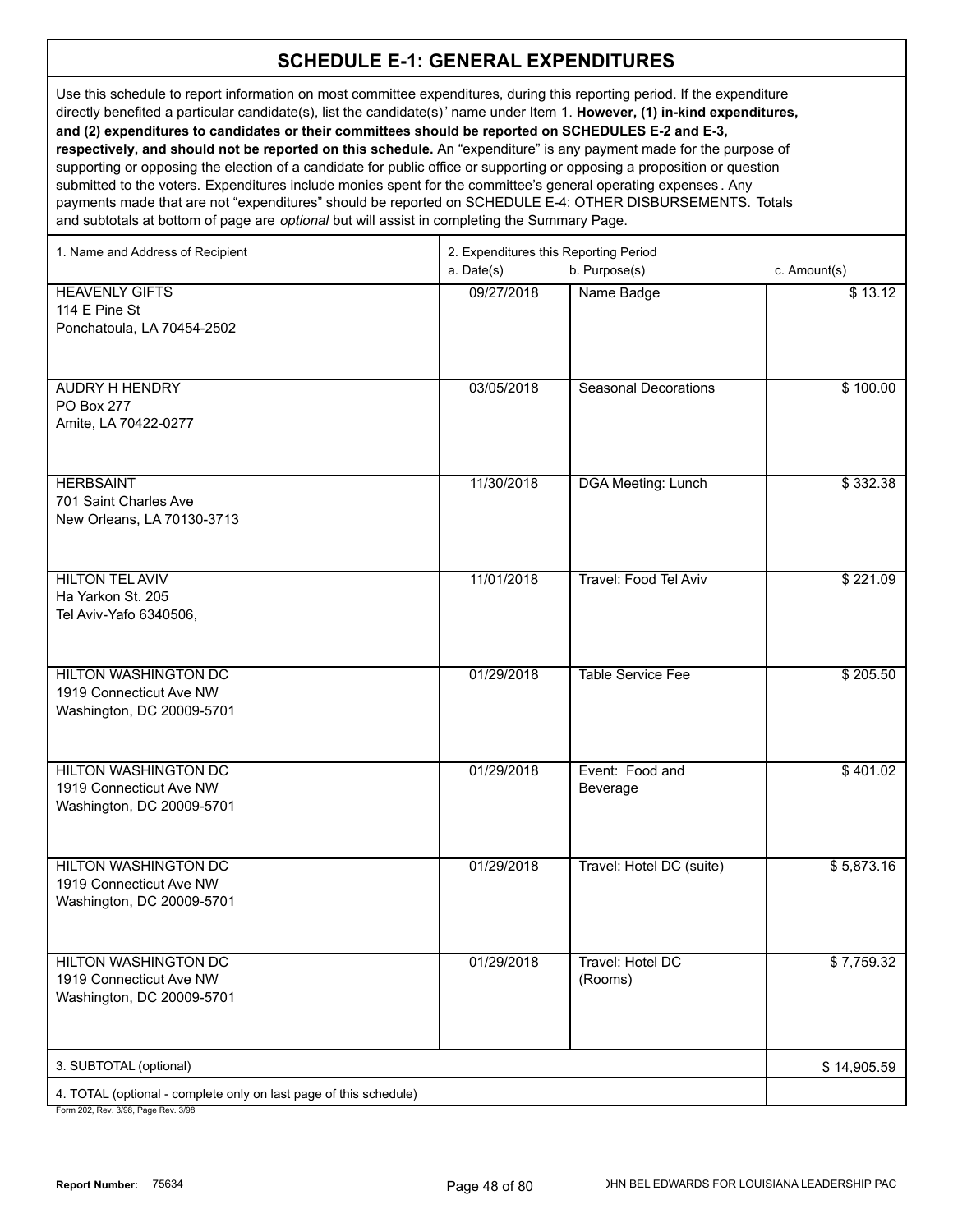Use this schedule to report information on most committee expenditures, during this reporting period. If the expenditure directly benefited a particular candidate(s), list the candidate(s)' name under Item 1. **However, (1) in-kind expenditures, and (2) expenditures to candidates or their committees should be reported on SCHEDULES E-2 and E-3, respectively, and should not be reported on this schedule.** An "expenditure" is any payment made for the purpose of supporting or opposing the election of a candidate for public office or supporting or opposing a proposition or question submitted to the voters. Expenditures include monies spent for the committee's general operating expenses . Any payments made that are not "expenditures" should be reported on SCHEDULE E-4: OTHER DISBURSEMENTS. Totals

and subtotals at bottom of page are *optional* but will assist in completing the Summary Page.

| 1. Name and Address of Recipient                                  | 2. Expenditures this Reporting Period |                              |              |
|-------------------------------------------------------------------|---------------------------------------|------------------------------|--------------|
|                                                                   | a. Date(s)                            | b. Purpose(s)                | c. Amount(s) |
| <b>HEAVENLY GIFTS</b>                                             | 09/27/2018                            | Name Badge                   | \$13.12      |
| 114 E Pine St                                                     |                                       |                              |              |
| Ponchatoula, LA 70454-2502                                        |                                       |                              |              |
|                                                                   |                                       |                              |              |
| <b>AUDRY H HENDRY</b>                                             | 03/05/2018                            | <b>Seasonal Decorations</b>  | \$100.00     |
| PO Box 277                                                        |                                       |                              |              |
| Amite, LA 70422-0277                                              |                                       |                              |              |
|                                                                   |                                       |                              |              |
|                                                                   |                                       |                              |              |
| <b>HERBSAINT</b>                                                  | 11/30/2018                            | <b>DGA Meeting: Lunch</b>    | \$332.38     |
| 701 Saint Charles Ave                                             |                                       |                              |              |
| New Orleans, LA 70130-3713                                        |                                       |                              |              |
|                                                                   |                                       |                              |              |
| <b>HILTON TEL AVIV</b>                                            | 11/01/2018                            | <b>Travel: Food Tel Aviv</b> | \$221.09     |
| Ha Yarkon St. 205                                                 |                                       |                              |              |
| Tel Aviv-Yafo 6340506,                                            |                                       |                              |              |
|                                                                   |                                       |                              |              |
| <b>HILTON WASHINGTON DC</b>                                       | 01/29/2018                            | <b>Table Service Fee</b>     | \$205.50     |
| 1919 Connecticut Ave NW                                           |                                       |                              |              |
| Washington, DC 20009-5701                                         |                                       |                              |              |
|                                                                   |                                       |                              |              |
| <b>HILTON WASHINGTON DC</b>                                       | 01/29/2018                            | Event: Food and              | \$401.02     |
| 1919 Connecticut Ave NW                                           |                                       | Beverage                     |              |
| Washington, DC 20009-5701                                         |                                       |                              |              |
|                                                                   |                                       |                              |              |
|                                                                   |                                       |                              |              |
| <b>HILTON WASHINGTON DC</b><br>1919 Connecticut Ave NW            | 01/29/2018                            | Travel: Hotel DC (suite)     | \$5,873.16   |
| Washington, DC 20009-5701                                         |                                       |                              |              |
|                                                                   |                                       |                              |              |
|                                                                   |                                       |                              |              |
| <b>HILTON WASHINGTON DC</b>                                       | 01/29/2018                            | Travel: Hotel DC             | \$7,759.32   |
| 1919 Connecticut Ave NW                                           |                                       | (Rooms)                      |              |
| Washington, DC 20009-5701                                         |                                       |                              |              |
|                                                                   |                                       |                              |              |
| 3. SUBTOTAL (optional)                                            |                                       |                              | \$14,905.59  |
| 4. TOTAL (optional - complete only on last page of this schedule) |                                       |                              |              |
| $2/00$ Dege Dev. $2/0$                                            |                                       |                              |              |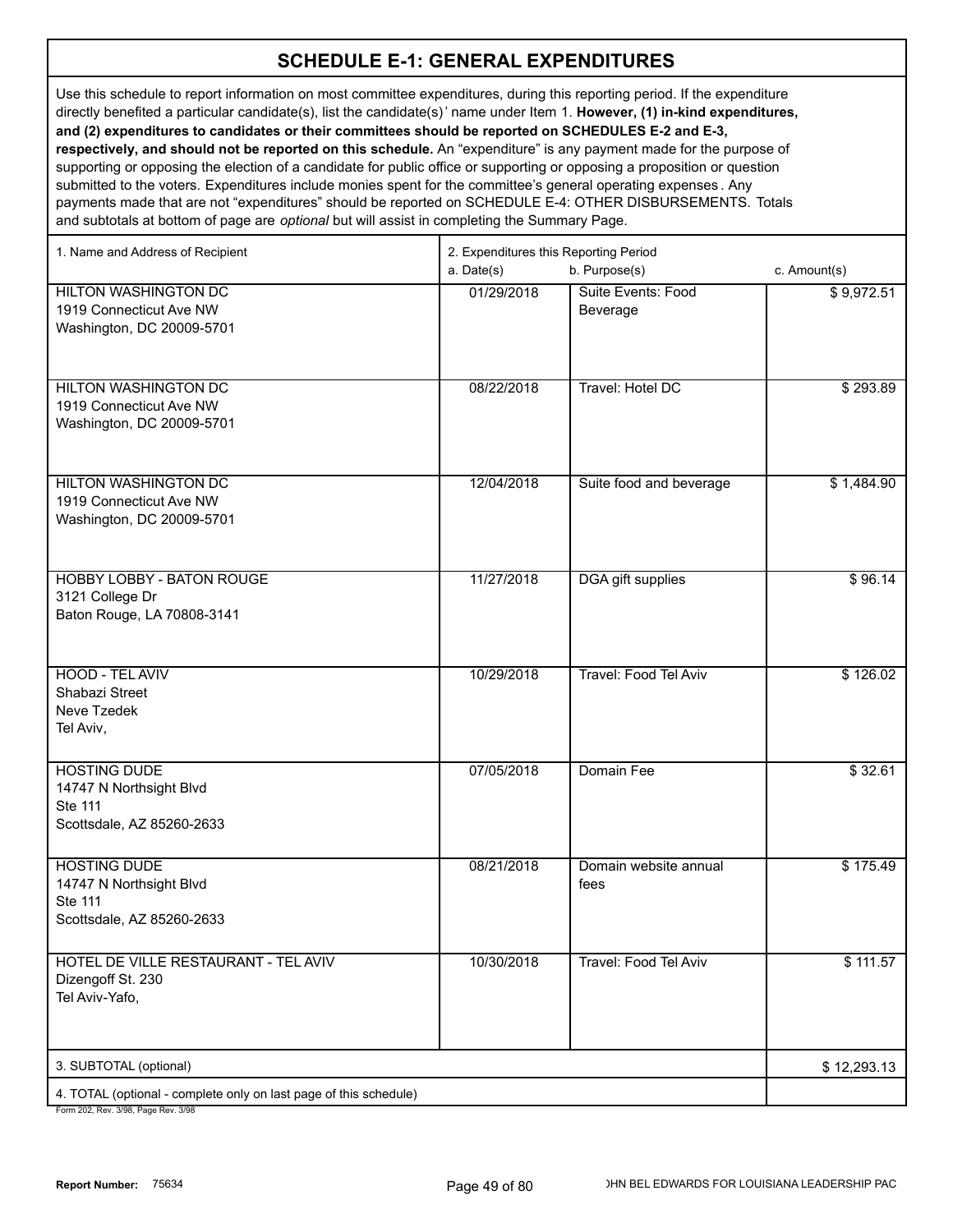Use this schedule to report information on most committee expenditures, during this reporting period. If the expenditure directly benefited a particular candidate(s), list the candidate(s)' name under Item 1. **However, (1) in-kind expenditures, and (2) expenditures to candidates or their committees should be reported on SCHEDULES E-2 and E-3, respectively, and should not be reported on this schedule.** An "expenditure" is any payment made for the purpose of supporting or opposing the election of a candidate for public office or supporting or opposing a proposition or question submitted to the voters. Expenditures include monies spent for the committee's general operating expenses . Any payments made that are not "expenditures" should be reported on SCHEDULE E-4: OTHER DISBURSEMENTS. Totals and subtotals at bottom of page are *optional* but will assist in completing the Summary Page.

| 1. Name and Address of Recipient                                                                     | 2. Expenditures this Reporting Period<br>a. Date(s) | c. Amount(s)                   |             |
|------------------------------------------------------------------------------------------------------|-----------------------------------------------------|--------------------------------|-------------|
| <b>HILTON WASHINGTON DC</b><br>1919 Connecticut Ave NW<br>Washington, DC 20009-5701                  | 01/29/2018                                          | Suite Events: Food<br>Beverage | \$9,972.51  |
| <b>HILTON WASHINGTON DC</b><br>1919 Connecticut Ave NW<br>Washington, DC 20009-5701                  | 08/22/2018                                          | Travel: Hotel DC               | \$293.89    |
| <b>HILTON WASHINGTON DC</b><br>1919 Connecticut Ave NW<br>Washington, DC 20009-5701                  | 12/04/2018                                          | Suite food and beverage        | \$1,484.90  |
| <b>HOBBY LOBBY - BATON ROUGE</b><br>3121 College Dr<br>Baton Rouge, LA 70808-3141                    | 11/27/2018                                          | <b>DGA</b> gift supplies       | \$96.14     |
| HOOD - TEL AVIV<br>Shabazi Street<br>Neve Tzedek<br>Tel Aviv,                                        | 10/29/2018                                          | <b>Travel: Food Tel Aviv</b>   | \$126.02    |
| <b>HOSTING DUDE</b><br>14747 N Northsight Blvd<br>Ste 111<br>Scottsdale, AZ 85260-2633               | 07/05/2018                                          | Domain Fee                     | \$32.61     |
| <b>HOSTING DUDE</b><br>14747 N Northsight Blvd<br>Ste 111<br>Scottsdale, AZ 85260-2633               | 08/21/2018                                          | Domain website annual<br>fees  | \$175.49    |
| HOTEL DE VILLE RESTAURANT - TEL AVIV<br>Dizengoff St. 230<br>Tel Aviv-Yafo,                          | 10/30/2018                                          | Travel: Food Tel Aviv          | \$111.57    |
| 3. SUBTOTAL (optional)                                                                               |                                                     |                                | \$12,293.13 |
| 4. TOTAL (optional - complete only on last page of this schedule)<br>Form 202 Rev 3/98 Page Rev 3/98 |                                                     |                                |             |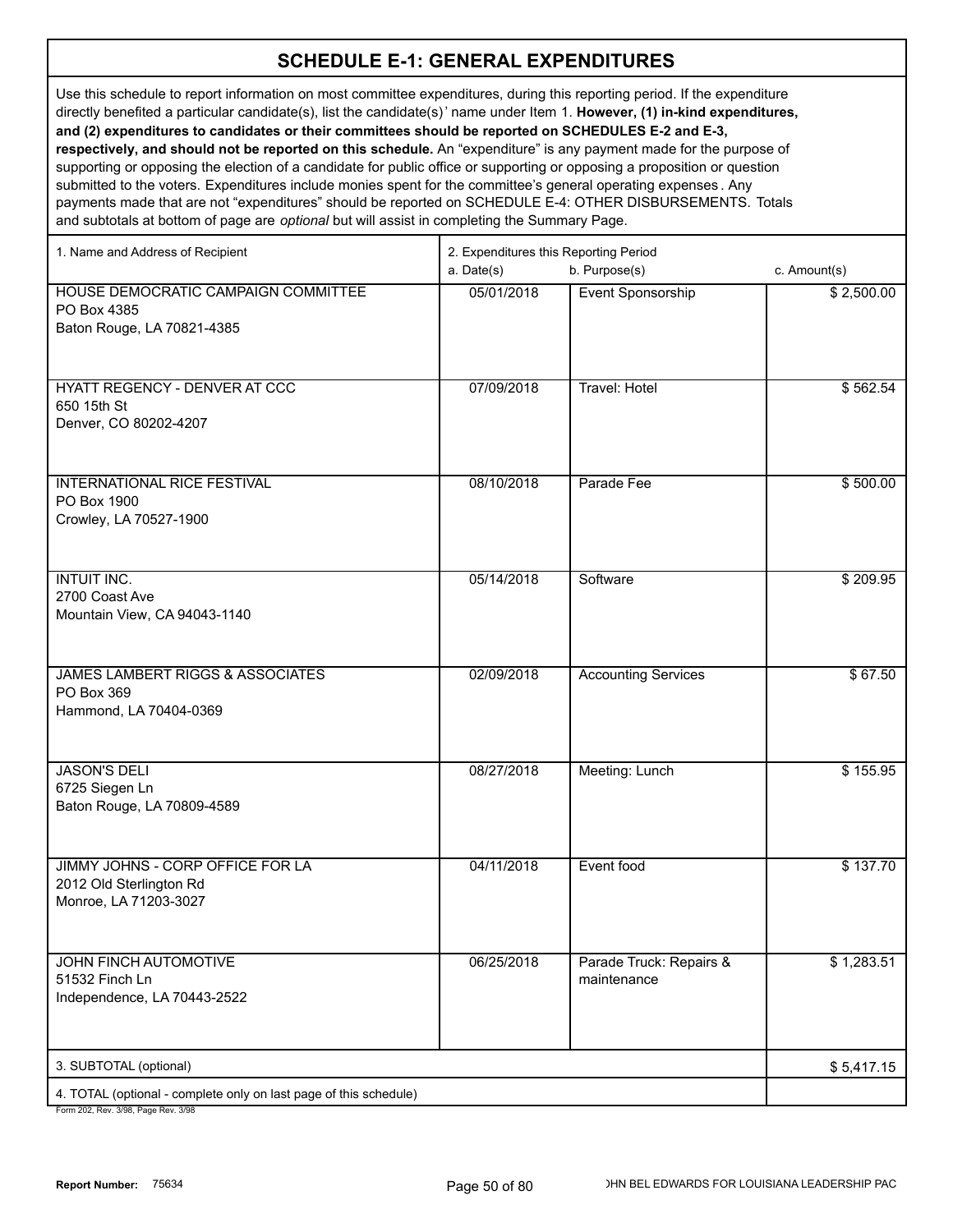Use this schedule to report information on most committee expenditures, during this reporting period. If the expenditure directly benefited a particular candidate(s), list the candidate(s)' name under Item 1. **However, (1) in-kind expenditures, and (2) expenditures to candidates or their committees should be reported on SCHEDULES E-2 and E-3, respectively, and should not be reported on this schedule.** An "expenditure" is any payment made for the purpose of supporting or opposing the election of a candidate for public office or supporting or opposing a proposition or question

submitted to the voters. Expenditures include monies spent for the committee's general operating expenses . Any payments made that are not "expenditures" should be reported on SCHEDULE E-4: OTHER DISBURSEMENTS. Totals and subtotals at bottom of page are *optional* but will assist in completing the Summary Page.

| 1. Name and Address of Recipient                                                     | 2. Expenditures this Reporting Period |                                        |              |  |
|--------------------------------------------------------------------------------------|---------------------------------------|----------------------------------------|--------------|--|
|                                                                                      | a. Date(s)                            | b. Purpose(s)                          | c. Amount(s) |  |
| HOUSE DEMOCRATIC CAMPAIGN COMMITTEE<br>PO Box 4385<br>Baton Rouge, LA 70821-4385     | 05/01/2018                            | Event Sponsorship                      | \$2,500.00   |  |
| HYATT REGENCY - DENVER AT CCC<br>650 15th St<br>Denver, CO 80202-4207                | 07/09/2018                            | <b>Travel: Hotel</b>                   | \$562.54     |  |
| INTERNATIONAL RICE FESTIVAL<br>PO Box 1900<br>Crowley, LA 70527-1900                 | 08/10/2018                            | Parade Fee                             | \$500.00     |  |
| <b>INTUIT INC.</b><br>2700 Coast Ave<br>Mountain View, CA 94043-1140                 | 05/14/2018                            | Software                               | \$209.95     |  |
| <b>JAMES LAMBERT RIGGS &amp; ASSOCIATES</b><br>PO Box 369<br>Hammond, LA 70404-0369  | 02/09/2018                            | <b>Accounting Services</b>             | \$67.50      |  |
| <b>JASON'S DELI</b><br>6725 Siegen Ln<br>Baton Rouge, LA 70809-4589                  | 08/27/2018                            | Meeting: Lunch                         | \$155.95     |  |
| JIMMY JOHNS - CORP OFFICE FOR LA<br>2012 Old Sterlington Rd<br>Monroe, LA 71203-3027 | 04/11/2018                            | Event food                             | \$137.70     |  |
| JOHN FINCH AUTOMOTIVE<br>51532 Finch Ln<br>Independence, LA 70443-2522               | 06/25/2018                            | Parade Truck: Repairs &<br>maintenance | \$1,283.51   |  |
| 3. SUBTOTAL (optional)                                                               |                                       |                                        | \$5,417.15   |  |
| 4. TOTAL (optional - complete only on last page of this schedule)                    |                                       |                                        |              |  |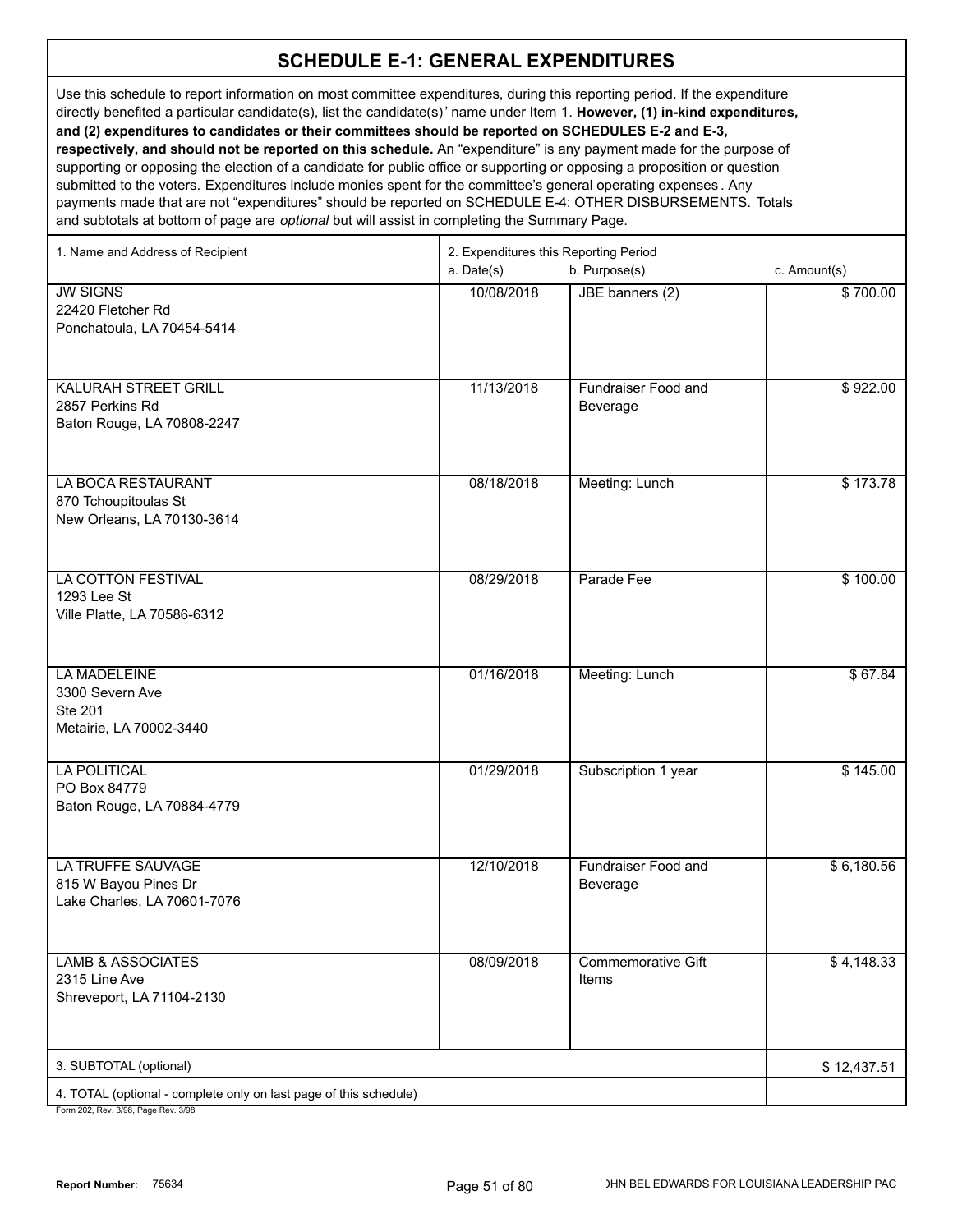Use this schedule to report information on most committee expenditures, during this reporting period. If the expenditure directly benefited a particular candidate(s), list the candidate(s)' name under Item 1. **However, (1) in-kind expenditures, and (2) expenditures to candidates or their committees should be reported on SCHEDULES E-2 and E-3, respectively, and should not be reported on this schedule.** An "expenditure" is any payment made for the purpose of supporting or opposing the election of a candidate for public office or supporting or opposing a proposition or question submitted to the voters. Expenditures include monies spent for the committee's general operating expenses . Any payments made that are not "expenditures" should be reported on SCHEDULE E-4: OTHER DISBURSEMENTS. Totals and subtotals at bottom of page are *optional* but will assist in completing the Summary Page.

| 1. Name and Address of Recipient                                                | 2. Expenditures this Reporting Period<br>a. Date(s) | b. Purpose(s)                          | c. Amount(s) |
|---------------------------------------------------------------------------------|-----------------------------------------------------|----------------------------------------|--------------|
| <b>JW SIGNS</b><br>22420 Fletcher Rd<br>Ponchatoula, LA 70454-5414              | 10/08/2018                                          | JBE banners (2)                        | \$700.00     |
| <b>KALURAH STREET GRILL</b><br>2857 Perkins Rd<br>Baton Rouge, LA 70808-2247    | 11/13/2018                                          | Fundraiser Food and<br>Beverage        | \$922.00     |
| LA BOCA RESTAURANT<br>870 Tchoupitoulas St<br>New Orleans, LA 70130-3614        | 08/18/2018                                          | Meeting: Lunch                         | \$173.78     |
| LA COTTON FESTIVAL<br>1293 Lee St<br>Ville Platte, LA 70586-6312                | 08/29/2018                                          | Parade Fee                             | \$100.00     |
| LA MADELEINE<br>3300 Severn Ave<br><b>Ste 201</b><br>Metairie, LA 70002-3440    | 01/16/2018                                          | Meeting: Lunch                         | \$67.84      |
| <b>LA POLITICAL</b><br>PO Box 84779<br>Baton Rouge, LA 70884-4779               | 01/29/2018                                          | Subscription 1 year                    | \$145.00     |
| <b>LA TRUFFE SAUVAGE</b><br>815 W Bayou Pines Dr<br>Lake Charles, LA 70601-7076 | 12/10/2018                                          | <b>Fundraiser Food and</b><br>Beverage | \$6,180.56   |
| <b>LAMB &amp; ASSOCIATES</b><br>2315 Line Ave<br>Shreveport, LA 71104-2130      | 08/09/2018                                          | <b>Commemorative Gift</b><br>Items     | \$4,148.33   |
| 3. SUBTOTAL (optional)                                                          |                                                     |                                        | \$12,437.51  |
| 4. TOTAL (optional - complete only on last page of this schedule)<br>$2/00 - 5$ |                                                     |                                        |              |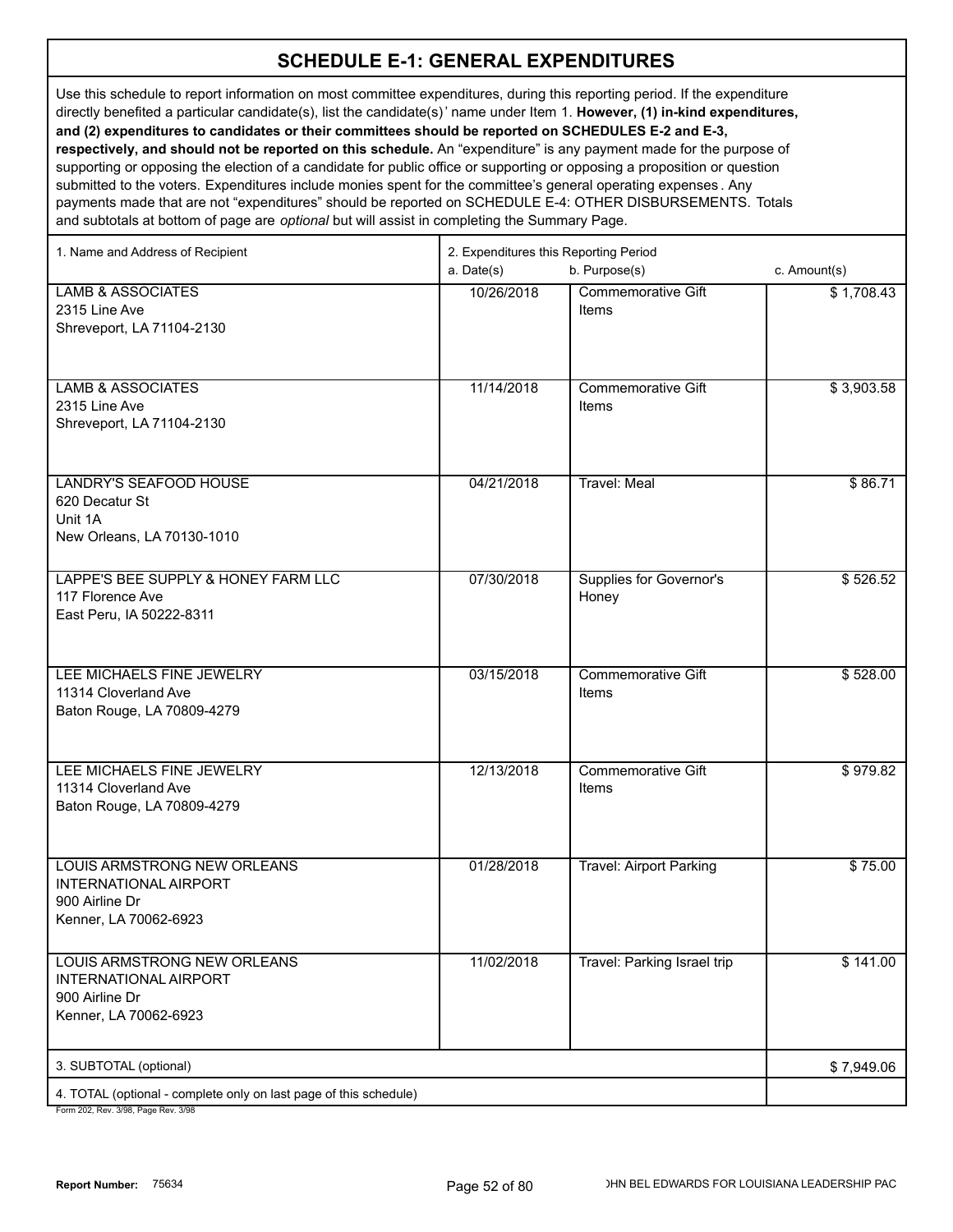Use this schedule to report information on most committee expenditures, during this reporting period. If the expenditure directly benefited a particular candidate(s), list the candidate(s)' name under Item 1. **However, (1) in-kind expenditures, and (2) expenditures to candidates or their committees should be reported on SCHEDULES E-2 and E-3, respectively, and should not be reported on this schedule.** An "expenditure" is any payment made for the purpose of supporting or opposing the election of a candidate for public office or supporting or opposing a proposition or question

submitted to the voters. Expenditures include monies spent for the committee's general operating expenses . Any payments made that are not "expenditures" should be reported on SCHEDULE E-4: OTHER DISBURSEMENTS. Totals and subtotals at bottom of page are *optional* but will assist in completing the Summary Page.

| 1. Name and Address of Recipient                                  | 2. Expenditures this Reporting Period |                                |              |  |
|-------------------------------------------------------------------|---------------------------------------|--------------------------------|--------------|--|
|                                                                   | a. Date(s)                            | b. Purpose(s)                  | c. Amount(s) |  |
| <b>LAMB &amp; ASSOCIATES</b>                                      | 10/26/2018                            | <b>Commemorative Gift</b>      | \$1,708.43   |  |
| 2315 Line Ave                                                     |                                       | Items                          |              |  |
| Shreveport, LA 71104-2130                                         |                                       |                                |              |  |
|                                                                   |                                       |                                |              |  |
|                                                                   |                                       |                                |              |  |
| <b>LAMB &amp; ASSOCIATES</b><br>2315 Line Ave                     | 11/14/2018                            | Commemorative Gift<br>Items    | \$3,903.58   |  |
| Shreveport, LA 71104-2130                                         |                                       |                                |              |  |
|                                                                   |                                       |                                |              |  |
|                                                                   |                                       |                                |              |  |
| <b>LANDRY'S SEAFOOD HOUSE</b>                                     | 04/21/2018                            | Travel: Meal                   | \$86.71      |  |
| 620 Decatur St                                                    |                                       |                                |              |  |
| Unit 1A                                                           |                                       |                                |              |  |
| New Orleans, LA 70130-1010                                        |                                       |                                |              |  |
|                                                                   |                                       |                                |              |  |
| LAPPE'S BEE SUPPLY & HONEY FARM LLC                               | 07/30/2018                            | <b>Supplies for Governor's</b> | \$526.52     |  |
| 117 Florence Ave                                                  |                                       | Honey                          |              |  |
| East Peru, IA 50222-8311                                          |                                       |                                |              |  |
|                                                                   |                                       |                                |              |  |
| LEE MICHAELS FINE JEWELRY                                         | 03/15/2018                            | <b>Commemorative Gift</b>      | \$528.00     |  |
| 11314 Cloverland Ave                                              |                                       | Items                          |              |  |
| Baton Rouge, LA 70809-4279                                        |                                       |                                |              |  |
|                                                                   |                                       |                                |              |  |
|                                                                   |                                       |                                |              |  |
| LEE MICHAELS FINE JEWELRY                                         | 12/13/2018                            | <b>Commemorative Gift</b>      | \$979.82     |  |
| 11314 Cloverland Ave<br>Baton Rouge, LA 70809-4279                |                                       | Items                          |              |  |
|                                                                   |                                       |                                |              |  |
|                                                                   |                                       |                                |              |  |
| LOUIS ARMSTRONG NEW ORLEANS                                       | 01/28/2018                            | <b>Travel: Airport Parking</b> | \$75.00      |  |
| <b>INTERNATIONAL AIRPORT</b>                                      |                                       |                                |              |  |
| 900 Airline Dr                                                    |                                       |                                |              |  |
| Kenner, LA 70062-6923                                             |                                       |                                |              |  |
|                                                                   |                                       |                                |              |  |
| LOUIS ARMSTRONG NEW ORLEANS                                       | 11/02/2018                            | Travel: Parking Israel trip    | \$141.00     |  |
| <b>INTERNATIONAL AIRPORT</b><br>900 Airline Dr                    |                                       |                                |              |  |
| Kenner, LA 70062-6923                                             |                                       |                                |              |  |
|                                                                   |                                       |                                |              |  |
| 3. SUBTOTAL (optional)                                            |                                       |                                | \$7,949.06   |  |
| 4. TOTAL (optional - complete only on last page of this schedule) |                                       |                                |              |  |
|                                                                   |                                       |                                |              |  |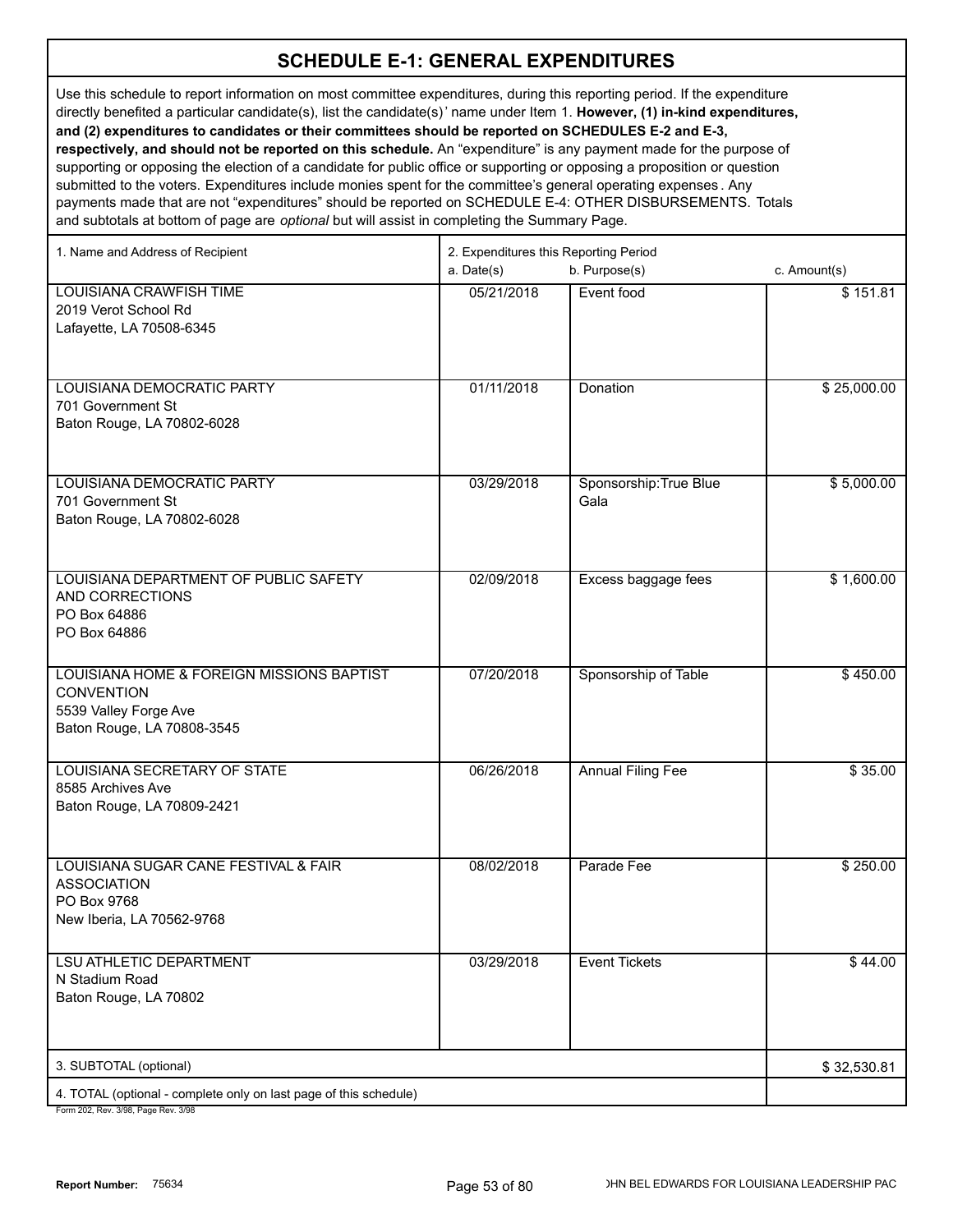Use this schedule to report information on most committee expenditures, during this reporting period. If the expenditure directly benefited a particular candidate(s), list the candidate(s)' name under Item 1. **However, (1) in-kind expenditures, and (2) expenditures to candidates or their committees should be reported on SCHEDULES E-2 and E-3, respectively, and should not be reported on this schedule.** An "expenditure" is any payment made for the purpose of supporting or opposing the election of a candidate for public office or supporting or opposing a proposition or question submitted to the voters. Expenditures include monies spent for the committee's general operating expenses . Any

payments made that are not "expenditures" should be reported on SCHEDULE E-4: OTHER DISBURSEMENTS. Totals and subtotals at bottom of page are *optional* but will assist in completing the Summary Page.

| 1. Name and Address of Recipient                                  | 2. Expenditures this Reporting Period |                          |              |  |
|-------------------------------------------------------------------|---------------------------------------|--------------------------|--------------|--|
|                                                                   | a. Date(s)                            | b. Purpose(s)            | c. Amount(s) |  |
| <b>LOUISIANA CRAWFISH TIME</b>                                    | 05/21/2018                            | Event food               | \$151.81     |  |
| 2019 Verot School Rd                                              |                                       |                          |              |  |
| Lafayette, LA 70508-6345                                          |                                       |                          |              |  |
|                                                                   |                                       |                          |              |  |
|                                                                   |                                       |                          |              |  |
| LOUISIANA DEMOCRATIC PARTY                                        | 01/11/2018                            | Donation                 | \$25,000.00  |  |
| 701 Government St                                                 |                                       |                          |              |  |
| Baton Rouge, LA 70802-6028                                        |                                       |                          |              |  |
|                                                                   |                                       |                          |              |  |
|                                                                   |                                       |                          |              |  |
| LOUISIANA DEMOCRATIC PARTY                                        | 03/29/2018                            | Sponsorship: True Blue   | \$5,000.00   |  |
| 701 Government St                                                 |                                       | Gala                     |              |  |
| Baton Rouge, LA 70802-6028                                        |                                       |                          |              |  |
|                                                                   |                                       |                          |              |  |
| LOUISIANA DEPARTMENT OF PUBLIC SAFETY                             | 02/09/2018                            | Excess baggage fees      | \$1,600.00   |  |
| AND CORRECTIONS                                                   |                                       |                          |              |  |
| PO Box 64886                                                      |                                       |                          |              |  |
| PO Box 64886                                                      |                                       |                          |              |  |
|                                                                   |                                       |                          |              |  |
| LOUISIANA HOME & FOREIGN MISSIONS BAPTIST                         | 07/20/2018                            | Sponsorship of Table     | \$450.00     |  |
| <b>CONVENTION</b>                                                 |                                       |                          |              |  |
| 5539 Valley Forge Ave                                             |                                       |                          |              |  |
| Baton Rouge, LA 70808-3545                                        |                                       |                          |              |  |
|                                                                   |                                       |                          |              |  |
| LOUISIANA SECRETARY OF STATE                                      | 06/26/2018                            | <b>Annual Filing Fee</b> | \$35.00      |  |
| 8585 Archives Ave                                                 |                                       |                          |              |  |
| Baton Rouge, LA 70809-2421                                        |                                       |                          |              |  |
|                                                                   |                                       |                          |              |  |
|                                                                   |                                       |                          |              |  |
| LOUISIANA SUGAR CANE FESTIVAL & FAIR                              | 08/02/2018                            | Parade Fee               | \$250.00     |  |
| <b>ASSOCIATION</b>                                                |                                       |                          |              |  |
| PO Box 9768                                                       |                                       |                          |              |  |
| New Iberia, LA 70562-9768                                         |                                       |                          |              |  |
| <b>LSU ATHLETIC DEPARTMENT</b>                                    | 03/29/2018                            | <b>Event Tickets</b>     | \$44.00      |  |
| N Stadium Road                                                    |                                       |                          |              |  |
| Baton Rouge, LA 70802                                             |                                       |                          |              |  |
|                                                                   |                                       |                          |              |  |
|                                                                   |                                       |                          |              |  |
| 3. SUBTOTAL (optional)                                            |                                       |                          | \$32,530.81  |  |
| 4. TOTAL (optional - complete only on last page of this schedule) |                                       |                          |              |  |
| Form 202 Rev. 3/08 Rage Rev. 3/08                                 |                                       |                          |              |  |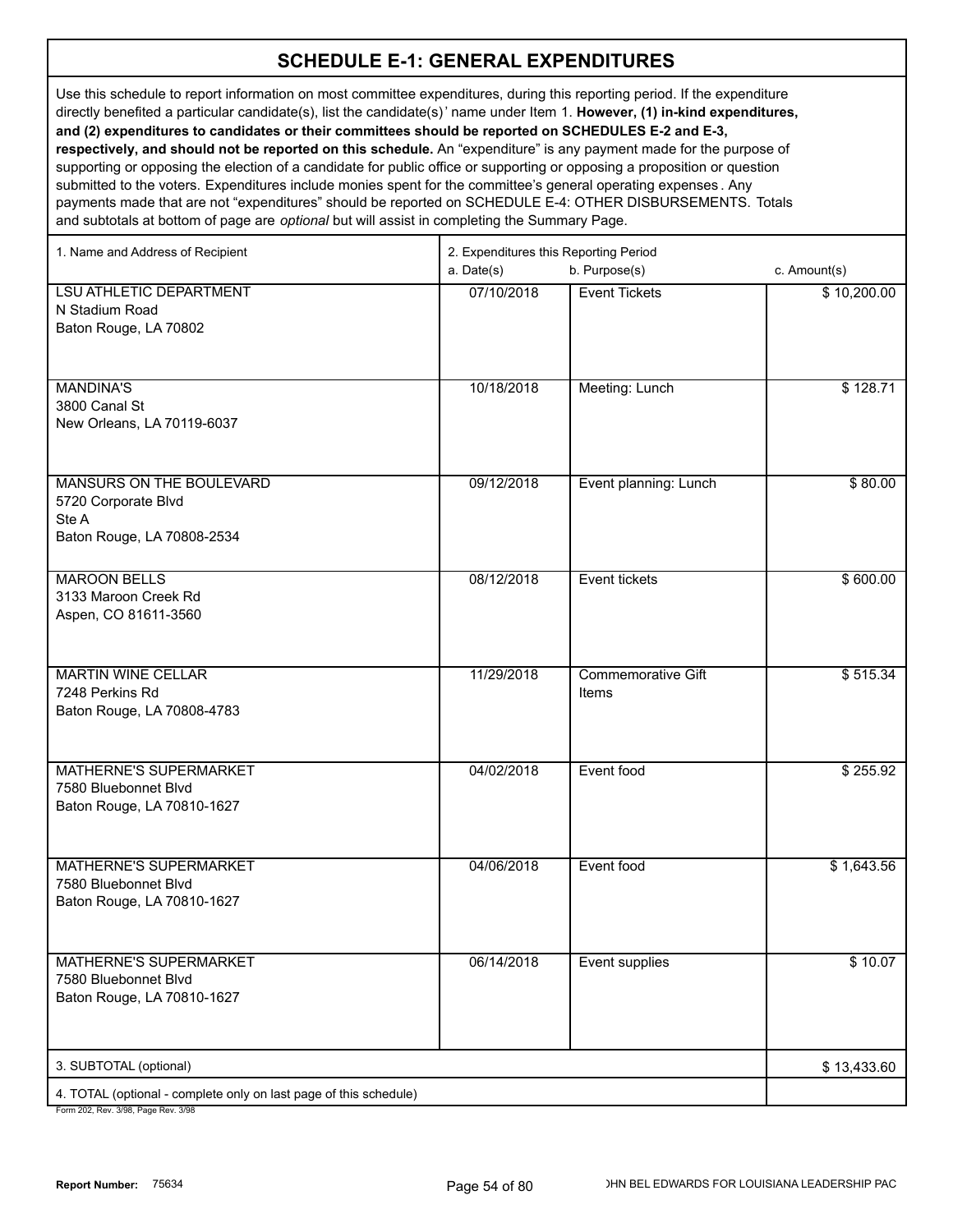Use this schedule to report information on most committee expenditures, during this reporting period. If the expenditure directly benefited a particular candidate(s), list the candidate(s)' name under Item 1. **However, (1) in-kind expenditures, and (2) expenditures to candidates or their committees should be reported on SCHEDULES E-2 and E-3, respectively, and should not be reported on this schedule.** An "expenditure" is any payment made for the purpose of

supporting or opposing the election of a candidate for public office or supporting or opposing a proposition or question submitted to the voters. Expenditures include monies spent for the committee's general operating expenses . Any payments made that are not "expenditures" should be reported on SCHEDULE E-4: OTHER DISBURSEMENTS. Totals and subtotals at bottom of page are *optional* but will assist in completing the Summary Page.

| b. Purpose(s)<br>a. Date(s)<br>c. Amount(s)<br><b>LSU ATHLETIC DEPARTMENT</b><br>07/10/2018<br>\$10,200.00<br><b>Event Tickets</b><br>N Stadium Road<br>Baton Rouge, LA 70802<br><b>MANDINA'S</b><br>10/18/2018<br>Meeting: Lunch<br>\$128.71<br>3800 Canal St<br>New Orleans, LA 70119-6037<br>MANSURS ON THE BOULEVARD<br>09/12/2018<br>\$80.00<br>Event planning: Lunch<br>5720 Corporate Blvd<br>Ste A<br>Baton Rouge, LA 70808-2534 |
|------------------------------------------------------------------------------------------------------------------------------------------------------------------------------------------------------------------------------------------------------------------------------------------------------------------------------------------------------------------------------------------------------------------------------------------|
|                                                                                                                                                                                                                                                                                                                                                                                                                                          |
|                                                                                                                                                                                                                                                                                                                                                                                                                                          |
|                                                                                                                                                                                                                                                                                                                                                                                                                                          |
|                                                                                                                                                                                                                                                                                                                                                                                                                                          |
|                                                                                                                                                                                                                                                                                                                                                                                                                                          |
|                                                                                                                                                                                                                                                                                                                                                                                                                                          |
|                                                                                                                                                                                                                                                                                                                                                                                                                                          |
|                                                                                                                                                                                                                                                                                                                                                                                                                                          |
|                                                                                                                                                                                                                                                                                                                                                                                                                                          |
|                                                                                                                                                                                                                                                                                                                                                                                                                                          |
|                                                                                                                                                                                                                                                                                                                                                                                                                                          |
|                                                                                                                                                                                                                                                                                                                                                                                                                                          |
|                                                                                                                                                                                                                                                                                                                                                                                                                                          |
|                                                                                                                                                                                                                                                                                                                                                                                                                                          |
| <b>MAROON BELLS</b><br>08/12/2018<br>Event tickets<br>\$600.00                                                                                                                                                                                                                                                                                                                                                                           |
| 3133 Maroon Creek Rd                                                                                                                                                                                                                                                                                                                                                                                                                     |
| Aspen, CO 81611-3560                                                                                                                                                                                                                                                                                                                                                                                                                     |
|                                                                                                                                                                                                                                                                                                                                                                                                                                          |
| <b>Commemorative Gift</b><br><b>MARTIN WINE CELLAR</b><br>11/29/2018<br>\$515.34                                                                                                                                                                                                                                                                                                                                                         |
| 7248 Perkins Rd<br>Items                                                                                                                                                                                                                                                                                                                                                                                                                 |
| Baton Rouge, LA 70808-4783                                                                                                                                                                                                                                                                                                                                                                                                               |
|                                                                                                                                                                                                                                                                                                                                                                                                                                          |
| <b>MATHERNE'S SUPERMARKET</b><br>04/02/2018<br>Event food<br>\$255.92                                                                                                                                                                                                                                                                                                                                                                    |
| 7580 Bluebonnet Blvd                                                                                                                                                                                                                                                                                                                                                                                                                     |
| Baton Rouge, LA 70810-1627                                                                                                                                                                                                                                                                                                                                                                                                               |
|                                                                                                                                                                                                                                                                                                                                                                                                                                          |
| MATHERNE'S SUPERMARKET<br>04/06/2018<br>Event food<br>\$1,643.56                                                                                                                                                                                                                                                                                                                                                                         |
| 7580 Bluebonnet Blvd                                                                                                                                                                                                                                                                                                                                                                                                                     |
| Baton Rouge, LA 70810-1627                                                                                                                                                                                                                                                                                                                                                                                                               |
|                                                                                                                                                                                                                                                                                                                                                                                                                                          |
| 06/14/2018<br><b>MATHERNE'S SUPERMARKET</b><br>Event supplies<br>\$10.07                                                                                                                                                                                                                                                                                                                                                                 |
| 7580 Bluebonnet Blvd                                                                                                                                                                                                                                                                                                                                                                                                                     |
| Baton Rouge, LA 70810-1627                                                                                                                                                                                                                                                                                                                                                                                                               |
|                                                                                                                                                                                                                                                                                                                                                                                                                                          |
|                                                                                                                                                                                                                                                                                                                                                                                                                                          |
| 3. SUBTOTAL (optional)<br>\$13,433.60                                                                                                                                                                                                                                                                                                                                                                                                    |
| 4. TOTAL (optional - complete only on last page of this schedule)<br>Form 202 Roy 2/08 Rogo Roy 2/08                                                                                                                                                                                                                                                                                                                                     |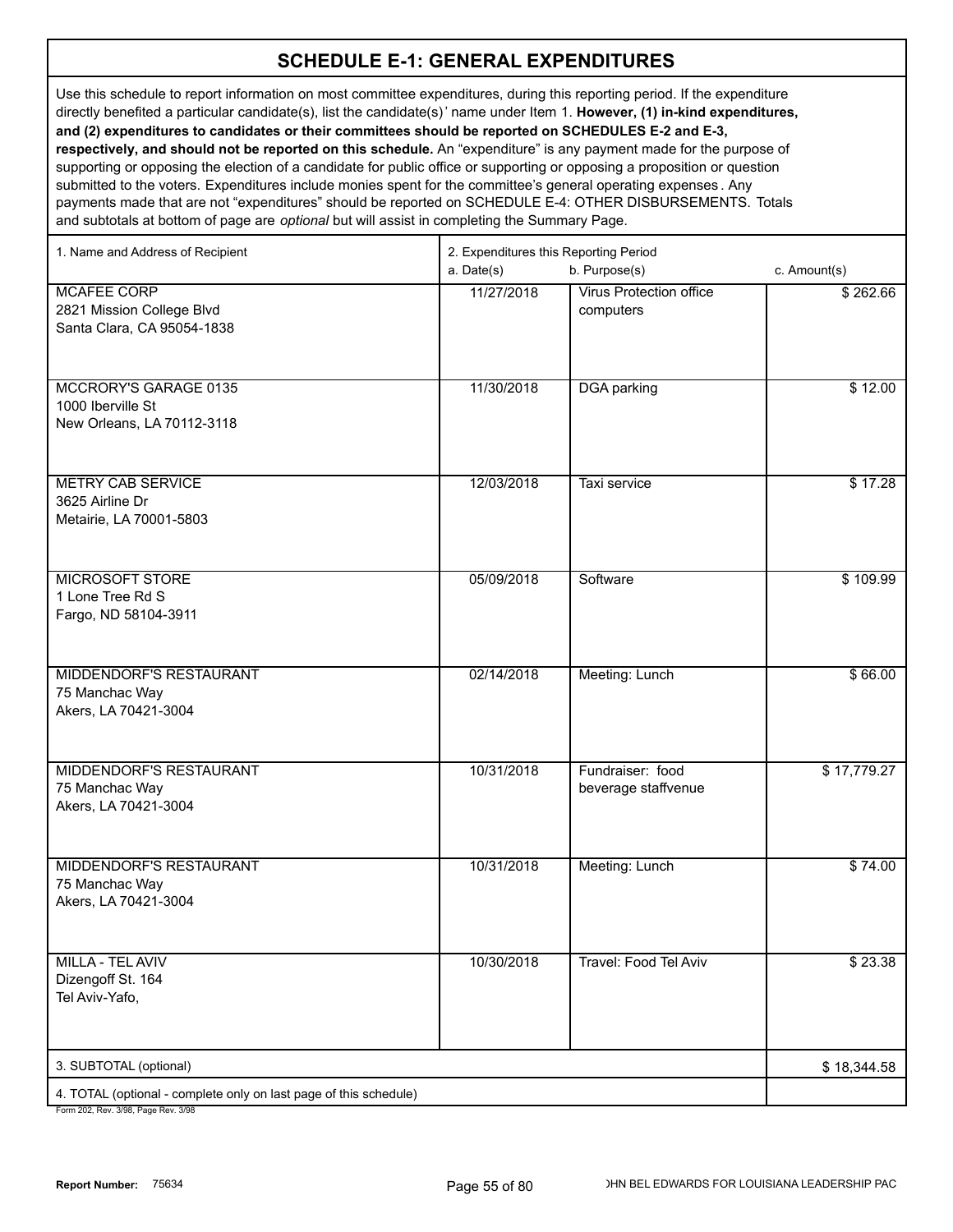Use this schedule to report information on most committee expenditures, during this reporting period. If the expenditure directly benefited a particular candidate(s), list the candidate(s)' name under Item 1. **However, (1) in-kind expenditures, and (2) expenditures to candidates or their committees should be reported on SCHEDULES E-2 and E-3, respectively, and should not be reported on this schedule.** An "expenditure" is any payment made for the purpose of supporting or opposing the election of a candidate for public office or supporting or opposing a proposition or question submitted to the voters. Expenditures include monies spent for the committee's general operating expenses . Any payments made that are not "expenditures" should be reported on SCHEDULE E-4: OTHER DISBURSEMENTS. Totals and subtotals at bottom of page are *optional* but will assist in completing the Summary Page.

| 1. Name and Address of Recipient                                                                     | 2. Expenditures this Reporting Period<br>a. Date(s) | c. Amount(s)                                |             |
|------------------------------------------------------------------------------------------------------|-----------------------------------------------------|---------------------------------------------|-------------|
| <b>MCAFEE CORP</b><br>2821 Mission College Blvd<br>Santa Clara, CA 95054-1838                        | 11/27/2018                                          | <b>Virus Protection office</b><br>computers | \$262.66    |
| MCCRORY'S GARAGE 0135<br>1000 Iberville St<br>New Orleans, LA 70112-3118                             | 11/30/2018                                          | <b>DGA</b> parking                          | \$12.00     |
| <b>METRY CAB SERVICE</b><br>3625 Airline Dr<br>Metairie, LA 70001-5803                               | 12/03/2018                                          | Taxi service                                | \$17.28     |
| <b>MICROSOFT STORE</b><br>1 Lone Tree Rd S<br>Fargo, ND 58104-3911                                   | 05/09/2018                                          | Software                                    | \$109.99    |
| MIDDENDORF'S RESTAURANT<br>75 Manchac Way<br>Akers, LA 70421-3004                                    | 02/14/2018                                          | Meeting: Lunch                              | \$66.00     |
| MIDDENDORF'S RESTAURANT<br>75 Manchac Way<br>Akers, LA 70421-3004                                    | 10/31/2018                                          | Fundraiser: food<br>beverage staffvenue     | \$17,779.27 |
| <b>MIDDENDORF'S RESTAURANT</b><br>75 Manchac Way<br>Akers, LA 70421-3004                             | 10/31/2018                                          | Meeting: Lunch                              | \$74.00     |
| MILLA - TEL AVIV<br>Dizengoff St. 164<br>Tel Aviv-Yafo,                                              | 10/30/2018                                          | Travel: Food Tel Aviv                       | \$23.38     |
| 3. SUBTOTAL (optional)                                                                               |                                                     |                                             | \$18,344.58 |
| 4. TOTAL (optional - complete only on last page of this schedule)<br>Form 202 Rev 3/98 Page Rev 3/98 |                                                     |                                             |             |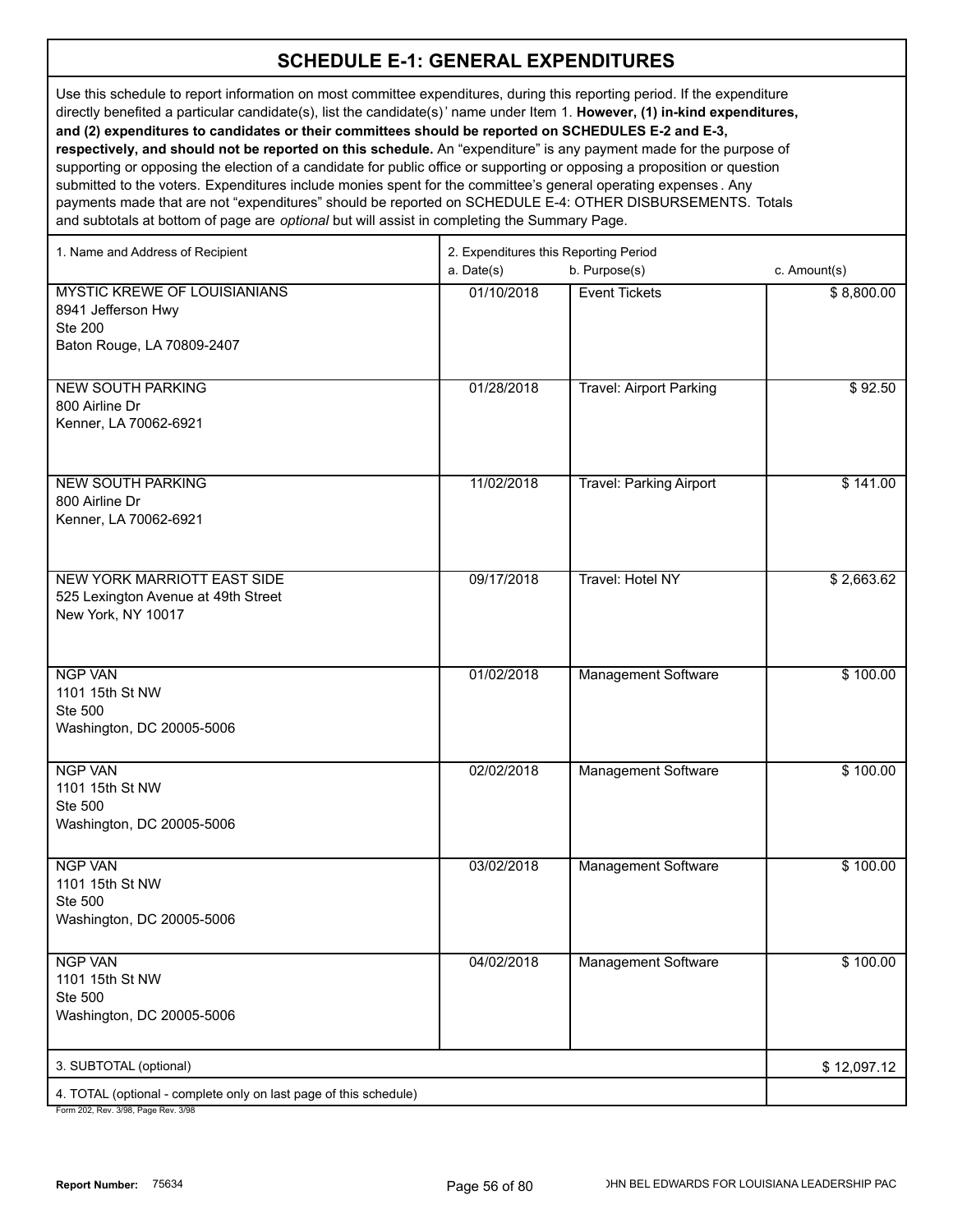Use this schedule to report information on most committee expenditures, during this reporting period. If the expenditure directly benefited a particular candidate(s), list the candidate(s)' name under Item 1. **However, (1) in-kind expenditures, and (2) expenditures to candidates or their committees should be reported on SCHEDULES E-2 and E-3, respectively, and should not be reported on this schedule.** An "expenditure" is any payment made for the purpose of supporting or opposing the election of a candidate for public office or supporting or opposing a proposition or question submitted to the voters. Expenditures include monies spent for the committee's general operating expenses . Any

payments made that are not "expenditures" should be reported on SCHEDULE E-4: OTHER DISBURSEMENTS. Totals and subtotals at bottom of page are *optional* but will assist in completing the Summary Page.

| b. Purpose(s)<br>a. Date(s)<br>c. Amount(s)<br><b>MYSTIC KREWE OF LOUISIANIANS</b><br>01/10/2018<br><b>Event Tickets</b><br>\$8,800.00<br>8941 Jefferson Hwy<br><b>Ste 200</b><br>Baton Rouge, LA 70809-2407<br><b>NEW SOUTH PARKING</b><br><b>Travel: Airport Parking</b><br>\$92.50<br>01/28/2018<br>800 Airline Dr<br>Kenner, LA 70062-6921<br><b>NEW SOUTH PARKING</b><br>11/02/2018<br><b>Travel: Parking Airport</b><br>\$141.00<br>800 Airline Dr<br>Kenner, LA 70062-6921<br>09/17/2018<br><b>Travel: Hotel NY</b><br>NEW YORK MARRIOTT EAST SIDE<br>\$2,663.62<br>525 Lexington Avenue at 49th Street |
|----------------------------------------------------------------------------------------------------------------------------------------------------------------------------------------------------------------------------------------------------------------------------------------------------------------------------------------------------------------------------------------------------------------------------------------------------------------------------------------------------------------------------------------------------------------------------------------------------------------|
|                                                                                                                                                                                                                                                                                                                                                                                                                                                                                                                                                                                                                |
|                                                                                                                                                                                                                                                                                                                                                                                                                                                                                                                                                                                                                |
|                                                                                                                                                                                                                                                                                                                                                                                                                                                                                                                                                                                                                |
|                                                                                                                                                                                                                                                                                                                                                                                                                                                                                                                                                                                                                |
| New York, NY 10017                                                                                                                                                                                                                                                                                                                                                                                                                                                                                                                                                                                             |
| <b>NGP VAN</b><br>01/02/2018<br><b>Management Software</b><br>\$100.00<br>1101 15th St NW<br>Ste 500<br>Washington, DC 20005-5006                                                                                                                                                                                                                                                                                                                                                                                                                                                                              |
| <b>NGP VAN</b><br>02/02/2018<br>Management Software<br>\$100.00<br>1101 15th St NW<br>Ste 500<br>Washington, DC 20005-5006                                                                                                                                                                                                                                                                                                                                                                                                                                                                                     |
| <b>NGP VAN</b><br>03/02/2018<br><b>Management Software</b><br>\$100.00<br>1101 15th St NW<br>Ste 500<br>Washington, DC 20005-5006                                                                                                                                                                                                                                                                                                                                                                                                                                                                              |
| 04/02/2018<br>\$100.00<br><b>NGP VAN</b><br><b>Management Software</b><br>1101 15th St NW<br>Ste 500<br>Washington, DC 20005-5006                                                                                                                                                                                                                                                                                                                                                                                                                                                                              |
| 3. SUBTOTAL (optional)<br>\$12,097.12                                                                                                                                                                                                                                                                                                                                                                                                                                                                                                                                                                          |
| 4. TOTAL (optional - complete only on last page of this schedule)                                                                                                                                                                                                                                                                                                                                                                                                                                                                                                                                              |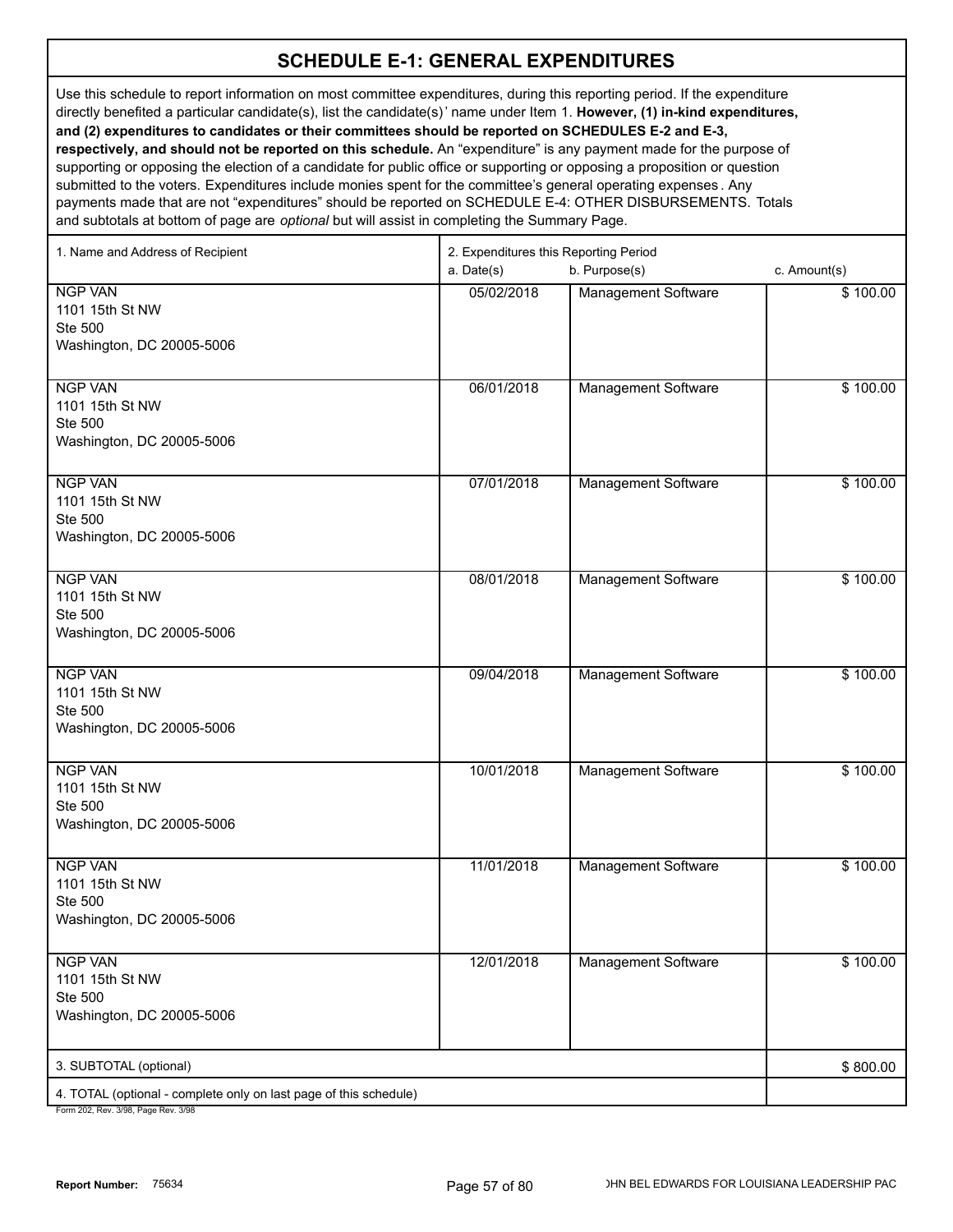Use this schedule to report information on most committee expenditures, during this reporting period. If the expenditure directly benefited a particular candidate(s), list the candidate(s)' name under Item 1. **However, (1) in-kind expenditures, and (2) expenditures to candidates or their committees should be reported on SCHEDULES E-2 and E-3, respectively, and should not be reported on this schedule.** An "expenditure" is any payment made for the purpose of supporting or opposing the election of a candidate for public office or supporting or opposing a proposition or question submitted to the voters. Expenditures include monies spent for the committee's general operating expenses . Any payments made that are not "expenditures" should be reported on SCHEDULE E-4: OTHER DISBURSEMENTS. Totals and subtotals at bottom of page are *optional* but will assist in completing the Summary Page.

| 1. Name and Address of Recipient                                          | 2. Expenditures this Reporting Period<br>a. Date(s) | c. Amount(s)               |          |
|---------------------------------------------------------------------------|-----------------------------------------------------|----------------------------|----------|
| <b>NGP VAN</b><br>1101 15th St NW<br>Ste 500<br>Washington, DC 20005-5006 | 05/02/2018                                          | Management Software        | \$100.00 |
| <b>NGP VAN</b><br>1101 15th St NW<br>Ste 500<br>Washington, DC 20005-5006 | 06/01/2018                                          | Management Software        | \$100.00 |
| <b>NGP VAN</b><br>1101 15th St NW<br>Ste 500<br>Washington, DC 20005-5006 | 07/01/2018                                          | Management Software        | \$100.00 |
| <b>NGP VAN</b><br>1101 15th St NW<br>Ste 500<br>Washington, DC 20005-5006 | 08/01/2018                                          | <b>Management Software</b> | \$100.00 |
| <b>NGP VAN</b><br>1101 15th St NW<br>Ste 500<br>Washington, DC 20005-5006 | 09/04/2018                                          | <b>Management Software</b> | \$100.00 |
| <b>NGP VAN</b><br>1101 15th St NW<br>Ste 500<br>Washington, DC 20005-5006 | 10/01/2018                                          | Management Software        | \$100.00 |
| <b>NGP VAN</b><br>1101 15th St NW<br>Ste 500<br>Washington, DC 20005-5006 | 11/01/2018                                          | Management Software        | \$100.00 |
| <b>NGP VAN</b><br>1101 15th St NW<br>Ste 500<br>Washington, DC 20005-5006 | 12/01/2018                                          | <b>Management Software</b> | \$100.00 |
| 3. SUBTOTAL (optional)                                                    |                                                     |                            | \$800.00 |
| 4. TOTAL (optional - complete only on last page of this schedule)         |                                                     |                            |          |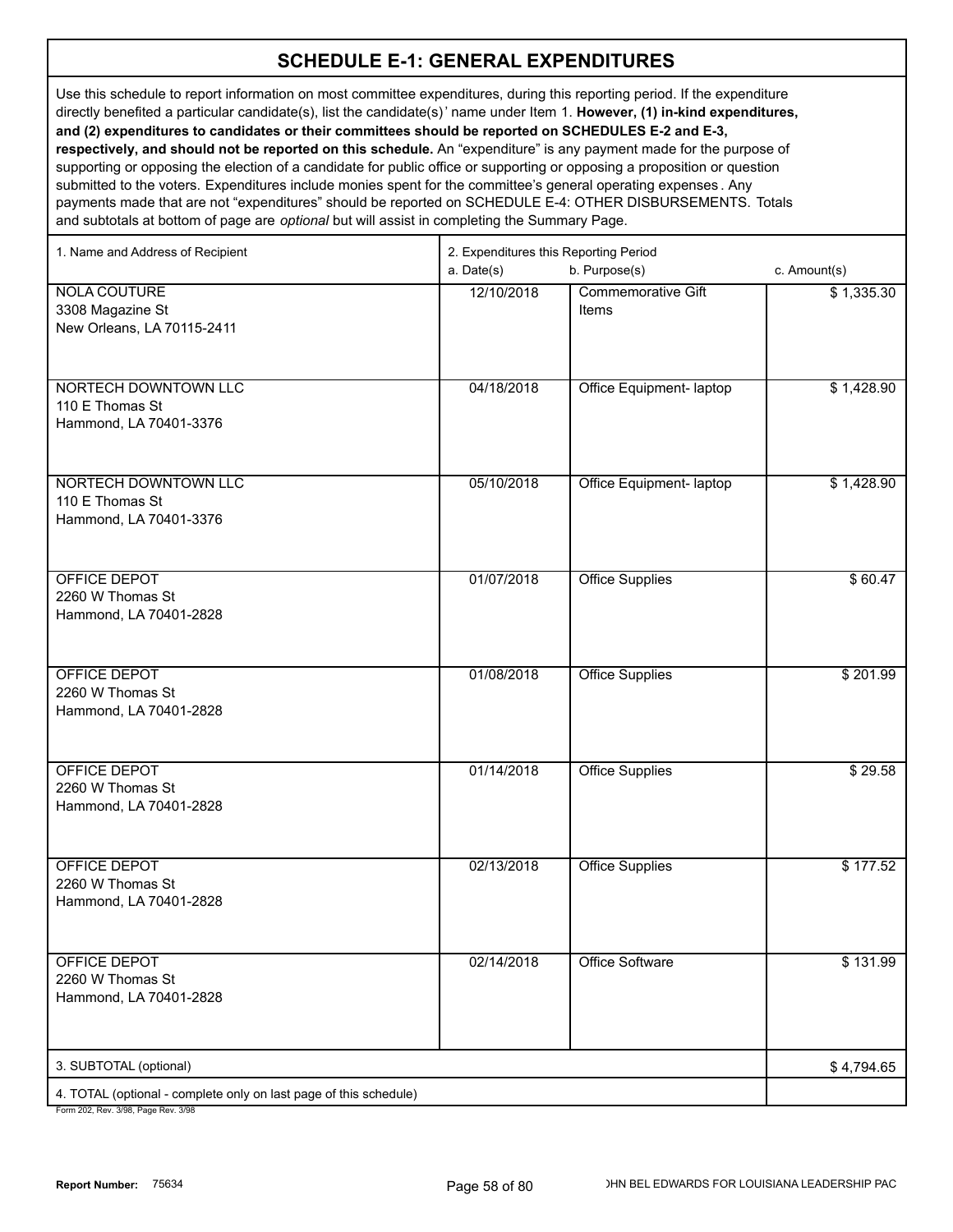Use this schedule to report information on most committee expenditures, during this reporting period. If the expenditure directly benefited a particular candidate(s), list the candidate(s)' name under Item 1. **However, (1) in-kind expenditures, and (2) expenditures to candidates or their committees should be reported on SCHEDULES E-2 and E-3, respectively, and should not be reported on this schedule.** An "expenditure" is any payment made for the purpose of supporting or opposing the election of a candidate for public office or supporting or opposing a proposition or question submitted to the voters. Expenditures include monies spent for the committee's general operating expenses . Any

payments made that are not "expenditures" should be reported on SCHEDULE E-4: OTHER DISBURSEMENTS. Totals and subtotals at bottom of page are *optional* but will assist in completing the Summary Page.

| 1. Name and Address of Recipient                                  | 2. Expenditures this Reporting Period |                           |              |
|-------------------------------------------------------------------|---------------------------------------|---------------------------|--------------|
|                                                                   | a. Date(s)                            | b. Purpose(s)             | c. Amount(s) |
| <b>NOLA COUTURE</b>                                               | 12/10/2018                            | <b>Commemorative Gift</b> | \$1,335.30   |
| 3308 Magazine St                                                  |                                       | <b>Items</b>              |              |
| New Orleans, LA 70115-2411                                        |                                       |                           |              |
|                                                                   |                                       |                           |              |
| NORTECH DOWNTOWN LLC                                              | 04/18/2018                            | Office Equipment- laptop  | \$1,428.90   |
| 110 E Thomas St                                                   |                                       |                           |              |
| Hammond, LA 70401-3376                                            |                                       |                           |              |
|                                                                   |                                       |                           |              |
|                                                                   |                                       |                           |              |
| NORTECH DOWNTOWN LLC<br>110 E Thomas St                           | 05/10/2018                            | Office Equipment- laptop  | \$1,428.90   |
| Hammond, LA 70401-3376                                            |                                       |                           |              |
|                                                                   |                                       |                           |              |
|                                                                   |                                       |                           |              |
| <b>OFFICE DEPOT</b>                                               | 01/07/2018                            | <b>Office Supplies</b>    | \$60.47      |
| 2260 W Thomas St<br>Hammond, LA 70401-2828                        |                                       |                           |              |
|                                                                   |                                       |                           |              |
|                                                                   |                                       |                           |              |
| <b>OFFICE DEPOT</b>                                               | 01/08/2018                            | <b>Office Supplies</b>    | \$201.99     |
| 2260 W Thomas St                                                  |                                       |                           |              |
| Hammond, LA 70401-2828                                            |                                       |                           |              |
|                                                                   |                                       |                           |              |
| <b>OFFICE DEPOT</b>                                               | 01/14/2018                            | <b>Office Supplies</b>    | \$29.58      |
| 2260 W Thomas St                                                  |                                       |                           |              |
| Hammond, LA 70401-2828                                            |                                       |                           |              |
|                                                                   |                                       |                           |              |
| OFFICE DEPOT                                                      | 02/13/2018                            | <b>Office Supplies</b>    | \$177.52     |
| 2260 W Thomas St                                                  |                                       |                           |              |
| Hammond, LA 70401-2828                                            |                                       |                           |              |
|                                                                   |                                       |                           |              |
| OFFICE DEPOT                                                      | 02/14/2018                            | <b>Office Software</b>    | \$131.99     |
| 2260 W Thomas St                                                  |                                       |                           |              |
| Hammond, LA 70401-2828                                            |                                       |                           |              |
|                                                                   |                                       |                           |              |
|                                                                   |                                       |                           |              |
| 3. SUBTOTAL (optional)                                            |                                       |                           | \$4,794.65   |
| 4. TOTAL (optional - complete only on last page of this schedule) |                                       |                           |              |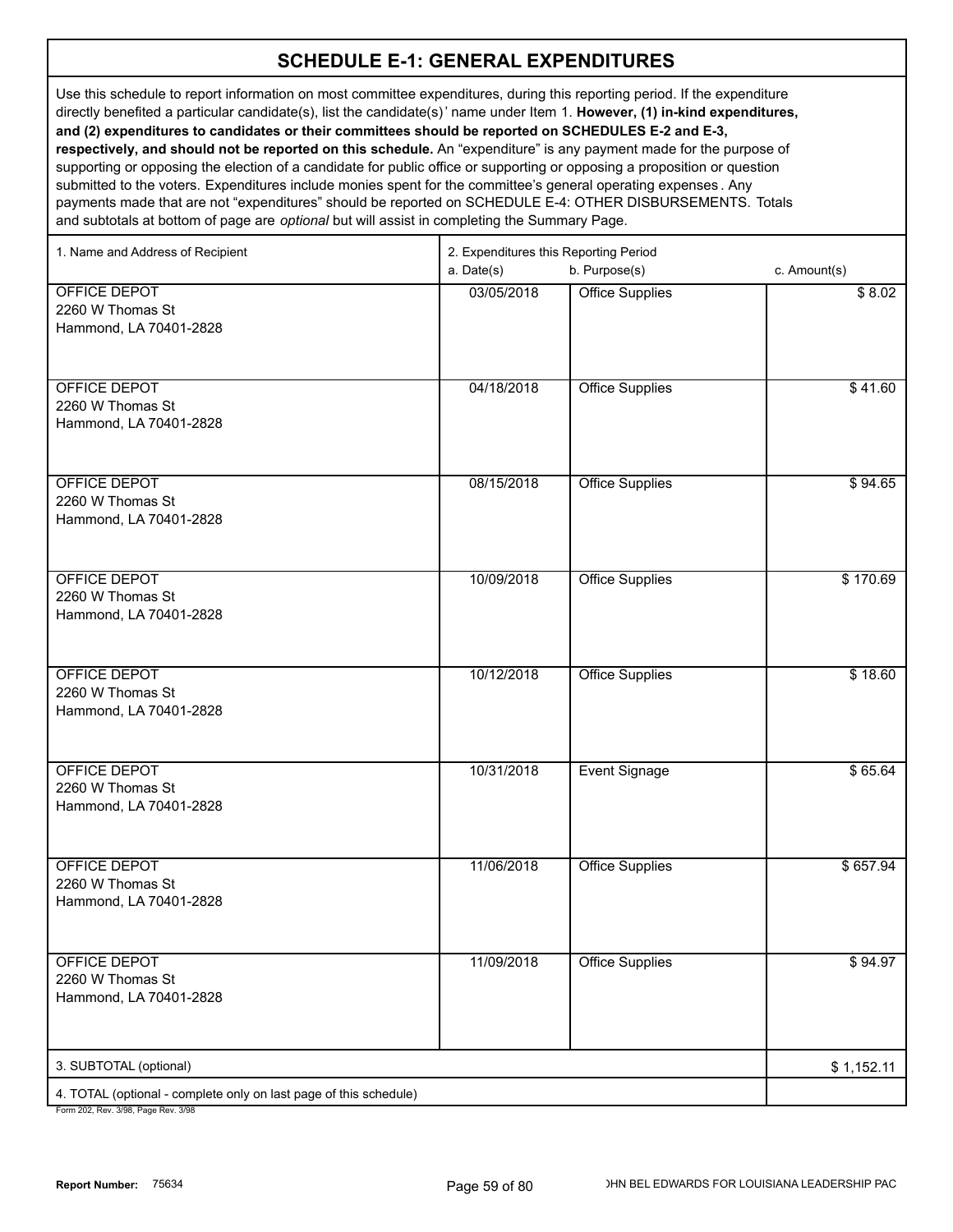Use this schedule to report information on most committee expenditures, during this reporting period. If the expenditure directly benefited a particular candidate(s), list the candidate(s)' name under Item 1. **However, (1) in-kind expenditures, and (2) expenditures to candidates or their committees should be reported on SCHEDULES E-2 and E-3, respectively, and should not be reported on this schedule.** An "expenditure" is any payment made for the purpose of supporting or opposing the election of a candidate for public office or supporting or opposing a proposition or question submitted to the voters. Expenditures include monies spent for the committee's general operating expenses . Any payments made that are not "expenditures" should be reported on SCHEDULE E-4: OTHER DISBURSEMENTS. Totals

and subtotals at bottom of page are *optional* but will assist in completing the Summary Page.

| 1. Name and Address of Recipient                                                                     | 2. Expenditures this Reporting Period |                        |              |  |
|------------------------------------------------------------------------------------------------------|---------------------------------------|------------------------|--------------|--|
|                                                                                                      | a. Date(s)                            | b. Purpose(s)          | c. Amount(s) |  |
| OFFICE DEPOT<br>2260 W Thomas St<br>Hammond, LA 70401-2828                                           | 03/05/2018                            | <b>Office Supplies</b> | \$8.02       |  |
| OFFICE DEPOT<br>2260 W Thomas St<br>Hammond, LA 70401-2828                                           | 04/18/2018                            | <b>Office Supplies</b> | \$41.60      |  |
| OFFICE DEPOT<br>2260 W Thomas St<br>Hammond, LA 70401-2828                                           | 08/15/2018                            | <b>Office Supplies</b> | \$94.65      |  |
| OFFICE DEPOT<br>2260 W Thomas St<br>Hammond, LA 70401-2828                                           | 10/09/2018                            | <b>Office Supplies</b> | \$170.69     |  |
| OFFICE DEPOT<br>2260 W Thomas St<br>Hammond, LA 70401-2828                                           | 10/12/2018                            | <b>Office Supplies</b> | \$18.60      |  |
| OFFICE DEPOT<br>2260 W Thomas St<br>Hammond, LA 70401-2828                                           | 10/31/2018                            | <b>Event Signage</b>   | \$65.64      |  |
| OFFICE DEPOT<br>2260 W Thomas St<br>Hammond, LA 70401-2828                                           | 11/06/2018                            | <b>Office Supplies</b> | \$657.94     |  |
| OFFICE DEPOT<br>2260 W Thomas St<br>Hammond, LA 70401-2828                                           | 11/09/2018                            | <b>Office Supplies</b> | \$94.97      |  |
| 3. SUBTOTAL (optional)                                                                               |                                       |                        | \$1,152.11   |  |
| 4. TOTAL (optional - complete only on last page of this schedule)<br>Form 202 Rev 3/08 Rage Rev 3/08 |                                       |                        |              |  |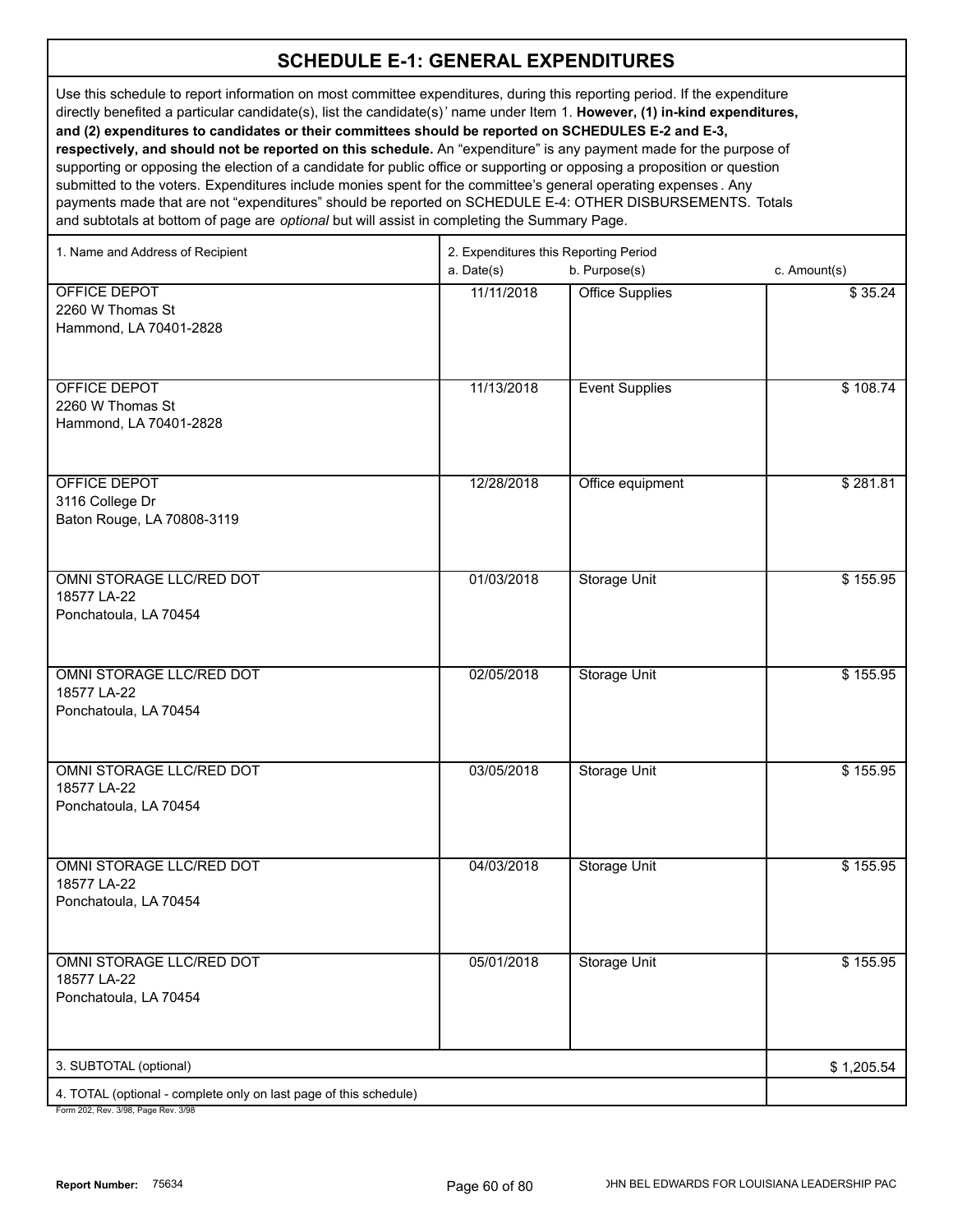Use this schedule to report information on most committee expenditures, during this reporting period. If the expenditure directly benefited a particular candidate(s), list the candidate(s)' name under Item 1. **However, (1) in-kind expenditures, and (2) expenditures to candidates or their committees should be reported on SCHEDULES E-2 and E-3, respectively, and should not be reported on this schedule.** An "expenditure" is any payment made for the purpose of supporting or opposing the election of a candidate for public office or supporting or opposing a proposition or question submitted to the voters. Expenditures include monies spent for the committee's general operating expenses . Any

payments made that are not "expenditures" should be reported on SCHEDULE E-4: OTHER DISBURSEMENTS. Totals and subtotals at bottom of page are *optional* but will assist in completing the Summary Page.

| 1. Name and Address of Recipient                                  | 2. Expenditures this Reporting Period |                        |              |  |
|-------------------------------------------------------------------|---------------------------------------|------------------------|--------------|--|
|                                                                   | a. Date(s)                            | b. Purpose(s)          | c. Amount(s) |  |
| <b>OFFICE DEPOT</b>                                               | 11/11/2018                            | <b>Office Supplies</b> | \$35.24      |  |
| 2260 W Thomas St                                                  |                                       |                        |              |  |
| Hammond, LA 70401-2828                                            |                                       |                        |              |  |
|                                                                   |                                       |                        |              |  |
|                                                                   |                                       |                        |              |  |
| OFFICE DEPOT                                                      | 11/13/2018                            | <b>Event Supplies</b>  | \$108.74     |  |
| 2260 W Thomas St                                                  |                                       |                        |              |  |
| Hammond, LA 70401-2828                                            |                                       |                        |              |  |
|                                                                   |                                       |                        |              |  |
|                                                                   |                                       |                        |              |  |
| <b>OFFICE DEPOT</b>                                               | 12/28/2018                            | Office equipment       | \$281.81     |  |
| 3116 College Dr                                                   |                                       |                        |              |  |
| Baton Rouge, LA 70808-3119                                        |                                       |                        |              |  |
|                                                                   |                                       |                        |              |  |
| OMNI STORAGE LLC/RED DOT                                          | 01/03/2018                            | <b>Storage Unit</b>    | \$155.95     |  |
| 18577 LA-22                                                       |                                       |                        |              |  |
| Ponchatoula, LA 70454                                             |                                       |                        |              |  |
|                                                                   |                                       |                        |              |  |
|                                                                   |                                       |                        |              |  |
| OMNI STORAGE LLC/RED DOT                                          | 02/05/2018                            | <b>Storage Unit</b>    | \$155.95     |  |
| 18577 LA-22                                                       |                                       |                        |              |  |
| Ponchatoula, LA 70454                                             |                                       |                        |              |  |
|                                                                   |                                       |                        |              |  |
|                                                                   |                                       |                        |              |  |
| OMNI STORAGE LLC/RED DOT                                          | 03/05/2018                            | <b>Storage Unit</b>    | \$155.95     |  |
| 18577 LA-22                                                       |                                       |                        |              |  |
| Ponchatoula, LA 70454                                             |                                       |                        |              |  |
|                                                                   |                                       |                        |              |  |
| OMNI STORAGE LLC/RED DOT                                          |                                       |                        |              |  |
| 18577 LA-22                                                       | 04/03/2018                            | <b>Storage Unit</b>    | \$155.95     |  |
| Ponchatoula, LA 70454                                             |                                       |                        |              |  |
|                                                                   |                                       |                        |              |  |
|                                                                   |                                       |                        |              |  |
| OMNI STORAGE LLC/RED DOT                                          | 05/01/2018                            | <b>Storage Unit</b>    | \$155.95     |  |
| 18577 LA-22                                                       |                                       |                        |              |  |
| Ponchatoula, LA 70454                                             |                                       |                        |              |  |
|                                                                   |                                       |                        |              |  |
|                                                                   |                                       |                        |              |  |
| 3. SUBTOTAL (optional)                                            |                                       |                        | \$1,205.54   |  |
| 4. TOTAL (optional - complete only on last page of this schedule) |                                       |                        |              |  |
| Form 202 Roy 2/08 Bogo Roy 2/08                                   |                                       |                        |              |  |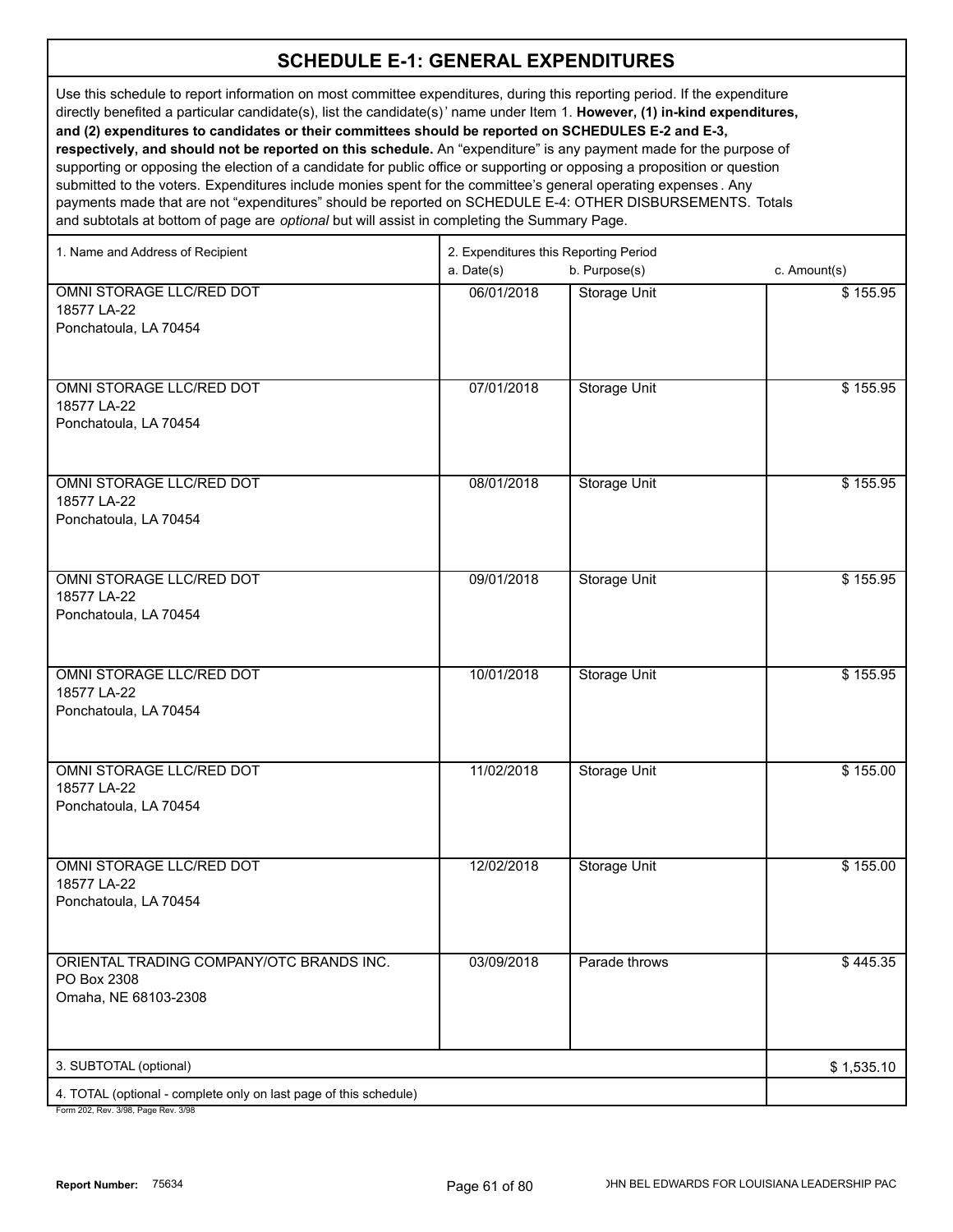Use this schedule to report information on most committee expenditures, during this reporting period. If the expenditure directly benefited a particular candidate(s), list the candidate(s)' name under Item 1. **However, (1) in-kind expenditures, and (2) expenditures to candidates or their committees should be reported on SCHEDULES E-2 and E-3, respectively, and should not be reported on this schedule.** An "expenditure" is any payment made for the purpose of supporting or opposing the election of a candidate for public office or supporting or opposing a proposition or question

submitted to the voters. Expenditures include monies spent for the committee's general operating expenses . Any payments made that are not "expenditures" should be reported on SCHEDULE E-4: OTHER DISBURSEMENTS. Totals and subtotals at bottom of page are *optional* but will assist in completing the Summary Page.

| 1. Name and Address of Recipient                                  | 2. Expenditures this Reporting Period |                     |              |  |
|-------------------------------------------------------------------|---------------------------------------|---------------------|--------------|--|
|                                                                   | a. Date(s)                            | b. Purpose(s)       | c. Amount(s) |  |
| OMNI STORAGE LLC/RED DOT                                          | 06/01/2018                            | <b>Storage Unit</b> | \$155.95     |  |
| 18577 LA-22                                                       |                                       |                     |              |  |
| Ponchatoula, LA 70454                                             |                                       |                     |              |  |
|                                                                   |                                       |                     |              |  |
| OMNI STORAGE LLC/RED DOT                                          | 07/01/2018                            | <b>Storage Unit</b> | \$155.95     |  |
| 18577 LA-22                                                       |                                       |                     |              |  |
| Ponchatoula, LA 70454                                             |                                       |                     |              |  |
|                                                                   |                                       |                     |              |  |
| OMNI STORAGE LLC/RED DOT                                          | 08/01/2018                            | <b>Storage Unit</b> | \$155.95     |  |
| 18577 LA-22                                                       |                                       |                     |              |  |
| Ponchatoula, LA 70454                                             |                                       |                     |              |  |
|                                                                   |                                       |                     |              |  |
|                                                                   |                                       |                     |              |  |
| OMNI STORAGE LLC/RED DOT                                          | 09/01/2018                            | <b>Storage Unit</b> | \$155.95     |  |
| 18577 LA-22<br>Ponchatoula, LA 70454                              |                                       |                     |              |  |
|                                                                   |                                       |                     |              |  |
|                                                                   |                                       |                     |              |  |
| OMNI STORAGE LLC/RED DOT                                          | 10/01/2018                            | <b>Storage Unit</b> | \$155.95     |  |
| 18577 LA-22                                                       |                                       |                     |              |  |
| Ponchatoula, LA 70454                                             |                                       |                     |              |  |
|                                                                   |                                       |                     |              |  |
| OMNI STORAGE LLC/RED DOT                                          | 11/02/2018                            | <b>Storage Unit</b> | \$155.00     |  |
| 18577 LA-22                                                       |                                       |                     |              |  |
| Ponchatoula, LA 70454                                             |                                       |                     |              |  |
|                                                                   |                                       |                     |              |  |
| OMNI STORAGE LLC/RED DOT                                          | 12/02/2018                            | <b>Storage Unit</b> | \$155.00     |  |
| 18577 LA-22                                                       |                                       |                     |              |  |
| Ponchatoula, LA 70454                                             |                                       |                     |              |  |
|                                                                   |                                       |                     |              |  |
| ORIENTAL TRADING COMPANY/OTC BRANDS INC.                          | 03/09/2018                            | Parade throws       | \$445.35     |  |
| PO Box 2308                                                       |                                       |                     |              |  |
| Omaha, NE 68103-2308                                              |                                       |                     |              |  |
|                                                                   |                                       |                     |              |  |
|                                                                   |                                       |                     |              |  |
| 3. SUBTOTAL (optional)                                            |                                       |                     | \$1,535.10   |  |
| 4. TOTAL (optional - complete only on last page of this schedule) |                                       |                     |              |  |
| Form 202 Rev 3/98 Page Rev 3/98                                   |                                       |                     |              |  |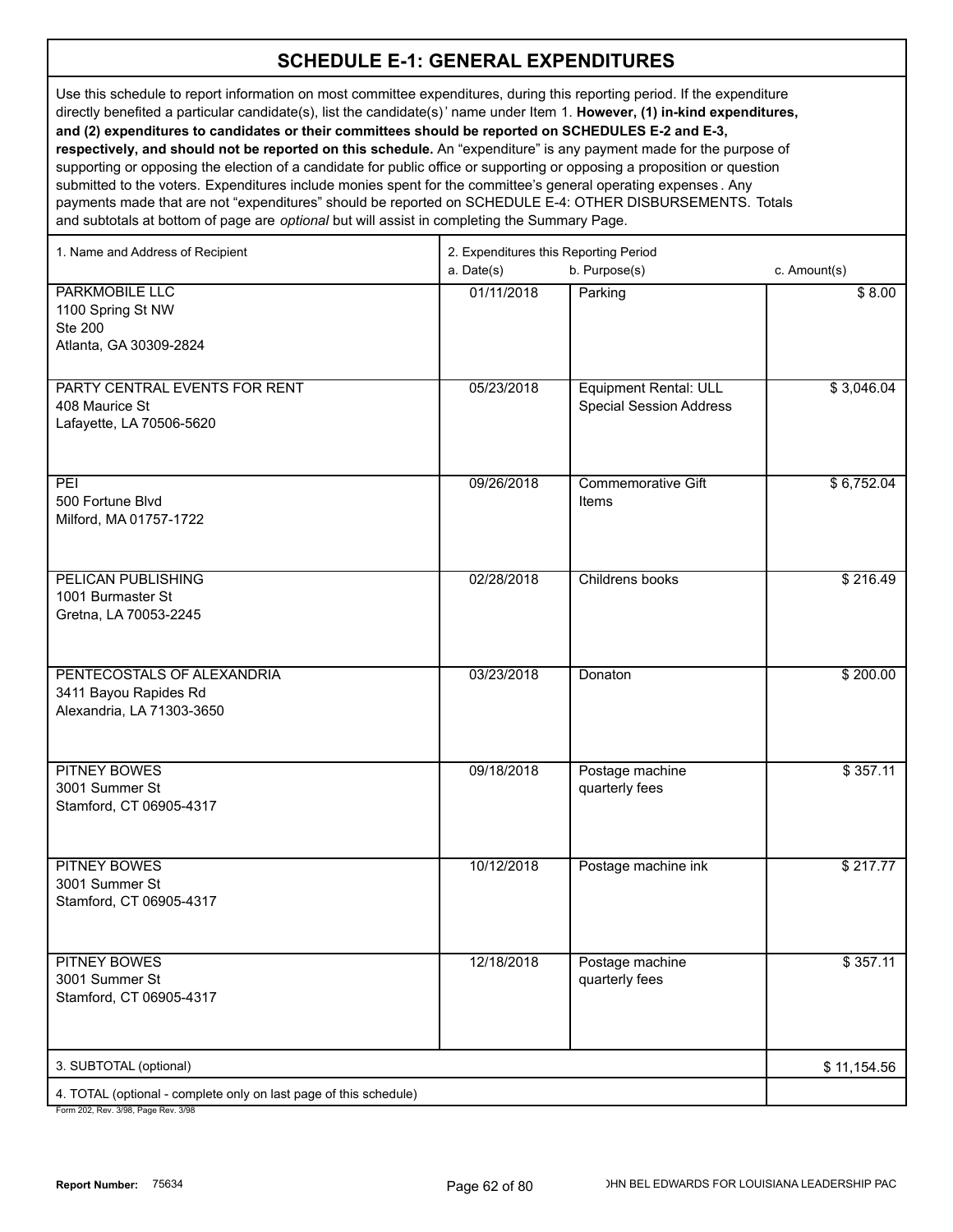Use this schedule to report information on most committee expenditures, during this reporting period. If the expenditure directly benefited a particular candidate(s), list the candidate(s)' name under Item 1. **However, (1) in-kind expenditures, and (2) expenditures to candidates or their committees should be reported on SCHEDULES E-2 and E-3, respectively, and should not be reported on this schedule.** An "expenditure" is any payment made for the purpose of supporting or opposing the election of a candidate for public office or supporting or opposing a proposition or question submitted to the voters. Expenditures include monies spent for the committee's general operating expenses . Any payments made that are not "expenditures" should be reported on SCHEDULE E-4: OTHER DISBURSEMENTS. Totals

and subtotals at bottom of page are *optional* but will assist in completing the Summary Page.

| 1. Name and Address of Recipient                                                       | 2. Expenditures this Reporting Period |                                                                |                  |
|----------------------------------------------------------------------------------------|---------------------------------------|----------------------------------------------------------------|------------------|
|                                                                                        | a. Date(s)                            | b. Purpose(s)                                                  | c. Amount(s)     |
| <b>PARKMOBILE LLC</b><br>1100 Spring St NW<br><b>Ste 200</b><br>Atlanta, GA 30309-2824 | 01/11/2018                            | Parking                                                        | \$8.00           |
| PARTY CENTRAL EVENTS FOR RENT<br>408 Maurice St<br>Lafayette, LA 70506-5620            | 05/23/2018                            | <b>Equipment Rental: ULL</b><br><b>Special Session Address</b> | \$3,046.04       |
| $\overline{PEI}$<br>500 Fortune Blvd<br>Milford, MA 01757-1722                         | 09/26/2018                            | <b>Commemorative Gift</b><br>Items                             | \$6,752.04       |
| <b>PELICAN PUBLISHING</b><br>1001 Burmaster St<br>Gretna, LA 70053-2245                | 02/28/2018                            | Childrens books                                                | \$216.49         |
| PENTECOSTALS OF ALEXANDRIA<br>3411 Bayou Rapides Rd<br>Alexandria, LA 71303-3650       | 03/23/2018                            | Donaton                                                        | \$200.00         |
| <b>PITNEY BOWES</b><br>3001 Summer St<br>Stamford, CT 06905-4317                       | 09/18/2018                            | Postage machine<br>quarterly fees                              | $\sqrt{$357.11}$ |
| <b>PITNEY BOWES</b><br>3001 Summer St<br>Stamford, CT 06905-4317                       | 10/12/2018                            | Postage machine ink                                            | \$217.77         |
| <b>PITNEY BOWES</b><br>3001 Summer St<br>Stamford, CT 06905-4317                       | 12/18/2018                            | Postage machine<br>quarterly fees                              | \$357.11         |
| 3. SUBTOTAL (optional)                                                                 |                                       |                                                                | \$11,154.56      |
| 4. TOTAL (optional - complete only on last page of this schedule)                      |                                       |                                                                |                  |
|                                                                                        |                                       |                                                                |                  |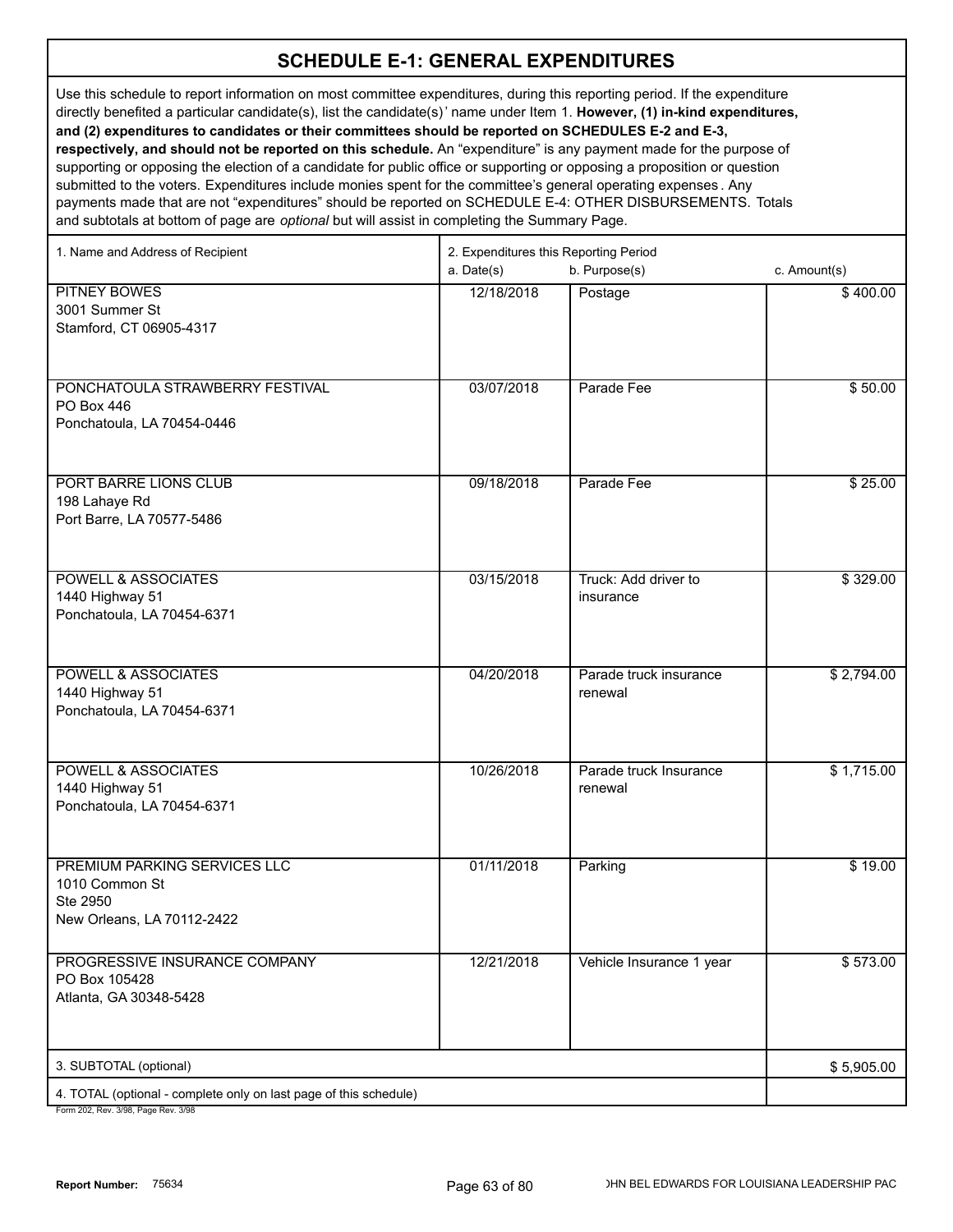Use this schedule to report information on most committee expenditures, during this reporting period. If the expenditure directly benefited a particular candidate(s), list the candidate(s)' name under Item 1. **However, (1) in-kind expenditures, and (2) expenditures to candidates or their committees should be reported on SCHEDULES E-2 and E-3, respectively, and should not be reported on this schedule.** An "expenditure" is any payment made for the purpose of supporting or opposing the election of a candidate for public office or supporting or opposing a proposition or question submitted to the voters. Expenditures include monies spent for the committee's general operating expenses . Any payments made that are not "expenditures" should be reported on SCHEDULE E-4: OTHER DISBURSEMENTS. Totals

and subtotals at bottom of page are *optional* but will assist in completing the Summary Page. 1. Name and Address of Recipient 2. Expenditures this Reporting Period

|                                                                                                      | a. Date(s) | b. Purpose(s)                     | c. Amount(s) |
|------------------------------------------------------------------------------------------------------|------------|-----------------------------------|--------------|
| <b>PITNEY BOWES</b><br>3001 Summer St<br>Stamford, CT 06905-4317                                     | 12/18/2018 | Postage                           | \$400.00     |
| PONCHATOULA STRAWBERRY FESTIVAL<br>PO Box 446<br>Ponchatoula, LA 70454-0446                          | 03/07/2018 | Parade Fee                        | \$50.00      |
| PORT BARRE LIONS CLUB<br>198 Lahaye Rd<br>Port Barre, LA 70577-5486                                  | 09/18/2018 | Parade Fee                        | \$25.00      |
| <b>POWELL &amp; ASSOCIATES</b><br>1440 Highway 51<br>Ponchatoula, LA 70454-6371                      | 03/15/2018 | Truck: Add driver to<br>insurance | \$329.00     |
| <b>POWELL &amp; ASSOCIATES</b><br>1440 Highway 51<br>Ponchatoula, LA 70454-6371                      | 04/20/2018 | Parade truck insurance<br>renewal | \$2,794.00   |
| <b>POWELL &amp; ASSOCIATES</b><br>1440 Highway 51<br>Ponchatoula, LA 70454-6371                      | 10/26/2018 | Parade truck Insurance<br>renewal | \$1,715.00   |
| PREMIUM PARKING SERVICES LLC<br>1010 Common St<br>Ste 2950<br>New Orleans, LA 70112-2422             | 01/11/2018 | Parking                           | \$19.00      |
| PROGRESSIVE INSURANCE COMPANY<br>PO Box 105428<br>Atlanta, GA 30348-5428                             | 12/21/2018 | Vehicle Insurance 1 year          | \$573.00     |
| 3. SUBTOTAL (optional)                                                                               |            |                                   | \$5,905.00   |
| 4. TOTAL (optional - complete only on last page of this schedule)<br>Form 202 Roy 2/08 Bogo Roy 2/08 |            |                                   |              |

12, Rev. 3/98, Page Rev. 3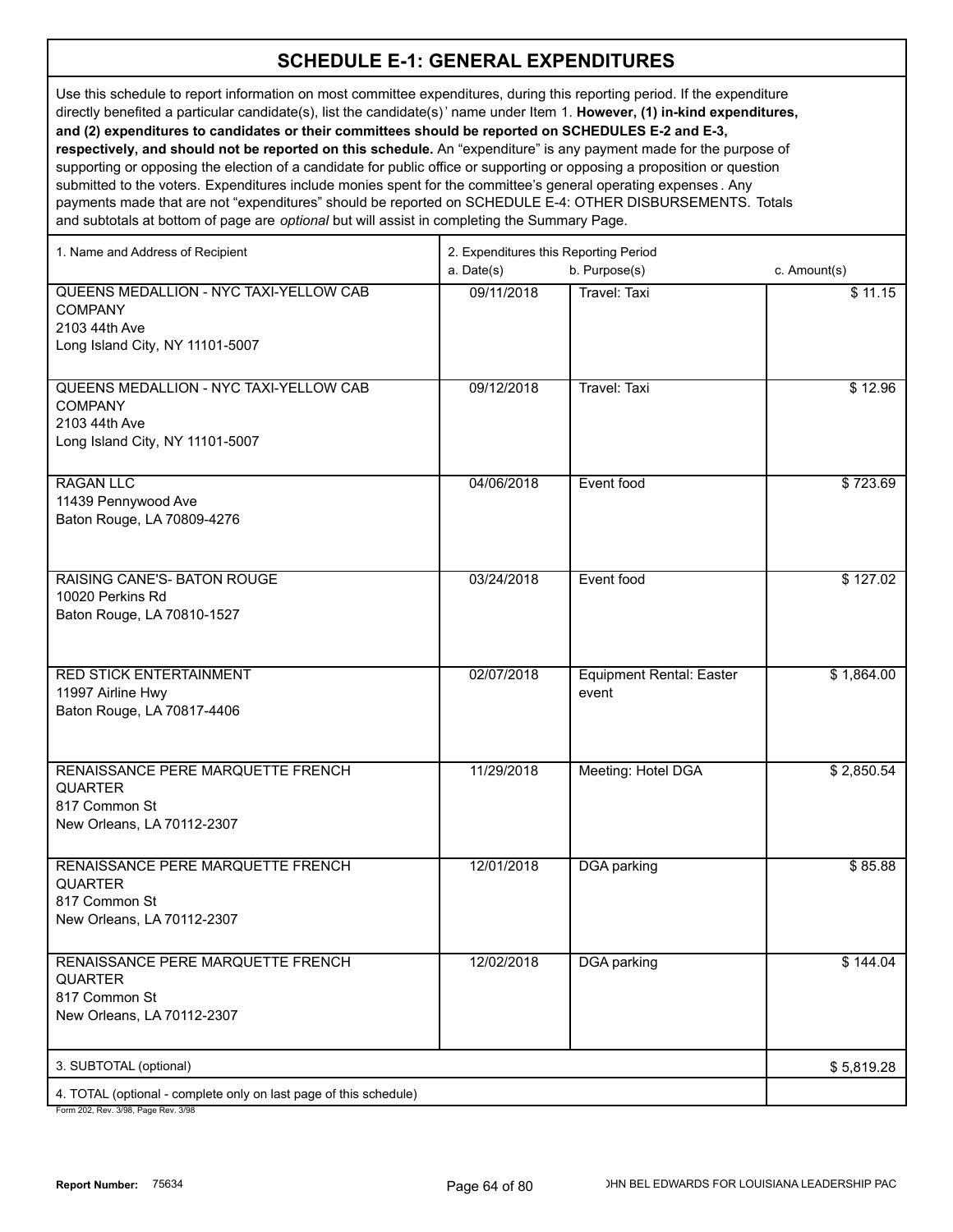Use this schedule to report information on most committee expenditures, during this reporting period. If the expenditure directly benefited a particular candidate(s), list the candidate(s)' name under Item 1. **However, (1) in-kind expenditures, and (2) expenditures to candidates or their committees should be reported on SCHEDULES E-2 and E-3, respectively, and should not be reported on this schedule.** An "expenditure" is any payment made for the purpose of supporting or opposing the election of a candidate for public office or supporting or opposing a proposition or question submitted to the voters. Expenditures include monies spent for the committee's general operating expenses . Any payments made that are not "expenditures" should be reported on SCHEDULE E-4: OTHER DISBURSEMENTS. Totals

and subtotals at bottom of page are *optional* but will assist in completing the Summary Page.

| 1. Name and Address of Recipient                                                                             | 2. Expenditures this Reporting Period |                                          |              |
|--------------------------------------------------------------------------------------------------------------|---------------------------------------|------------------------------------------|--------------|
|                                                                                                              | a. Date(s)                            | b. Purpose(s)                            | c. Amount(s) |
| QUEENS MEDALLION - NYC TAXI-YELLOW CAB<br><b>COMPANY</b><br>2103 44th Ave<br>Long Island City, NY 11101-5007 | 09/11/2018                            | <b>Travel: Taxi</b>                      | \$11.15      |
| QUEENS MEDALLION - NYC TAXI-YELLOW CAB<br><b>COMPANY</b><br>2103 44th Ave<br>Long Island City, NY 11101-5007 | 09/12/2018                            | <b>Travel: Taxi</b>                      | \$12.96      |
| <b>RAGAN LLC</b><br>11439 Pennywood Ave<br>Baton Rouge, LA 70809-4276                                        | 04/06/2018                            | Event food                               | \$723.69     |
| RAISING CANE'S- BATON ROUGE<br>10020 Perkins Rd<br>Baton Rouge, LA 70810-1527                                | 03/24/2018                            | Event food                               | \$127.02     |
| <b>RED STICK ENTERTAINMENT</b><br>11997 Airline Hwy<br>Baton Rouge, LA 70817-4406                            | 02/07/2018                            | <b>Equipment Rental: Easter</b><br>event | \$1,864.00   |
| RENAISSANCE PERE MARQUETTE FRENCH<br><b>QUARTER</b><br>817 Common St<br>New Orleans, LA 70112-2307           | 11/29/2018                            | Meeting: Hotel DGA                       | \$2,850.54   |
| RENAISSANCE PERE MARQUETTE FRENCH<br><b>QUARTER</b><br>817 Common St<br>New Orleans, LA 70112-2307           | 12/01/2018                            | <b>DGA</b> parking                       | \$85.88      |
| RENAISSANCE PERE MARQUETTE FRENCH<br><b>QUARTER</b><br>817 Common St<br>New Orleans, LA 70112-2307           | 12/02/2018                            | <b>DGA</b> parking                       | \$144.04     |
| 3. SUBTOTAL (optional)                                                                                       |                                       |                                          | \$5,819.28   |
| 4. TOTAL (optional - complete only on last page of this schedule)                                            |                                       |                                          |              |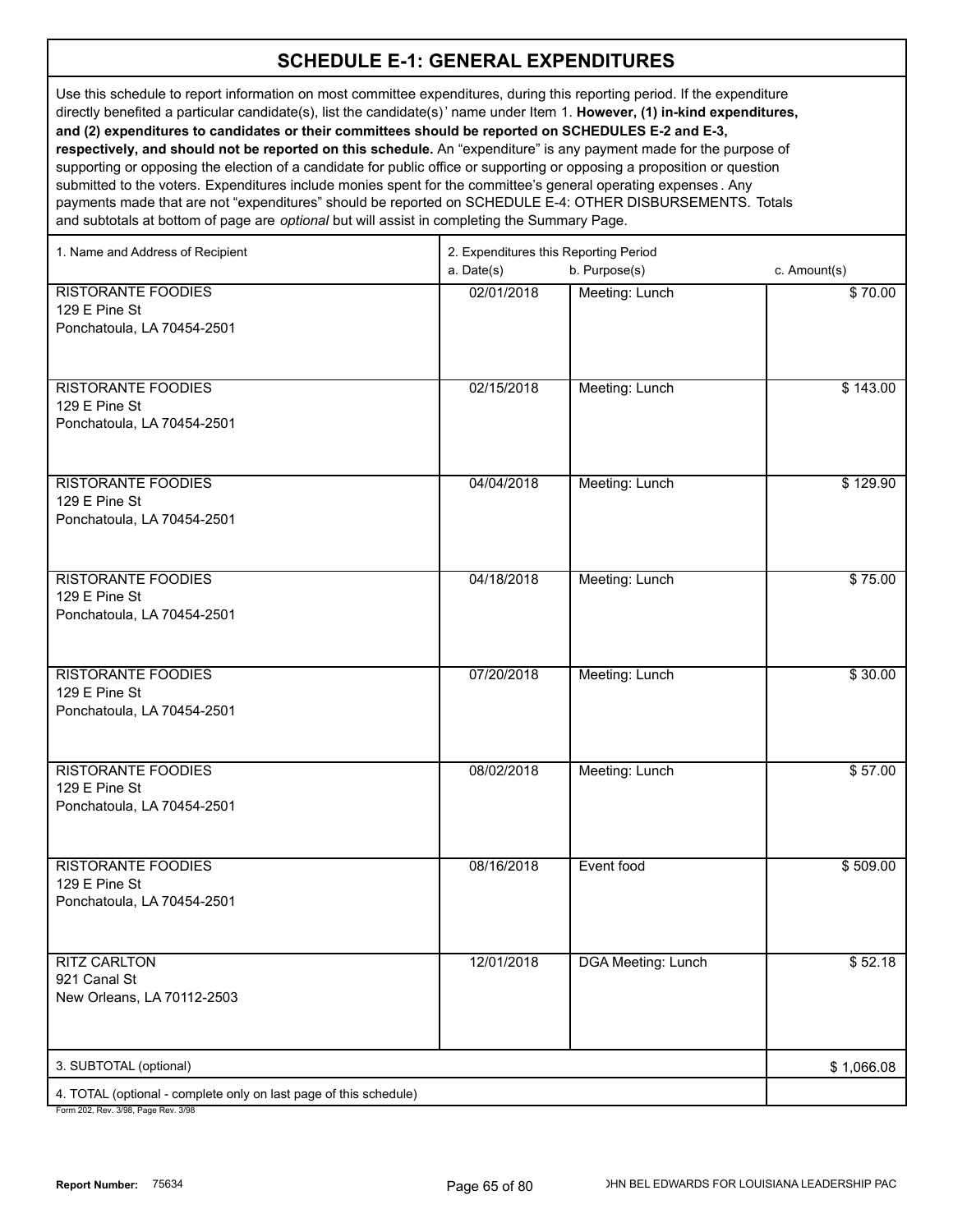Use this schedule to report information on most committee expenditures, during this reporting period. If the expenditure directly benefited a particular candidate(s), list the candidate(s)' name under Item 1. **However, (1) in-kind expenditures, and (2) expenditures to candidates or their committees should be reported on SCHEDULES E-2 and E-3, respectively, and should not be reported on this schedule.** An "expenditure" is any payment made for the purpose of supporting or opposing the election of a candidate for public office or supporting or opposing a proposition or question submitted to the voters. Expenditures include monies spent for the committee's general operating expenses . Any payments made that are not "expenditures" should be reported on SCHEDULE E-4: OTHER DISBURSEMENTS. Totals

and subtotals at bottom of page are *optional* but will assist in completing the Summary Page.

| 1. Name and Address of Recipient                                                                       | 2. Expenditures this Reporting Period |                           |              |
|--------------------------------------------------------------------------------------------------------|---------------------------------------|---------------------------|--------------|
|                                                                                                        | a. Date(s)                            | b. Purpose(s)             | c. Amount(s) |
| <b>RISTORANTE FOODIES</b>                                                                              | 02/01/2018                            | Meeting: Lunch            | \$70.00      |
| 129 E Pine St                                                                                          |                                       |                           |              |
| Ponchatoula, LA 70454-2501                                                                             |                                       |                           |              |
|                                                                                                        |                                       |                           |              |
| <b>RISTORANTE FOODIES</b>                                                                              | 02/15/2018                            | Meeting: Lunch            | \$143.00     |
| 129 E Pine St                                                                                          |                                       |                           |              |
| Ponchatoula, LA 70454-2501                                                                             |                                       |                           |              |
|                                                                                                        |                                       |                           |              |
| <b>RISTORANTE FOODIES</b>                                                                              | 04/04/2018                            |                           |              |
| 129 E Pine St                                                                                          |                                       | Meeting: Lunch            | \$129.90     |
| Ponchatoula, LA 70454-2501                                                                             |                                       |                           |              |
|                                                                                                        |                                       |                           |              |
|                                                                                                        |                                       |                           |              |
| <b>RISTORANTE FOODIES</b>                                                                              | 04/18/2018                            | Meeting: Lunch            | \$75.00      |
| 129 E Pine St<br>Ponchatoula, LA 70454-2501                                                            |                                       |                           |              |
|                                                                                                        |                                       |                           |              |
|                                                                                                        |                                       |                           |              |
| <b>RISTORANTE FOODIES</b>                                                                              | 07/20/2018                            | Meeting: Lunch            | \$30.00      |
| 129 E Pine St                                                                                          |                                       |                           |              |
| Ponchatoula, LA 70454-2501                                                                             |                                       |                           |              |
|                                                                                                        |                                       |                           |              |
| <b>RISTORANTE FOODIES</b>                                                                              | 08/02/2018                            | Meeting: Lunch            | \$57.00      |
| 129 E Pine St                                                                                          |                                       |                           |              |
| Ponchatoula, LA 70454-2501                                                                             |                                       |                           |              |
|                                                                                                        |                                       |                           |              |
| <b>RISTORANTE FOODIES</b>                                                                              | 08/16/2018                            | Event food                | \$509.00     |
| 129 E Pine St                                                                                          |                                       |                           |              |
| Ponchatoula, LA 70454-2501                                                                             |                                       |                           |              |
|                                                                                                        |                                       |                           |              |
| <b>RITZ CARLTON</b>                                                                                    | 12/01/2018                            | <b>DGA Meeting: Lunch</b> | \$52.18      |
| 921 Canal St                                                                                           |                                       |                           |              |
| New Orleans, LA 70112-2503                                                                             |                                       |                           |              |
|                                                                                                        |                                       |                           |              |
|                                                                                                        |                                       |                           |              |
| 3. SUBTOTAL (optional)                                                                                 |                                       |                           | \$1,066.08   |
| 4. TOTAL (optional - complete only on last page of this schedule)<br>Form 202 Rev. 3/08 Page Rev. 3/08 |                                       |                           |              |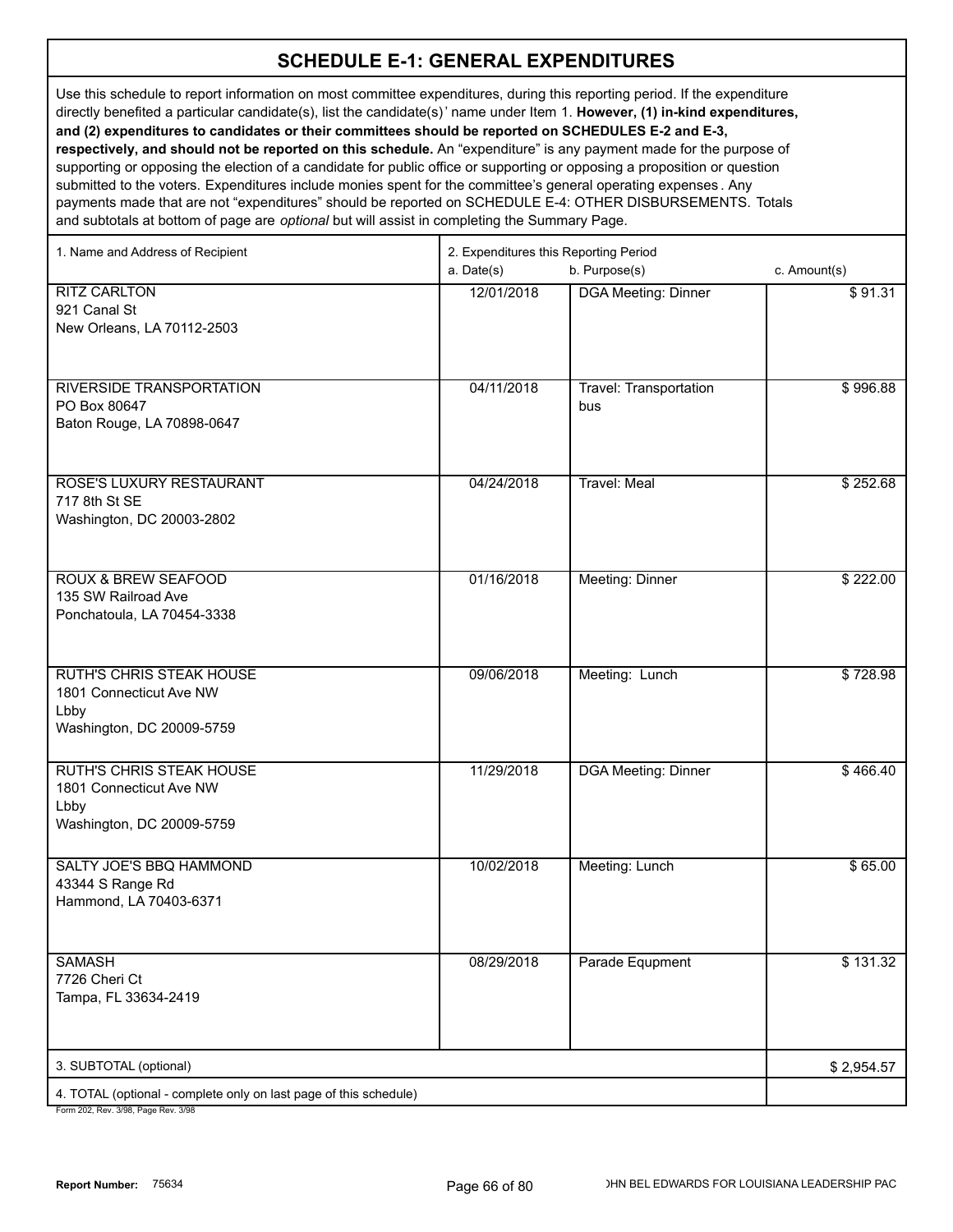Use this schedule to report information on most committee expenditures, during this reporting period. If the expenditure directly benefited a particular candidate(s), list the candidate(s)' name under Item 1. **However, (1) in-kind expenditures, and (2) expenditures to candidates or their committees should be reported on SCHEDULES E-2 and E-3, respectively, and should not be reported on this schedule.** An "expenditure" is any payment made for the purpose of supporting or opposing the election of a candidate for public office or supporting or opposing a proposition or question

submitted to the voters. Expenditures include monies spent for the committee's general operating expenses . Any payments made that are not "expenditures" should be reported on SCHEDULE E-4: OTHER DISBURSEMENTS. Totals and subtotals at bottom of page are *optional* but will assist in completing the Summary Page.

| 1. Name and Address of Recipient                                  | 2. Expenditures this Reporting Period |                               |              |  |
|-------------------------------------------------------------------|---------------------------------------|-------------------------------|--------------|--|
|                                                                   | a. Date(s)                            | b. Purpose(s)                 | c. Amount(s) |  |
| <b>RITZ CARLTON</b>                                               | 12/01/2018                            | <b>DGA Meeting: Dinner</b>    | \$91.31      |  |
| 921 Canal St                                                      |                                       |                               |              |  |
| New Orleans, LA 70112-2503                                        |                                       |                               |              |  |
|                                                                   |                                       |                               |              |  |
|                                                                   |                                       |                               |              |  |
| RIVERSIDE TRANSPORTATION                                          | 04/11/2018                            | <b>Travel: Transportation</b> | \$996.88     |  |
| PO Box 80647                                                      |                                       | bus                           |              |  |
| Baton Rouge, LA 70898-0647                                        |                                       |                               |              |  |
|                                                                   |                                       |                               |              |  |
|                                                                   |                                       |                               |              |  |
| ROSE'S LUXURY RESTAURANT<br>717 8th St SE                         | 04/24/2018                            | <b>Travel: Meal</b>           | \$252.68     |  |
| Washington, DC 20003-2802                                         |                                       |                               |              |  |
|                                                                   |                                       |                               |              |  |
|                                                                   |                                       |                               |              |  |
| <b>ROUX &amp; BREW SEAFOOD</b>                                    | 01/16/2018                            | Meeting: Dinner               | \$222.00     |  |
| 135 SW Railroad Ave                                               |                                       |                               |              |  |
| Ponchatoula, LA 70454-3338                                        |                                       |                               |              |  |
|                                                                   |                                       |                               |              |  |
|                                                                   |                                       |                               |              |  |
| <b>RUTH'S CHRIS STEAK HOUSE</b>                                   | 09/06/2018                            | Meeting: Lunch                | \$728.98     |  |
| 1801 Connecticut Ave NW                                           |                                       |                               |              |  |
| Lbby<br>Washington, DC 20009-5759                                 |                                       |                               |              |  |
|                                                                   |                                       |                               |              |  |
| <b>RUTH'S CHRIS STEAK HOUSE</b>                                   | 11/29/2018                            | <b>DGA Meeting: Dinner</b>    | \$466.40     |  |
| 1801 Connecticut Ave NW                                           |                                       |                               |              |  |
| Lbby                                                              |                                       |                               |              |  |
| Washington, DC 20009-5759                                         |                                       |                               |              |  |
|                                                                   |                                       |                               |              |  |
| SALTY JOE'S BBQ HAMMOND                                           | 10/02/2018                            | Meeting: Lunch                | \$65.00      |  |
| 43344 S Range Rd                                                  |                                       |                               |              |  |
| Hammond, LA 70403-6371                                            |                                       |                               |              |  |
|                                                                   |                                       |                               |              |  |
|                                                                   |                                       |                               |              |  |
| <b>SAMASH</b>                                                     | 08/29/2018                            | Parade Equpment               | \$131.32     |  |
| 7726 Cheri Ct                                                     |                                       |                               |              |  |
| Tampa, FL 33634-2419                                              |                                       |                               |              |  |
|                                                                   |                                       |                               |              |  |
| 3. SUBTOTAL (optional)                                            |                                       |                               | \$2,954.57   |  |
|                                                                   |                                       |                               |              |  |
| 4. TOTAL (optional - complete only on last page of this schedule) |                                       |                               |              |  |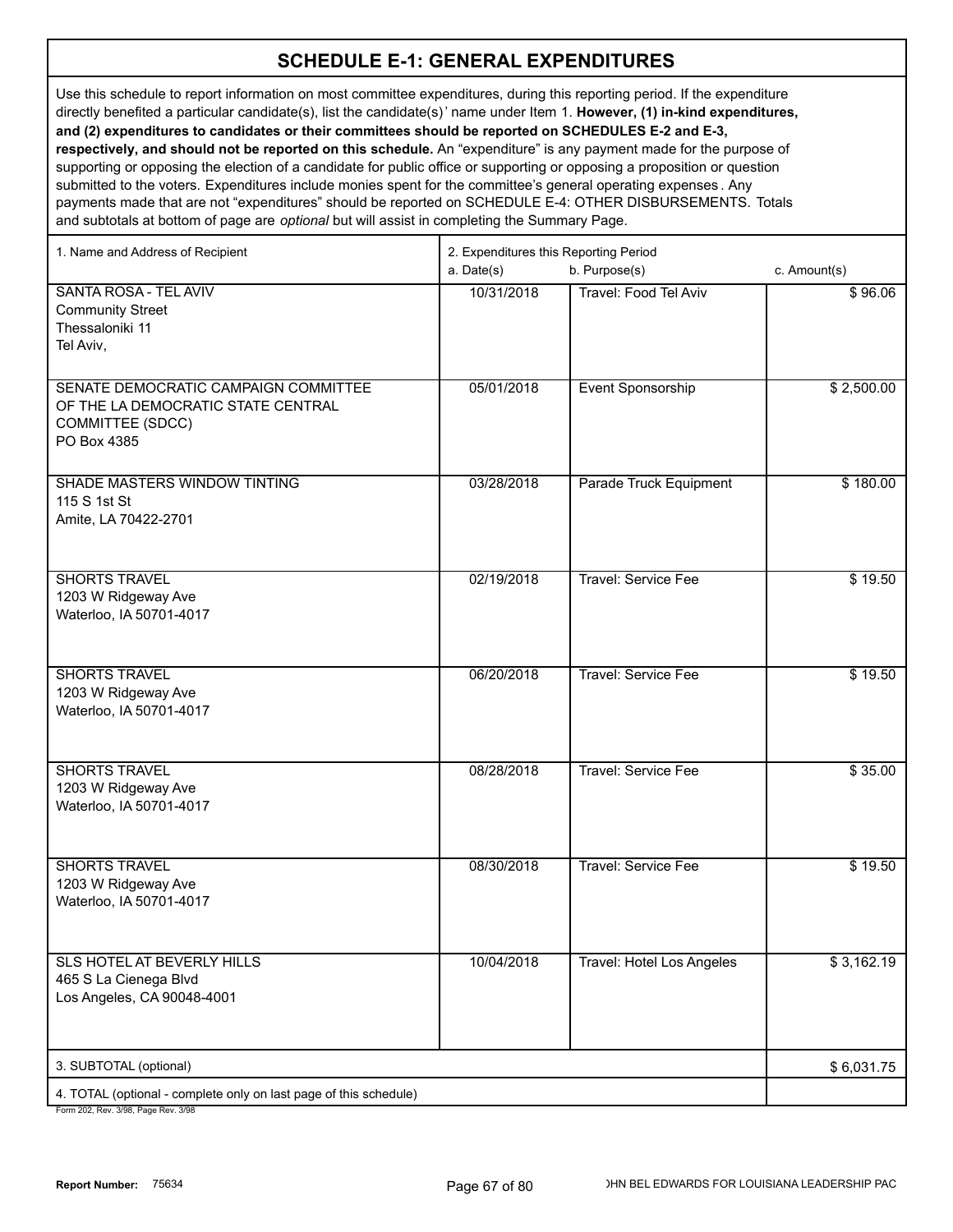Use this schedule to report information on most committee expenditures, during this reporting period. If the expenditure directly benefited a particular candidate(s), list the candidate(s)' name under Item 1. **However, (1) in-kind expenditures, and (2) expenditures to candidates or their committees should be reported on SCHEDULES E-2 and E-3, respectively, and should not be reported on this schedule.** An "expenditure" is any payment made for the purpose of

supporting or opposing the election of a candidate for public office or supporting or opposing a proposition or question submitted to the voters. Expenditures include monies spent for the committee's general operating expenses . Any payments made that are not "expenditures" should be reported on SCHEDULE E-4: OTHER DISBURSEMENTS. Totals and subtotals at bottom of page are *optional* but will assist in completing the Summary Page.

| 1. Name and Address of Recipient                                                                              | 2. Expenditures this Reporting Period |                              |              |  |
|---------------------------------------------------------------------------------------------------------------|---------------------------------------|------------------------------|--------------|--|
|                                                                                                               | a. Date(s)                            | b. Purpose(s)                | c. Amount(s) |  |
| <b>SANTA ROSA - TEL AVIV</b><br><b>Community Street</b><br>Thessaloniki 11<br>Tel Aviv,                       | 10/31/2018                            | <b>Travel: Food Tel Aviv</b> | \$96.06      |  |
| SENATE DEMOCRATIC CAMPAIGN COMMITTEE<br>OF THE LA DEMOCRATIC STATE CENTRAL<br>COMMITTEE (SDCC)<br>PO Box 4385 | 05/01/2018                            | Event Sponsorship            | \$2,500.00   |  |
| SHADE MASTERS WINDOW TINTING<br>115 S 1st St<br>Amite, LA 70422-2701                                          | 03/28/2018                            | Parade Truck Equipment       | \$180.00     |  |
| <b>SHORTS TRAVEL</b><br>1203 W Ridgeway Ave<br>Waterloo, IA 50701-4017                                        | 02/19/2018                            | Travel: Service Fee          | \$19.50      |  |
| <b>SHORTS TRAVEL</b><br>1203 W Ridgeway Ave<br>Waterloo, IA 50701-4017                                        | 06/20/2018                            | Travel: Service Fee          | \$19.50      |  |
| <b>SHORTS TRAVEL</b><br>1203 W Ridgeway Ave<br>Waterloo, IA 50701-4017                                        | 08/28/2018                            | <b>Travel: Service Fee</b>   | \$35.00      |  |
| <b>SHORTS TRAVEL</b><br>1203 W Ridgeway Ave<br>Waterloo, IA 50701-4017                                        | 08/30/2018                            | <b>Travel: Service Fee</b>   | \$19.50      |  |
| <b>SLS HOTEL AT BEVERLY HILLS</b><br>465 S La Cienega Blvd<br>Los Angeles, CA 90048-4001                      | 10/04/2018                            | Travel: Hotel Los Angeles    | \$3,162.19   |  |
| 3. SUBTOTAL (optional)                                                                                        |                                       |                              | \$6,031.75   |  |
| 4. TOTAL (optional - complete only on last page of this schedule)<br>$2/00$ Bess Beut $2/00$                  |                                       |                              |              |  |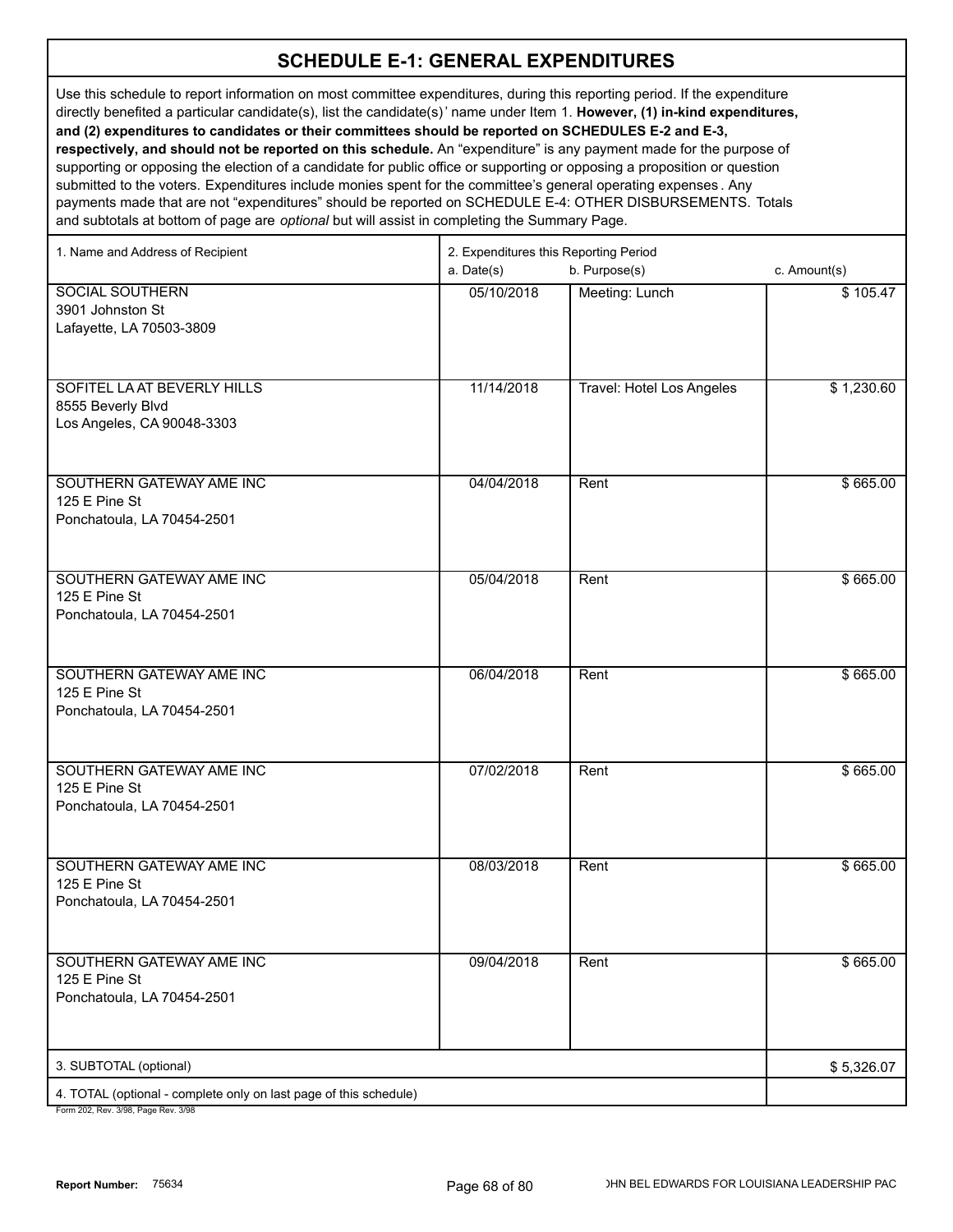Use this schedule to report information on most committee expenditures, during this reporting period. If the expenditure directly benefited a particular candidate(s), list the candidate(s)' name under Item 1. **However, (1) in-kind expenditures, and (2) expenditures to candidates or their committees should be reported on SCHEDULES E-2 and E-3, respectively, and should not be reported on this schedule.** An "expenditure" is any payment made for the purpose of supporting or opposing the election of a candidate for public office or supporting or opposing a proposition or question

submitted to the voters. Expenditures include monies spent for the committee's general operating expenses . Any payments made that are not "expenditures" should be reported on SCHEDULE E-4: OTHER DISBURSEMENTS. Totals and subtotals at bottom of page are *optional* but will assist in completing the Summary Page.

| 1. Name and Address of Recipient                                  | 2. Expenditures this Reporting Period |                           |              |
|-------------------------------------------------------------------|---------------------------------------|---------------------------|--------------|
|                                                                   | a. Date(s)                            | b. Purpose(s)             | c. Amount(s) |
| <b>SOCIAL SOUTHERN</b>                                            | 05/10/2018                            | Meeting: Lunch            | \$105.47     |
| 3901 Johnston St                                                  |                                       |                           |              |
| Lafayette, LA 70503-3809                                          |                                       |                           |              |
|                                                                   |                                       |                           |              |
| SOFITEL LA AT BEVERLY HILLS                                       | 11/14/2018                            | Travel: Hotel Los Angeles | \$1,230.60   |
| 8555 Beverly Blvd                                                 |                                       |                           |              |
| Los Angeles, CA 90048-3303                                        |                                       |                           |              |
|                                                                   |                                       |                           |              |
| SOUTHERN GATEWAY AME INC                                          | 04/04/2018                            | Rent                      | \$665.00     |
| 125 E Pine St                                                     |                                       |                           |              |
| Ponchatoula, LA 70454-2501                                        |                                       |                           |              |
|                                                                   |                                       |                           |              |
|                                                                   |                                       |                           |              |
| SOUTHERN GATEWAY AME INC<br>125 E Pine St                         | 05/04/2018                            | Rent                      | \$665.00     |
| Ponchatoula, LA 70454-2501                                        |                                       |                           |              |
|                                                                   |                                       |                           |              |
|                                                                   |                                       |                           |              |
| SOUTHERN GATEWAY AME INC                                          | 06/04/2018                            | Rent                      | \$665.00     |
| 125 E Pine St                                                     |                                       |                           |              |
| Ponchatoula, LA 70454-2501                                        |                                       |                           |              |
|                                                                   |                                       |                           |              |
| SOUTHERN GATEWAY AME INC                                          | 07/02/2018                            | Rent                      | \$665.00     |
| 125 E Pine St                                                     |                                       |                           |              |
| Ponchatoula, LA 70454-2501                                        |                                       |                           |              |
|                                                                   |                                       |                           |              |
| SOUTHERN GATEWAY AME INC                                          | 08/03/2018                            | Rent                      | \$665.00     |
| 125 E Pine St                                                     |                                       |                           |              |
| Ponchatoula, LA 70454-2501                                        |                                       |                           |              |
|                                                                   |                                       |                           |              |
| SOUTHERN GATEWAY AME INC                                          | 09/04/2018                            | Rent                      | \$665.00     |
| 125 E Pine St                                                     |                                       |                           |              |
| Ponchatoula, LA 70454-2501                                        |                                       |                           |              |
|                                                                   |                                       |                           |              |
| 3. SUBTOTAL (optional)                                            |                                       |                           | \$5,326.07   |
| 4. TOTAL (optional - complete only on last page of this schedule) |                                       |                           |              |
| Form 202 Rev. 3/08 Rage Rev. 3/08                                 |                                       |                           |              |

12, Rev. 3/98, Page Rev. 3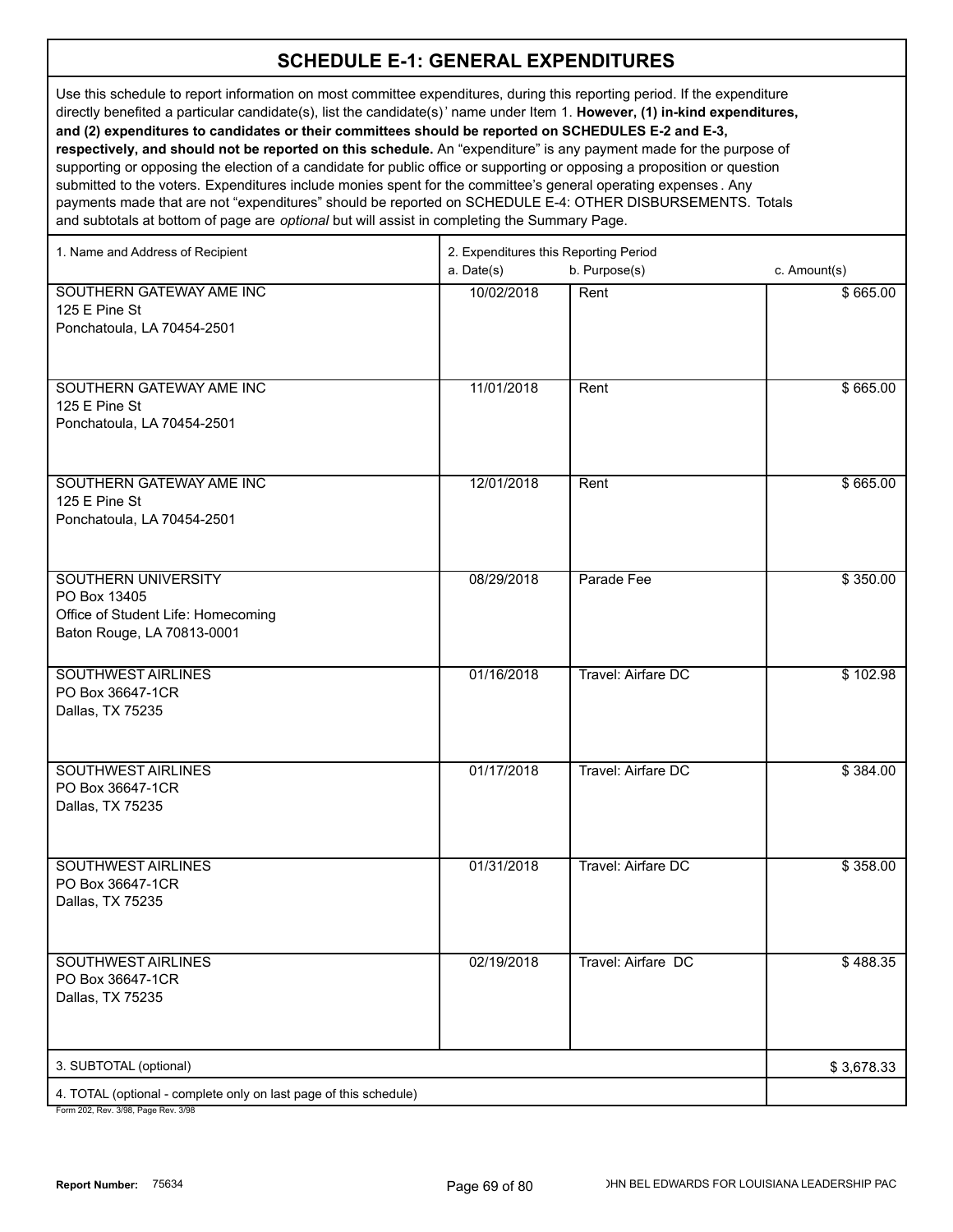Use this schedule to report information on most committee expenditures, during this reporting period. If the expenditure directly benefited a particular candidate(s), list the candidate(s)' name under Item 1. **However, (1) in-kind expenditures, and (2) expenditures to candidates or their committees should be reported on SCHEDULES E-2 and E-3, respectively, and should not be reported on this schedule.** An "expenditure" is any payment made for the purpose of supporting or opposing the election of a candidate for public office or supporting or opposing a proposition or question submitted to the voters. Expenditures include monies spent for the committee's general operating expenses . Any

payments made that are not "expenditures" should be reported on SCHEDULE E-4: OTHER DISBURSEMENTS. Totals and subtotals at bottom of page are *optional* but will assist in completing the Summary Page.

| 1. Name and Address of Recipient                                  | 2. Expenditures this Reporting Period |                    |              |  |
|-------------------------------------------------------------------|---------------------------------------|--------------------|--------------|--|
|                                                                   | a. Date(s)                            | b. Purpose(s)      | c. Amount(s) |  |
| SOUTHERN GATEWAY AME INC                                          | 10/02/2018                            | Rent               | \$665.00     |  |
| 125 E Pine St                                                     |                                       |                    |              |  |
| Ponchatoula, LA 70454-2501                                        |                                       |                    |              |  |
|                                                                   |                                       |                    |              |  |
|                                                                   |                                       |                    |              |  |
| SOUTHERN GATEWAY AME INC                                          | 11/01/2018                            | Rent               | \$665.00     |  |
| 125 E Pine St<br>Ponchatoula, LA 70454-2501                       |                                       |                    |              |  |
|                                                                   |                                       |                    |              |  |
|                                                                   |                                       |                    |              |  |
| SOUTHERN GATEWAY AME INC                                          | 12/01/2018                            | Rent               | \$665.00     |  |
| 125 E Pine St                                                     |                                       |                    |              |  |
| Ponchatoula, LA 70454-2501                                        |                                       |                    |              |  |
|                                                                   |                                       |                    |              |  |
|                                                                   |                                       |                    |              |  |
| SOUTHERN UNIVERSITY                                               | 08/29/2018                            | Parade Fee         | \$350.00     |  |
| PO Box 13405                                                      |                                       |                    |              |  |
| Office of Student Life: Homecoming                                |                                       |                    |              |  |
| Baton Rouge, LA 70813-0001                                        |                                       |                    |              |  |
|                                                                   |                                       |                    |              |  |
| <b>SOUTHWEST AIRLINES</b><br>PO Box 36647-1CR                     | 01/16/2018                            | Travel: Airfare DC | \$102.98     |  |
| Dallas, TX 75235                                                  |                                       |                    |              |  |
|                                                                   |                                       |                    |              |  |
|                                                                   |                                       |                    |              |  |
| <b>SOUTHWEST AIRLINES</b>                                         | 01/17/2018                            | Travel: Airfare DC | \$384.00     |  |
| PO Box 36647-1CR                                                  |                                       |                    |              |  |
| Dallas, TX 75235                                                  |                                       |                    |              |  |
|                                                                   |                                       |                    |              |  |
|                                                                   |                                       |                    |              |  |
| <b>SOUTHWEST AIRLINES</b><br>PO Box 36647-1CR                     | 01/31/2018                            | Travel: Airfare DC | \$358.00     |  |
| Dallas, TX 75235                                                  |                                       |                    |              |  |
|                                                                   |                                       |                    |              |  |
|                                                                   |                                       |                    |              |  |
| <b>SOUTHWEST AIRLINES</b>                                         | 02/19/2018                            | Travel: Airfare DC | \$488.35     |  |
| PO Box 36647-1CR                                                  |                                       |                    |              |  |
| Dallas, TX 75235                                                  |                                       |                    |              |  |
|                                                                   |                                       |                    |              |  |
|                                                                   |                                       |                    |              |  |
| 3. SUBTOTAL (optional)                                            |                                       |                    | \$3,678.33   |  |
| 4. TOTAL (optional - complete only on last page of this schedule) |                                       |                    |              |  |
| Form 202 Rev. 3/08 Rage Rev. 3/08                                 |                                       |                    |              |  |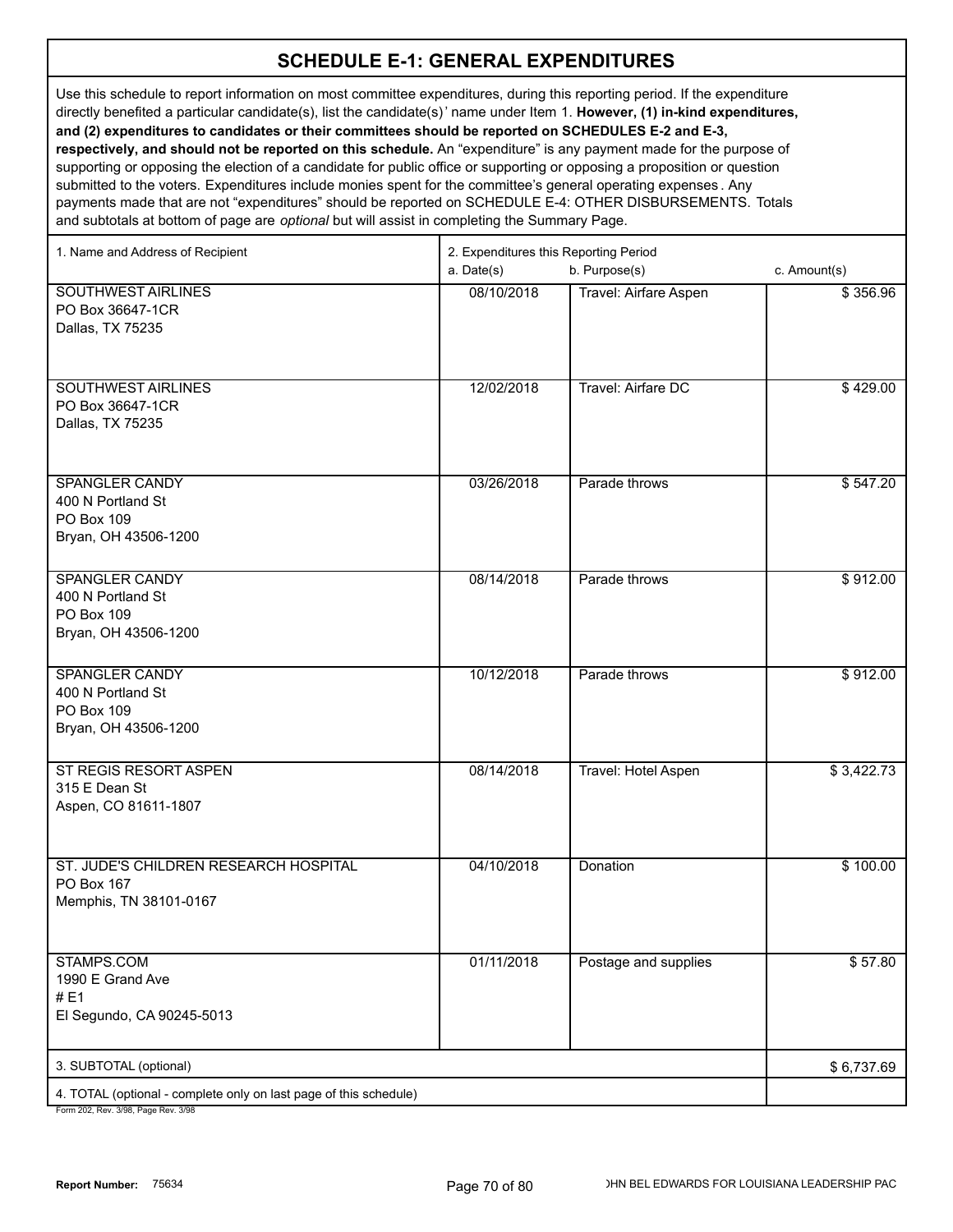Use this schedule to report information on most committee expenditures, during this reporting period. If the expenditure directly benefited a particular candidate(s), list the candidate(s)' name under Item 1. **However, (1) in-kind expenditures, and (2) expenditures to candidates or their committees should be reported on SCHEDULES E-2 and E-3, respectively, and should not be reported on this schedule.** An "expenditure" is any payment made for the purpose of supporting or opposing the election of a candidate for public office or supporting or opposing a proposition or question

submitted to the voters. Expenditures include monies spent for the committee's general operating expenses . Any payments made that are not "expenditures" should be reported on SCHEDULE E-4: OTHER DISBURSEMENTS. Totals and subtotals at bottom of page are *optional* but will assist in completing the Summary Page.

| 1. Name and Address of Recipient                                                                | 2. Expenditures this Reporting Period |                       |              |  |
|-------------------------------------------------------------------------------------------------|---------------------------------------|-----------------------|--------------|--|
|                                                                                                 | a. Date(s)                            | b. Purpose(s)         | c. Amount(s) |  |
| <b>SOUTHWEST AIRLINES</b><br>PO Box 36647-1CR<br>Dallas, TX 75235                               | 08/10/2018                            | Travel: Airfare Aspen | \$356.96     |  |
| SOUTHWEST AIRLINES<br>PO Box 36647-1CR<br>Dallas, TX 75235                                      | 12/02/2018                            | Travel: Airfare DC    | \$429.00     |  |
| <b>SPANGLER CANDY</b><br>400 N Portland St<br>PO Box 109<br>Bryan, OH 43506-1200                | 03/26/2018                            | Parade throws         | \$547.20     |  |
| <b>SPANGLER CANDY</b><br>400 N Portland St<br>PO Box 109<br>Bryan, OH 43506-1200                | 08/14/2018                            | Parade throws         | \$912.00     |  |
| <b>SPANGLER CANDY</b><br>400 N Portland St<br>PO Box 109<br>Bryan, OH 43506-1200                | 10/12/2018                            | Parade throws         | \$912.00     |  |
| ST REGIS RESORT ASPEN<br>315 E Dean St<br>Aspen, CO 81611-1807                                  | 08/14/2018                            | Travel: Hotel Aspen   | \$3,422.73   |  |
| ST. JUDE'S CHILDREN RESEARCH HOSPITAL<br>PO Box 167<br>Memphis, TN 38101-0167                   | 04/10/2018                            | Donation              | \$100.00     |  |
| STAMPS.COM<br>1990 E Grand Ave<br>#E1<br>El Segundo, CA 90245-5013                              | 01/11/2018                            | Postage and supplies  | \$57.80      |  |
| 3. SUBTOTAL (optional)                                                                          |                                       |                       | \$6,737.69   |  |
| 4. TOTAL (optional - complete only on last page of this schedule)<br>202 Bey 2/08 Bege Bey 2/08 |                                       |                       |              |  |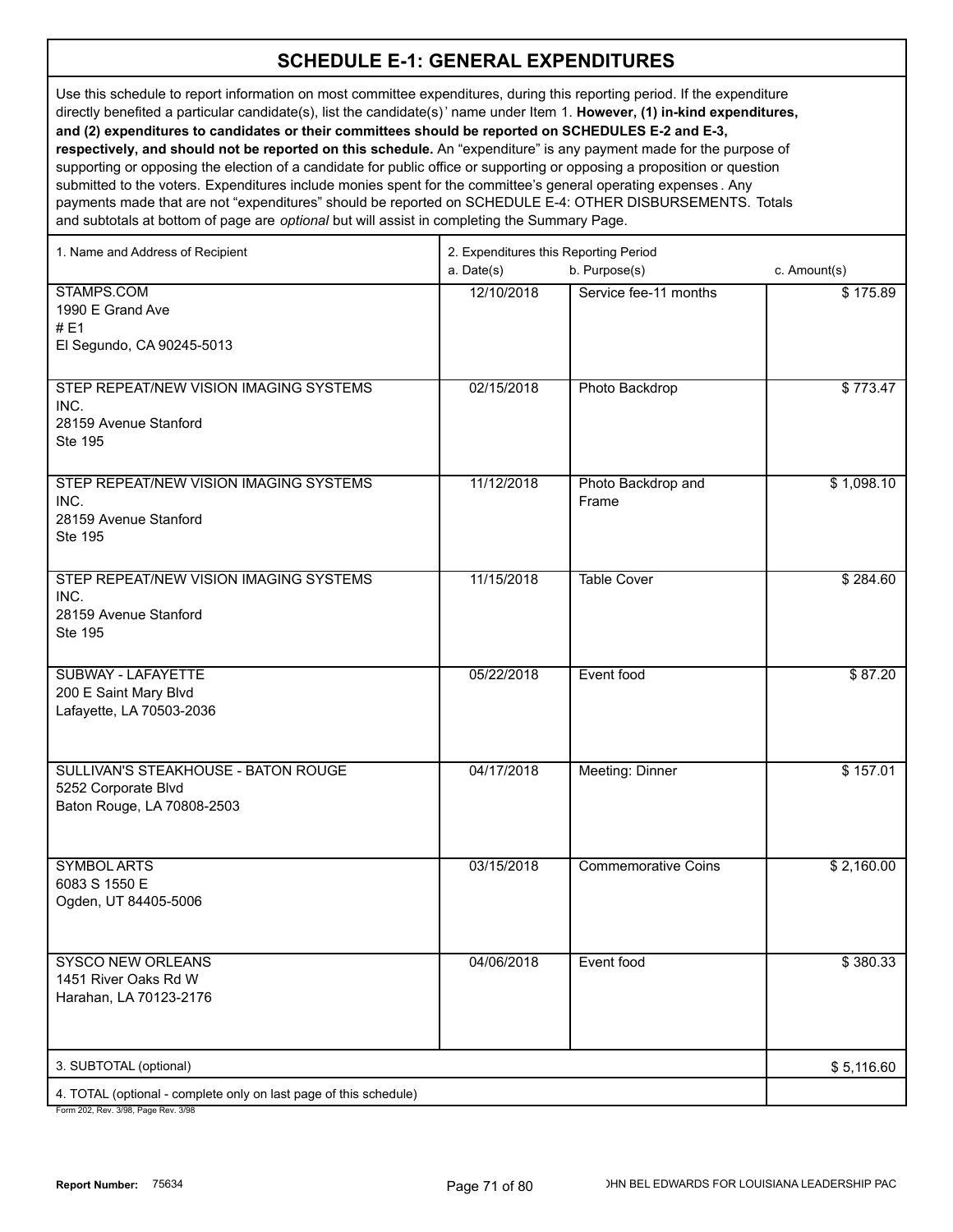Use this schedule to report information on most committee expenditures, during this reporting period. If the expenditure directly benefited a particular candidate(s), list the candidate(s)' name under Item 1. **However, (1) in-kind expenditures, and (2) expenditures to candidates or their committees should be reported on SCHEDULES E-2 and E-3, respectively, and should not be reported on this schedule.** An "expenditure" is any payment made for the purpose of supporting or opposing the election of a candidate for public office or supporting or opposing a proposition or question submitted to the voters. Expenditures include monies spent for the committee's general operating expenses . Any payments made that are not "expenditures" should be reported on SCHEDULE E-4: OTHER DISBURSEMENTS. Totals

and subtotals at bottom of page are *optional* but will assist in completing the Summary Page.

| 1. Name and Address of Recipient                                                                     | 2. Expenditures this Reporting Period |                             |              |  |
|------------------------------------------------------------------------------------------------------|---------------------------------------|-----------------------------|--------------|--|
|                                                                                                      | a. Date(s)                            | b. Purpose(s)               | c. Amount(s) |  |
| STAMPS.COM<br>1990 E Grand Ave<br>#E1<br>El Segundo, CA 90245-5013                                   | 12/10/2018                            | Service fee-11 months       | \$175.89     |  |
| STEP REPEAT/NEW VISION IMAGING SYSTEMS<br>INC.<br>28159 Avenue Stanford<br>Ste 195                   | 02/15/2018                            | Photo Backdrop              | \$773.47     |  |
| STEP REPEAT/NEW VISION IMAGING SYSTEMS<br>INC.<br>28159 Avenue Stanford<br>Ste 195                   | 11/12/2018                            | Photo Backdrop and<br>Frame | \$1,098.10   |  |
| STEP REPEAT/NEW VISION IMAGING SYSTEMS<br>INC.<br>28159 Avenue Stanford<br>Ste 195                   | 11/15/2018                            | <b>Table Cover</b>          | \$284.60     |  |
| <b>SUBWAY - LAFAYETTE</b><br>200 E Saint Mary Blvd<br>Lafayette, LA 70503-2036                       | 05/22/2018                            | Event food                  | \$87.20      |  |
| SULLIVAN'S STEAKHOUSE - BATON ROUGE<br>5252 Corporate Blvd<br>Baton Rouge, LA 70808-2503             | 04/17/2018                            | Meeting: Dinner             | \$157.01     |  |
| <b>SYMBOL ARTS</b><br>6083 S 1550 E<br>Ogden, UT 84405-5006                                          | 03/15/2018                            | <b>Commemorative Coins</b>  | \$2,160.00   |  |
| <b>SYSCO NEW ORLEANS</b><br>1451 River Oaks Rd W<br>Harahan, LA 70123-2176                           | 04/06/2018                            | Event food                  | \$380.33     |  |
| 3. SUBTOTAL (optional)                                                                               |                                       |                             | \$5,116.60   |  |
| 4. TOTAL (optional - complete only on last page of this schedule)<br>$002.701$ $P_{av}$ , $2/00.708$ |                                       |                             |              |  |

12, Rev. 3/98, Page Rev. 3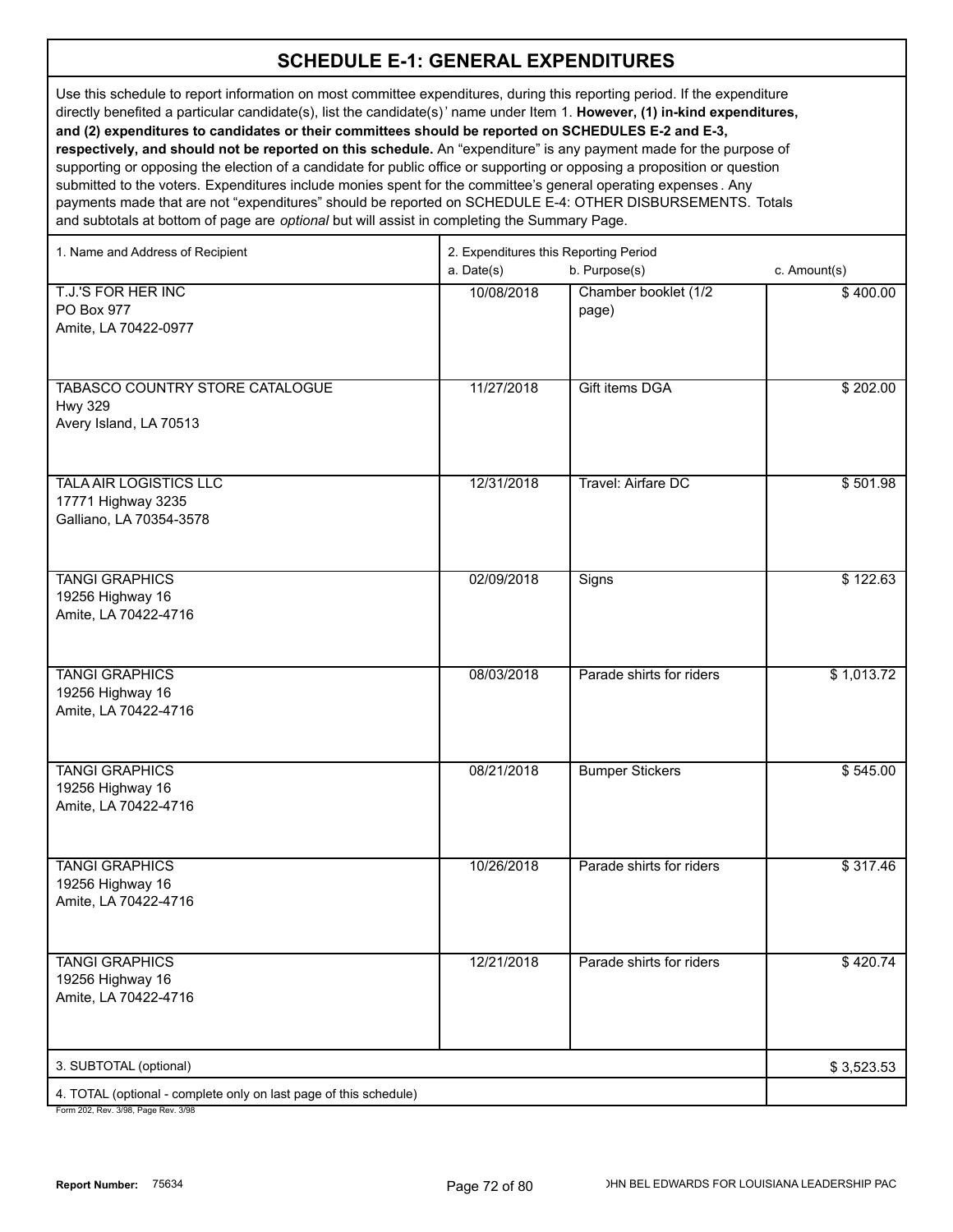Use this schedule to report information on most committee expenditures, during this reporting period. If the expenditure directly benefited a particular candidate(s), list the candidate(s)' name under Item 1. **However, (1) in-kind expenditures, and (2) expenditures to candidates or their committees should be reported on SCHEDULES E-2 and E-3, respectively, and should not be reported on this schedule.** An "expenditure" is any payment made for the purpose of supporting or opposing the election of a candidate for public office or supporting or opposing a proposition or question submitted to the voters. Expenditures include monies spent for the committee's general operating expenses . Any payments made that are not "expenditures" should be reported on SCHEDULE E-4: OTHER DISBURSEMENTS. Totals and subtotals at bottom of page are *optional* but will assist in completing the Summary Page.

1. Name and Address of Recipient 2. Expenditures this Reporting Period a. Date(s) b. Purpose(s) c. Amount(s) T.J.'S FOR HER INC PO Box 977 Amite, LA 70422-0977 10/08/2018 Chamber booklet (1/2 page) \$ 400.00 TABASCO COUNTRY STORE CATALOGUE Hwy 329 Avery Island, LA 70513 11/27/2018 | Gift items DGA | \$ 202.00 TALA AIR LOGISTICS LLC 17771 Highway 3235 Galliano, LA 70354-3578 12/31/2018 Travel: Airfare DC \$ 501.98 TANGI GRAPHICS 19256 Highway 16 Amite, LA 70422-4716 02/09/2018 | Signs \$ 122.63 TANGI GRAPHICS 19256 Highway 16 Amite, LA 70422-4716 08/03/2018 | Parade shirts for riders | \$ 1,013.72 TANGI GRAPHICS 19256 Highway 16 Amite, LA 70422-4716 08/21/2018 | Bumper Stickers **\$ 545.00** TANGI GRAPHICS 19256 Highway 16 Amite, LA 70422-4716 10/26/2018 | Parade shirts for riders | \$ 317.46 TANGI GRAPHICS 19256 Highway 16 Amite, LA 70422-4716 12/21/2018 Parade shirts for riders 1 \$ 420.74 3. SUBTOTAL (optional) 4. TOTAL (optional - complete only on last page of this schedule) Form 202, Rev. 3/98, Page Rev. 3/98 \$ 3,523.53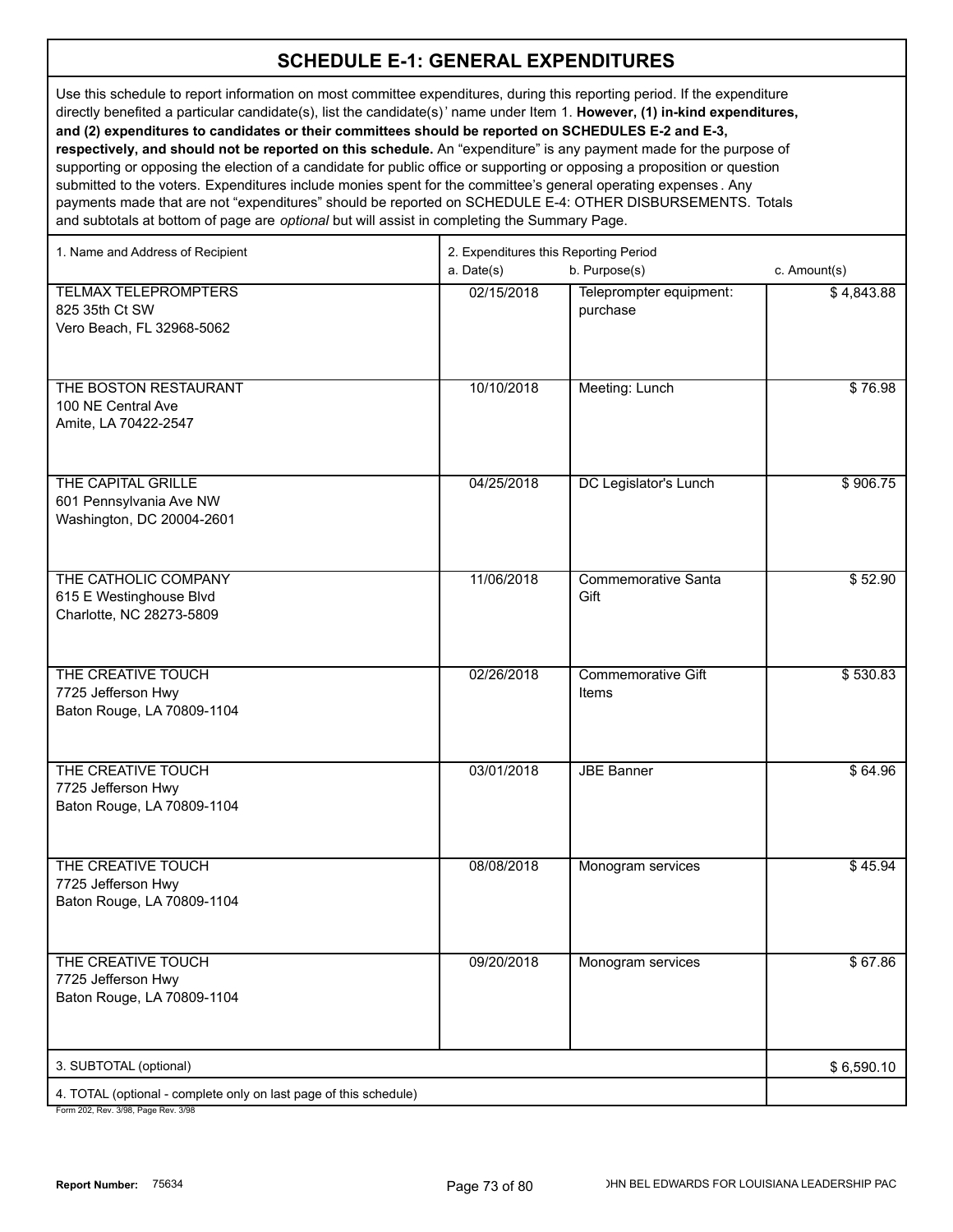Use this schedule to report information on most committee expenditures, during this reporting period. If the expenditure directly benefited a particular candidate(s), list the candidate(s)' name under Item 1. **However, (1) in-kind expenditures, and (2) expenditures to candidates or their committees should be reported on SCHEDULES E-2 and E-3, respectively, and should not be reported on this schedule.** An "expenditure" is any payment made for the purpose of supporting or opposing the election of a candidate for public office or supporting or opposing a proposition or question submitted to the voters. Expenditures include monies spent for the committee's general operating expenses . Any payments made that are not "expenditures" should be reported on SCHEDULE E-4: OTHER DISBURSEMENTS. Totals

and subtotals at bottom of page are *optional* but will assist in completing the Summary Page.

| 1. Name and Address of Recipient                                            |            |                                     |              |
|-----------------------------------------------------------------------------|------------|-------------------------------------|--------------|
|                                                                             | a. Date(s) | b. Purpose(s)                       | c. Amount(s) |
| <b>TELMAX TELEPROMPTERS</b><br>825 35th Ct SW<br>Vero Beach, FL 32968-5062  | 02/15/2018 | Teleprompter equipment:<br>purchase | \$4,843.88   |
| THE BOSTON RESTAURANT<br>100 NE Central Ave<br>Amite, LA 70422-2547         | 10/10/2018 | Meeting: Lunch                      | \$76.98      |
| THE CAPITAL GRILLE<br>601 Pennsylvania Ave NW<br>Washington, DC 20004-2601  | 04/25/2018 | DC Legislator's Lunch               | \$906.75     |
| THE CATHOLIC COMPANY<br>615 E Westinghouse Blvd<br>Charlotte, NC 28273-5809 | 11/06/2018 | <b>Commemorative Santa</b><br>Gift  | \$52.90      |
| THE CREATIVE TOUCH<br>7725 Jefferson Hwy<br>Baton Rouge, LA 70809-1104      | 02/26/2018 | <b>Commemorative Gift</b><br>Items  | \$530.83     |
| THE CREATIVE TOUCH<br>7725 Jefferson Hwy<br>Baton Rouge, LA 70809-1104      | 03/01/2018 | <b>JBE Banner</b>                   | \$64.96      |
| THE CREATIVE TOUCH<br>7725 Jefferson Hwy<br>Baton Rouge, LA 70809-1104      | 08/08/2018 | Monogram services                   | \$45.94      |
| THE CREATIVE TOUCH<br>7725 Jefferson Hwy<br>Baton Rouge, LA 70809-1104      | 09/20/2018 | Monogram services                   | \$67.86      |
| 3. SUBTOTAL (optional)                                                      |            |                                     | \$6,590.10   |
| 4. TOTAL (optional - complete only on last page of this schedule)           |            |                                     |              |
|                                                                             |            |                                     |              |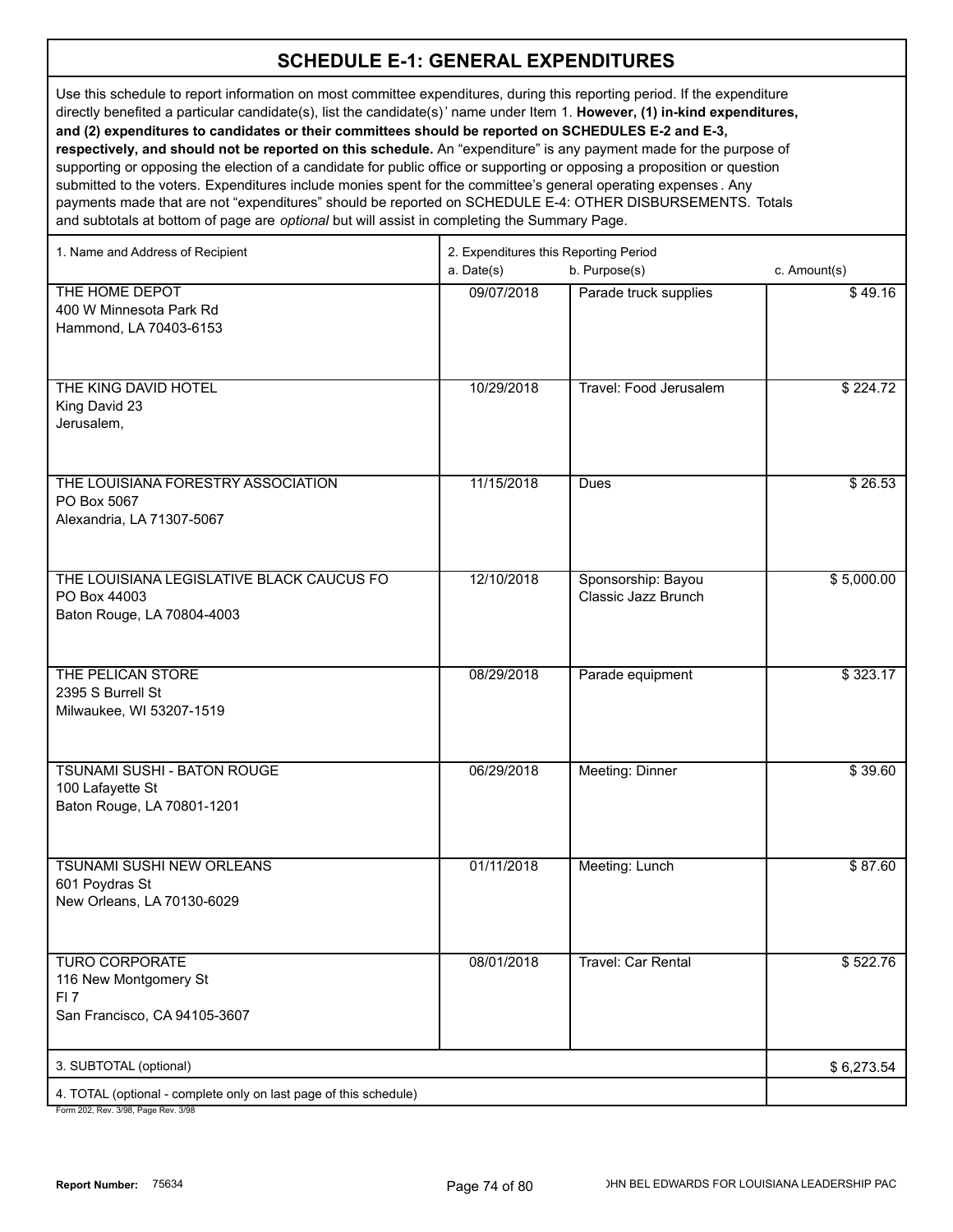Use this schedule to report information on most committee expenditures, during this reporting period. If the expenditure directly benefited a particular candidate(s), list the candidate(s)' name under Item 1. **However, (1) in-kind expenditures, and (2) expenditures to candidates or their committees should be reported on SCHEDULES E-2 and E-3, respectively, and should not be reported on this schedule.** An "expenditure" is any payment made for the purpose of

supporting or opposing the election of a candidate for public office or supporting or opposing a proposition or question submitted to the voters. Expenditures include monies spent for the committee's general operating expenses . Any payments made that are not "expenditures" should be reported on SCHEDULE E-4: OTHER DISBURSEMENTS. Totals and subtotals at bottom of page are *optional* but will assist in completing the Summary Page.

| 1. Name and Address of Recipient                                  | 2. Expenditures this Reporting Period |                           |              |  |
|-------------------------------------------------------------------|---------------------------------------|---------------------------|--------------|--|
|                                                                   | a. Date(s)                            | b. Purpose(s)             | c. Amount(s) |  |
| THE HOME DEPOT                                                    | 09/07/2018                            | Parade truck supplies     | \$49.16      |  |
| 400 W Minnesota Park Rd<br>Hammond, LA 70403-6153                 |                                       |                           |              |  |
|                                                                   |                                       |                           |              |  |
|                                                                   |                                       |                           |              |  |
| THE KING DAVID HOTEL                                              | 10/29/2018                            | Travel: Food Jerusalem    | \$224.72     |  |
| King David 23<br>Jerusalem,                                       |                                       |                           |              |  |
|                                                                   |                                       |                           |              |  |
|                                                                   |                                       |                           |              |  |
| THE LOUISIANA FORESTRY ASSOCIATION                                | 11/15/2018                            | Dues                      | \$26.53      |  |
| PO Box 5067<br>Alexandria, LA 71307-5067                          |                                       |                           |              |  |
|                                                                   |                                       |                           |              |  |
|                                                                   |                                       |                           |              |  |
| THE LOUISIANA LEGISLATIVE BLACK CAUCUS FO                         | 12/10/2018                            | Sponsorship: Bayou        | \$5,000.00   |  |
| PO Box 44003<br>Baton Rouge, LA 70804-4003                        |                                       | Classic Jazz Brunch       |              |  |
|                                                                   |                                       |                           |              |  |
|                                                                   |                                       |                           |              |  |
| THE PELICAN STORE                                                 | 08/29/2018                            | Parade equipment          | \$323.17     |  |
| 2395 S Burrell St<br>Milwaukee, WI 53207-1519                     |                                       |                           |              |  |
|                                                                   |                                       |                           |              |  |
|                                                                   |                                       |                           |              |  |
| TSUNAMI SUSHI - BATON ROUGE                                       | 06/29/2018                            | Meeting: Dinner           | \$39.60      |  |
| 100 Lafayette St<br>Baton Rouge, LA 70801-1201                    |                                       |                           |              |  |
|                                                                   |                                       |                           |              |  |
|                                                                   |                                       |                           |              |  |
| TSUNAMI SUSHI NEW ORLEANS<br>601 Poydras St                       | 01/11/2018                            | Meeting: Lunch            | \$87.60      |  |
| New Orleans, LA 70130-6029                                        |                                       |                           |              |  |
|                                                                   |                                       |                           |              |  |
|                                                                   |                                       |                           |              |  |
| <b>TURO CORPORATE</b><br>116 New Montgomery St                    | 08/01/2018                            | <b>Travel: Car Rental</b> | \$522.76     |  |
| FI <sub>7</sub>                                                   |                                       |                           |              |  |
| San Francisco, CA 94105-3607                                      |                                       |                           |              |  |
|                                                                   |                                       |                           |              |  |
| 3. SUBTOTAL (optional)                                            |                                       |                           | \$6,273.54   |  |
| 4. TOTAL (optional - complete only on last page of this schedule) |                                       |                           |              |  |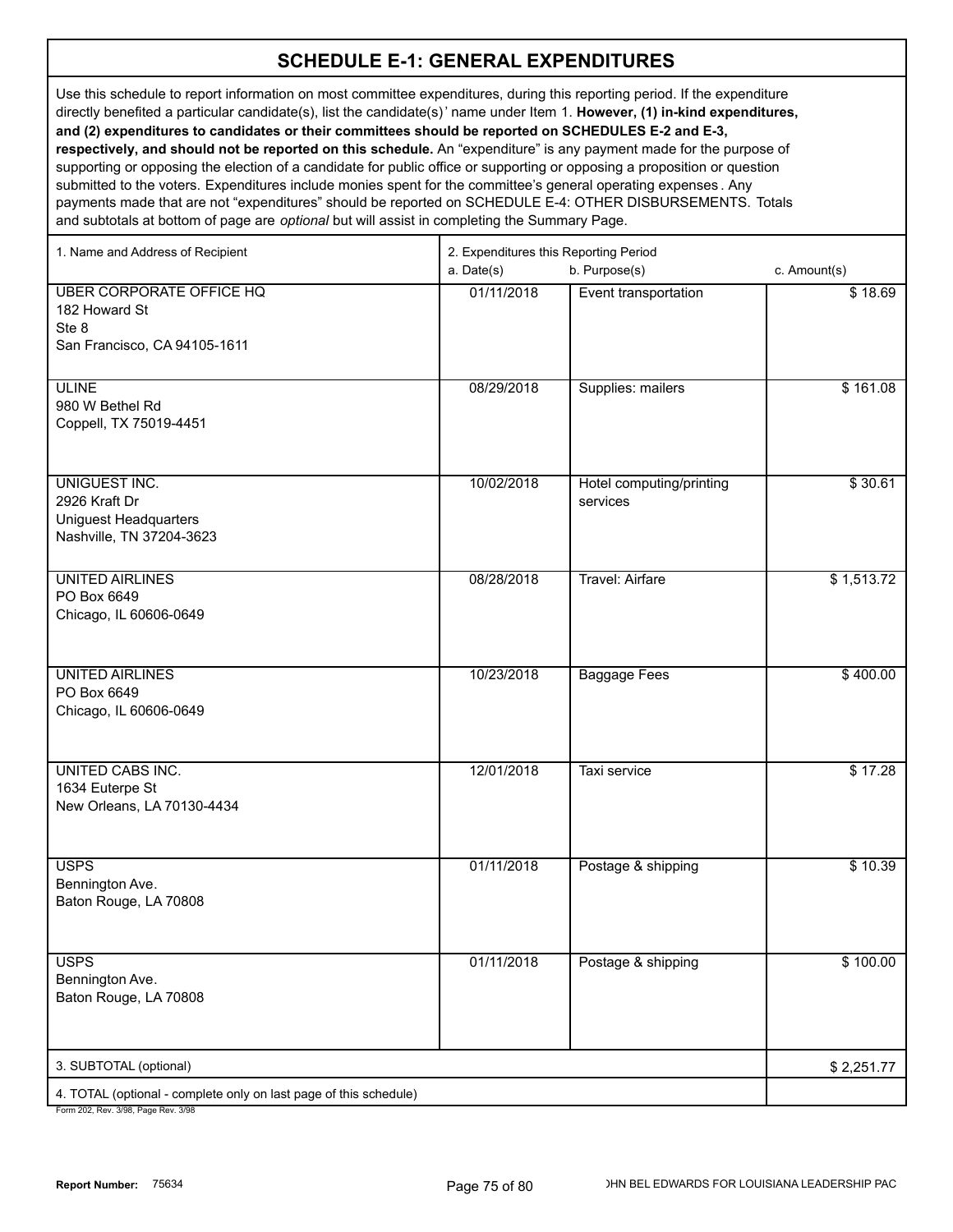Use this schedule to report information on most committee expenditures, during this reporting period. If the expenditure directly benefited a particular candidate(s), list the candidate(s)' name under Item 1. **However, (1) in-kind expenditures, and (2) expenditures to candidates or their committees should be reported on SCHEDULES E-2 and E-3, respectively, and should not be reported on this schedule.** An "expenditure" is any payment made for the purpose of supporting or opposing the election of a candidate for public office or supporting or opposing a proposition or question submitted to the voters. Expenditures include monies spent for the committee's general operating expenses . Any payments made that are not "expenditures" should be reported on SCHEDULE E-4: OTHER DISBURSEMENTS. Totals

and subtotals at bottom of page are *optional* but will assist in completing the Summary Page. 1. Name and Address of Recipient 2. Expenditures this Reporting Period a. Date(s) b. Purpose(s) c. Amount(s) UBER CORPORATE OFFICE HQ 182 Howard St Ste 8 San Francisco, CA 94105-1611 01/11/2018 | Event transportation | \$ 18.69 ULINE 980 W Bethel Rd Coppell, TX 75019-4451 08/29/2018 | Supplies: mailers | \$ 161.08 UNIGUEST INC. 2926 Kraft Dr Uniguest Headquarters Nashville, TN 37204-3623 10/02/2018 Hotel computing/printing services \$ 30.61 UNITED AIRLINES PO Box 6649 Chicago, IL 60606-0649 08/28/2018 | Travel: Airfare | \$ 1.513.72 UNITED AIRLINES PO Box 6649 Chicago, IL 60606-0649 10/23/2018 | Baggage Fees | \$400.00 UNITED CABS INC. 1634 Euterpe St New Orleans, LA 70130-4434 12/01/2018 Taxi service \$ 17.28 USPS Bennington Ave. Baton Rouge, LA 70808 01/11/2018 Postage & shipping \$ 10.39 USPS Bennington Ave. Baton Rouge, LA 70808 01/11/2018 | Postage & shipping | \$ 100.00 3. SUBTOTAL (optional) 4. TOTAL (optional - complete only on last page of this schedule) \$ 2,251.77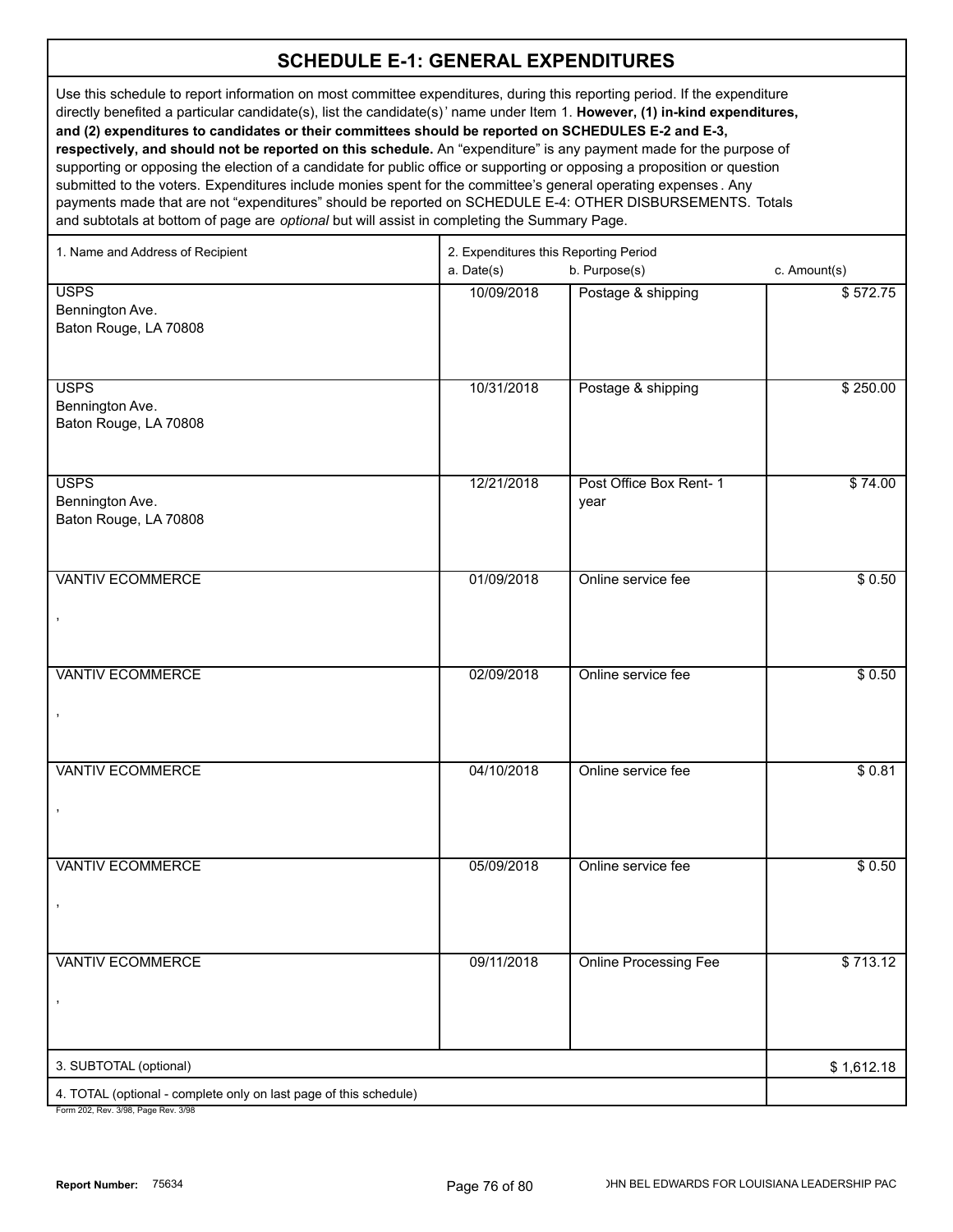Use this schedule to report information on most committee expenditures, during this reporting period. If the expenditure directly benefited a particular candidate(s), list the candidate(s)' name under Item 1. **However, (1) in-kind expenditures, and (2) expenditures to candidates or their committees should be reported on SCHEDULES E-2 and E-3, respectively, and should not be reported on this schedule.** An "expenditure" is any payment made for the purpose of supporting or opposing the election of a candidate for public office or supporting or opposing a proposition or question submitted to the voters. Expenditures include monies spent for the committee's general operating expenses . Any payments made that are not "expenditures" should be reported on SCHEDULE E-4: OTHER DISBURSEMENTS. Totals and subtotals at bottom of page are *optional* but will assist in completing the Summary Page.

| 1. Name and Address of Recipient                                                                     | 2. Expenditures this Reporting Period<br>a. Date(s) | c. Amount(s)                        |            |
|------------------------------------------------------------------------------------------------------|-----------------------------------------------------|-------------------------------------|------------|
| <b>USPS</b>                                                                                          | 10/09/2018                                          | b. Purpose(s)<br>Postage & shipping | \$572.75   |
| Bennington Ave.                                                                                      |                                                     |                                     |            |
| Baton Rouge, LA 70808                                                                                |                                                     |                                     |            |
|                                                                                                      |                                                     |                                     |            |
|                                                                                                      |                                                     |                                     |            |
| <b>USPS</b>                                                                                          | 10/31/2018                                          | Postage & shipping                  | \$250.00   |
| Bennington Ave.<br>Baton Rouge, LA 70808                                                             |                                                     |                                     |            |
|                                                                                                      |                                                     |                                     |            |
|                                                                                                      |                                                     |                                     |            |
| <b>USPS</b>                                                                                          | 12/21/2018                                          | Post Office Box Rent-1              | \$74.00    |
| Bennington Ave.                                                                                      |                                                     | year                                |            |
| Baton Rouge, LA 70808                                                                                |                                                     |                                     |            |
|                                                                                                      |                                                     |                                     |            |
| <b>VANTIV ECOMMERCE</b>                                                                              | 01/09/2018                                          | Online service fee                  | \$0.50     |
|                                                                                                      |                                                     |                                     |            |
| ,                                                                                                    |                                                     |                                     |            |
|                                                                                                      |                                                     |                                     |            |
|                                                                                                      |                                                     |                                     |            |
| <b>VANTIV ECOMMERCE</b>                                                                              | 02/09/2018                                          | Online service fee                  | \$0.50     |
| $\,$                                                                                                 |                                                     |                                     |            |
|                                                                                                      |                                                     |                                     |            |
|                                                                                                      |                                                     |                                     |            |
| <b>VANTIV ECOMMERCE</b>                                                                              | 04/10/2018                                          | Online service fee                  | \$0.81     |
|                                                                                                      |                                                     |                                     |            |
|                                                                                                      |                                                     |                                     |            |
|                                                                                                      |                                                     |                                     |            |
| <b>VANTIV ECOMMERCE</b>                                                                              | 05/09/2018                                          | Online service fee                  | \$0.50     |
|                                                                                                      |                                                     |                                     |            |
|                                                                                                      |                                                     |                                     |            |
|                                                                                                      |                                                     |                                     |            |
| <b>VANTIV ECOMMERCE</b>                                                                              | 09/11/2018                                          | <b>Online Processing Fee</b>        | \$713.12   |
|                                                                                                      |                                                     |                                     |            |
|                                                                                                      |                                                     |                                     |            |
|                                                                                                      |                                                     |                                     |            |
| 3. SUBTOTAL (optional)                                                                               |                                                     |                                     |            |
|                                                                                                      |                                                     |                                     | \$1,612.18 |
| 4. TOTAL (optional - complete only on last page of this schedule)<br>Form 202 Rev 3/08 Rage Rev 3/08 |                                                     |                                     |            |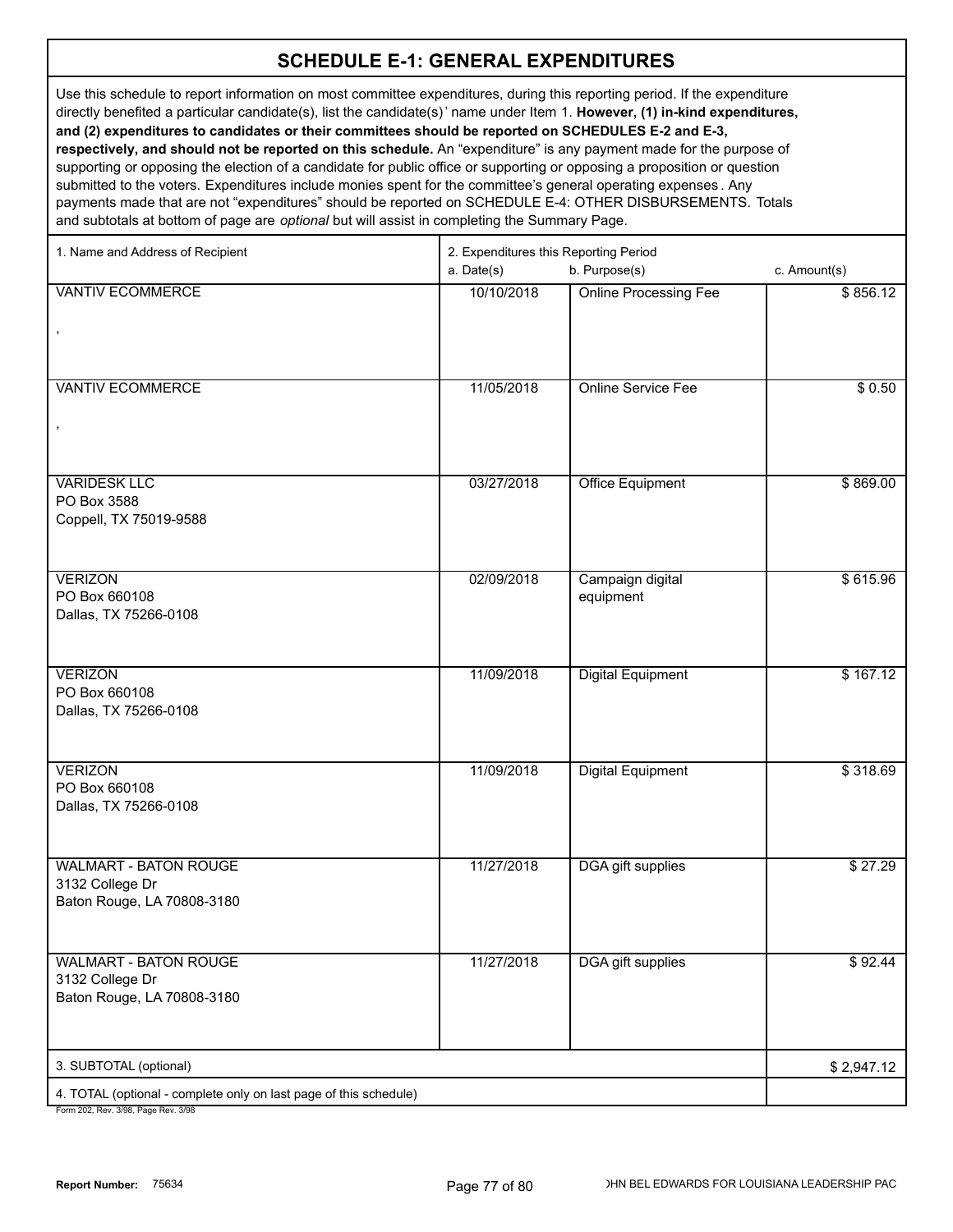Use this schedule to report information on most committee expenditures, during this reporting period. If the expenditure directly benefited a particular candidate(s), list the candidate(s)' name under Item 1. **However, (1) in-kind expenditures, and (2) expenditures to candidates or their committees should be reported on SCHEDULES E-2 and E-3, respectively, and should not be reported on this schedule.** An "expenditure" is any payment made for the purpose of supporting or opposing the election of a candidate for public office or supporting or opposing a proposition or question submitted to the voters. Expenditures include monies spent for the committee's general operating expenses . Any payments made that are not "expenditures" should be reported on SCHEDULE E-4: OTHER DISBURSEMENTS. Totals

and subtotals at bottom of page are *optional* but will assist in completing the Summary Page.

| 1. Name and Address of Recipient                                                                       | 2. Expenditures this Reporting Period |                               |              |
|--------------------------------------------------------------------------------------------------------|---------------------------------------|-------------------------------|--------------|
|                                                                                                        | a. Date(s)                            | b. Purpose(s)                 | c. Amount(s) |
| <b>VANTIV ECOMMERCE</b>                                                                                | 10/10/2018                            | <b>Online Processing Fee</b>  | \$856.12     |
| <b>VANTIV ECOMMERCE</b>                                                                                | 11/05/2018                            | <b>Online Service Fee</b>     | \$0.50       |
| <b>VARIDESK LLC</b><br>PO Box 3588<br>Coppell, TX 75019-9588                                           | 03/27/2018                            | <b>Office Equipment</b>       | \$869.00     |
| <b>VERIZON</b><br>PO Box 660108<br>Dallas, TX 75266-0108                                               | 02/09/2018                            | Campaign digital<br>equipment | \$615.96     |
| <b>VERIZON</b><br>PO Box 660108<br>Dallas, TX 75266-0108                                               | 11/09/2018                            | <b>Digital Equipment</b>      | \$167.12     |
| <b>VERIZON</b><br>PO Box 660108<br>Dallas, TX 75266-0108                                               | 11/09/2018                            | <b>Digital Equipment</b>      | \$318.69     |
| <b>WALMART - BATON ROUGE</b><br>3132 College Dr<br>Baton Rouge, LA 70808-3180                          | 11/27/2018                            | <b>DGA gift supplies</b>      | \$27.29      |
| <b>WALMART - BATON ROUGE</b><br>3132 College Dr<br>Baton Rouge, LA 70808-3180                          | 11/27/2018                            | <b>DGA</b> gift supplies      | \$92.44      |
| 3. SUBTOTAL (optional)                                                                                 |                                       |                               | \$2,947.12   |
| 4. TOTAL (optional - complete only on last page of this schedule)<br>Form 202 Rev. 3/08 Page Rev. 3/08 |                                       |                               |              |

02, Rev. 3/98, Page Rev. 3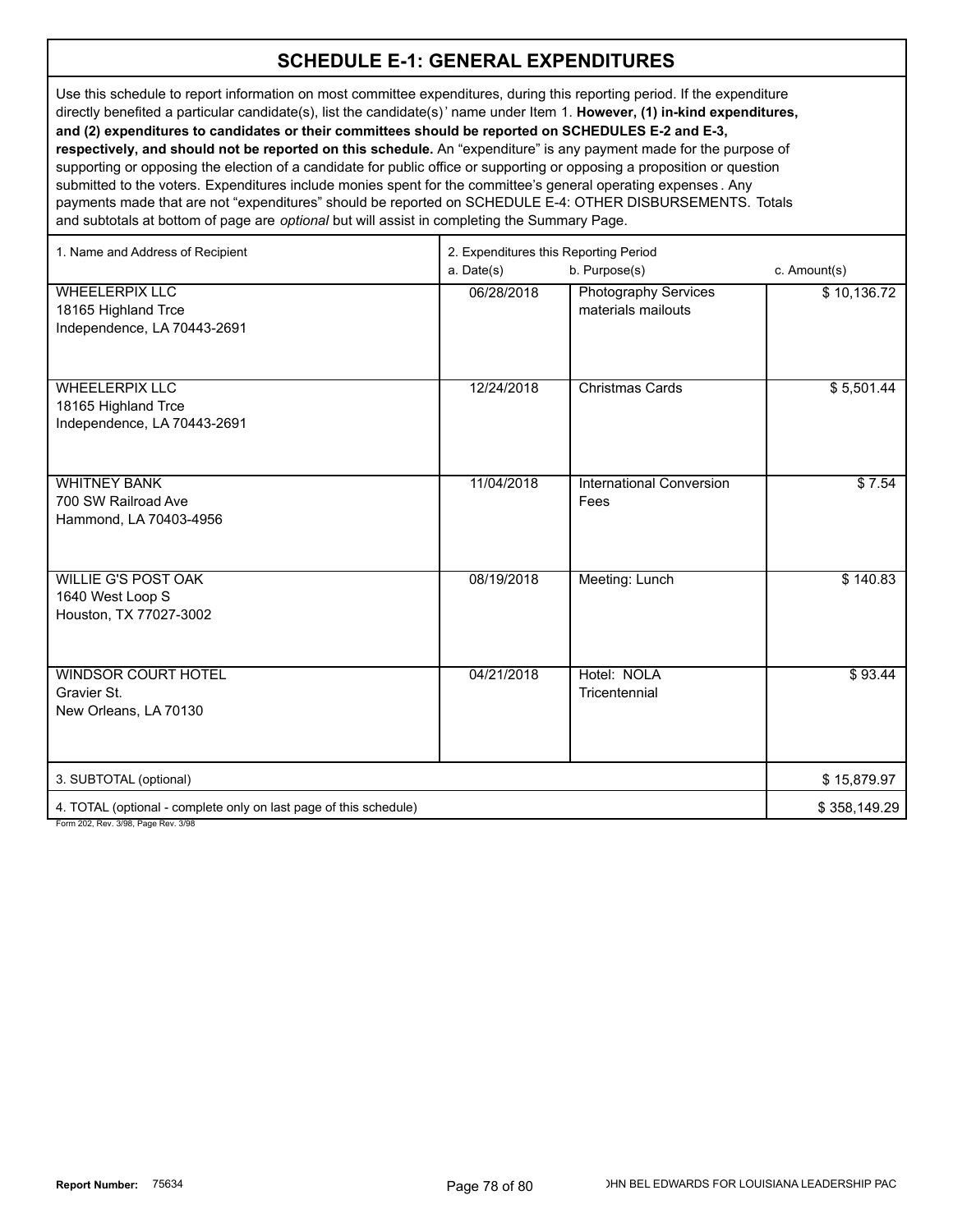Use this schedule to report information on most committee expenditures, during this reporting period. If the expenditure directly benefited a particular candidate(s), list the candidate(s)' name under Item 1. **However, (1) in-kind expenditures, and (2) expenditures to candidates or their committees should be reported on SCHEDULES E-2 and E-3, respectively, and should not be reported on this schedule.** An "expenditure" is any payment made for the purpose of supporting or opposing the election of a candidate for public office or supporting or opposing a proposition or question submitted to the voters. Expenditures include monies spent for the committee's general operating expenses . Any payments made that are not "expenditures" should be reported on SCHEDULE E-4: OTHER DISBURSEMENTS. Totals and subtotals at bottom of page are *optional* but will assist in completing the Summary Page.

| 1. Name and Address of Recipient                                                                         | 2. Expenditures this Reporting Period |                                                   |              |
|----------------------------------------------------------------------------------------------------------|---------------------------------------|---------------------------------------------------|--------------|
|                                                                                                          | a. Date(s)                            | b. Purpose(s)                                     | c. Amount(s) |
| <b>WHEELERPIX LLC</b><br>18165 Highland Trce<br>Independence, LA 70443-2691                              | 06/28/2018                            | <b>Photography Services</b><br>materials mailouts | \$10,136.72  |
| <b>WHEELERPIX LLC</b><br>18165 Highland Trce<br>Independence, LA 70443-2691                              | 12/24/2018                            | <b>Christmas Cards</b>                            | \$5,501.44   |
| <b>WHITNEY BANK</b><br>700 SW Railroad Ave<br>Hammond, LA 70403-4956                                     | 11/04/2018                            | <b>International Conversion</b><br>Fees           | \$7.54       |
| <b>WILLIE G'S POST OAK</b><br>1640 West Loop S<br>Houston, TX 77027-3002                                 | 08/19/2018                            | Meeting: Lunch                                    | \$140.83     |
| <b>WINDSOR COURT HOTEL</b><br>Gravier St.<br>New Orleans, LA 70130                                       | 04/21/2018                            | Hotel: NOLA<br>Tricentennial                      | \$93.44      |
| 3. SUBTOTAL (optional)                                                                                   |                                       |                                                   | \$15,879.97  |
| 4. TOTAL (optional - complete only on last page of this schedule)<br>Form 202, Rev. 3/98, Page Rev. 3/98 |                                       |                                                   | \$358,149.29 |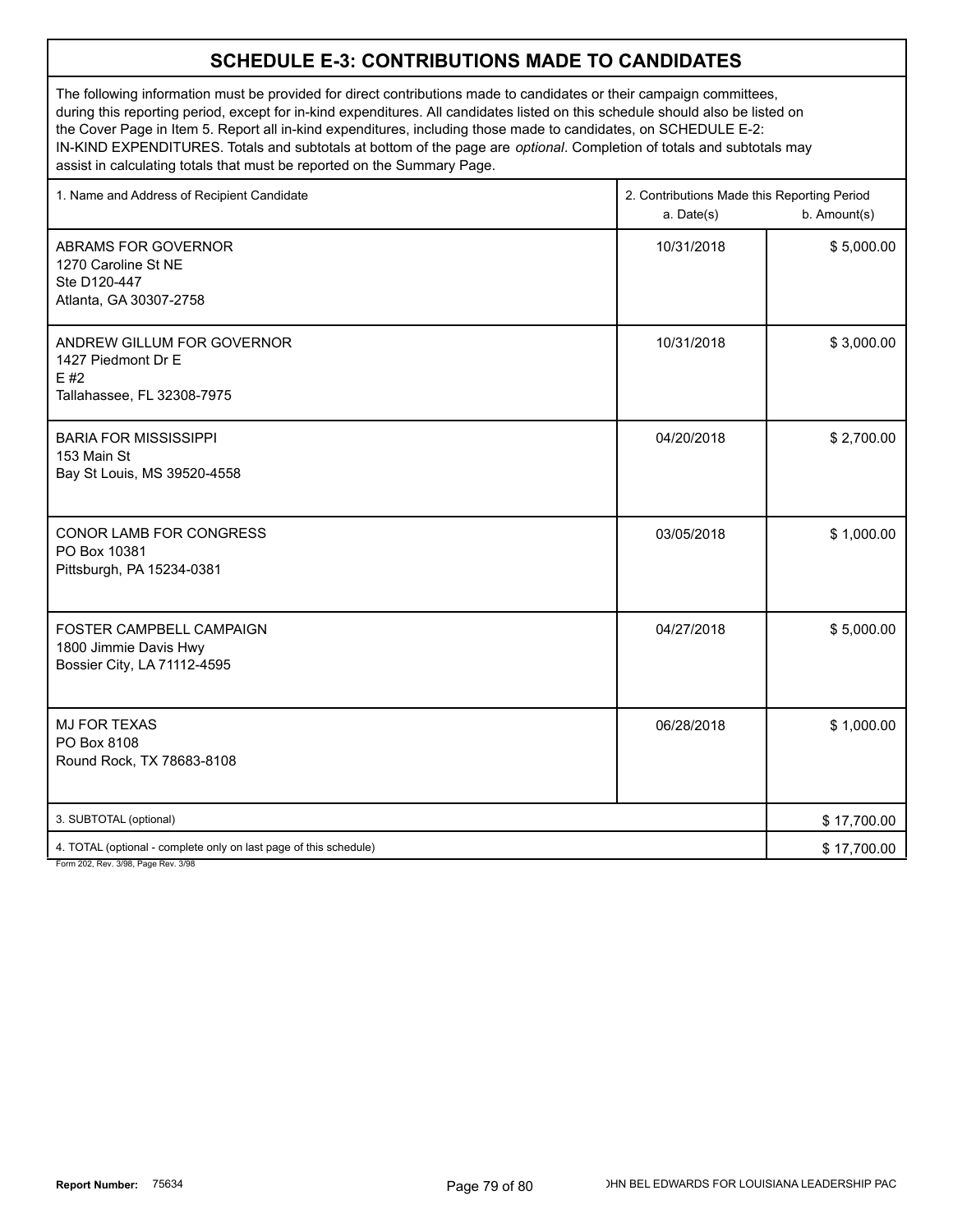#### **SCHEDULE E-3: CONTRIBUTIONS MADE TO CANDIDATES**

The following information must be provided for direct contributions made to candidates or their campaign committees, during this reporting period, except for in-kind expenditures. All candidates listed on this schedule should also be listed on the Cover Page in Item 5. Report all in-kind expenditures, including those made to candidates, on SCHEDULE E-2: IN-KIND EXPENDITURES. Totals and subtotals at bottom of the page are *optional*. Completion of totals and subtotals may assist in calculating totals that must be reported on the Summary Page.

| 1. Name and Address of Recipient Candidate                                             | 2. Contributions Made this Reporting Period<br>a. Date(s) | b. Amount(s) |
|----------------------------------------------------------------------------------------|-----------------------------------------------------------|--------------|
| ABRAMS FOR GOVERNOR<br>1270 Caroline St NE<br>Ste D120-447<br>Atlanta, GA 30307-2758   | 10/31/2018                                                | \$5,000.00   |
| ANDREW GILLUM FOR GOVERNOR<br>1427 Piedmont Dr E<br>E #2<br>Tallahassee, FL 32308-7975 | 10/31/2018                                                | \$3,000.00   |
| <b>BARIA FOR MISSISSIPPI</b><br>153 Main St<br>Bay St Louis, MS 39520-4558             | 04/20/2018                                                | \$2,700.00   |
| CONOR LAMB FOR CONGRESS<br>PO Box 10381<br>Pittsburgh, PA 15234-0381                   | 03/05/2018                                                | \$1,000.00   |
| FOSTER CAMPBELL CAMPAIGN<br>1800 Jimmie Davis Hwy<br>Bossier City, LA 71112-4595       | 04/27/2018                                                | \$5,000.00   |
| <b>MJ FOR TEXAS</b><br>PO Box 8108<br>Round Rock, TX 78683-8108                        | 06/28/2018                                                | \$1,000.00   |
| 3. SUBTOTAL (optional)                                                                 |                                                           | \$17,700.00  |
| 4. TOTAL (optional - complete only on last page of this schedule)                      |                                                           | \$17,700.00  |